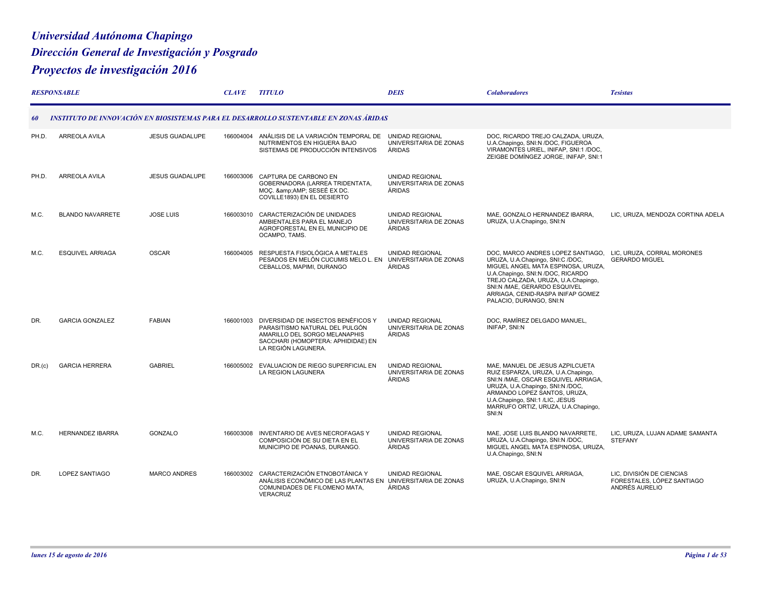## *Universidad Autónoma Chapingo Dirección General de Investigación y Posgrado Proyectos de investigación 2016*

|        | <b>RESPONSABLE</b>      |                        | <b>CLAVE</b> | <b>TITULO</b>                                                                                                                                                      | <b>DEIS</b>                                                | <b>Colaboradores</b>                                                                                                                                                                                                                                                                    | <b>Tesistas</b>                                                           |
|--------|-------------------------|------------------------|--------------|--------------------------------------------------------------------------------------------------------------------------------------------------------------------|------------------------------------------------------------|-----------------------------------------------------------------------------------------------------------------------------------------------------------------------------------------------------------------------------------------------------------------------------------------|---------------------------------------------------------------------------|
| 60     |                         |                        |              | INSTITUTO DE INNOVACIÓN EN BIOSISTEMAS PARA EL DESARROLLO SUSTENTABLE EN ZONAS ÁRIDAS                                                                              |                                                            |                                                                                                                                                                                                                                                                                         |                                                                           |
| PH.D.  | <b>ARREOLA AVILA</b>    | <b>JESUS GUADALUPE</b> | 166004004    | ANÁLISIS DE LA VARIACIÓN TEMPORAL DE<br>NUTRIMENTOS EN HIGUERA BAJO<br>SISTEMAS DE PRODUCCIÓN INTENSIVOS                                                           | <b>UNIDAD REGIONAL</b><br>UNIVERSITARIA DE ZONAS<br>ÁRIDAS | DOC. RICARDO TREJO CALZADA. URUZA.<br>U.A.Chapingo, SNI:N /DOC, FIGUEROA<br>VIRAMONTES URIEL, INIFAP, SNI:1 /DOC,<br>ZEIGBE DOMÍNGEZ JORGE, INIFAP, SNI:1                                                                                                                               |                                                                           |
| PH.D.  | ARREOLA AVILA           | <b>JESUS GUADALUPE</b> | 166003006    | CAPTURA DE CARBONO EN<br>GOBERNADORA (LARREA TRIDENTATA,<br>MOC. & amp; AMP; SESEE EX DC.<br>COVILLE1893) EN EL DESIERTO                                           | <b>UNIDAD REGIONAL</b><br>UNIVERSITARIA DE ZONAS<br>ÁRIDAS |                                                                                                                                                                                                                                                                                         |                                                                           |
| M.C.   | <b>BLANDO NAVARRETE</b> | <b>JOSE LUIS</b>       | 166003010    | CARACTERIZACIÓN DE UNIDADES<br>AMBIENTALES PARA EL MANEJO<br>AGROFORESTAL EN EL MUNICIPIO DE<br>OCAMPO, TAMS.                                                      | <b>UNIDAD REGIONAL</b><br>UNIVERSITARIA DE ZONAS<br>ÁRIDAS | MAE. GONZALO HERNANDEZ IBARRA.<br>URUZA, U.A.Chapingo, SNI:N                                                                                                                                                                                                                            | LIC, URUZA, MENDOZA CORTINA ADELA                                         |
| M.C.   | <b>ESQUIVEL ARRIAGA</b> | <b>OSCAR</b>           | 166004005    | RESPUESTA FISIOLÓGICA A METALES<br>PESADOS EN MELÓN CUCUMIS MELO L. EN<br>CEBALLOS, MAPIMI, DURANGO                                                                | <b>UNIDAD REGIONAL</b><br>UNIVERSITARIA DE ZONAS<br>ÁRIDAS | DOC, MARCO ANDRES LOPEZ SANTIAGO,<br>URUZA, U.A.Chapingo, SNI:C /DOC,<br>MIGUEL ANGEL MATA ESPINOSA, URUZA,<br>U.A.Chapingo, SNI:N /DOC, RICARDO<br>TREJO CALZADA, URUZA, U.A.Chapingo,<br>SNI:N /MAE. GERARDO ESQUIVEL<br>ARRIAGA, CENID-RASPA INIFAP GOMEZ<br>PALACIO, DURANGO, SNI:N | LIC, URUZA, CORRAL MORONES<br><b>GERARDO MIGUEL</b>                       |
| DR.    | <b>GARCIA GONZALEZ</b>  | <b>FABIAN</b>          | 166001003    | DIVERSIDAD DE INSECTOS BENÉFICOS Y<br>PARASITISMO NATURAL DEL PULGÓN<br>AMARILLO DEL SORGO MELANAPHIS<br>SACCHARI (HOMOPTERA: APHIDIDAE) EN<br>LA REGIÓN LAGUNERA. | <b>UNIDAD REGIONAL</b><br>UNIVERSITARIA DE ZONAS<br>ÁRIDAS | DOC. RAMÍREZ DELGADO MANUEL,<br><b>INIFAP, SNI:N</b>                                                                                                                                                                                                                                    |                                                                           |
| DR.(c) | <b>GARCIA HERRERA</b>   | <b>GABRIEL</b>         | 166005002    | EVALUACION DE RIEGO SUPERFICIAL EN<br><b>LA REGION LAGUNERA</b>                                                                                                    | <b>UNIDAD REGIONAL</b><br>UNIVERSITARIA DE ZONAS<br>ÁRIDAS | MAE. MANUEL DE JESUS AZPILCUETA<br>RUIZ ESPARZA, URUZA, U.A.Chapingo,<br>SNI:N /MAE, OSCAR ESQUIVEL ARRIAGA,<br>URUZA, U.A.Chapingo, SNI:N /DOC,<br>ARMANDO LOPEZ SANTOS, URUZA,<br>U.A.Chapingo, SNI:1 /LIC, JESUS<br>MARRUFO ORTIZ, URUZA, U.A.Chapingo,<br>SNI:N                     |                                                                           |
| M.C.   | <b>HERNANDEZ IBARRA</b> | GONZALO                | 166003008    | INVENTARIO DE AVES NECROFAGAS Y<br>COMPOSICIÓN DE SU DIETA EN EL<br>MUNICIPIO DE POANAS, DURANGO.                                                                  | <b>UNIDAD REGIONAL</b><br>UNIVERSITARIA DE ZONAS<br>ÁRIDAS | MAE. JOSE LUIS BLANDO NAVARRETE.<br>URUZA, U.A.Chapingo, SNI:N /DOC,<br>MIGUEL ANGEL MATA ESPINOSA, URUZA,<br>U.A.Chapingo, SNI:N                                                                                                                                                       | LIC. URUZA. LUJAN ADAME SAMANTA<br><b>STEFANY</b>                         |
| DR.    | <b>LOPEZ SANTIAGO</b>   | <b>MARCO ANDRES</b>    |              | 166003002 CARACTERIZACIÓN ETNOBOTÁNICA Y<br>ANÁLISIS ECONÓMICO DE LAS PLANTAS EN UNIVERSITARIA DE ZONAS<br>COMUNIDADES DE FILOMENO MATA,<br>VERACRUZ               | <b>UNIDAD REGIONAL</b><br>ÁRIDAS                           | MAE, OSCAR ESQUIVEL ARRIAGA.<br>URUZA, U.A.Chapingo, SNI:N                                                                                                                                                                                                                              | LIC. DIVISIÓN DE CIENCIAS<br>FORESTALES, LÓPEZ SANTIAGO<br>ANDRÉS AURELIO |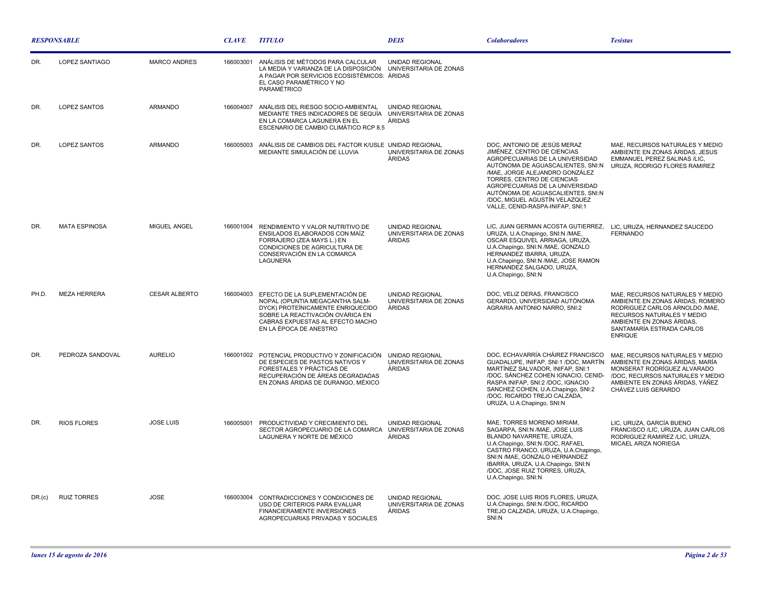| <b>RESPONSABLE</b> |                      |                      | <b>CLAVE</b> | <b>TITULO</b>                                                                                                                                                                                            | <b>DEIS</b>                                                | <b>Colaboradores</b>                                                                                                                                                                                                                                                                                                                             | <b>Tesistas</b>                                                                                                                                                                                                 |
|--------------------|----------------------|----------------------|--------------|----------------------------------------------------------------------------------------------------------------------------------------------------------------------------------------------------------|------------------------------------------------------------|--------------------------------------------------------------------------------------------------------------------------------------------------------------------------------------------------------------------------------------------------------------------------------------------------------------------------------------------------|-----------------------------------------------------------------------------------------------------------------------------------------------------------------------------------------------------------------|
| DR.                | LOPEZ SANTIAGO       | <b>MARCO ANDRES</b>  | 166003001    | ANÁLISIS DE MÉTODOS PARA CALCULAR<br>LA MEDIA Y VARIANZA DE LA DISPOSICIÓN<br>A PAGAR POR SERVICIOS ECOSISTÉMICOS: ÁRIDAS<br>EL CASO PARAMÉTRICO Y NO<br>PARAMÉTRICO                                     | <b>UNIDAD REGIONAL</b><br>UNIVERSITARIA DE ZONAS           |                                                                                                                                                                                                                                                                                                                                                  |                                                                                                                                                                                                                 |
| DR.                | <b>LOPEZ SANTOS</b>  | <b>ARMANDO</b>       | 166004007    | ANÁLISIS DEL RIESGO SOCIO-AMBIENTAL<br>MEDIANTE TRES INDICADORES DE SEQUÍA<br>EN LA COMARCA LAGUNERA EN EL<br>ESCENARIO DE CAMBIO CLIMÁTICO RCP 8.5                                                      | <b>UNIDAD REGIONAL</b><br>UNIVERSITARIA DE ZONAS<br>ÁRIDAS |                                                                                                                                                                                                                                                                                                                                                  |                                                                                                                                                                                                                 |
| DR.                | <b>LOPEZ SANTOS</b>  | <b>ARMANDO</b>       | 166005003    | ANÁLISIS DE CAMBIOS DEL FACTOR K/USLE UNIDAD REGIONAL<br>MEDIANTE SIMULACIÓN DE LLUVIA                                                                                                                   | UNIVERSITARIA DE ZONAS<br>ÁRIDAS                           | DOC. ANTONIO DE JESÚS MERAZ<br>JIMÉNEZ, CENTRO DE CIENCIAS<br>AGROPECUARIAS DE LA UNIVERSIDAD<br>AUTÓNOMA DE AGUASCALIENTES, SNI:N<br>/MAE. JORGE ALEJANDRO GONZÁLEZ<br>TORRES, CENTRO DE CIENCIAS<br>AGROPECUARIAS DE LA UNIVERSIDAD<br>AUTÓNOMA DE AGUASCALIENTES, SNI:N<br>/DOC, MIGUEL AGUSTÍN VELAZQUEZ<br>VALLE, CENID-RASPA-INIFAP, SNI:1 | MAE, RECURSOS NATURALES Y MEDIO<br>AMBIENTE EN ZONAS ÁRIDAS, JESUS<br>EMMANUEL PEREZ SALINAS /LIC,<br>URUZA, RODRIGO FLORES RAMIREZ                                                                             |
| DR.                | <b>MATA ESPINOSA</b> | MIGUEL ANGEL         |              | 166001004 RENDIMIENTO Y VALOR NUTRITIVO DE<br>ENSILADOS ELABORADOS CON MAÍZ<br>FORRAJERO (ZEA MAYS L.) EN<br>CONDICIONES DE AGRICULTURA DE<br>CONSERVACIÓN EN LA COMARCA<br>LAGUNERA                     | <b>UNIDAD REGIONAL</b><br>UNIVERSITARIA DE ZONAS<br>ÁRIDAS | LIC, JUAN GERMAN ACOSTA GUTIERREZ, LIC, URUZA, HERNANDEZ SAUCEDO<br>URUZA, U.A.Chapingo, SNI:N /MAE,<br>OSCAR ESQUIVEL ARRIAGA, URUZA.<br>U.A.Chapingo, SNI:N /MAE, GONZALO<br>HERNANDEZ IBARRA, URUZA,<br>U.A.Chapingo, SNI:N /MAE, JOSE RAMON<br>HERNANDEZ SALGADO, URUZA,<br>U.A.Chapingo, SNI:N                                              | <b>FERNANDO</b>                                                                                                                                                                                                 |
| PH.D.              | <b>MEZA HERRERA</b>  | <b>CESAR ALBERTO</b> | 166004003    | EFECTO DE LA SUPLEMENTACIÓN DE<br>NOPAL (OPUNTIA MEGACANTHA SALM-<br>DYCK) PROTEÍNICAMENTE ENRIQUECIDO<br>SOBRE LA REACTIVACIÓN OVÁRICA EN<br>CABRAS EXPUESTAS AL EFECTO MACHO<br>EN LA ÉPOCA DE ANESTRO | <b>UNIDAD REGIONAL</b><br>UNIVERSITARIA DE ZONAS<br>ÁRIDAS | DOC, VELIZ DERAS, FRANCISCO<br>GERARDO, UNIVERSIDAD AUTÓNOMA<br>AGRARIA ANTONIO NARRO, SNI:2                                                                                                                                                                                                                                                     | MAE, RECURSOS NATURALES Y MEDIO<br>AMBIENTE EN ZONAS ÁRIDAS, ROMERO<br>RODRIGUEZ CARLOS ARNOLDO /MAE.<br>RECURSOS NATURALES Y MEDIO<br>AMBIENTE EN ZONAS ÁRIDAS,<br>SANTAMARÍA ESTRADA CARLOS<br><b>ENRIQUE</b> |
| DR.                | PEDROZA SANDOVAL     | <b>AURELIO</b>       |              | 166001002 POTENCIAL PRODUCTIVO Y ZONIFICACIÓN<br>DE ESPECIES DE PASTOS NATIVOS Y<br>FORESTALES Y PRÁCTICAS DE<br>RECUPERACIÓN DE ÁREAS DEGRADADAS<br>EN ZONAS ÁRIDAS DE DURANGO, MÉXICO                  | <b>UNIDAD REGIONAL</b><br>UNIVERSITARIA DE ZONAS<br>ÁRIDAS | DOC, ECHAVARRÍA CHÁIREZ FRANCISCO<br>GUADALUPE, INIFAP, SNI:1 /DOC, MARTÍN<br>MARTÍNEZ SALVADOR, INIFAP, SNI:1<br>/DOC. SÁNCHEZ COHEN IGNACIO. CENID-<br>RASPA INIFAP, SNI:2 /DOC, IGNACIO<br>SANCHEZ COHEN, U.A.Chapingo, SNI:2<br>/DOC, RICARDO TREJO CALZADA,<br>URUZA, U.A.Chapingo, SNI:N                                                   | MAE, RECURSOS NATURALES Y MEDIO<br>AMBIENTE EN ZONAS ÁRIDAS, MARÍA<br>MONSERAT RODRÍGUEZ ALVARADO<br>/DOC. RECURSOS NATURALES Y MEDIO<br>AMBIENTE EN ZONAS ÁRIDAS. YÁÑEZ<br>CHÁVEZ LUIS GERARDO                 |
| DR.                | <b>RIOS FLORES</b>   | <b>JOSE LUIS</b>     | 166005001    | PRODUCTIVIDAD Y CRECIMIENTO DEL<br>SECTOR AGROPECUARIO DE LA COMARCA<br>LAGUNERA Y NORTE DE MÉXICO                                                                                                       | <b>UNIDAD REGIONAL</b><br>UNIVERSITARIA DE ZONAS<br>ÁRIDAS | MAE, TORRES MORENO MIRIAM,<br>SAGARPA, SNI:N /MAE, JOSE LUIS<br>BLANDO NAVARRETE, URUZA,<br>U.A.Chapingo, SNI:N /DOC, RAFAEL<br>CASTRO FRANCO, URUZA, U.A.Chapingo,<br>SNI:N /MAE, GONZALO HERNANDEZ<br>IBARRA, URUZA, U.A.Chapingo, SNI:N<br>/DOC, JOSE RUIZ TORRES, URUZA,<br>U.A.Chapingo, SNI:N                                              | LIC, URUZA, GARCÍA BUENO<br>FRANCISCO /LIC, URUZA, JUAN CARLOS<br>RODRIGUEZ RAMIREZ /LIC, URUZA,<br>MICAEL ARIZA NORIEGA                                                                                        |
| DR.(c)             | <b>RUIZ TORRES</b>   | <b>JOSE</b>          | 166003004    | CONTRADICCIONES Y CONDICIONES DE<br>USO DE CRITERIOS PARA EVALUAR<br>FINANCIERAMENTE INVERSIONES<br>AGROPECUARIAS PRIVADAS Y SOCIALES                                                                    | <b>UNIDAD REGIONAL</b><br>UNIVERSITARIA DE ZONAS<br>ÁRIDAS | DOC, JOSE LUIS RIOS FLORES, URUZA,<br>U.A.Chapingo, SNI:N /DOC, RICARDO<br>TREJO CALZADA, URUZA, U.A.Chapingo,<br>SNI:N                                                                                                                                                                                                                          |                                                                                                                                                                                                                 |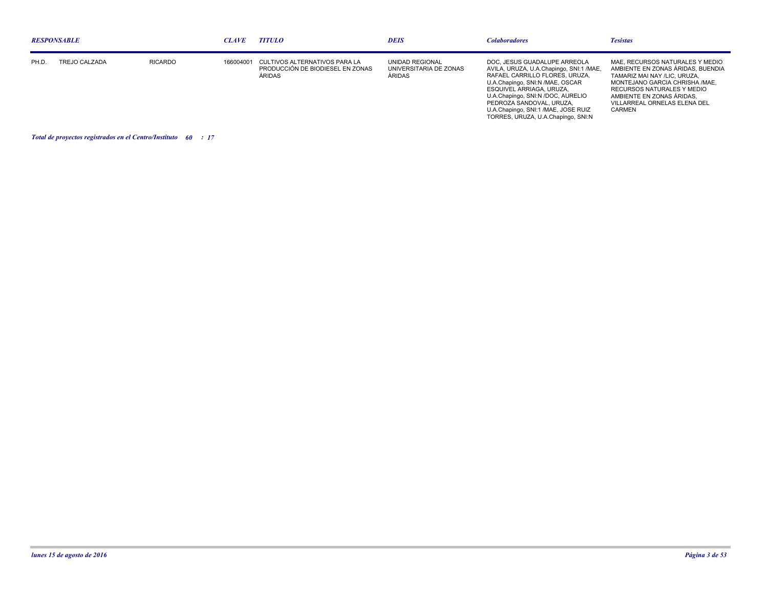| <b>RESPONSABLE</b> |               |                | <b>CLAVE</b> | <b>TITULO</b>                                                               | <b>DEIS</b>                                                | <b>Colaboradores</b>                                                                                                                                                                                                                                                                                                   | <b>Tesistas</b>                                                                                                                                                                                                                                    |
|--------------------|---------------|----------------|--------------|-----------------------------------------------------------------------------|------------------------------------------------------------|------------------------------------------------------------------------------------------------------------------------------------------------------------------------------------------------------------------------------------------------------------------------------------------------------------------------|----------------------------------------------------------------------------------------------------------------------------------------------------------------------------------------------------------------------------------------------------|
| PH.D               | TREJO CALZADA | <b>RICARDO</b> | 166004001    | CULTIVOS ALTERNATIVOS PARA LA<br>PRODUCCIÓN DE BIODIESEL EN ZONAS<br>ÀRIDAS | UNIDAD REGIONAL<br>UNIVERSITARIA DE ZONAS<br><b>ARIDAS</b> | DOC, JESUS GUADALUPE ARREOLA<br>AVILA, URUZA, U.A.Chapingo, SNI:1 /MAE,<br>RAFAEL CARRILLO FLORES. URUZA.<br>U.A.Chapingo, SNI:N /MAE, OSCAR<br>ESQUIVEL ARRIAGA, URUZA.<br>U.A.Chapingo, SNI:N /DOC, AURELIO<br>PEDROZA SANDOVAL, URUZA,<br>U.A.Chapingo, SNI:1 /MAE, JOSE RUIZ<br>TORRES, URUZA, U.A.Chapingo, SNI:N | MAE. RECURSOS NATURALES Y MEDIO<br>AMBIENTE EN ZONAS ÁRIDAS. BUENDIA<br>TAMARIZ MAI NAY /LIC. URUZA.<br>MONTEJANO GARCIA CHRISHA /MAE.<br>RECURSOS NATURALES Y MEDIO<br>AMBIENTE EN ZONAS ÁRIDAS.<br>VILLARREAL ORNELAS ELENA DEL<br><b>CARMEN</b> |

*Total de proyectos registrados en el Centro/Instituto : 60 17*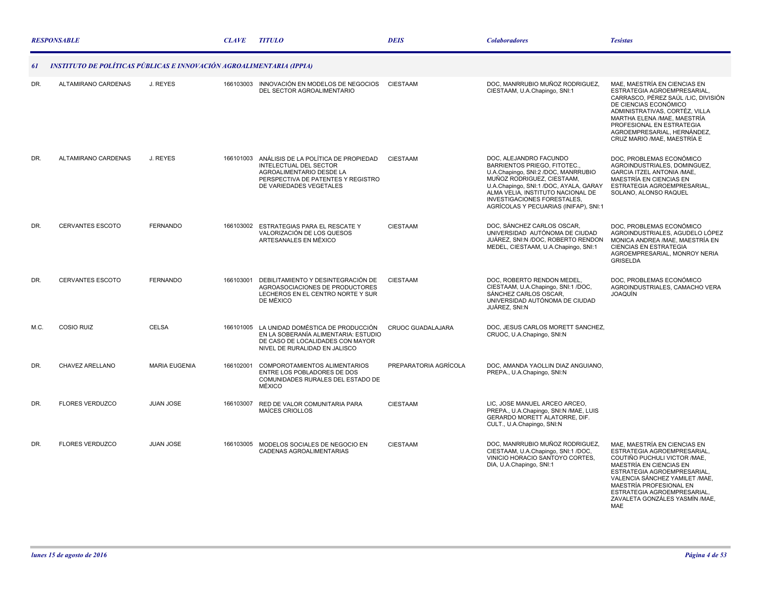|      | <b>RESPONSABLE</b>                                                   |                      | <b>CLAVE</b> | <b>TITULO</b>                                                                                                                                                         | <b>DEIS</b>              | <i><b>Colaboradores</b></i>                                                                                                                                                                                                                                                               | <b>Tesistas</b>                                                                                                                                                                                                                                                                                      |
|------|----------------------------------------------------------------------|----------------------|--------------|-----------------------------------------------------------------------------------------------------------------------------------------------------------------------|--------------------------|-------------------------------------------------------------------------------------------------------------------------------------------------------------------------------------------------------------------------------------------------------------------------------------------|------------------------------------------------------------------------------------------------------------------------------------------------------------------------------------------------------------------------------------------------------------------------------------------------------|
| 61   | INSTITUTO DE POLÍTICAS PÚBLICAS E INNOVACIÓN AGROALIMENTARIA (IPPIA) |                      |              |                                                                                                                                                                       |                          |                                                                                                                                                                                                                                                                                           |                                                                                                                                                                                                                                                                                                      |
| DR.  | ALTAMIRANO CARDENAS                                                  | J. REYES             | 166103003    | INNOVACIÓN EN MODELOS DE NEGOCIOS<br>DEL SECTOR AGROALIMENTARIO                                                                                                       | <b>CIESTAAM</b>          | DOC, MANRRUBIO MUÑOZ RODRIGUEZ,<br>CIESTAAM, U.A.Chapingo, SNI:1                                                                                                                                                                                                                          | MAE, MAESTRÍA EN CIENCIAS EN<br>ESTRATEGIA AGROEMPRESARIAL,<br>CARRASCO, PÉREZ SAÚL /LIC, DIVISIÓN<br>DE CIENCIAS ECONÓMICO<br>ADMINISTRATIVAS, CORTÉZ, VILLA<br>MARTHA ELENA /MAE, MAESTRÍA<br>PROFESIONAL EN ESTRATEGIA<br>AGROEMPRESARIAL, HERNÁNDEZ.<br>CRUZ MARIO / MAE, MAESTRÍA E             |
| DR.  | ALTAMIRANO CARDENAS                                                  | J. REYES             |              | 166101003 ANÁLISIS DE LA POLÍTICA DE PROPIEDAD<br>INTELECTUAL DEL SECTOR<br>AGROALIMENTARIO DESDE LA<br>PERSPECTIVA DE PATENTES Y REGISTRO<br>DE VARIEDADES VEGETALES | <b>CIESTAAM</b>          | DOC, ALEJANDRO FACUNDO<br>BARRIENTOS PRIEGO, FITOTEC.,<br>U.A.Chapingo, SNI:2 /DOC, MANRRUBIO<br>MUÑOZ RODRIGUEZ, CIESTAAM,<br>U.A.Chapingo, SNI:1 /DOC, AYALA, GARAY<br>ALMA VELIA, INSTITUTO NACIONAL DE<br><b>INVESTIGACIONES FORESTALES.</b><br>AGRÍCOLAS Y PECUARIAS (INIFAP), SNI:1 | DOC, PROBLEMAS ECONÓMICO<br>AGROINDUSTRIALES, DOMINGUEZ,<br>GARCIA ITZEL ANTONIA /MAE,<br>MAESTRÍA EN CIENCIAS EN<br>ESTRATEGIA AGROEMPRESARIAL,<br>SOLANO, ALONSO RAQUEL                                                                                                                            |
| DR.  | <b>CERVANTES ESCOTO</b>                                              | <b>FERNANDO</b>      |              | 166103002 ESTRATEGIAS PARA EL RESCATE Y<br>VALORIZACIÓN DE LOS QUESOS<br>ARTESANALES EN MÉXICO                                                                        | <b>CIESTAAM</b>          | DOC, SÁNCHEZ CARLOS OSCAR,<br>UNIVERSIDAD AUTÓNOMA DE CIUDAD<br>JUÁREZ, SNI:N /DOC, ROBERTO RENDON<br>MEDEL, CIESTAAM, U.A.Chapingo, SNI:1                                                                                                                                                | DOC, PROBLEMAS ECONÓMICO<br>AGROINDUSTRIALES, AGUDELO LÓPEZ<br>MONICA ANDREA /MAE, MAESTRÍA EN<br><b>CIENCIAS EN ESTRATEGIA</b><br>AGROEMPRESARIAL, MONROY NERIA<br><b>GRISELDA</b>                                                                                                                  |
| DR.  | <b>CERVANTES ESCOTO</b>                                              | <b>FERNANDO</b>      | 166103001    | DEBILITAMIENTO Y DESINTEGRACIÓN DE<br>AGROASOCIACIONES DE PRODUCTORES<br>LECHEROS EN EL CENTRO NORTE Y SUR<br>DE MÉXICO                                               | <b>CIESTAAM</b>          | DOC, ROBERTO RENDON MEDEL,<br>CIESTAAM, U.A.Chapingo, SNI:1 /DOC,<br>SÁNCHEZ CARLOS OSCAR,<br>UNIVERSIDAD AUTÓNOMA DE CIUDAD<br>JUÁREZ, SNI:N                                                                                                                                             | DOC, PROBLEMAS ECONÓMICO<br>AGROINDUSTRIALES, CAMACHO VERA<br><b>JOAQUÍN</b>                                                                                                                                                                                                                         |
| M.C. | <b>COSIO RUIZ</b>                                                    | <b>CELSA</b>         |              | 166101005 LA UNIDAD DOMÉSTICA DE PRODUCCIÓN<br>EN LA SOBERANÍA ALIMENTARIA: ESTUDIO<br>DE CASO DE LOCALIDADES CON MAYOR<br>NIVEL DE RURALIDAD EN JALISCO              | <b>CRUOC GUADALAJARA</b> | DOC, JESUS CARLOS MORETT SANCHEZ,<br>CRUOC, U.A.Chapingo, SNI:N                                                                                                                                                                                                                           |                                                                                                                                                                                                                                                                                                      |
| DR.  | CHAVEZ ARELLANO                                                      | <b>MARIA EUGENIA</b> | 166102001    | COMPOROTAMIENTOS ALIMENTARIOS<br>ENTRE LOS POBLADORES DE DOS<br>COMUNIDADES RURALES DEL ESTADO DE<br>MÉXICO                                                           | PREPARATORIA AGRÍCOLA    | DOC, AMANDA YAOLLIN DIAZ ANGUIANO,<br>PREPA., U.A.Chapingo, SNI:N                                                                                                                                                                                                                         |                                                                                                                                                                                                                                                                                                      |
| DR.  | <b>FLORES VERDUZCO</b>                                               | <b>JUAN JOSE</b>     | 166103007    | RED DE VALOR COMUNITARIA PARA<br>MAÍCES CRIOLLOS                                                                                                                      | <b>CIESTAAM</b>          | LIC. JOSE MANUEL ARCEO ARCEO.<br>PREPA., U.A.Chapingo, SNI:N /MAE, LUIS<br>GERARDO MORETT ALATORRE, DIF.<br>CULT., U.A.Chapingo, SNI:N                                                                                                                                                    |                                                                                                                                                                                                                                                                                                      |
| DR.  | <b>FLORES VERDUZCO</b>                                               | <b>JUAN JOSE</b>     |              | 166103005 MODELOS SOCIALES DE NEGOCIO EN<br>CADENAS AGROALIMENTARIAS                                                                                                  | <b>CIESTAAM</b>          | DOC, MANRRUBIO MUÑOZ RODRIGUEZ,<br>CIESTAAM, U.A.Chapingo, SNI:1 /DOC,<br>VINICIO HORACIO SANTOYO CORTES,<br>DIA, U.A.Chapingo, SNI:1                                                                                                                                                     | MAE. MAESTRÍA EN CIENCIAS EN<br>ESTRATEGIA AGROEMPRESARIAL,<br>COUTIÑO PUCHULI VICTOR / MAE,<br>MAESTRÍA EN CIENCIAS EN<br>ESTRATEGIA AGROEMPRESARIAL.<br>VALENCIA SÁNCHEZ YAMILET / MAE.<br>MAESTRÍA PROFESIONAL EN<br>ESTRATEGIA AGROEMPRESARIAL,<br>ZAVALETA GONZÁLES YASMÍN / MAE,<br><b>MAE</b> |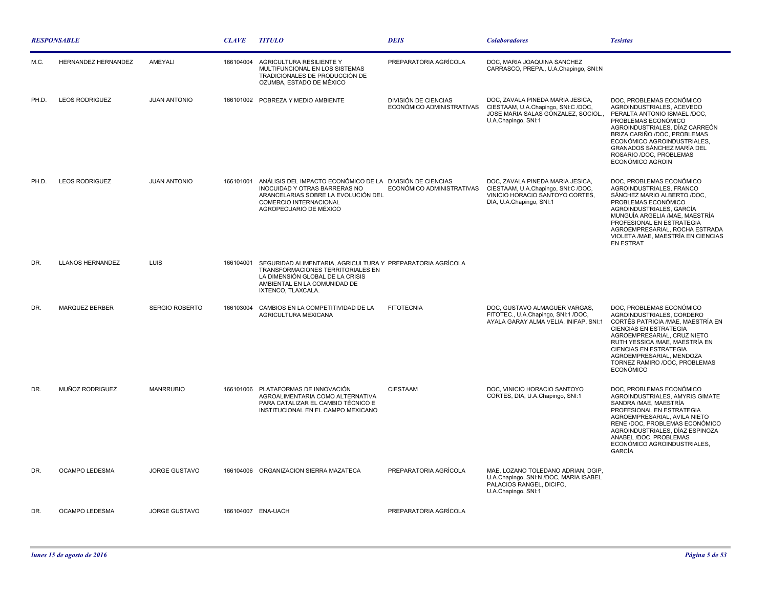| <b>RESPONSABLE</b> |                            |                       | <b>CLAVE</b> | <b>TITULO</b>                                                                                                                                                                                | <b>DEIS</b>                                              | <b>Colaboradores</b>                                                                                                                   | <b>Tesistas</b>                                                                                                                                                                                                                                                                                                 |
|--------------------|----------------------------|-----------------------|--------------|----------------------------------------------------------------------------------------------------------------------------------------------------------------------------------------------|----------------------------------------------------------|----------------------------------------------------------------------------------------------------------------------------------------|-----------------------------------------------------------------------------------------------------------------------------------------------------------------------------------------------------------------------------------------------------------------------------------------------------------------|
| M.C.               | <b>HERNANDEZ HERNANDEZ</b> | AMEYALI               | 166104004    | AGRICULTURA RESILIENTE Y<br>MULTIFUNCIONAL EN LOS SISTEMAS<br>TRADICIONALES DE PRODUCCIÓN DE<br>OZUMBA, ESTADO DE MÉXICO                                                                     | PREPARATORIA AGRÍCOLA                                    | DOC. MARIA JOAQUINA SANCHEZ<br>CARRASCO, PREPA., U.A.Chapingo, SNI:N                                                                   |                                                                                                                                                                                                                                                                                                                 |
| PH.D.              | <b>LEOS RODRIGUEZ</b>      | <b>JUAN ANTONIO</b>   |              | 166101002 POBREZA Y MEDIO AMBIENTE                                                                                                                                                           | <b>DIVISIÓN DE CIENCIAS</b><br>ECONÓMICO ADMINISTRATIVAS | DOC, ZAVALA PINEDA MARIA JESICA,<br>CIESTAAM, U.A.Chapingo, SNI:C /DOC,<br>JOSE MARIA SALAS GONZALEZ, SOCIOL.,<br>U.A.Chapingo, SNI:1  | DOC, PROBLEMAS ECONÓMICO<br>AGROINDUSTRIALES, ACEVEDO<br>PERALTA ANTONIO ISMAEL /DOC,<br>PROBLEMAS ECONÓMICO<br>AGROINDUSTRIALES, DÍAZ CARREÓN<br>BRIZA CARIÑO /DOC, PROBLEMAS<br>ECONÓMICO AGROINDUSTRIALES,<br>GRANADOS SÁNCHEZ MARÍA DEL<br>ROSARIO /DOC. PROBLEMAS<br>ECONÓMICO AGROIN                      |
| PH.D.              | <b>LEOS RODRIGUEZ</b>      | <b>JUAN ANTONIO</b>   | 166101001    | ANÁLISIS DEL IMPACTO ECONÓMICO DE LA DIVISIÓN DE CIENCIAS<br>INOCUIDAD Y OTRAS BARRERAS NO<br>ARANCELARIAS SOBRE LA EVOLUCIÓN DEL<br><b>COMERCIO INTERNACIONAL</b><br>AGROPECUARIO DE MÉXICO | ECONÓMICO ADMINISTRATIVAS                                | DOC, ZAVALA PINEDA MARIA JESICA,<br>CIESTAAM, U.A.Chapingo, SNI:C /DOC,<br>VINICIO HORACIO SANTOYO CORTES,<br>DIA, U.A.Chapingo, SNI:1 | DOC, PROBLEMAS ECONÓMICO<br>AGROINDUSTRIALES, FRANCO<br>SÁNCHEZ MARIO ALBERTO /DOC,<br>PROBLEMAS ECONÓMICO<br>AGROINDUSTRIALES, GARCÍA<br>MUNGUÍA ARGELIA / MAE, MAESTRÍA<br>PROFESIONAL EN ESTRATEGIA<br>AGROEMPRESARIAL, ROCHA ESTRADA<br>VIOLETA / MAE, MAESTRÍA EN CIENCIAS<br><b>EN ESTRAT</b>             |
| DR.                | <b>LLANOS HERNANDEZ</b>    | <b>LUIS</b>           | 166104001    | SEGURIDAD ALIMENTARIA, AGRICULTURA Y PREPARATORIA AGRÍCOLA<br>TRANSFORMACIONES TERRITORIALES EN<br>LA DIMENSIÓN GLOBAL DE LA CRISIS<br>AMBIENTAL EN LA COMUNIDAD DE<br>IXTENCO, TLAXCALA.    |                                                          |                                                                                                                                        |                                                                                                                                                                                                                                                                                                                 |
| DR.                | <b>MARQUEZ BERBER</b>      | <b>SERGIO ROBERTO</b> | 166103004    | CAMBIOS EN LA COMPETITIVIDAD DE LA<br>AGRICULTURA MEXICANA                                                                                                                                   | <b>FITOTECNIA</b>                                        | DOC. GUSTAVO ALMAGUER VARGAS.<br>FITOTEC., U.A.Chapingo, SNI:1 /DOC.<br>AYALA GARAY ALMA VELIA, INIFAP, SNI:1                          | DOC. PROBLEMAS ECONÓMICO<br>AGROINDUSTRIALES, CORDERO<br>CORTÉS PATRICIA / MAE, MAESTRÍA EN<br><b>CIENCIAS EN ESTRATEGIA</b><br>AGROEMPRESARIAL, CRUZ NIETO<br>RUTH YESSICA /MAE, MAESTRÍA EN<br><b>CIENCIAS EN ESTRATEGIA</b><br>AGROEMPRESARIAL, MENDOZA<br>TORNEZ RAMIRO /DOC, PROBLEMAS<br><b>ECONÓMICO</b> |
| DR.                | MUÑOZ RODRIGUEZ            | <b>MANRRUBIO</b>      |              | 166101006 PLATAFORMAS DE INNOVACIÓN<br>AGROALIMENTARIA COMO ALTERNATIVA<br>PARA CATALIZAR EL CAMBIO TÉCNICO E<br>INSTITUCIONAL EN EL CAMPO MEXICANO                                          | <b>CIESTAAM</b>                                          | DOC, VINICIO HORACIO SANTOYO<br>CORTES, DIA, U.A.Chapingo, SNI:1                                                                       | DOC, PROBLEMAS ECONÓMICO<br>AGROINDUSTRIALES, AMYRIS GIMATE<br>SANDRA /MAE, MAESTRÍA<br>PROFESIONAL EN ESTRATEGIA<br>AGROEMPRESARIAL, AVILA NIETO<br>RENE /DOC, PROBLEMAS ECONÓMICO<br>AGROINDUSTRIALES, DÍAZ ESPINOZA<br>ANABEL /DOC, PROBLEMAS<br>ECONÓMICO AGROINDUSTRIALES,<br>GARCÍA                       |
| DR.                | OCAMPO LEDESMA             | <b>JORGE GUSTAVO</b>  |              | 166104006 ORGANIZACION SIERRA MAZATECA                                                                                                                                                       | PREPARATORIA AGRÍCOLA                                    | MAE, LOZANO TOLEDANO ADRIAN, DGIP,<br>U.A.Chapingo, SNI:N /DOC, MARIA ISABEL<br>PALACIOS RANGEL, DICIFO,<br>U.A.Chapingo, SNI:1        |                                                                                                                                                                                                                                                                                                                 |
| DR.                | OCAMPO LEDESMA             | <b>JORGE GUSTAVO</b>  |              | 166104007 ENA-UACH                                                                                                                                                                           | PREPARATORIA AGRÍCOLA                                    |                                                                                                                                        |                                                                                                                                                                                                                                                                                                                 |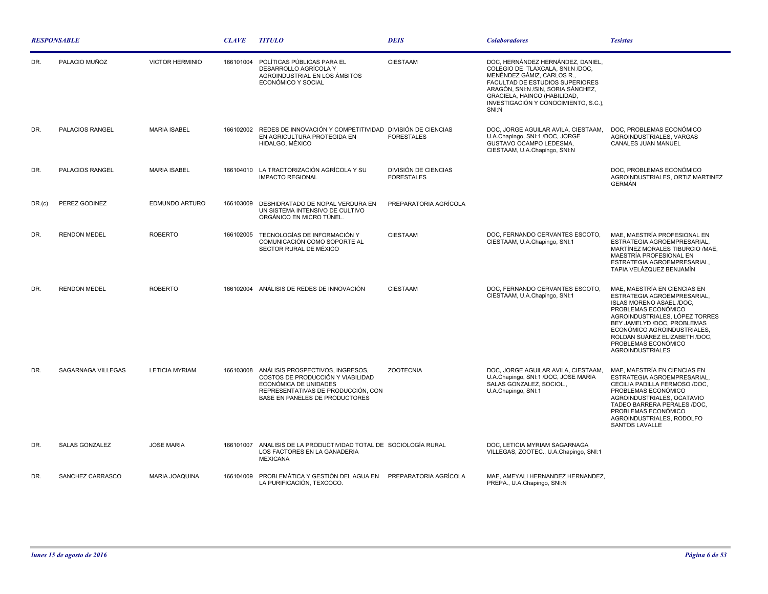| <b>RESPONSABLE</b> |                        |                        | <b>CLAVE</b> | <b>TITULO</b>                                                                                                                                                                    | <b>DEIS</b>                               | <b>Colaboradores</b>                                                                                                                                                                                                                                          | <b>Tesistas</b>                                                                                                                                                                                                                                                                                  |
|--------------------|------------------------|------------------------|--------------|----------------------------------------------------------------------------------------------------------------------------------------------------------------------------------|-------------------------------------------|---------------------------------------------------------------------------------------------------------------------------------------------------------------------------------------------------------------------------------------------------------------|--------------------------------------------------------------------------------------------------------------------------------------------------------------------------------------------------------------------------------------------------------------------------------------------------|
| DR.                | PALACIO MUÑOZ          | <b>VICTOR HERMINIO</b> | 166101004    | POLÍTICAS PÚBLICAS PARA EL<br>DESARROLLO AGRÍCOLA Y<br>AGROINDUSTRIAL EN LOS ÁMBITOS<br>ECONÓMICO Y SOCIAL                                                                       | <b>CIESTAAM</b>                           | DOC, HERNÁNDEZ HERNÁNDEZ, DANIEL,<br>COLEGIO DE TLAXCALA, SNI:N /DOC,<br>MENÉNDEZ GÁMIZ, CARLOS R.,<br>FACULTAD DE ESTUDIOS SUPERIORES<br>ARAGÓN, SNI:N /SIN, SORIA SÁNCHEZ,<br>GRACIELA, HAINCO (HABILIDAD,<br>INVESTIGACIÓN Y CONOCIMIENTO, S.C.),<br>SNI:N |                                                                                                                                                                                                                                                                                                  |
| DR.                | PALACIOS RANGEL        | <b>MARIA ISABEL</b>    |              | 166102002 REDES DE INNOVACIÓN Y COMPETITIVIDAD DIVISIÓN DE CIENCIAS<br>EN AGRICULTURA PROTEGIDA EN<br>HIDALGO, MÉXICO                                                            | <b>FORESTALES</b>                         | DOC, JORGE AGUILAR AVILA, CIESTAAM,<br>U.A.Chapingo, SNI:1 /DOC, JORGE<br>GUSTAVO OCAMPO LEDESMA,<br>CIESTAAM, U.A.Chapingo, SNI:N                                                                                                                            | DOC, PROBLEMAS ECONÓMICO<br>AGROINDUSTRIALES, VARGAS<br>CANALES JUAN MANUEL                                                                                                                                                                                                                      |
| DR.                | <b>PALACIOS RANGEL</b> | <b>MARIA ISABEL</b>    | 166104010    | LA TRACTORIZACIÓN AGRÍCOLA Y SU<br><b>IMPACTO REGIONAL</b>                                                                                                                       | DIVISIÓN DE CIENCIAS<br><b>FORESTALES</b> |                                                                                                                                                                                                                                                               | DOC, PROBLEMAS ECONÓMICO<br>AGROINDUSTRIALES, ORTIZ MARTINEZ<br><b>GERMÁN</b>                                                                                                                                                                                                                    |
| DR.(c)             | PEREZ GODINEZ          | EDMUNDO ARTURO         | 166103009    | DESHIDRATADO DE NOPAL VERDURA EN<br>UN SISTEMA INTENSIVO DE CULTIVO<br>ORGÁNICO EN MICRO TÚNEL.                                                                                  | PREPARATORIA AGRÍCOLA                     |                                                                                                                                                                                                                                                               |                                                                                                                                                                                                                                                                                                  |
| DR.                | <b>RENDON MEDEL</b>    | <b>ROBERTO</b>         | 166102005    | TECNOLOGÍAS DE INFORMACIÓN Y<br>COMUNICACIÓN COMO SOPORTE AL<br>SECTOR RURAL DE MÉXICO                                                                                           | <b>CIESTAAM</b>                           | DOC, FERNANDO CERVANTES ESCOTO,<br>CIESTAAM, U.A.Chapingo, SNI:1                                                                                                                                                                                              | MAE, MAESTRÍA PROFESIONAL EN<br>ESTRATEGIA AGROEMPRESARIAL,<br>MARTÍNEZ MORALES TIBURCIO /MAE,<br>MAESTRÍA PROFESIONAL EN<br>ESTRATEGIA AGROEMPRESARIAL,<br>TAPIA VELÁZQUEZ BENJAMÍN                                                                                                             |
| DR.                | <b>RENDON MEDEL</b>    | <b>ROBERTO</b>         |              | 166102004 ANÁLISIS DE REDES DE INNOVACIÓN                                                                                                                                        | <b>CIESTAAM</b>                           | DOC. FERNANDO CERVANTES ESCOTO.<br>CIESTAAM, U.A.Chapingo, SNI:1                                                                                                                                                                                              | MAE. MAESTRÍA EN CIENCIAS EN<br>ESTRATEGIA AGROEMPRESARIAL,<br>ISLAS MORENO ASAEL /DOC,<br>PROBLEMAS ECONÓMICO<br>AGROINDUSTRIALES, LÓPEZ TORRES<br>BEY JAMELYD /DOC, PROBLEMAS<br>ECONÓMICO AGROINDUSTRIALES<br>ROLDÁN SUÁREZ ELIZABETH /DOC.<br>PROBLEMAS ECONÓMICO<br><b>AGROINDUSTRIALES</b> |
| DR.                | SAGARNAGA VILLEGAS     | <b>LETICIA MYRIAM</b>  |              | 166103008 ANÁLISIS PROSPECTIVOS, INGRESOS,<br>COSTOS DE PRODUCCIÓN Y VIABILIDAD<br>ECONÓMICA DE UNIDADES<br>REPRESENTATIVAS DE PRODUCCIÓN, CON<br>BASE EN PANELES DE PRODUCTORES | <b>ZOOTECNIA</b>                          | DOC, JORGE AGUILAR AVILA, CIESTAAM,<br>U.A.Chapingo, SNI:1 /DOC, JOSE MARIA<br>SALAS GONZALEZ, SOCIOL.,<br>U.A.Chapingo, SNI:1                                                                                                                                | MAE, MAESTRÍA EN CIENCIAS EN<br>ESTRATEGIA AGROEMPRESARIAL.<br>CECILIA PADILLA FERMOSO /DOC,<br>PROBLEMAS ECONÓMICO<br>AGROINDUSTRIALES, OCATAVIO<br>TADEO BARRERA PERALES /DOC,<br>PROBLEMAS ECONÓMICO<br>AGROINDUSTRIALES, RODOLFO<br>SANTOS LAVALLE                                           |
| DR.                | <b>SALAS GONZALEZ</b>  | <b>JOSE MARIA</b>      | 166101007    | ANALISIS DE LA PRODUCTIVIDAD TOTAL DE SOCIOLOGÍA RURAL<br>LOS FACTORES EN LA GANADERIA<br><b>MEXICANA</b>                                                                        |                                           | DOC, LETICIA MYRIAM SAGARNAGA<br>VILLEGAS, ZOOTEC., U.A.Chapingo, SNI:1                                                                                                                                                                                       |                                                                                                                                                                                                                                                                                                  |
| DR.                | SANCHEZ CARRASCO       | <b>MARIA JOAQUINA</b>  | 166104009    | PROBLEMÁTICA Y GESTIÓN DEL AGUA EN PREPARATORIA AGRÍCOLA<br>LA PURIFICACIÓN, TEXCOCO.                                                                                            |                                           | MAE, AMEYALI HERNANDEZ HERNANDEZ,<br>PREPA., U.A.Chapingo, SNI:N                                                                                                                                                                                              |                                                                                                                                                                                                                                                                                                  |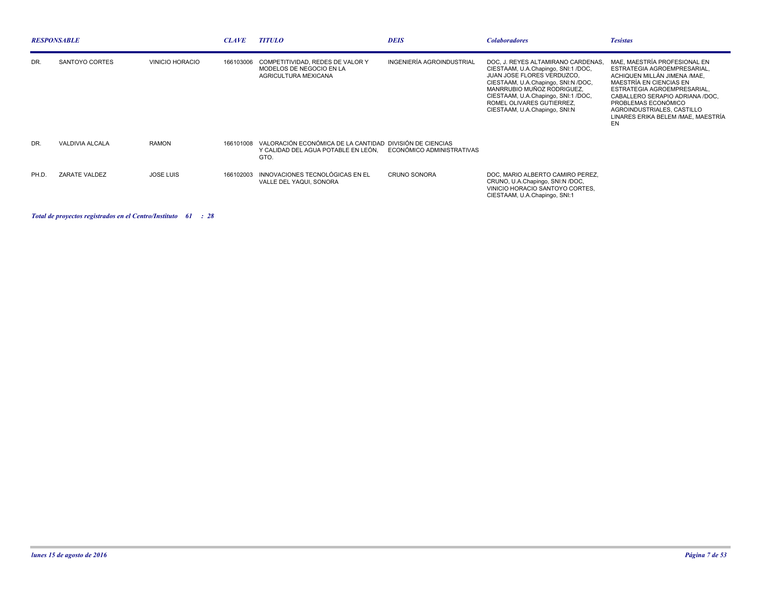| <b>RESPONSABLE</b> |                 |                        | <b>CLAVE</b> | <b>TITULO</b>                                                                                                                               | <b>DEIS</b>               | <b>Colaboradores</b>                                                                                                                                                                                                                                                                    | <b>Tesistas</b>                                                                                                                                                                                                                                                                            |
|--------------------|-----------------|------------------------|--------------|---------------------------------------------------------------------------------------------------------------------------------------------|---------------------------|-----------------------------------------------------------------------------------------------------------------------------------------------------------------------------------------------------------------------------------------------------------------------------------------|--------------------------------------------------------------------------------------------------------------------------------------------------------------------------------------------------------------------------------------------------------------------------------------------|
| DR.                | SANTOYO CORTES  | <b>VINICIO HORACIO</b> | 166103006    | COMPETITIVIDAD, REDES DE VALOR Y<br>MODELOS DE NEGOCIO EN LA<br>AGRICULTURA MEXICANA                                                        | INGENIERÍA AGROINDUSTRIAL | DOC. J. REYES ALTAMIRANO CARDENAS.<br>CIESTAAM, U.A.Chapingo, SNI:1/DOC,<br><b>JUAN JOSE FLORES VERDUZCO.</b><br>CIESTAAM, U.A.Chapingo, SNI:N /DOC,<br>MANRRUBIO MUÑOZ RODRIGUEZ.<br>CIESTAAM, U.A.Chapingo, SNI:1 /DOC,<br>ROMEL OLIVARES GUTIERREZ.<br>CIESTAAM, U.A.Chapingo, SNI:N | MAE. MAESTRÍA PROFESIONAL EN<br>ESTRATEGIA AGROEMPRESARIAL.<br>ACHIQUEN MILLÁN JIMENA /MAE.<br>MAESTRÍA EN CIENCIAS EN<br>ESTRATEGIA AGROEMPRESARIAL.<br>CABALLERO SERAPIO ADRIANA /DOC.<br>PROBLEMAS ECONÓMICO<br>AGROINDUSTRIALES, CASTILLO<br>LINARES ERIKA BELEM / MAE, MAESTRÍA<br>EN |
| DR.                | VALDIVIA ALCALA | <b>RAMON</b>           |              | 166101008 VALORACIÓN ECONÓMICA DE LA CANTIDAD DIVISIÓN DE CIENCIAS<br>Y CALIDAD DEL AGUA POTABLE EN LEÓN, ECONÓMICO ADMINISTRATIVAS<br>GTO. |                           |                                                                                                                                                                                                                                                                                         |                                                                                                                                                                                                                                                                                            |
| PH.D.              | ZARATE VALDEZ   | <b>JOSE LUIS</b>       | 166102003    | INNOVACIONES TECNOLÓGICAS EN EL<br>VALLE DEL YAQUI, SONORA                                                                                  | <b>CRUNO SONORA</b>       | DOC, MARIO ALBERTO CAMIRO PEREZ,<br>CRUNO, U.A.Chapingo, SNI:N /DOC,<br>VINICIO HORACIO SANTOYO CORTES,<br>CIESTAAM, U.A.Chapingo, SNI:1                                                                                                                                                |                                                                                                                                                                                                                                                                                            |

*Total de proyectos registrados en el Centro/Instituto : 61 28*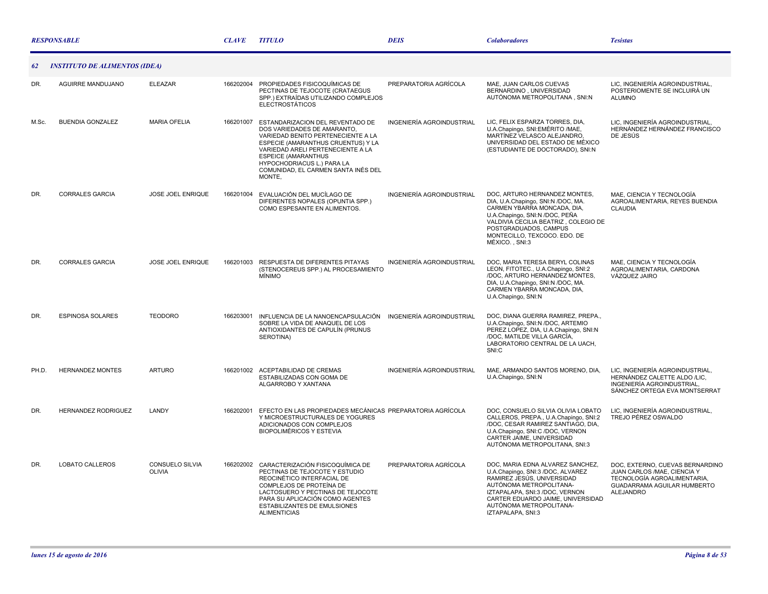|       | <b>RESPONSABLE</b>                   |                                         | <b>CLAVE</b> | <b>TITULO</b>                                                                                                                                                                                                                                                                                 | <b>DEIS</b>               | <b>Colaboradores</b>                                                                                                                                                                                                                                    | <b>Tesistas</b>                                                                                                                                  |
|-------|--------------------------------------|-----------------------------------------|--------------|-----------------------------------------------------------------------------------------------------------------------------------------------------------------------------------------------------------------------------------------------------------------------------------------------|---------------------------|---------------------------------------------------------------------------------------------------------------------------------------------------------------------------------------------------------------------------------------------------------|--------------------------------------------------------------------------------------------------------------------------------------------------|
| 62    | <b>INSTITUTO DE ALIMENTOS (IDEA)</b> |                                         |              |                                                                                                                                                                                                                                                                                               |                           |                                                                                                                                                                                                                                                         |                                                                                                                                                  |
| DR.   | AGUIRRE MANDUJANO                    | <b>ELEAZAR</b>                          | 166202004    | PROPIEDADES FISICOQUÍMICAS DE<br>PECTINAS DE TEJOCOTE (CRATAEGUS<br>SPP.) EXTRAÍDAS UTILIZANDO COMPLEJOS<br><b>ELECTROSTÁTICOS</b>                                                                                                                                                            | PREPARATORIA AGRÍCOLA     | MAE. JUAN CARLOS CUEVAS<br>BERNARDINO, UNIVERSIDAD<br>AUTÓNOMA METROPOLITANA, SNI:N                                                                                                                                                                     | LIC. INGENIERÍA AGROINDUSTRIAL.<br>POSTERIOMENTE SE INCLUIRÁ UN<br><b>ALUMNO</b>                                                                 |
| M.Sc. | <b>BUENDIA GONZALEZ</b>              | <b>MARIA OFELIA</b>                     | 166201007    | ESTANDARIZACION DEL REVENTADO DE<br>DOS VARIEDADES DE AMARANTO,<br>VARIEDAD BENITO PERTENECIENTE A LA<br>ESPECIE (AMARANTHUS CRUENTUS) Y LA<br>VARIEDAD ARELI PERTENECIENTE A LA<br><b>ESPEICE (AMARANTHUS</b><br>HYPOCHODRIACUS L.) PARA LA<br>COMUNIDAD, EL CARMEN SANTA INÉS DEL<br>MONTE. | INGENIERÍA AGROINDUSTRIAL | LIC, FELIX ESPARZA TORRES, DIA,<br>U.A.Chapingo, SNI:EMÉRITO /MAE,<br>MARTÍNEZ VELASCO ALEJANDRO,<br>UNIVERSIDAD DEL ESTADO DE MÉXICO<br>(ESTUDIANTE DE DOCTORADO), SNI:N                                                                               | LIC, INGENIERÍA AGROINDUSTRIAL,<br>HERNÁNDEZ HERNÁNDEZ FRANCISCO<br>DE JESÚS                                                                     |
| DR.   | <b>CORRALES GARCIA</b>               | JOSE JOEL ENRIQUE                       | 166201004    | EVALUACIÓN DEL MUCÍLAGO DE<br>DIFERENTES NOPALES (OPUNTIA SPP.)<br>COMO ESPESANTE EN ALIMENTOS.                                                                                                                                                                                               | INGENIERÍA AGROINDUSTRIAL | DOC, ARTURO HERNANDEZ MONTES,<br>DIA, U.A.Chapingo, SNI:N /DOC, MA.<br>CARMEN YBARRA MONCADA, DIA,<br>U.A.Chapingo, SNI:N /DOC, PEÑA<br>VALDIVIA CECILIA BEATRIZ, COLEGIO DE<br>POSTGRADUADOS, CAMPUS<br>MONTECILLO, TEXCOCO. EDO. DE<br>MÉXICO., SNI:3 | MAE, CIENCIA Y TECNOLOGÍA<br>AGROALIMENTARIA, REYES BUENDIA<br><b>CLAUDIA</b>                                                                    |
| DR.   | <b>CORRALES GARCIA</b>               | <b>JOSE JOEL ENRIQUE</b>                | 166201003    | RESPUESTA DE DIFERENTES PITAYAS<br>(STENOCEREUS SPP.) AL PROCESAMIENTO<br><b>MÍNIMO</b>                                                                                                                                                                                                       | INGENIERÍA AGROINDUSTRIAL | DOC, MARIA TERESA BERYL COLINAS<br>LEON, FITOTEC., U.A.Chapingo, SNI:2<br>/DOC, ARTURO HERNANDEZ MONTES,<br>DIA, U.A.Chapingo, SNI:N /DOC, MA.<br>CARMEN YBARRA MONCADA, DIA,<br>U.A.Chapingo, SNI:N                                                    | MAE, CIENCIA Y TECNOLOGÍA<br>AGROALIMENTARIA, CARDONA<br>VÁZQUEZ JAIRO                                                                           |
| DR.   | <b>ESPINOSA SOLARES</b>              | <b>TEODORO</b>                          | 166203001    | INFLUENCIA DE LA NANOENCAPSULACIÓN<br>SOBRE LA VIDA DE ANAQUEL DE LOS<br>ANTIOXIDANTES DE CAPULÍN (PRUNUS<br>SEROTINA)                                                                                                                                                                        | INGENIERÍA AGROINDUSTRIAL | DOC, DIANA GUERRA RAMIREZ, PREPA.,<br>U.A.Chapingo, SNI:N /DOC, ARTEMIO<br>PEREZ LOPEZ, DIA, U.A.Chapingo, SNI:N<br>/DOC, MATILDE VILLA GARCÍA,<br>LABORATORIO CENTRAL DE LA UACH,<br>SNI:C                                                             |                                                                                                                                                  |
| PH.D. | <b>HERNANDEZ MONTES</b>              | <b>ARTURO</b>                           | 166201002    | ACEPTABILIDAD DE CREMAS<br>ESTABILIZADAS CON GOMA DE<br>ALGARROBO Y XANTANA                                                                                                                                                                                                                   | INGENIERÍA AGROINDUSTRIAL | MAE, ARMANDO SANTOS MORENO, DIA,<br>U.A.Chapingo, SNI:N                                                                                                                                                                                                 | LIC, INGENIERÍA AGROINDUSTRIAL,<br>HERNÁNDEZ CALETTE ALDO /LIC,<br>INGENIERÍA AGROINDUSTRIAL,<br>SÁNCHEZ ORTEGA EVA MONTSERRAT                   |
| DR.   | HERNANDEZ RODRIGUEZ                  | LANDY                                   | 166202001    | EFECTO EN LAS PROPIEDADES MECÁNICAS PREPARATORIA AGRÍCOLA<br>Y MICROESTRUCTURALES DE YOGURES<br>ADICIONADOS CON COMPLEJOS<br><b>BIOPOLIMÉRICOS Y ESTEVIA</b>                                                                                                                                  |                           | DOC, CONSUELO SILVIA OLIVIA LOBATO<br>CALLEROS, PREPA., U.A.Chapingo, SNI:2<br>/DOC, CESAR RAMIREZ SANTIAGO, DIA,<br>U.A.Chapingo, SNI:C /DOC, VERNON<br>CARTER JAIME, UNIVERSIDAD<br>AUTÓNOMA METROPOLITANA, SNI:3                                     | LIC. INGENIERÍA AGROINDUSTRIAL.<br>TREJO PÉREZ OSWALDO                                                                                           |
| DR.   | <b>LOBATO CALLEROS</b>               | <b>CONSUELO SILVIA</b><br><b>OLIVIA</b> | 166202002    | CARACTERIZACIÓN FISICOQUÍMICA DE<br>PECTINAS DE TEJOCOTE Y ESTUDIO<br>REOCINÉTICO INTERFACIAL DE<br>COMPLEJOS DE PROTEÍNA DE<br>LACTOSUERO Y PECTINAS DE TEJOCOTE<br>PARA SU APLICACIÓN COMO AGENTES<br><b>ESTABILIZANTES DE EMULSIONES</b><br><b>ALIMENTICIAS</b>                            | PREPARATORIA AGRÍCOLA     | DOC. MARIA EDNA ALVAREZ SANCHEZ.<br>U.A.Chapingo, SNI:3 /DOC, ALVAREZ<br>RAMIREZ JESÚS, UNIVERSIDAD<br>AUTÓNOMA METROPOLITANA-<br>IZTAPALAPA, SNI:3 /DOC, VERNON<br>CARTER EDUARDO JAIME, UNIVERSIDAD<br>AUTÓNOMA METROPOLITANA-<br>IZTAPALAPA, SNI:3   | DOC. EXTERNO. CUEVAS BERNARDINO<br>JUAN CARLOS /MAE, CIENCIA Y<br>TECNOLOGÍA AGROALIMENTARIA,<br>GUADARRAMA AGUILAR HUMBERTO<br><b>ALEJANDRO</b> |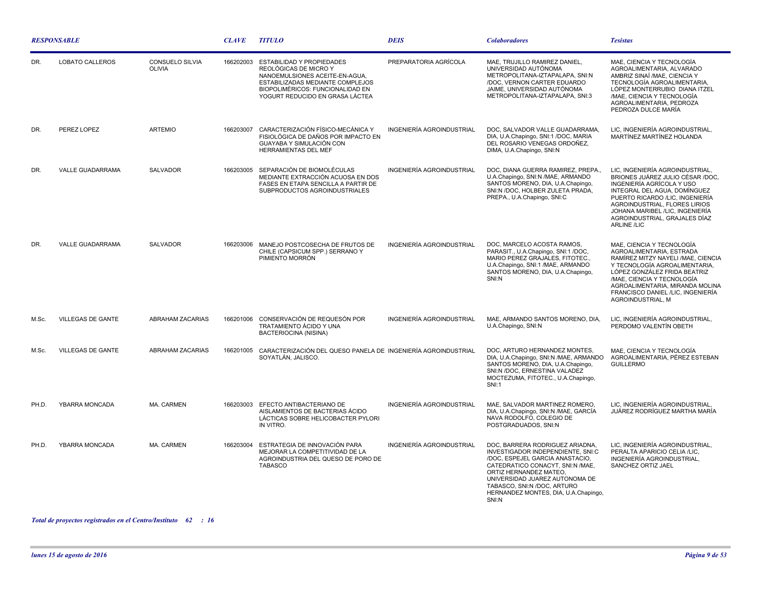| <b>RESPONSABLE</b> |                          |                                         | <b>CLAVE</b> | <b>TITULO</b>                                                                                                                                                                                   | <b>DEIS</b>               | <b>Colaboradores</b>                                                                                                                                                                                                                                                                    | <b>Tesistas</b>                                                                                                                                                                                                                                                                                |
|--------------------|--------------------------|-----------------------------------------|--------------|-------------------------------------------------------------------------------------------------------------------------------------------------------------------------------------------------|---------------------------|-----------------------------------------------------------------------------------------------------------------------------------------------------------------------------------------------------------------------------------------------------------------------------------------|------------------------------------------------------------------------------------------------------------------------------------------------------------------------------------------------------------------------------------------------------------------------------------------------|
| DR.                | <b>LOBATO CALLEROS</b>   | <b>CONSUELO SILVIA</b><br><b>OLIVIA</b> | 166202003    | ESTABILIDAD Y PROPIEDADES<br>REOLÓGICAS DE MICRO Y<br>NANOEMULSIONES ACEITE-EN-AGUA.<br>ESTABILIZADAS MEDIANTE COMPLEJOS<br>BIOPOLIMÉRICOS: FUNCIONALIDAD EN<br>YOGURT REDUCIDO EN GRASA LÁCTEA | PREPARATORIA AGRÍCOLA     | MAE. TRUJILLO RAMIREZ DANIEL.<br>UNIVERSIDAD AUTÓNOMA<br>METROPOLITANA-IZTAPALAPA, SNI:N<br>/DOC, VERNON CARTER EDUARDO<br>JAIME, UNIVERSIDAD AUTÓNOMA<br>METROPOLITANA-IZTAPALAPA, SNI:3                                                                                               | MAE, CIENCIA Y TECNOLOGÍA<br>AGROALIMENTARIA, ALVARADO<br>AMBRIZ SINAÍ /MAE, CIENCIA Y<br>TECNOLOGÍA AGROALIMENTARIA,<br>LÓPEZ MONTERRUBIO DIANA ITZEL<br>/MAE. CIENCIA Y TECNOLOGÍA<br>AGROALIMENTARIA, PEDROZA<br>PEDROZA DULCE MARÍA                                                        |
| DR.                | PEREZ LOPEZ              | <b>ARTEMIO</b>                          | 166203007    | CARACTERIZACIÓN FÍSICO-MECÁNICA Y<br>FISIOLÓGICA DE DAÑOS POR IMPACTO EN<br>GUAYABA Y SIMULACIÓN CON<br>HERRAMIENTAS DEL MEF                                                                    | INGENIERÍA AGROINDUSTRIAL | DOC, SALVADOR VALLE GUADARRAMA,<br>DIA, U.A.Chapingo, SNI:1 /DOC, MARIA<br>DEL ROSARIO VENEGAS ORDOÑEZ,<br>DIMA, U.A.Chapingo, SNI:N                                                                                                                                                    | LIC, INGENIERÍA AGROINDUSTRIAL,<br>MARTÍNEZ MARTÍNEZ HOLANDA                                                                                                                                                                                                                                   |
| DR.                | VALLE GUADARRAMA         | SALVADOR                                | 166203005    | SEPARACIÓN DE BIOMOLÉCULAS<br>MEDIANTE EXTRACCIÓN ACUOSA EN DOS<br>FASES EN ETAPA SENCILLA A PARTIR DE<br>SUBPRODUCTOS AGROINDUSTRIALES                                                         | INGENIERÍA AGROINDUSTRIAL | DOC, DIANA GUERRA RAMIREZ, PREPA.,<br>U.A.Chapingo, SNI:N /MAE, ARMANDO<br>SANTOS MORENO, DIA, U.A.Chapingo,<br>SNI:N /DOC, HOLBER ZULETA PRADA,<br>PREPA., U.A.Chapingo, SNI:C                                                                                                         | LIC, INGENIERÍA AGROINDUSTRIAL,<br>BRIONES JUÁREZ JULIO CÉSAR /DOC,<br>INGENIERÍA AGRÍCOLA Y USO<br>INTEGRAL DEL AGUA, DOMÍNGUEZ<br>PUERTO RICARDO /LIC, INGENIERÍA<br>AGROINDUSTRIAL, FLORES LIRIOS<br>JOHANA MARIBEL /LIC, INGENIERÍA<br>AGROINDUSTRIAL, GRAJALES DÍAZ<br><b>ARLINE /LIC</b> |
| DR.                | VALLE GUADARRAMA         | <b>SALVADOR</b>                         | 166203006    | MANEJO POSTCOSECHA DE FRUTOS DE<br>CHILE (CAPSICUM SPP.) SERRANO Y<br>PIMIENTO MORRÓN                                                                                                           | INGENIERÍA AGROINDUSTRIAL | DOC, MARCELO ACOSTA RAMOS,<br>PARASIT., U.A.Chapingo, SNI:1 /DOC,<br>MARIO PEREZ GRAJALES, FITOTEC.,<br>U.A.Chapingo, SNI:1 /MAE, ARMANDO<br>SANTOS MORENO, DIA, U.A.Chapingo,<br>SNI:N                                                                                                 | MAE, CIENCIA Y TECNOLOGÍA<br>AGROALIMENTARIA, ESTRADA<br>RAMÍREZ MITZY NAYELI / MAE, CIENCIA<br>Y TECNOLOGÍA AGROALIMENTARIA,<br>LÓPEZ GONZÁLEZ FRIDA BEATRIZ<br>/MAE, CIENCIA Y TECNOLOGÍA<br>AGROALIMENTARIA, MIRANDA MOLINA<br>FRANCISCO DANIEL /LIC. INGENIERÍA<br>AGROINDUSTRIAL, M       |
| M.Sc.              | VILLEGAS DE GANTE        | <b>ABRAHAM ZACARIAS</b>                 | 166201006    | CONSERVACIÓN DE REQUESÓN POR<br>TRATAMIENTO ÁCIDO Y UNA<br><b>BACTERIOCINA (NISINA)</b>                                                                                                         | INGENIERÍA AGROINDUSTRIAL | MAE, ARMANDO SANTOS MORENO, DIA,<br>U.A.Chapingo, SNI:N                                                                                                                                                                                                                                 | LIC, INGENIERÍA AGROINDUSTRIAL,<br>PERDOMO VALENTÍN OBETH                                                                                                                                                                                                                                      |
| M.Sc.              | <b>VILLEGAS DE GANTE</b> | <b>ABRAHAM ZACARIAS</b>                 | 166201005    | CARACTERIZACIÓN DEL QUESO PANELA DE INGENIERÍA AGROINDUSTRIAL<br>SOYATLÁN, JALISCO.                                                                                                             |                           | DOC, ARTURO HERNANDEZ MONTES,<br>DIA, U.A.Chapingo, SNI:N /MAE, ARMANDO<br>SANTOS MORENO, DIA, U.A.Chapingo,<br>SNI:N /DOC, ERNESTINA VALADEZ<br>MOCTEZUMA, FITOTEC., U.A.Chapingo,<br><b>SNI:1</b>                                                                                     | MAE, CIENCIA Y TECNOLOGÍA<br>AGROALIMENTARIA, PÉREZ ESTEBAN<br><b>GUILLERMO</b>                                                                                                                                                                                                                |
| PH.D.              | YBARRA MONCADA           | MA. CARMEN                              | 166203003    | EFECTO ANTIBACTERIANO DE<br>AISLAMIENTOS DE BACTERIAS ÁCIDO<br>LÁCTICAS SOBRE HELICOBACTER PYLORI<br>IN VITRO.                                                                                  | INGENIERÍA AGROINDUSTRIAL | MAE, SALVADOR MARTINEZ ROMERO,<br>DIA, U.A.Chapingo, SNI:N /MAE, GARCÍA<br>NAVA RODOLFO, COLEGIO DE<br>POSTGRADUADOS, SNI:N                                                                                                                                                             | LIC, INGENIERÍA AGROINDUSTRIAL,<br>JUÁREZ RODRÍGUEZ MARTHA MARÍA                                                                                                                                                                                                                               |
| PH.D.              | YBARRA MONCADA           | MA. CARMEN                              | 166203004    | ESTRATEGIA DE INNOVACIÓN PARA<br>MEJORAR LA COMPETITIVIDAD DE LA<br>AGROINDUSTRIA DEL QUESO DE PORO DE<br><b>TABASCO</b>                                                                        | INGENIERÍA AGROINDUSTRIAL | DOC. BARRERA RODRIGUEZ ARIADNA.<br>INVESTIGADOR INDEPENDIENTE, SNI:C<br>/DOC, ESPEJEL GARCIA ANASTACIO,<br>CATEDRATICO CONACYT. SNI:N /MAE.<br>ORTIZ HERNANDEZ MATEO,<br>UNIVERSIDAD JUAREZ AUTONOMA DE<br>TABASCO, SNI:N /DOC, ARTURO<br>HERNANDEZ MONTES, DIA, U.A.Chapingo,<br>SNI:N | LIC, INGENIERÍA AGROINDUSTRIAL,<br>PERALTA APARICIO CELIA /LIC,<br>INGENIERÍA AGROINDUSTRIAL,<br>SANCHEZ ORTIZ JAEL                                                                                                                                                                            |

*Total de proyectos registrados en el Centro/Instituto : 62 16*

 $\sim$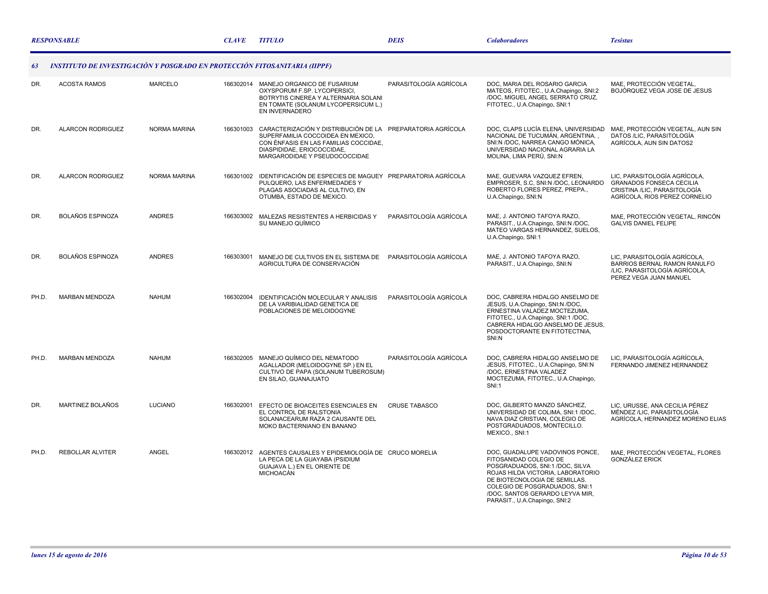|       | <b>RESPONSABLE</b>                                                        |                | <b>CLAVE</b> | <b>TITULO</b>                                                                                                                                                                                           | <b>DEIS</b>            | <b>Colaboradores</b>                                                                                                                                                                                                                                                     | <b>Tesistas</b>                                                                                                           |
|-------|---------------------------------------------------------------------------|----------------|--------------|---------------------------------------------------------------------------------------------------------------------------------------------------------------------------------------------------------|------------------------|--------------------------------------------------------------------------------------------------------------------------------------------------------------------------------------------------------------------------------------------------------------------------|---------------------------------------------------------------------------------------------------------------------------|
| 63    | INSTITUTO DE INVESTIGACIÓN Y POSGRADO EN PROTECCIÓN FITOSANITARIA (IIPPF) |                |              |                                                                                                                                                                                                         |                        |                                                                                                                                                                                                                                                                          |                                                                                                                           |
| DR.   | <b>ACOSTA RAMOS</b>                                                       | <b>MARCELO</b> |              | 166302014 MANEJO ORGANICO DE FUSARIUM<br>OXYSPORUM F.SP. LYCOPERSICI,<br>BOTRYTIS CINEREA Y ALTERNARIA SOLANI<br>EN TOMATE (SOLANUM LYCOPERSICUM L.)<br>EN INVERNADERO                                  | PARASITOLOGÍA AGRÍCOLA | DOC, MARIA DEL ROSARIO GARCIA<br>MATEOS, FITOTEC., U.A.Chapingo, SNI:2<br>/DOC, MIGUEL ANGEL SERRATO CRUZ,<br>FITOTEC., U.A.Chapingo, SNI:1                                                                                                                              | MAE. PROTECCIÓN VEGETAL.<br>BOJÓRQUEZ VEGA JOSE DE JESUS                                                                  |
| DR.   | <b>ALARCON RODRIGUEZ</b>                                                  | NORMA MARINA   | 166301003    | CARACTERIZACIÓN Y DISTRIBUCIÓN DE LA PREPARATORIA AGRÍCOLA<br>SUPERFAMILIA COCCOIDEA EN MEXICO.<br>CON ÉNFASIS EN LAS FAMILIAS COCCIDAE.<br>DIASPIDIDAE, ERIOCOCCIDAE,<br>MARGARODIDAE Y PSEUDOCOCCIDAE |                        | DOC, CLAPS LUCÍA ELENA, UNIVERSIDAD<br>NACIONAL DE TUCUMÁN, ARGENTINA.,<br>SNI:N /DOC, NARREA CANGO MÓNICA,<br>UNIVERSIDAD NACIONAL AGRARIA LA<br>MOLINA, LIMA PERÚ, SNI:N                                                                                               | MAE, PROTECCIÓN VEGETAL, AUN SIN<br>DATOS /LIC, PARASITOLOGÍA<br>AGRÍCOLA. AUN SIN DATOS2                                 |
| DR.   | <b>ALARCON RODRIGUEZ</b>                                                  | NORMA MARINA   | 166301002    | IDENTIFICACIÓN DE ESPECIES DE MAGUEY PREPARATORIA AGRÍCOLA<br>PULQUERO, LAS ENFERMEDADES Y<br>PLAGAS ASOCIADAS AL CULTIVO, EN<br>OTUMBA, ESTADO DE MEXICO.                                              |                        | MAE, GUEVARA VAZQUEZ EFREN,<br>EMPROSER, S.C. SNI:N /DOC, LEONARDO<br>ROBERTO FLORES PEREZ, PREPA.,<br>U.A.Chapingo, SNI:N                                                                                                                                               | LIC, PARASITOLOGÍA AGRÍCOLA,<br>GRANADOS FONSECA CECILIA<br>CRISTINA /LIC, PARASITOLOGÍA<br>AGRÍCOLA, RIOS PEREZ CORNELIO |
| DR.   | <b>BOLAÑOS ESPINOZA</b>                                                   | <b>ANDRES</b>  | 166303002    | MALEZAS RESISTENTES A HERBICIDAS Y<br>SU MANEJO QUÍMICO                                                                                                                                                 | PARASITOLOGÍA AGRÍCOLA | MAE, J. ANTONIO TAFOYA RAZO,<br>PARASIT., U.A.Chapingo, SNI:N /DOC,<br>MATEO VARGAS HERNANDEZ, SUELOS,<br>U.A.Chapingo, SNI:1                                                                                                                                            | MAE, PROTECCIÓN VEGETAL, RINCÓN<br><b>GALVIS DANIEL FELIPE</b>                                                            |
| DR.   | <b>BOLAÑOS ESPINOZA</b>                                                   | <b>ANDRES</b>  | 166303001    | MANEJO DE CULTIVOS EN EL SISTEMA DE<br>AGRICULTURA DE CONSERVACIÓN                                                                                                                                      | PARASITOLOGÍA AGRÍCOLA | MAE, J. ANTONIO TAFOYA RAZO,<br>PARASIT., U.A.Chapingo, SNI:N                                                                                                                                                                                                            | LIC, PARASITOLOGÍA AGRÍCOLA,<br>BARRIOS BERNAL RAMON RANULFO<br>/LIC, PARASITOLOGÍA AGRÍCOLA,<br>PEREZ VEGA JUAN MANUEL   |
| PH.D. | <b>MARBAN MENDOZA</b>                                                     | <b>NAHUM</b>   | 166302004    | IDENTIFICACIÓN MOLECULAR Y ANALISIS<br>DE LA VARIBIALIDAD GENETICA DE<br>POBLACIONES DE MELOIDOGYNE                                                                                                     | PARASITOLOGÍA AGRÍCOLA | DOC. CABRERA HIDALGO ANSELMO DE<br>JESUS, U.A.Chapingo, SNI:N /DOC,<br>ERNESTINA VALADEZ MOCTEZUMA,<br>FITOTEC., U.A.Chapingo, SNI:1 /DOC.<br>CABRERA HIDALGO ANSELMO DE JESUS,<br>POSDOCTORANTE EN FITOTECTNIA,<br>SNI:N                                                |                                                                                                                           |
| PH.D. | <b>MARBAN MENDOZA</b>                                                     | <b>NAHUM</b>   |              | 166302005 MANEJO QUÍMICO DEL NEMATODO<br>AGALLADOR (MELOIDOGYNE SP.) EN EL<br>CULTIVO DE PAPA (SOLANUM TUBEROSUM)<br>EN SILAO, GUANAJUATO                                                               | PARASITOLOGÍA AGRÍCOLA | DOC, CABRERA HIDALGO ANSELMO DE<br>JESUS, FITOTEC., U.A.Chapingo, SNI:N<br>/DOC, ERNESTINA VALADEZ<br>MOCTEZUMA, FITOTEC., U.A.Chapingo,<br><b>SNI:1</b>                                                                                                                 | LIC, PARASITOLOGÍA AGRÍCOLA,<br>FERNANDO JIMENEZ HERNANDEZ                                                                |
| DR.   | MARTINEZ BOLAÑOS                                                          | LUCIANO        | 166302001    | EFECTO DE BIOACEITES ESENCIALES EN<br>EL CONTROL DE RALSTONIA<br>SOLANACEARUM RAZA 2 CAUSANTE DEL<br>MOKO BACTERNIANO EN BANANO                                                                         | <b>CRUSE TABASCO</b>   | DOC, GILBERTO MANZO SÁNCHEZ,<br>UNIVERSIDAD DE COLIMA, SNI:1 /DOC,<br>NAVA DIAZ CRISTIAN, COLEGIO DE<br>POSTGRADUADOS, MONTECILLO.<br>MEXICO., SNI:1                                                                                                                     | LIC. URUSSE. ANA CECILIA PÉREZ<br>MÉNDEZ /LIC, PARASITOLOGÍA<br>AGRÍCOLA, HERNANDEZ MORENO ELIAS                          |
| PH.D. | <b>REBOLLAR ALVITER</b>                                                   | ANGEL          | 166302012    | AGENTES CAUSALES Y EPIDEMIOLOGÍA DE CRUCO MORELIA<br>LA PECA DE LA GUAYABA (PSIDIUM<br>GUAJAVA L.) EN EL ORIENTE DE<br><b>MICHOACÁN</b>                                                                 |                        | DOC, GUADALUPE VADOVINOS PONCE,<br>FITOSANIDAD COLEGIO DE<br>POSGRADUADOS, SNI:1 /DOC, SILVA<br>ROJAS HILDA VICTORIA, LABORATORIO<br>DE BIOTECNOLOGIA DE SEMILLAS.<br>COLEGIO DE POSGRADUADOS, SNI:1<br>/DOC, SANTOS GERARDO LEYVA MIR,<br>PARASIT., U.A.Chapingo, SNI:2 | MAE, PROTECCIÓN VEGETAL, FLORES<br><b>GONZÁLEZ ERICK</b>                                                                  |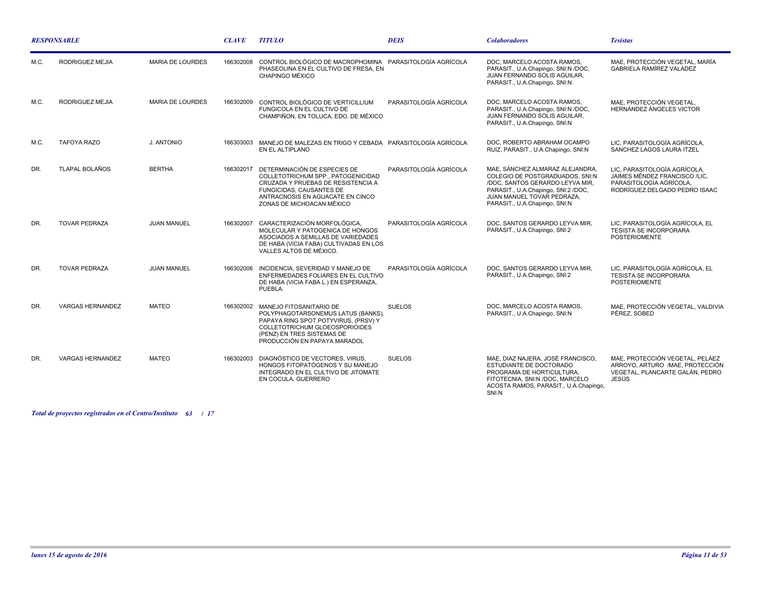| <b>RESPONSABLE</b> |                         |                         | <b>CLAVE</b> | <b>TITULO</b>                                                                                                                                                                                                | <b>DEIS</b>            | <b>Colaboradores</b>                                                                                                                                                                                        | <b>Tesistas</b>                                                                                                           |
|--------------------|-------------------------|-------------------------|--------------|--------------------------------------------------------------------------------------------------------------------------------------------------------------------------------------------------------------|------------------------|-------------------------------------------------------------------------------------------------------------------------------------------------------------------------------------------------------------|---------------------------------------------------------------------------------------------------------------------------|
| M.C.               | RODRIGUEZ MEJIA         | <b>MARIA DE LOURDES</b> | 166302008    | CONTROL BIOLÓGICO DE MACROPHOMINA PARASITOLOGÍA AGRÍCOLA<br>PHASEOLINA EN EL CULTIVO DE FRESA. EN<br>CHAPINGO MÉXICO                                                                                         |                        | DOC, MARCELO ACOSTA RAMOS,<br>PARASIT., U.A.Chapingo, SNI:N /DOC,<br>JUAN FERNANDO SOLIS AGUILAR.<br>PARASIT., U.A.Chapingo, SNI:N                                                                          | MAE, PROTECCIÓN VEGETAL, MARÍA<br><b>GABRIELA RAMÍREZ VALADEZ</b>                                                         |
| M.C.               | RODRIGUEZ MEJIA         | <b>MARIA DE LOURDES</b> | 166302009    | CONTROL BIOLÓGICO DE VERTICILLIUM<br>FUNGICOLA EN EL CULTIVO DE<br>CHAMPIÑON, EN TOLUCA, EDO, DE MÉXICO                                                                                                      | PARASITOLOGÍA AGRÍCOLA | DOC, MARCELO ACOSTA RAMOS,<br>PARASIT., U.A.Chapingo, SNI:N /DOC,<br>JUAN FERNANDO SOLIS AGUILAR.<br>PARASIT., U.A.Chapingo, SNI:N                                                                          | MAE. PROTECCIÓN VEGETAL.<br>HERNÁNDEZ ÁNGELES VICTOR                                                                      |
| M.C.               | <b>TAFOYA RAZO</b>      | J. ANTONIO              | 166303003    | MANEJO DE MALEZAS EN TRIGO Y CEBADA PARASITOLOGÍA AGRÍCOLA<br>EN EL ALTIPLANO                                                                                                                                |                        | DOC. ROBERTO ABRAHAM OCAMPO<br>RUIZ, PARASIT., U.A.Chapingo, SNI:N                                                                                                                                          | LIC. PARASITOLOGÍA AGRÍCOLA.<br>SANCHEZ LAGOS LAURA ITZEL                                                                 |
| DR.                | <b>TLAPAL BOLAÑOS</b>   | <b>BERTHA</b>           | 166302017    | DETERMINACIÓN DE ESPECIES DE<br>COLLETOTRICHUM SPP., PATOGENICIDAD<br>CRUZADA Y PRUEBAS DE RESISTENCIA A<br><b>FUNGICIDAS, CAUSANTES DE</b><br>ANTRACNOSIS EN AGUACATE EN CINCO<br>ZONAS DE MICHOACAN MÉXICO | PARASITOLOGÍA AGRÍCOLA | MAE, SÁNCHEZ ALMARAZ ALEJANDRA,<br>COLEGIO DE POSTGRADUADOS, SNI:N<br>/DOC, SANTOS GERARDO LEYVA MIR,<br>PARASIT., U.A.Chapingo, SNI:2 /DOC,<br>JUAN MANUEL TOVAR PEDRAZA.<br>PARASIT., U.A.Chapingo, SNI:N | LIC, PARASITOLOGÍA AGRÍCOLA,<br>JAIMES MÉNDEZ FRANCISCO /LIC.<br>PARASITOLOGÍA AGRÍCOLA.<br>RODRÍGUEZ DELGADO PEDRO ISAAC |
| DR.                | <b>TOVAR PEDRAZA</b>    | <b>JUAN MANUEL</b>      | 166302007    | CARACTERIZACIÓN MORFOLÓGICA.<br>MOLECULAR Y PATOGENICA DE HONGOS<br>ASOCIADOS A SEMILLAS DE VARIEDADES<br>DE HABA (VICIA FABA) CULTIVADAS EN LOS<br>VALLES ALTOS DE MÉXICO.                                  | PARASITOLOGÍA AGRÍCOLA | DOC. SANTOS GERARDO LEYVA MIR.<br>PARASIT., U.A.Chapingo, SNI:2                                                                                                                                             | LIC. PARASITOLOGÍA AGRÍCOLA. EL<br><b>TESISTA SE INCORPORARA</b><br><b>POSTERIOMENTE</b>                                  |
| DR.                | <b>TOVAR PEDRAZA</b>    | <b>JUAN MANUEL</b>      | 166302006    | INCIDENCIA, SEVERIDAD Y MANEJO DE<br>ENFERMEDADES FOLIARES EN EL CULTIVO<br>DE HABA (VICIA FABA L.) EN ESPERANZA,<br>PUEBLA.                                                                                 | PARASITOLOGÍA AGRÍCOLA | DOC, SANTOS GERARDO LEYVA MIR,<br>PARASIT., U.A.Chapingo, SNI:2                                                                                                                                             | LIC, PARASITOLOGÍA AGRÍCOLA, EL<br><b>TESISTA SE INCORPORARA</b><br><b>POSTERIOMENTE</b>                                  |
| DR.                | <b>VARGAS HERNANDEZ</b> | <b>MATEO</b>            | 166302002    | MANEJO FITOSANITARIO DE<br>POLYPHAGOTARSONEMUS LATUS (BANKS),<br>PAPAYA RING SPOT POTYVIRUS. (PRSV) Y<br>COLLETOTRICHUM GLOEOSPORIOIDES<br>(PENZ) EN TRES SISTEMAS DE<br>PRODUCCIÓN EN PAPAYA MARADOL        | <b>SUELOS</b>          | DOC, MARCELO ACOSTA RAMOS,<br>PARASIT., U.A.Chapingo, SNI:N                                                                                                                                                 | MAE, PROTECCIÓN VEGETAL, VALDIVIA<br>PÉREZ, SOBED                                                                         |
| DR.                | <b>VARGAS HERNANDEZ</b> | <b>MATEO</b>            | 166302003    | DIAGNÓSTICO DE VECTORES, VIRUS,<br>HONGOS FITOPATÓGENOS Y SU MANEJO<br>INTEGRADO EN EL CULTIVO DE JITOMATE<br>EN COCULA, GUERRERO                                                                            | <b>SUELOS</b>          | MAE, DIAZ NAJERA, JOSÉ FRANCISCO,<br>ESTUDIANTE DE DOCTORADO<br>PROGRAMA DE HORTICULTURA,<br>FITOTECNIA, SNI:N /DOC, MARCELO<br>ACOSTA RAMOS, PARASIT., U.A.Chapingo,<br>SNI:N                              | MAE, PROTECCIÓN VEGETAL, PELÁEZ<br>ARROYO, ARTURO /MAE, PROTECCIÓN<br>VEGETAL. PLANCARTE GALÁN. PEDRO<br>JESÚS            |

*Total de proyectos registrados en el Centro/Instituto : 63 17*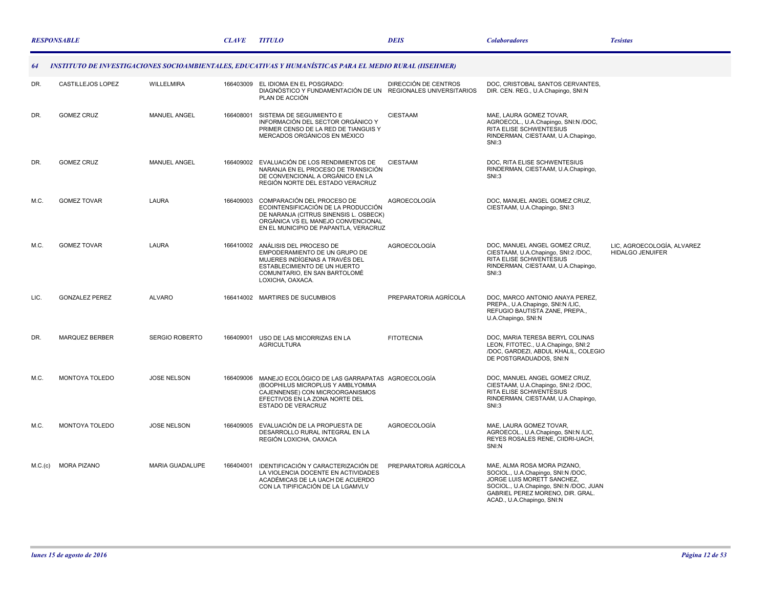|         | <b>RESPONSABLE</b>    |                        | <b>CLAVE</b> | <b>TITULO</b>                                                                                                                                                                              | <b>DEIS</b>           | <b>Colaboradores</b>                                                                                                                                                                                         | <b>Tesistas</b>                                       |
|---------|-----------------------|------------------------|--------------|--------------------------------------------------------------------------------------------------------------------------------------------------------------------------------------------|-----------------------|--------------------------------------------------------------------------------------------------------------------------------------------------------------------------------------------------------------|-------------------------------------------------------|
| 64      |                       |                        |              | INSTITUTO DE INVESTIGACIONES SOCIOAMBIENTALES, EDUCATIVAS Y HUMANÍSTICAS PARA EL MEDIO RURAL (IISEHMER)                                                                                    |                       |                                                                                                                                                                                                              |                                                       |
| DR.     | CASTILLEJOS LOPEZ     | WILLELMIRA             | 166403009    | EL IDIOMA EN EL POSGRADO:<br>DIAGNÓSTICO Y FUNDAMENTACIÓN DE UN REGIONALES UNIVERSITARIOS<br>PLAN DE ACCIÓN                                                                                | DIRECCIÓN DE CENTROS  | DOC, CRISTOBAL SANTOS CERVANTES,<br>DIR. CEN. REG., U.A.Chapingo, SNI:N                                                                                                                                      |                                                       |
| DR.     | <b>GOMEZ CRUZ</b>     | <b>MANUEL ANGEL</b>    | 166408001    | SISTEMA DE SEGUIMIENTO E<br>INFORMACIÓN DEL SECTOR ORGÁNICO Y<br>PRIMER CENSO DE LA RED DE TIANGUIS Y<br>MERCADOS ORGÁNICOS EN MÉXICO                                                      | CIESTAAM              | MAE, LAURA GOMEZ TOVAR,<br>AGROECOL., U.A.Chapingo, SNI:N /DOC,<br>RITA ELISE SCHWENTESIUS<br>RINDERMAN, CIESTAAM, U.A.Chapingo,<br>SNI:3                                                                    |                                                       |
| DR.     | <b>GOMEZ CRUZ</b>     | <b>MANUEL ANGEL</b>    | 166409002    | EVALUACIÓN DE LOS RENDIMIENTOS DE<br>NARANJA EN EL PROCESO DE TRANSICIÓN<br>DE CONVENCIONAL A ORGÁNICO EN LA<br>REGIÓN NORTE DEL ESTADO VERACRUZ                                           | <b>CIESTAAM</b>       | DOC, RITA ELISE SCHWENTESIUS<br>RINDERMAN, CIESTAAM, U.A.Chapingo,<br><b>SNI:3</b>                                                                                                                           |                                                       |
| M.C.    | <b>GOMEZ TOVAR</b>    | LAURA                  | 166409003    | COMPARACIÓN DEL PROCESO DE<br>ECOINTENSIFICACIÓN DE LA PRODUCCIÓN<br>DE NARANJA (CITRUS SINENSIS L. OSBECK)<br>ORGÁNICA VS EL MANEJO CONVENCIONAL<br>EN EL MUNICIPIO DE PAPANTLA, VERACRUZ | AGROECOLOGÍA          | DOC, MANUEL ANGEL GOMEZ CRUZ,<br>CIESTAAM, U.A.Chapingo, SNI:3                                                                                                                                               |                                                       |
| M.C.    | <b>GOMEZ TOVAR</b>    | LAURA                  | 166410002    | ANÁLISIS DEL PROCESO DE<br>EMPODERAMIENTO DE UN GRUPO DE<br>MUJERES INDÍGENAS A TRAVÉS DEL<br>ESTABLECIMIENTO DE UN HUERTO<br>COMUNITARIO, EN SAN BARTOLOMÉ<br>LOXICHA, OAXACA.            | AGROECOLOGÍA          | DOC, MANUEL ANGEL GOMEZ CRUZ,<br>CIESTAAM, U.A.Chapingo, SNI:2 /DOC,<br>RITA ELISE SCHWENTESIUS<br>RINDERMAN, CIESTAAM, U.A.Chapingo,<br>SNI:3                                                               | LIC, AGROECOLOGÍA, ALVAREZ<br><b>HIDALGO JENUIFER</b> |
| LIC.    | <b>GONZALEZ PEREZ</b> | <b>ALVARO</b>          |              | 166414002 MARTIRES DE SUCUMBIOS                                                                                                                                                            | PREPARATORIA AGRÍCOLA | DOC. MARCO ANTONIO ANAYA PEREZ.<br>PREPA., U.A.Chapingo, SNI:N /LIC,<br>REFUGIO BAUTISTA ZANE, PREPA.,<br>U.A.Chapingo, SNI:N                                                                                |                                                       |
| DR.     | <b>MARQUEZ BERBER</b> | <b>SERGIO ROBERTO</b>  | 166409001    | USO DE LAS MICORRIZAS EN LA<br><b>AGRICULTURA</b>                                                                                                                                          | <b>FITOTECNIA</b>     | DOC, MARIA TERESA BERYL COLINAS<br>LEON, FITOTEC., U.A.Chapingo, SNI:2<br>/DOC, GARDEZI, ABDUL KHALIL, COLEGIO<br>DE POSTGRADUADOS, SNI:N                                                                    |                                                       |
| M.C.    | MONTOYA TOLEDO        | <b>JOSE NELSON</b>     | 166409006    | MANEJO ECOLÓGICO DE LAS GARRAPATAS AGROECOLOGÍA<br>(BOOPHILUS MICROPLUS Y AMBLYOMMA<br>CAJENNENSE) CON MICROORGANISMOS<br>EFECTIVOS EN LA ZONA NORTE DEL<br>ESTADO DE VERACRUZ             |                       | DOC, MANUEL ANGEL GOMEZ CRUZ,<br>CIESTAAM, U.A.Chapingo, SNI:2 /DOC.<br>RITA ELISE SCHWENTESIUS<br>RINDERMAN, CIESTAAM, U.A.Chapingo,<br>SNI:3                                                               |                                                       |
| M.C.    | MONTOYA TOLEDO        | <b>JOSE NELSON</b>     | 166409005    | EVALUACIÓN DE LA PROPUESTA DE<br>DESARROLLO RURAL INTEGRAL EN LA<br>REGIÓN LOXICHA, OAXACA                                                                                                 | AGROECOLOGÍA          | MAE, LAURA GOMEZ TOVAR,<br>AGROECOL., U.A.Chapingo, SNI:N /LIC.<br>REYES ROSALES RENE, CIIDRI-UACH,<br>SNI:N                                                                                                 |                                                       |
| M.C.(c) | <b>MORA PIZANO</b>    | <b>MARIA GUADALUPE</b> | 166404001    | IDENTIFICACIÓN Y CARACTERIZACIÓN DE<br>LA VIOLENCIA DOCENTE EN ACTIVIDADES<br>ACADÉMICAS DE LA UACH DE ACUERDO<br>CON LA TIPIFICACIÓN DE LA LGAMVLV                                        | PREPARATORIA AGRÍCOLA | MAE, ALMA ROSA MORA PIZANO,<br>SOCIOL., U.A.Chapingo, SNI:N /DOC,<br>JORGE LUIS MORETT SANCHEZ,<br>SOCIOL., U.A.Chapingo, SNI:N /DOC, JUAN<br>GABRIEL PEREZ MORENO, DIR. GRAL.<br>ACAD., U.A.Chapingo, SNI:N |                                                       |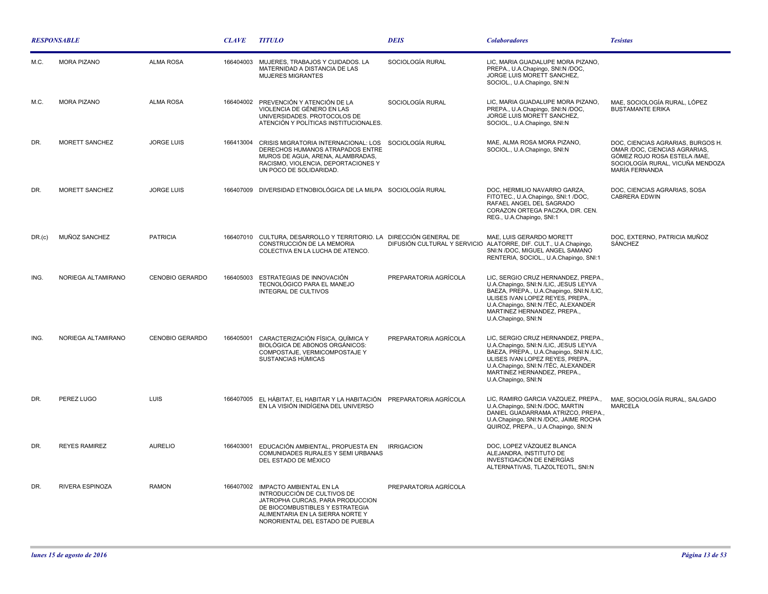| <b>RESPONSABLE</b> |                      |                        | <b>CLAVE</b> | <b>TITULO</b>                                                                                                                                                                                         | <b>DEIS</b>           | <b>Colaboradores</b>                                                                                                                                                                                                                                      | <b>Tesistas</b>                                                                                                                                           |
|--------------------|----------------------|------------------------|--------------|-------------------------------------------------------------------------------------------------------------------------------------------------------------------------------------------------------|-----------------------|-----------------------------------------------------------------------------------------------------------------------------------------------------------------------------------------------------------------------------------------------------------|-----------------------------------------------------------------------------------------------------------------------------------------------------------|
| M.C                | <b>MORA PIZANO</b>   | <b>ALMA ROSA</b>       | 166404003    | MUJERES, TRABAJOS Y CUIDADOS. LA<br>MATERNIDAD A DISTANCIA DE LAS<br><b>MUJERES MIGRANTES</b>                                                                                                         | SOCIOLOGÍA RURAL      | LIC, MARIA GUADALUPE MORA PIZANO,<br>PREPA., U.A.Chapingo, SNI:N /DOC,<br>JORGE LUIS MORETT SANCHEZ,<br>SOCIOL., U.A.Chapingo, SNI:N                                                                                                                      |                                                                                                                                                           |
| M.C.               | <b>MORA PIZANO</b>   | <b>ALMA ROSA</b>       |              | 166404002 PREVENCIÓN Y ATENCIÓN DE LA<br>VIOLENCIA DE GÉNERO EN LAS<br>UNIVERSIDADES. PROTOCOLOS DE<br>ATENCIÓN Y POLÍTICAS INSTITUCIONALES.                                                          | SOCIOLOGÍA RURAL      | LIC, MARIA GUADALUPE MORA PIZANO,<br>PREPA., U.A.Chapingo, SNI:N /DOC,<br>JORGE LUIS MORETT SANCHEZ,<br>SOCIOL., U.A.Chapingo, SNI:N                                                                                                                      | MAE. SOCIOLOGÍA RURAL. LÓPEZ<br><b>BUSTAMANTE ERIKA</b>                                                                                                   |
| DR.                | MORETT SANCHEZ       | <b>JORGE LUIS</b>      | 166413004    | CRISIS MIGRATORIA INTERNACIONAL: LOS SOCIOLOGÍA RURAL<br>DERECHOS HUMANOS ATRAPADOS ENTRE<br>MUROS DE AGUA, ARENA, ALAMBRADAS,<br>RACISMO, VIOLENCIA, DEPORTACIONES Y<br>UN POCO DE SOLIDARIDAD.      |                       | MAE, ALMA ROSA MORA PIZANO,<br>SOCIOL., U.A.Chapingo, SNI:N                                                                                                                                                                                               | DOC, CIENCIAS AGRARIAS, BURGOS H.<br>OMAR /DOC, CIENCIAS AGRARIAS,<br>GÓMEZ ROJO ROSA ESTELA / MAE,<br>SOCIOLOGÍA RURAL, VICUÑA MENDOZA<br>MARÍA FERNANDA |
| DR.                | MORETT SANCHEZ       | <b>JORGE LUIS</b>      |              | 166407009 DIVERSIDAD ETNOBIOLÓGICA DE LA MILPA SOCIOLOGÍA RURAL                                                                                                                                       |                       | DOC, HERMILIO NAVARRO GARZA,<br>FITOTEC., U.A.Chapingo, SNI:1 /DOC,<br>RAFAEL ANGEL DEL SAGRADO<br>CORAZON ORTEGA PACZKA, DIR. CEN.<br>REG., U.A.Chapingo, SNI:1                                                                                          | DOC. CIENCIAS AGRARIAS, SOSA<br><b>CABRERA EDWIN</b>                                                                                                      |
| DR.(c)             | MUÑOZ SANCHEZ        | <b>PATRICIA</b>        |              | 166407010 CULTURA, DESARROLLO Y TERRITORIO. LA DIRECCIÓN GENERAL DE<br>CONSTRUCCIÓN DE LA MEMORIA<br>COLECTIVA EN LA LUCHA DE ATENCO.                                                                 |                       | MAE, LUIS GERARDO MORETT<br>DIFUSIÓN CULTURAL Y SERVICIO ALATORRE, DIF. CULT., U.A.Chapingo,<br>SNI:N /DOC, MIGUEL ANGEL SAMANO<br>RENTERIA, SOCIOL., U.A.Chapingo, SNI:1                                                                                 | DOC, EXTERNO, PATRICIA MUÑOZ<br>SÁNCHEZ                                                                                                                   |
| ING.               | NORIEGA ALTAMIRANO   | <b>CENOBIO GERARDO</b> | 166405003    | ESTRATEGIAS DE INNOVACIÓN<br>TECNOLÓGICO PARA EL MANEJO<br>INTEGRAL DE CULTIVOS                                                                                                                       | PREPARATORIA AGRÍCOLA | LIC, SERGIO CRUZ HERNANDEZ, PREPA.,<br>U.A.Chapingo, SNI:N /LIC, JESUS LEYVA<br>BAEZA, PREPA., U.A.Chapingo, SNI:N /LIC,<br>ULISES IVAN LOPEZ REYES, PREPA.,<br>U.A.Chapingo, SNI:N /TÉC, ALEXANDER<br>MARTINEZ HERNANDEZ, PREPA.,<br>U.A.Chapingo, SNI:N |                                                                                                                                                           |
| ING.               | NORIEGA ALTAMIRANO   | <b>CENOBIO GERARDO</b> | 166405001    | CARACTERIZACIÓN FÍSICA, QUÍMICA Y<br><b>BIOLÓGICA DE ABONOS ORGÁNICOS:</b><br>COMPOSTAJE, VERMICOMPOSTAJE Y<br>SUSTANCIAS HÚMICAS                                                                     | PREPARATORIA AGRÍCOLA | LIC, SERGIO CRUZ HERNANDEZ, PREPA.,<br>U.A.Chapingo, SNI:N /LIC, JESUS LEYVA<br>BAEZA, PREPA., U.A.Chapingo, SNI:N /LIC,<br>ULISES IVAN LOPEZ REYES, PREPA.,<br>U.A.Chapingo, SNI:N /TÉC, ALEXANDER<br>MARTINEZ HERNANDEZ, PREPA.,<br>U.A.Chapingo, SNI:N |                                                                                                                                                           |
| DR.                | PEREZ LUGO           | <b>LUIS</b>            |              | 166407005 EL HÁBITAT, EL HABITAR Y LA HABITACIÓN PREPARATORIA AGRÍCOLA<br>EN LA VISIÓN INIDÍGENA DEL UNIVERSO                                                                                         |                       | LIC, RAMIRO GARCIA VAZQUEZ, PREPA.,<br>U.A.Chapingo, SNI:N /DOC, MARTIN<br>DANIEL GUADARRAMA ATRIZCO, PREPA.,<br>U.A.Chapingo, SNI:N /DOC, JAIME ROCHA<br>QUIROZ, PREPA., U.A.Chapingo, SNI:N                                                             | MAE, SOCIOLOGÍA RURAL, SALGADO<br><b>MARCELA</b>                                                                                                          |
| DR.                | <b>REYES RAMIREZ</b> | <b>AURELIO</b>         | 166403001    | EDUCACIÓN AMBIENTAL, PROPUESTA EN<br>COMUNIDADES RURALES Y SEMI URBANAS<br>DEL ESTADO DE MÉXICO                                                                                                       | <b>IRRIGACION</b>     | DOC. LOPEZ VÁZQUEZ BLANCA<br>ALEJANDRA, INSTITUTO DE<br>INVESTIGACIÓN DE ENERGÍAS<br>ALTERNATIVAS, TLAZOLTEOTL, SNI:N                                                                                                                                     |                                                                                                                                                           |
| DR.                | RIVERA ESPINOZA      | <b>RAMON</b>           | 166407002    | IMPACTO AMBIENTAL EN LA<br>INTRODUCCIÓN DE CULTIVOS DE<br>JATROPHA CURCAS, PARA PRODUCCION<br>DE BIOCOMBUSTIBLES Y ESTRATEGIA<br>ALIMENTARIA EN LA SIERRA NORTE Y<br>NORORIENTAL DEL ESTADO DE PUEBLA | PREPARATORIA AGRÍCOLA |                                                                                                                                                                                                                                                           |                                                                                                                                                           |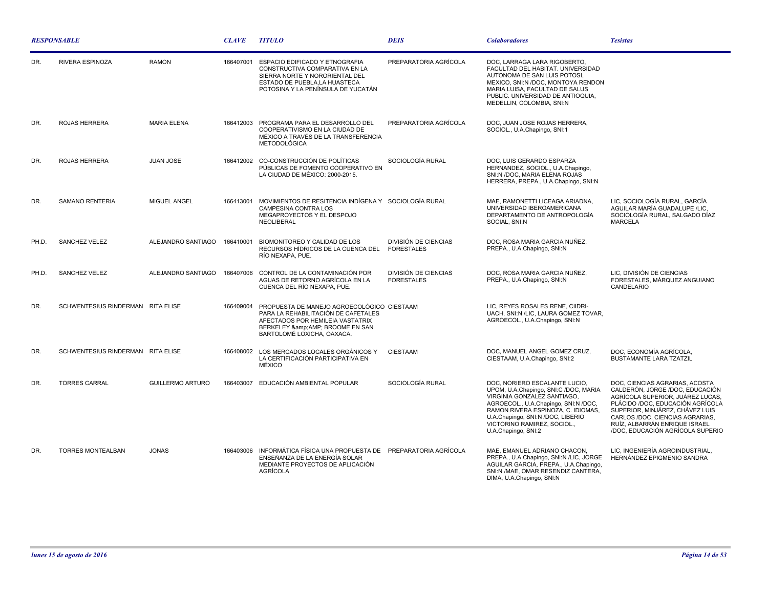| <b>RESPONSABLE</b> |                                   |                         | <b>CLAVE</b> | <b>TITULO</b>                                                                                                                                                                   | <b>DEIS</b>                                      | <b>Colaboradores</b>                                                                                                                                                                                                                                                           | <b>Tesistas</b>                                                                                                                                                                                                                                                                      |
|--------------------|-----------------------------------|-------------------------|--------------|---------------------------------------------------------------------------------------------------------------------------------------------------------------------------------|--------------------------------------------------|--------------------------------------------------------------------------------------------------------------------------------------------------------------------------------------------------------------------------------------------------------------------------------|--------------------------------------------------------------------------------------------------------------------------------------------------------------------------------------------------------------------------------------------------------------------------------------|
| DR.                | RIVERA ESPINOZA                   | <b>RAMON</b>            | 166407001    | ESPACIO EDIFICADO Y ETNOGRAFIA<br>CONSTRUCTIVA COMPARATIVA EN LA<br>SIERRA NORTE Y NORORIENTAL DEL<br>ESTADO DE PUEBLA.LA HUASTECA<br>POTOSINA Y LA PENÍNSULA DE YUCATÁN        | PREPARATORIA AGRÍCOLA                            | DOC, LARRAGA LARA RIGOBERTO,<br>FACULTAD DEL HABITAT. UNIVERSIDAD<br>AUTONOMA DE SAN LUIS POTOSI,<br>MEXICO, SNI:N /DOC, MONTOYA RENDON<br>MARIA LUISA, FACULTAD DE SALUS<br>PUBLIC. UNIVERSIDAD DE ANTIOQUIA,<br>MEDELLIN, COLOMBIA, SNI:N                                    |                                                                                                                                                                                                                                                                                      |
| DR.                | ROJAS HERRERA                     | <b>MARIA ELENA</b>      | 166412003    | PROGRAMA PARA EL DESARROLLO DEL<br>COOPERATIVISMO EN LA CIUDAD DE<br>MÉXICO A TRAVÉS DE LA TRANSFERENCIA<br><b>METODOLÓGICA</b>                                                 | PREPARATORIA AGRÍCOLA                            | DOC. JUAN JOSE ROJAS HERRERA.<br>SOCIOL., U.A.Chapingo, SNI:1                                                                                                                                                                                                                  |                                                                                                                                                                                                                                                                                      |
| DR.                | ROJAS HERRERA                     | JUAN JOSE               | 166412002    | CO-CONSTRUCCIÓN DE POLÍTICAS<br>PÚBLICAS DE FOMENTO COOPERATIVO EN<br>LA CIUDAD DE MÉXICO: 2000-2015.                                                                           | SOCIOLOGÍA RURAL                                 | DOC, LUIS GERARDO ESPARZA<br>HERNANDEZ, SOCIOL., U.A.Chapingo,<br>SNI:N /DOC, MARIA ELENA ROJAS<br>HERRERA, PREPA., U.A.Chapingo, SNI:N                                                                                                                                        |                                                                                                                                                                                                                                                                                      |
| DR.                | <b>SAMANO RENTERIA</b>            | MIGUEL ANGEL            | 166413001    | MOVIMIENTOS DE RESITENCIA INDÍGENA Y SOCIOLOGÍA RURAL<br><b>CAMPESINA CONTRA LOS</b><br>MEGAPROYECTOS Y EL DESPOJO<br>NEOLIBERAL                                                |                                                  | MAE, RAMONETTI LICEAGA ARIADNA,<br>UNIVERSIDAD IBEROAMERICANA<br>DEPARTAMENTO DE ANTROPOLOGÍA<br>SOCIAL, SNI:N                                                                                                                                                                 | LIC, SOCIOLOGÍA RURAL, GARCÍA<br>AGUILAR MARÍA GUADALUPE /LIC.<br>SOCIOLOGÍA RURAL, SALGADO DÍAZ<br><b>MARCELA</b>                                                                                                                                                                   |
| PH.D.              | <b>SANCHEZ VELEZ</b>              | ALEJANDRO SANTIAGO      | 166410001    | BIOMONITOREO Y CALIDAD DE LOS<br>RECURSOS HÍDRICOS DE LA CUENCA DEL<br>RÍO NEXAPA, PUE.                                                                                         | <b>DIVISIÓN DE CIENCIAS</b><br><b>FORESTALES</b> | DOC, ROSA MARIA GARCIA NUÑEZ.<br>PREPA., U.A.Chapingo, SNI:N                                                                                                                                                                                                                   |                                                                                                                                                                                                                                                                                      |
| PH.D.              | SANCHEZ VELEZ                     | ALEJANDRO SANTIAGO      | 166407006    | CONTROL DE LA CONTAMINACIÓN POR<br>AGUAS DE RETORNO AGRÍCOLA EN LA<br>CUENCA DEL RÍO NEXAPA, PUE.                                                                               | <b>DIVISIÓN DE CIENCIAS</b><br><b>FORESTALES</b> | DOC, ROSA MARIA GARCIA NUÑEZ,<br>PREPA., U.A.Chapingo, SNI:N                                                                                                                                                                                                                   | LIC, DIVISIÓN DE CIENCIAS<br>FORESTALES, MÁRQUEZ ANGUIANO<br>CANDELARIO                                                                                                                                                                                                              |
| DR.                | SCHWENTESIUS RINDERMAN RITA ELISE |                         | 166409004    | PROPUESTA DE MANEJO AGROECOLÓGICO CIESTAAM<br>PARA LA REHABILITACIÓN DE CAFETALES<br>AFECTADOS POR HEMILEIA VASTATRIX<br>BERKELEY & BROOME EN SAN<br>BARTOLOMÉ LOXICHA, OAXACA. |                                                  | LIC, REYES ROSALES RENE, CIIDRI-<br>UACH, SNI:N /LIC, LAURA GOMEZ TOVAR,<br>AGROECOL., U.A.Chapingo, SNI:N                                                                                                                                                                     |                                                                                                                                                                                                                                                                                      |
| DR.                | SCHWENTESIUS RINDERMAN RITA ELISE |                         | 166408002    | LOS MERCADOS LOCALES ORGÁNICOS Y<br>LA CERTIFICACIÓN PARTICIPATIVA EN<br><b>MÉXICO</b>                                                                                          | <b>CIESTAAM</b>                                  | DOC, MANUEL ANGEL GOMEZ CRUZ,<br>CIESTAAM, U.A.Chapingo, SNI:2                                                                                                                                                                                                                 | DOC, ECONOMÍA AGRÍCOLA,<br><b>BUSTAMANTE LARA TZATZIL</b>                                                                                                                                                                                                                            |
| DR.                | <b>TORRES CARRAL</b>              | <b>GUILLERMO ARTURO</b> | 166403007    | EDUCACIÓN AMBIENTAL POPULAR                                                                                                                                                     | SOCIOLOGÍA RURAL                                 | DOC, NORIERO ESCALANTE LUCIO,<br>UPOM, U.A.Chapingo, SNI:C /DOC, MARIA<br>VIRGINIA GONZALEZ SANTIAGO,<br>AGROECOL., U.A.Chapingo, SNI:N /DOC,<br>RAMON RIVERA ESPINOZA, C. IDIOMAS,<br>U.A.Chapingo, SNI:N /DOC, LIBERIO<br>VICTORINO RAMIREZ, SOCIOL.,<br>U.A.Chapingo, SNI:2 | DOC, CIENCIAS AGRARIAS, ACOSTA<br>CALDERÓN, JORGE /DOC, EDUCACIÓN<br>AGRÍCOLA SUPERIOR, JUÁREZ LUCAS,<br>PLÁCIDO /DOC. EDUCACIÓN AGRÍCOLA<br>SUPERIOR, MINJÁREZ, CHÁVEZ LUIS<br>CARLOS /DOC, CIENCIAS AGRARIAS,<br>RUÍZ, ALBARRÁN ENRIQUE ISRAEL<br>/DOC, EDUCACIÓN AGRÍCOLA SUPERIO |
| DR.                | <b>TORRES MONTEALBAN</b>          | <b>JONAS</b>            | 166403006    | INFORMÁTICA FÍSICA UNA PROPUESTA DE PREPARATORIA AGRÍCOLA<br>ENSEÑANZA DE LA ENERGÍA SOLAR<br>MEDIANTE PROYECTOS DE APLICACIÓN<br><b>AGRÍCOLA</b>                               |                                                  | MAE, EMANUEL ADRIANO CHACON,<br>PREPA., U.A.Chapingo, SNI:N /LIC, JORGE<br>AGUILAR GARCIA, PREPA., U.A.Chapingo,<br>SNI:N /MAE, OMAR RESENDIZ CANTERA,<br>DIMA, U.A.Chapingo, SNI:N                                                                                            | LIC, INGENIERÍA AGROINDUSTRIAL,<br>HERNÁNDEZ EPIGMENIO SANDRA                                                                                                                                                                                                                        |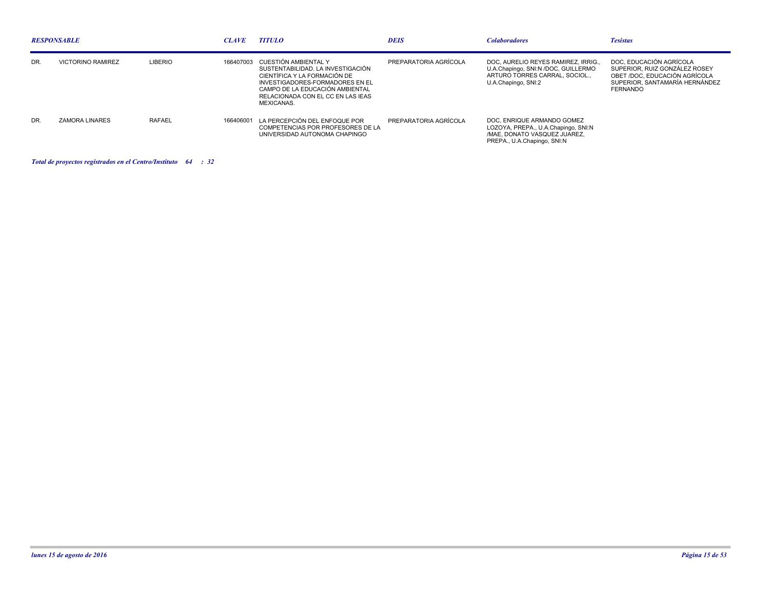| <b>RESPONSABLE</b> |                          |                | <b>CLAVE</b> | <b>TITULO</b>                                                                                                                                                                                                             | DEIS                  | <b>Colaboradores</b>                                                                                                             | <b>Tesistas</b>                                                                                                                                |
|--------------------|--------------------------|----------------|--------------|---------------------------------------------------------------------------------------------------------------------------------------------------------------------------------------------------------------------------|-----------------------|----------------------------------------------------------------------------------------------------------------------------------|------------------------------------------------------------------------------------------------------------------------------------------------|
| DR.                | <b>VICTORINO RAMIREZ</b> | <b>LIBERIO</b> | 166407003    | CUESTIÓN AMBIENTAL Y<br>SUSTENTABILIDAD. LA INVESTIGACIÓN<br>CIENTÍFICA Y LA FORMACIÓN DE<br>INVESTIGADORES-FORMADORES EN EL<br>CAMPO DE LA EDUCACIÓN AMBIENTAL<br>RELACIONADA CON EL CC EN LAS IEAS<br><b>MEXICANAS.</b> | PREPARATORIA AGRÍCOLA | DOC. AURELIO REYES RAMIREZ. IRRIG<br>U.A.Chapingo, SNI:N /DOC, GUILLERMO<br>ARTURO TORRES CARRAL, SOCIOL<br>U.A.Chapingo, SNI:2  | DOC. EDUCACIÓN AGRÍCOLA<br>SUPERIOR, RUIZ GONZÁLEZ ROSEY<br>OBET /DOC, EDUCACIÓN AGRÍCOLA<br>SUPERIOR, SANTAMARÍA HERNÁNDEZ<br><b>FERNANDO</b> |
| DR.                | ZAMORA LINARES           | <b>RAFAEL</b>  |              | 166406001 LA PERCEPCIÓN DEL ENFOQUE POR<br>COMPETENCIAS POR PROFESORES DE LA<br>UNIVERSIDAD AUTONOMA CHAPINGO                                                                                                             | PREPARATORIA AGRÍCOLA | DOC. ENRIQUE ARMANDO GOMEZ<br>LOZOYA, PREPA., U.A.Chapingo, SNI:N<br>/MAE. DONATO VASQUEZ JUAREZ.<br>PREPA., U.A.Chapingo, SNI:N |                                                                                                                                                |

*Total de proyectos registrados en el Centro/Instituto : 64 32*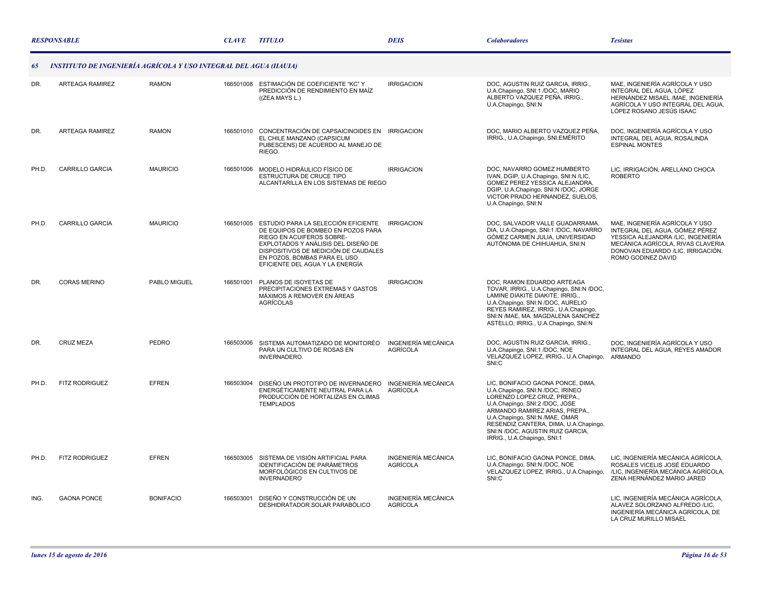|       | <b>RESPONSABLE</b>                                                |                  | <b>CLAVE</b> | <b>TITULO</b>                                                                                                                                                                                                                                            | <b>DEIS</b>                                   | <b>Colaboradores</b>                                                                                                                                                                                                                                                                                                   | <b>Tesistas</b>                                                                                                                                                                                        |
|-------|-------------------------------------------------------------------|------------------|--------------|----------------------------------------------------------------------------------------------------------------------------------------------------------------------------------------------------------------------------------------------------------|-----------------------------------------------|------------------------------------------------------------------------------------------------------------------------------------------------------------------------------------------------------------------------------------------------------------------------------------------------------------------------|--------------------------------------------------------------------------------------------------------------------------------------------------------------------------------------------------------|
| 65    | INSTITUTO DE INGENIERÍA AGRÍCOLA Y USO INTEGRAL DEL AGUA (IIAUIA) |                  |              |                                                                                                                                                                                                                                                          |                                               |                                                                                                                                                                                                                                                                                                                        |                                                                                                                                                                                                        |
| DR.   | ARTEAGA RAMIREZ                                                   | <b>RAMON</b>     |              | 166501008 ESTIMACIÓN DE COEFICIENTE "KC" Y<br>PREDICCIÓN DE RENDIMIENTO EN MAÍZ<br>((ZEA MAYS L.)                                                                                                                                                        | <b>IRRIGACION</b>                             | DOC, AGUSTIN RUIZ GARCIA, IRRIG.,<br>U.A.Chapingo, SNI:1 /DOC, MARIO<br>ALBERTO VAZQUEZ PEÑA. IRRIG<br>U.A.Chapingo, SNI:N                                                                                                                                                                                             | MAE, INGENIERÍA AGRÍCOLA Y USO<br>INTEGRAL DEL AGUA, LÓPEZ<br>HERNÁNDEZ MISAEL /MAE, INGENIERÍA<br>AGRÍCOLA Y USO INTEGRAL DEL AGUA,<br>LÓPEZ ROSANO JESÚS ISAAC                                       |
| DR.   | ARTEAGA RAMIREZ                                                   | <b>RAMON</b>     |              | 166501010 CONCENTRACIÓN DE CAPSAICINOIDES EN IRRIGACION<br>EL CHILE MANZANO (CAPSICUM<br>PUBESCENS) DE ACUERDO AL MANEJO DE<br>RIEGO.                                                                                                                    |                                               | DOC, MARIO ALBERTO VAZQUEZ PEÑA,<br>IRRIG., U.A.Chapingo, SNI:EMÉRITO                                                                                                                                                                                                                                                  | DOC, INGENIERÍA AGRÍCOLA Y USO<br>INTEGRAL DEL AGUA, ROSALINDA<br><b>ESPINAL MONTES</b>                                                                                                                |
| PH.D. | <b>CARRILLO GARCIA</b>                                            | <b>MAURICIO</b>  |              | 166501006 MODELO HIDRÁULICO FÍSICO DE<br>ESTRUCTURA DE CRUCE TIPO<br>ALCANTARILLA EN LOS SISTEMAS DE RIEGO                                                                                                                                               | <b>IRRIGACION</b>                             | DOC. NAVARRO GOMEZ HUMBERTO<br>IVAN, DGIP, U.A.Chapingo, SNI:N /LIC,<br>GOMEZ PEREZ YESSICA ALEJANDRA,<br>DGIP, U.A.Chapingo, SNI:N /DOC, JORGE<br>VICTOR PRADO HERNANDEZ, SUELOS,<br>U.A.Chapingo, SNI:N                                                                                                              | LIC, IRRIGACIÓN, ARELLANO CHOCA<br><b>ROBERTO</b>                                                                                                                                                      |
| PH.D. | <b>CARRILLO GARCIA</b>                                            | <b>MAURICIO</b>  | 166501005    | ESTUDIO PARA LA SELECCIÓN EFICIENTE<br>DE EQUIPOS DE BOMBEO EN POZOS PARA<br>RIEGO EN ACUIFEROS SOBRE-<br>EXPLOTADOS Y ANÁLISIS DEL DISEÑO DE<br>DISPOSITIVOS DE MEDICIÓN DE CAUDALES<br>EN POZOS, BOMBAS PARA EL USO<br>EFICIENTE DEL AGUA Y LA ENERGÍA | <b>IRRIGACION</b>                             | DOC, SALVADOR VALLE GUADARRAMA,<br>DIA, U.A.Chapingo, SNI:1 /DOC, NAVARRO<br>GÓMEZ CARMEN JULIA, UNIVERSIDAD<br>AUTÓNOMA DE CHIHUAHUA, SNI:N                                                                                                                                                                           | MAE, INGENIERÍA AGRÍCOLA Y USO<br>INTEGRAL DEL AGUA, GÓMEZ PÉREZ<br>YESSICA ALEJANDRA /LIC, INGENIERÍA<br>MECÁNICA AGRÍCOLA, RIVAS CLAVERIA<br>DONOVAN EDUARDO /LIC, IRRIGACIÓN,<br>ROMO GODINEZ DAVID |
| DR.   | <b>CORAS MERINO</b>                                               | PABLO MIGUEL     | 166501001    | PLANOS DE ISOYETAS DE<br>PRECIPITACIONES EXTREMAS Y GASTOS<br>MÁXIMOS A REMOVER EN ÁREAS<br><b>AGRÍCOLAS</b>                                                                                                                                             | <b>IRRIGACION</b>                             | DOC, RAMON EDUARDO ARTEAGA<br>TOVAR, IRRIG., U.A.Chapingo, SNI:N /DOC,<br>LAMINE DIAKITE DIAKITE, IRRIG.,<br>U.A.Chapingo, SNI:N /DOC, AURELIO<br>REYES RAMIREZ, IRRIG., U.A.Chapingo,<br>SNI:N /MAE, MA. MAGDALENA SANCHEZ<br>ASTELLO, IRRIG., U.A.Chapingo, SNI:N                                                    |                                                                                                                                                                                                        |
| DR.   | <b>CRUZ MEZA</b>                                                  | PEDRO            | 166503006    | SISTEMA AUTOMATIZADO DE MONITORÉO<br>PARA UN CULTIVO DE ROSAS EN<br>INVERNADERO.                                                                                                                                                                         | INGENIERÍA MECÁNICA<br><b>AGRÍCOLA</b>        | DOC. AGUSTIN RUIZ GARCIA. IRRIG<br>U.A.Chapingo, SNI:1 /DOC, NOE<br>VELAZQUEZ LOPEZ, IRRIG., U.A.Chapingo,<br>SNI:C                                                                                                                                                                                                    | DOC. INGENIERÍA AGRÍCOLA Y USO<br>INTEGRAL DEL AGUA, REYES AMADOR<br><b>ARMANDO</b>                                                                                                                    |
| PH.D. | <b>FITZ RODRIGUEZ</b>                                             | <b>EFREN</b>     | 166503004    | DISEÑO UN PROTOTIPO DE INVERNADERO<br>ENERGÉTICAMENTE NEUTRAL PARA LA<br>PRODUCCIÓN DE HORTALIZAS EN CLIMAS<br><b>TEMPLADOS</b>                                                                                                                          | INGENIERÍA MECÁNICA<br>AGRÍCOLA               | LIC, BONIFACIO GAONA PONCE, DIMA,<br>U.A.Chapingo, SNI:N /DOC, IRINEO<br>LORENZO LOPEZ CRUZ, PREPA.,<br>U.A.Chapingo, SNI:2 /DOC, JOSE<br>ARMANDO RAMIREZ ARIAS, PREPA.,<br>U.A.Chapingo, SNI:N /MAE, OMAR<br>RESENDIZ CANTERA, DIMA, U.A.Chapingo,<br>SNI:N /DOC, AGUSTIN RUIZ GARCIA,<br>IRRIG., U.A.Chapingo, SNI:1 |                                                                                                                                                                                                        |
| PH.D. | <b>FITZ RODRIGUEZ</b>                                             | <b>EFREN</b>     | 166503005    | SISTEMA DE VISIÓN ARTIFICIAL PARA<br>IDENTIFICACIÓN DE PARÁMETROS<br>MORFOLÓGICOS EN CULTIVOS DE<br><b>INVERNADERO</b>                                                                                                                                   | INGENIERÍA MECÁNICA<br><b>AGRÍCOLA</b>        | LIC, BONIFACIO GAONA PONCE, DIMA,<br>U.A.Chapingo, SNI:N /DOC, NOE<br>VELAZQUEZ LOPEZ, IRRIG., U.A.Chapingo,<br>SNI:C                                                                                                                                                                                                  | LIC, INGENIERÍA MECÁNICA AGRÍCOLA,<br>ROSALES VICELIS JOSÉ EDUARDO<br>/LIC, INGENIERÍA MECÁNICA AGRÍCOLA,<br>ZENA HERNÁNDEZ MARIO JARED                                                                |
| ING.  | <b>GAONA PONCE</b>                                                | <b>BONIFACIO</b> | 166503001    | DISEÑO Y CONSTRUCCIÓN DE UN<br>DESHIDRATADOR SOLAR PARABÓLICO                                                                                                                                                                                            | <b>INGENIERÍA MECÁNICA</b><br><b>AGRÍCOLA</b> |                                                                                                                                                                                                                                                                                                                        | LIC. INGENIERÍA MECÁNICA AGRÍCOLA.<br>ALAVEZ SOLORZANO ALFREDO /LIC,<br>INGENIERÍA MECÁNICA AGRÍCOLA, DE<br>LA CRUZ MURILLO MISAEL                                                                     |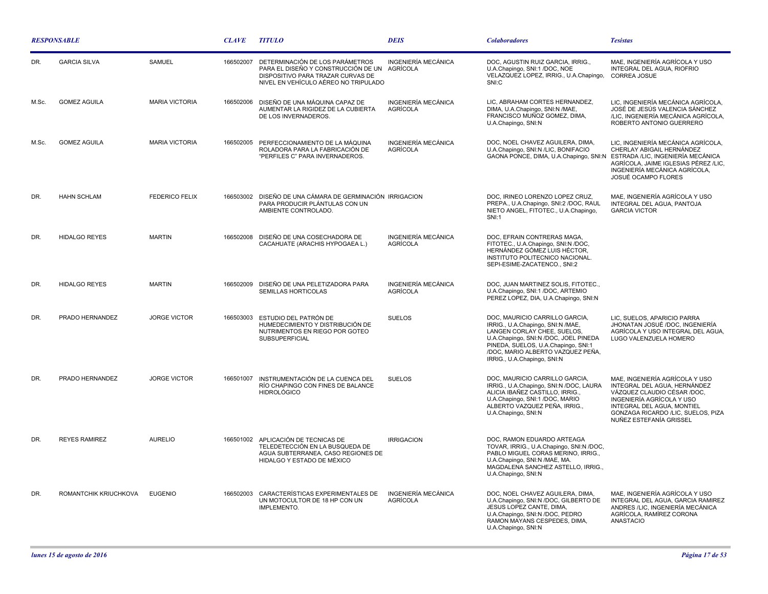| <b>RESPONSABLE</b> |                       |                       | <b>CLAVE</b> | <b>TITULO</b>                                                                                                                                                | <b>DEIS</b>                            | <b>Colaboradores</b>                                                                                                                                                                                                                                   | <b>Tesistas</b>                                                                                                                                                                                                           |
|--------------------|-----------------------|-----------------------|--------------|--------------------------------------------------------------------------------------------------------------------------------------------------------------|----------------------------------------|--------------------------------------------------------------------------------------------------------------------------------------------------------------------------------------------------------------------------------------------------------|---------------------------------------------------------------------------------------------------------------------------------------------------------------------------------------------------------------------------|
| DR.                | <b>GARCIA SILVA</b>   | <b>SAMUEL</b>         | 166502007    | DETERMINACIÓN DE LOS PARÁMETROS<br>PARA EL DISEÑO Y CONSTRUCCIÓN DE UN AGRÍCOLA<br>DISPOSITIVO PARA TRAZAR CURVAS DE<br>NIVEL EN VEHÍCULO AÉREO NO TRIPULADO | <b>INGENIERÍA MECÁNICA</b>             | DOC, AGUSTIN RUIZ GARCIA, IRRIG.,<br>U.A.Chapingo, SNI:1/DOC, NOE<br>VELAZQUEZ LOPEZ, IRRIG., U.A.Chapingo,<br>SNI:C                                                                                                                                   | MAE, INGENIERÍA AGRÍCOLA Y USO<br>INTEGRAL DEL AGUA, RIOFRIO<br>CORREA JOSUE                                                                                                                                              |
| M.Sc.              | <b>GOMEZ AGUILA</b>   | <b>MARIA VICTORIA</b> | 166502006    | DISEÑO DE UNA MÁQUINA CAPAZ DE<br>AUMENTAR LA RIGIDEZ DE LA CUBIERTA<br>DE LOS INVERNADEROS.                                                                 | INGENIERÍA MECÁNICA<br>AGRÍCOLA        | LIC, ABRAHAM CORTES HERNANDEZ,<br>DIMA, U.A.Chapingo, SNI:N /MAE,<br>FRANCISCO MUÑOZ GOMEZ, DIMA,<br>U.A.Chapingo, SNI:N                                                                                                                               | LIC, INGENIERÍA MECÁNICA AGRÍCOLA,<br>JOSÉ DE JESÚS VALENCIA SÁNCHEZ<br>/LIC, INGENIERÍA MECÁNICA AGRÍCOLA,<br>ROBERTO ANTONIO GUERRERO                                                                                   |
| M.Sc.              | <b>GOMEZ AGUILA</b>   | <b>MARIA VICTORIA</b> | 166502005    | PERFECCIONAMIENTO DE LA MÁQUINA<br>ROLADORA PARA LA FABRICACIÓN DE<br>"PERFILES C" PARA INVERNADEROS.                                                        | INGENIERÍA MECÁNICA<br>AGRÍCOLA        | DOC, NOEL CHAVEZ AGUILERA, DIMA,<br>U.A.Chapingo, SNI:N /LIC, BONIFACIO<br>GAONA PONCE, DIMA, U.A.Chapingo, SNI:N                                                                                                                                      | LIC, INGENIERÍA MECÁNICA AGRÍCOLA,<br>CHERLAY ABIGAIL HERNÁNDEZ<br>ESTRADA /LIC, INGENIERÍA MECÁNICA<br>AGRÍCOLA, JAIME IGLESIAS PÉREZ /LIC,<br>INGENIERÍA MECÁNICA AGRÍCOLA.<br><b>JOSUÉ OCAMPO FLORES</b>               |
| DR.                | <b>HAHN SCHLAM</b>    | <b>FEDERICO FELIX</b> | 166503002    | DISEÑO DE UNA CÁMARA DE GERMINACIÓN IRRIGACION<br>PARA PRODUCIR PLÁNTULAS CON UN<br>AMBIENTE CONTROLADO.                                                     |                                        | DOC, IRINEO LORENZO LOPEZ CRUZ,<br>PREPA., U.A.Chapingo, SNI:2 /DOC, RAUL<br>NIETO ANGEL, FITOTEC., U.A.Chapingo,<br><b>SNI:1</b>                                                                                                                      | MAE, INGENIERÍA AGRÍCOLA Y USO<br>INTEGRAL DEL AGUA, PANTOJA<br><b>GARCIA VICTOR</b>                                                                                                                                      |
| DR.                | <b>HIDALGO REYES</b>  | <b>MARTIN</b>         | 166502008    | DISEÑO DE UNA COSECHADORA DE<br>CACAHUATE (ARACHIS HYPOGAEA L.)                                                                                              | INGENIERÍA MECÁNICA<br><b>AGRÍCOLA</b> | DOC. EFRAIN CONTRERAS MAGA.<br>FITOTEC., U.A.Chapingo, SNI:N /DOC,<br>HERNÁNDEZ GÓMEZ LUIS HÉCTOR,<br>INSTITUTO POLITECNICO NACIONAL.<br>SEPI-ESIME-ZACATENCO., SNI:2                                                                                  |                                                                                                                                                                                                                           |
| DR.                | <b>HIDALGO REYES</b>  | <b>MARTIN</b>         | 166502009    | DISEÑO DE UNA PELETIZADORA PARA<br><b>SEMILLAS HORTICOLAS</b>                                                                                                | INGENIERÍA MECÁNICA<br>AGRÍCOLA        | DOC, JUAN MARTINEZ SOLIS, FITOTEC.,<br>U.A.Chapingo, SNI:1 /DOC, ARTEMIO<br>PEREZ LOPEZ, DIA, U.A.Chapingo, SNI:N                                                                                                                                      |                                                                                                                                                                                                                           |
| DR.                | PRADO HERNANDEZ       | <b>JORGE VICTOR</b>   | 166503003    | ESTUDIO DEL PATRÓN DE<br>HUMEDECIMIENTO Y DISTRIBUCIÓN DE<br>NUTRIMENTOS EN RIEGO POR GOTEO<br>SUBSUPERFICIAL                                                | <b>SUELOS</b>                          | DOC, MAURICIO CARRILLO GARCIA,<br>IRRIG., U.A.Chapingo, SNI:N /MAE,<br>LANGEN CORLAY CHEE, SUELOS,<br>U.A.Chapingo, SNI:N /DOC, JOEL PINEDA<br>PINEDA, SUELOS, U.A.Chapingo, SNI:1<br>/DOC, MARIO ALBERTO VAZQUEZ PEÑA,<br>IRRIG., U.A.Chapingo, SNI:N | LIC, SUELOS, APARICIO PARRA<br>JHONATAN JOSUÉ /DOC, INGENIERÍA<br>AGRÍCOLA Y USO INTEGRAL DEL AGUA,<br>LUGO VALENZUELA HOMERO                                                                                             |
| DR.                | PRADO HERNANDEZ       | <b>JORGE VICTOR</b>   | 166501007    | INSTRUMENTACIÓN DE LA CUENCA DEL<br>RÍO CHAPINGO CON FINES DE BALANCE<br><b>HIDROLÓGICO</b>                                                                  | <b>SUELOS</b>                          | DOC, MAURICIO CARRILLO GARCIA,<br>IRRIG., U.A.Chapingo, SNI:N /DOC, LAURA<br>ALICIA IBAÑEZ CASTILLO. IRRIG<br>U.A.Chapingo, SNI:1 /DOC, MARIO<br>ALBERTO VAZQUEZ PEÑA, IRRIG.,<br>U.A.Chapingo, SNI:N                                                  | MAE, INGENIERÍA AGRÍCOLA Y USO<br>INTEGRAL DEL AGUA, HERNÁNDEZ<br>VÁZQUEZ CLAUDIO CÉSAR /DOC.<br>INGENIERÍA AGRÍCOLA Y USO<br>INTEGRAL DEL AGUA, MONTIEL<br>GONZAGA RICARDO /LIC, SUELOS, PIZA<br>NUÑEZ ESTEFANÍA GRISSEL |
| DR.                | <b>REYES RAMIREZ</b>  | <b>AURELIO</b>        |              | 166501002 APLICACIÓN DE TECNICAS DE<br>TELEDETECCIÓN EN LA BUSQUEDA DE<br>AGUA SUBTERRANEA, CASO REGIONES DE<br>HIDALGO Y ESTADO DE MÉXICO                   | <b>IRRIGACION</b>                      | DOC, RAMON EDUARDO ARTEAGA<br>TOVAR, IRRIG., U.A.Chapingo, SNI:N /DOC,<br>PABLO MIGUEL CORAS MERINO, IRRIG.,<br>U.A.Chapingo, SNI:N /MAE, MA.<br>MAGDALENA SANCHEZ ASTELLO, IRRIG.,<br>U.A.Chapingo, SNI:N                                             |                                                                                                                                                                                                                           |
| DR.                | ROMANTCHIK KRIUCHKOVA | <b>EUGENIO</b>        | 166502003    | CARACTERÍSTICAS EXPERIMENTALES DE<br>UN MOTOCULTOR DE 18 HP CON UN<br>IMPLEMENTO.                                                                            | <b>INGENIERÍA MECÁNICA</b><br>AGRÍCOLA | DOC, NOEL CHAVEZ AGUILERA, DIMA,<br>U.A.Chapingo, SNI:N /DOC, GILBERTO DE<br>JESUS LOPEZ CANTE, DIMA,<br>U.A.Chapingo, SNI:N /DOC, PEDRO<br>RAMON MAYANS CESPEDES, DIMA,<br>U.A.Chapingo, SNI:N                                                        | MAE, INGENIERÍA AGRÍCOLA Y USO<br>INTEGRAL DEL AGUA, GARCIA RAMIREZ<br>ANDRES /LIC, INGENIERÍA MECÁNICA<br>AGRÍCOLA, RAMÍREZ CORONA<br><b>ANASTACIO</b>                                                                   |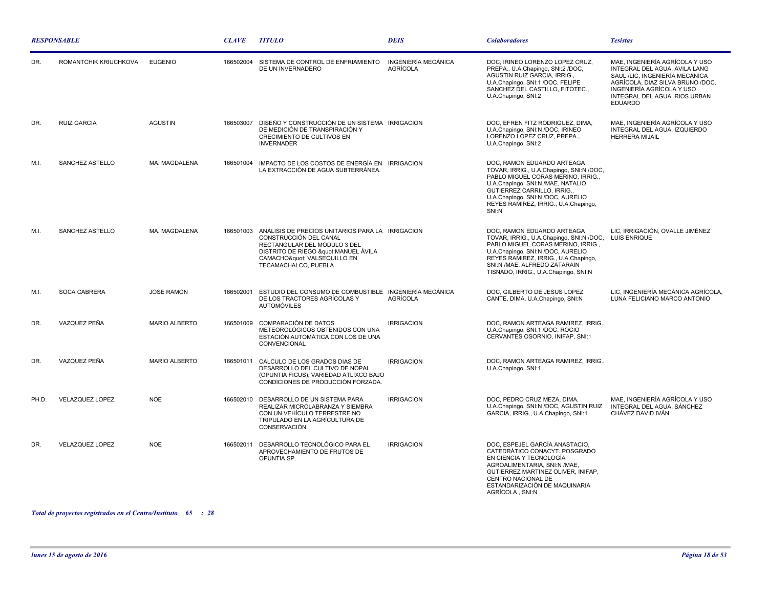| <b>RESPONSABLE</b> |                        |                      | <b>CLAVE</b> | <b>TITULO</b>                                                                                                                                                                                               | <b>DEIS</b>                            | <b>Colaboradores</b>                                                                                                                                                                                                                                                   | <b>Tesistas</b>                                                                                                                                                                                                       |
|--------------------|------------------------|----------------------|--------------|-------------------------------------------------------------------------------------------------------------------------------------------------------------------------------------------------------------|----------------------------------------|------------------------------------------------------------------------------------------------------------------------------------------------------------------------------------------------------------------------------------------------------------------------|-----------------------------------------------------------------------------------------------------------------------------------------------------------------------------------------------------------------------|
| DR.                | ROMANTCHIK KRIUCHKOVA  | <b>EUGENIO</b>       | 166502004    | SISTEMA DE CONTROL DE ENFRIAMIENTO<br>DE UN INVERNADERO                                                                                                                                                     | INGENIERÍA MECÁNICA<br><b>AGRÍCOLA</b> | DOC. IRINEO LORENZO LOPEZ CRUZ.<br>PREPA., U.A.Chapingo, SNI:2 /DOC,<br>AGUSTIN RUIZ GARCIA, IRRIG.,<br>U.A.Chapingo, SNI:1 /DOC, FELIPE<br>SANCHEZ DEL CASTILLO, FITOTEC.,<br>U.A.Chapingo, SNI:2                                                                     | MAE, INGENIERÍA AGRÍCOLA Y USO<br>INTEGRAL DEL AGUA. AVILA LANG<br>SAUL /LIC, INGENIERÍA MECÁNICA<br>AGRÍCOLA, DIAZ SILVA BRUNO /DOC,<br>INGENIERÍA AGRÍCOLA Y USO<br>INTEGRAL DEL AGUA, RIOS URBAN<br><b>EDUARDO</b> |
| DR.                | <b>RUIZ GARCIA</b>     | <b>AGUSTIN</b>       | 166503007    | DISEÑO Y CONSTRUCCIÓN DE UN SISTEMA IRRIGACION<br>DE MEDICIÓN DE TRANSPIRACIÓN Y<br>CRECIMIENTO DE CULTIVOS EN<br><b>INVERNADER</b>                                                                         |                                        | DOC, EFREN FITZ RODRIGUEZ, DIMA,<br>U.A.Chapingo, SNI:N /DOC, IRINEO<br>LORENZO LOPEZ CRUZ, PREPA.,<br>U.A.Chapingo, SNI:2                                                                                                                                             | MAE, INGENIERÍA AGRÍCOLA Y USO<br>INTEGRAL DEL AGUA, IZQUIERDO<br><b>HERRERA MIJAIL</b>                                                                                                                               |
| M.I.               | SANCHEZ ASTELLO        | MA. MAGDALENA        | 166501004    | IMPACTO DE LOS COSTOS DE ENERGÍA EN IRRIGACION<br>LA EXTRACCIÓN DE AGUA SUBTERRÁNEA.                                                                                                                        |                                        | DOC. RAMON EDUARDO ARTEAGA<br>TOVAR, IRRIG., U.A.Chapingo, SNI:N /DOC,<br>PABLO MIGUEL CORAS MERINO, IRRIG.,<br>U.A.Chapingo, SNI:N /MAE, NATALIO<br>GUTIERREZ CARRILLO, IRRIG.,<br>U.A.Chapingo, SNI:N /DOC, AURELIO<br>REYES RAMIREZ, IRRIG., U.A.Chapingo,<br>SNI:N |                                                                                                                                                                                                                       |
| M.I.               | SANCHEZ ASTELLO        | MA. MAGDALENA        |              | 166501003 ANÁLISIS DE PRECIOS UNITARIOS PARA LA IRRIGACION<br>CONSTRUCCIÓN DEL CANAL<br>RECTANGULAR DEL MÓDULO 3 DEL<br>DISTRITO DE RIEGO " MANUEL ÁVILA<br>CAMACHO" VALSEQUILLO EN<br>TECAMACHALCO, PUEBLA |                                        | DOC, RAMON EDUARDO ARTEAGA<br>TOVAR, IRRIG., U.A.Chapingo, SNI:N /DOC,<br>PABLO MIGUEL CORAS MERINO, IRRIG.,<br>U.A.Chapingo, SNI:N /DOC, AURELIO<br>REYES RAMIREZ, IRRIG., U.A.Chapingo,<br>SNI:N /MAE, ALFREDO ZATARAIN<br>TISNADO, IRRIG., U.A.Chapingo, SNI:N      | LIC, IRRIGACIÓN, OVALLE JIMÉNEZ<br><b>LUIS ENRIQUE</b>                                                                                                                                                                |
| M.I.               | SOCA CABRERA           | <b>JOSE RAMON</b>    | 166502001    | ESTUDIO DEL CONSUMO DE COMBUSTIBLE INGENIERÍA MECÁNICA<br>DE LOS TRACTORES AGRÍCOLAS Y<br><b>AUTOMÓVILES</b>                                                                                                | <b>AGRÍCOLA</b>                        | DOC, GILBERTO DE JESUS LOPEZ<br>CANTE, DIMA, U.A.Chapingo, SNI:N                                                                                                                                                                                                       | LIC, INGENIERÍA MECÁNICA AGRÍCOLA,<br>LUNA FELICIANO MARCO ANTONIO                                                                                                                                                    |
| DR.                | VAZQUEZ PEÑA           | MARIO ALBERTO        | 166501009    | COMPARACIÓN DE DATOS<br>METEOROLÓGICOS OBTENIDOS CON UNA<br>ESTACIÓN AUTOMÁTICA CON LOS DE UNA<br>CONVENCIONAL                                                                                              | <b>IRRIGACION</b>                      | DOC, RAMON ARTEAGA RAMIREZ, IRRIG.,<br>U.A.Chapingo, SNI:1 /DOC, ROCIO<br>CERVANTES OSORNIO, INIFAP, SNI:1                                                                                                                                                             |                                                                                                                                                                                                                       |
| DR.                | VAZQUEZ PEÑA           | <b>MARIO ALBERTO</b> | 166501011    | CALCULO DE LOS GRADOS DIAS DE<br>DESARROLLO DEL CULTIVO DE NOPAL<br>(OPUNTIA FICUS), VARIEDAD ATLIXCO BAJO<br>CONDICIONES DE PRODUCCIÓN FORZADA.                                                            | <b>IRRIGACION</b>                      | DOC, RAMON ARTEAGA RAMIREZ, IRRIG.,<br>U.A.Chapingo, SNI:1                                                                                                                                                                                                             |                                                                                                                                                                                                                       |
| PH.D.              | <b>VELAZQUEZ LOPEZ</b> | <b>NOE</b>           | 166502010    | DESARROLLO DE UN SISTEMA PARA<br>REALIZAR MICROLABRANZA Y SIEMBRA<br>CON UN VEHÍCULO TERRESTRE NO<br>TRIPULADO EN LA AGRÍCULTURA DE<br>CONSERVACIÓN                                                         | <b>IRRIGACION</b>                      | DOC, PEDRO CRUZ MEZA, DIMA,<br>U.A.Chapingo, SNI:N /DOC, AGUSTIN RUIZ<br>GARCIA, IRRIG., U.A.Chapingo, SNI:1                                                                                                                                                           | MAE. INGENIERÍA AGRÍCOLA Y USO<br>INTEGRAL DEL AGUA, SÁNCHEZ<br>CHÁVEZ DAVID IVÁN                                                                                                                                     |
| DR.                | <b>VELAZQUEZ LOPEZ</b> | <b>NOE</b>           | 166502011    | DESARROLLO TECNOLÓGICO PARA EL<br>APROVECHAMIENTO DE FRUTOS DE<br>OPUNTIA SP.                                                                                                                               | <b>IRRIGACION</b>                      | DOC. ESPEJEL GARCÍA ANASTACIO.<br>CATEDRÁTICO CONACYT. POSGRADO<br>EN CIENCIA Y TECNOLOGÍA<br>AGROALIMENTARIA, SNI:N /MAE,<br>GUTIERREZ MARTINEZ OLIVER, INIFAP,<br>CENTRO NACIONAL DE<br>ESTANDARIZACIÓN DE MAQUINARIA<br>AGRÍCOLA, SNI:N                             |                                                                                                                                                                                                                       |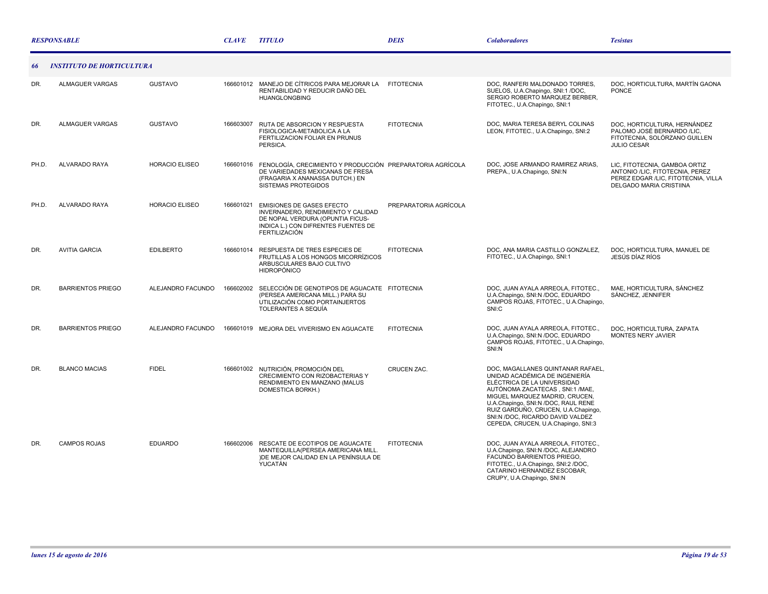|       | <b>RESPONSABLE</b>               |                       |           | <b>TITULO</b>                                                                                                                                                             | <b>DEIS</b>           | <b>Colaboradores</b>                                                                                                                                                                                                                                                                                                            | <b>Tesistas</b>                                                                                                                    |
|-------|----------------------------------|-----------------------|-----------|---------------------------------------------------------------------------------------------------------------------------------------------------------------------------|-----------------------|---------------------------------------------------------------------------------------------------------------------------------------------------------------------------------------------------------------------------------------------------------------------------------------------------------------------------------|------------------------------------------------------------------------------------------------------------------------------------|
| -66   | <b>INSTITUTO DE HORTICULTURA</b> |                       |           |                                                                                                                                                                           |                       |                                                                                                                                                                                                                                                                                                                                 |                                                                                                                                    |
| DR.   | <b>ALMAGUER VARGAS</b>           | <b>GUSTAVO</b>        |           | 166601012 MANEJO DE CÍTRICOS PARA MEJORAR LA<br>RENTABILIDAD Y REDUCIR DAÑO DEL<br><b>HUANGLONGBING</b>                                                                   | <b>FITOTECNIA</b>     | DOC. RANFERI MALDONADO TORRES.<br>SUELOS, U.A.Chapingo, SNI:1 /DOC,<br>SERGIO ROBERTO MARQUEZ BERBER,<br>FITOTEC., U.A.Chapingo, SNI:1                                                                                                                                                                                          | DOC. HORTICULTURA. MARTÍN GAONA<br>PONCE                                                                                           |
| DR.   | ALMAGUER VARGAS                  | <b>GUSTAVO</b>        | 166603007 | RUTA DE ABSORCION Y RESPUESTA<br>FISIOLOGICA-METABOLICA A LA<br>FERTILIZACION FOLIAR EN PRUNUS<br>PERSICA.                                                                | <b>FITOTECNIA</b>     | DOC, MARIA TERESA BERYL COLINAS<br>LEON, FITOTEC., U.A.Chapingo, SNI:2                                                                                                                                                                                                                                                          | DOC, HORTICULTURA, HERNÁNDEZ<br>PALOMO JOSÉ BERNARDO /LIC.<br>FITOTECNIA, SOLÓRZANO GUILLEN<br><b>JULIO CESAR</b>                  |
| PH.D. | <b>ALVARADO RAYA</b>             | <b>HORACIO ELISEO</b> | 166601016 | FENOLOGÍA, CRECIMIENTO Y PRODUCCIÓN PREPARATORIA AGRÍCOLA<br>DE VARIEDADES MEXICANAS DE FRESA<br>(FRAGARIA X ANANASSA DUTCH.) EN<br>SISTEMAS PROTEGIDOS                   |                       | DOC. JOSE ARMANDO RAMIREZ ARIAS.<br>PREPA., U.A.Chapingo, SNI:N                                                                                                                                                                                                                                                                 | LIC, FITOTECNIA, GAMBOA ORTIZ<br>ANTONIO /LIC, FITOTECNIA, PEREZ<br>PEREZ EDGAR /LIC, FITOTECNIA, VILLA<br>DELGADO MARIA CRISTIINA |
| PH.D. | ALVARADO RAYA                    | <b>HORACIO ELISEO</b> | 166601021 | <b>EMISIONES DE GASES EFECTO</b><br>INVERNADERO, RENDIMIENTO Y CALIDAD<br>DE NOPAL VERDURA (OPUNTIA FICUS-<br>INDICA L.) CON DIFRENTES FUENTES DE<br><b>FERTILIZACIÓN</b> | PREPARATORIA AGRÍCOLA |                                                                                                                                                                                                                                                                                                                                 |                                                                                                                                    |
| DR.   | <b>AVITIA GARCIA</b>             | <b>EDILBERTO</b>      | 166601014 | RESPUESTA DE TRES ESPECIES DE<br>FRUTILLAS A LOS HONGOS MICORRÍZICOS<br>ARBUSCULARES BAJO CULTIVO<br><b>HIDROPÓNICO</b>                                                   | <b>FITOTECNIA</b>     | DOC, ANA MARIA CASTILLO GONZALEZ,<br>FITOTEC., U.A.Chapingo, SNI:1                                                                                                                                                                                                                                                              | DOC. HORTICULTURA. MANUEL DE<br>JESÚS DÍAZ RÍOS                                                                                    |
| DR.   | <b>BARRIENTOS PRIEGO</b>         | ALEJANDRO FACUNDO     | 166602002 | SELECCIÓN DE GENOTIPOS DE AGUACATE FITOTECNIA<br>(PERSEA AMERICANA MILL.) PARA SU<br>UTILIZACIÓN COMO PORTAINJERTOS<br>TOLERANTES A SEQUÍA                                |                       | DOC, JUAN AYALA ARREOLA, FITOTEC.,<br>U.A.Chapingo, SNI:N /DOC, EDUARDO<br>CAMPOS ROJAS, FITOTEC., U.A.Chapingo,<br>SNI:C                                                                                                                                                                                                       | MAE. HORTICULTURA. SÁNCHEZ<br>SÁNCHEZ, JENNIFER                                                                                    |
| DR.   | <b>BARRIENTOS PRIEGO</b>         | ALEJANDRO FACUNDO     |           | 166601019 MEJORA DEL VIVERISMO EN AGUACATE                                                                                                                                | <b>FITOTECNIA</b>     | DOC, JUAN AYALA ARREOLA, FITOTEC.,<br>U.A.Chapingo, SNI:N /DOC, EDUARDO<br>CAMPOS ROJAS, FITOTEC., U.A.Chapingo,<br>SNI:N                                                                                                                                                                                                       | DOC. HORTICULTURA. ZAPATA<br>MONTES NERY JAVIER                                                                                    |
| DR.   | <b>BLANCO MACIAS</b>             | <b>FIDEL</b>          |           | 166601002 NUTRICIÓN, PROMOCIÓN DEL<br>CRECIMIENTO CON RIZOBACTERIAS Y<br>RENDIMIENTO EN MANZANO (MALUS<br>DOMESTICA BORKH.)                                               | CRUCEN ZAC.           | DOC, MAGALLANES QUINTANAR RAFAEL,<br>UNIDAD ACADÉMICA DE INGENIERÍA<br>ELÉCTRICA DE LA UNIVERSIDAD<br>AUTÓNOMA ZACATECAS, SNI:1/MAE,<br>MIGUEL MARQUEZ MADRID, CRUCEN,<br>U.A.Chapingo, SNI:N /DOC, RAUL RENE<br>RUIZ GARDUÑO, CRUCEN, U.A.Chapingo,<br>SNI:N /DOC, RICARDO DAVID VALDEZ<br>CEPEDA, CRUCEN, U.A.Chapingo, SNI:3 |                                                                                                                                    |
| DR.   | <b>CAMPOS ROJAS</b>              | <b>EDUARDO</b>        | 166602006 | RESCATE DE ECOTIPOS DE AGUACATE<br>MANTEQUILLA(PERSEA AMERICANA MILL.<br>)DE MEJOR CALIDAD EN LA PENÍNSULA DE<br><b>YUCATÁN</b>                                           | <b>FITOTECNIA</b>     | DOC, JUAN AYALA ARREOLA, FITOTEC.,<br>U.A.Chapingo, SNI:N /DOC, ALEJANDRO<br>FACUNDO BARRIENTOS PRIEGO.<br>FITOTEC., U.A.Chapingo, SNI:2 /DOC,<br>CATARINO HERNANDEZ ESCOBAR,<br>CRUPY, U.A.Chapingo, SNI:N                                                                                                                     |                                                                                                                                    |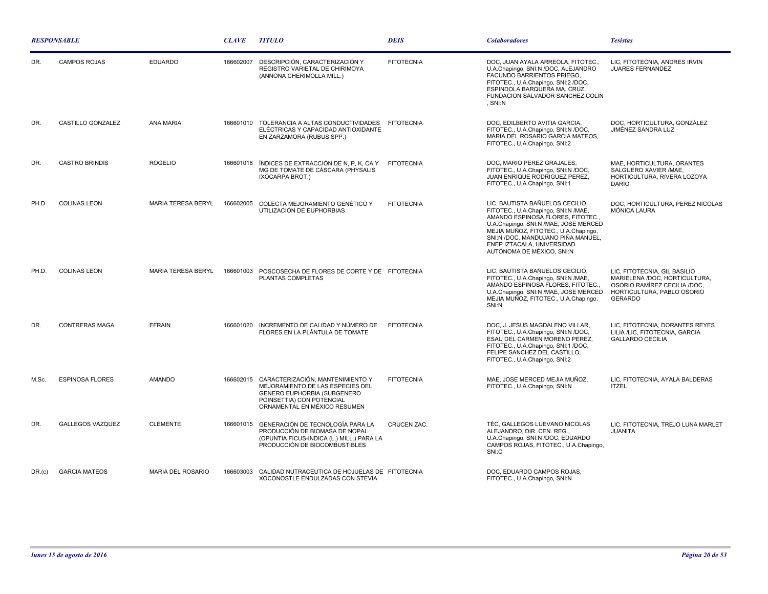| <b>RESPONSABLE</b> |                         |                          | <b>CLAVE</b> | <i><b>TITULO</b></i>                                                                                                                                             | <b>DEIS</b>        | <i><b>Colaboradores</b></i>                                                                                                                                                                                                                                                                   | <b>Tesistas</b>                                                                                                                               |
|--------------------|-------------------------|--------------------------|--------------|------------------------------------------------------------------------------------------------------------------------------------------------------------------|--------------------|-----------------------------------------------------------------------------------------------------------------------------------------------------------------------------------------------------------------------------------------------------------------------------------------------|-----------------------------------------------------------------------------------------------------------------------------------------------|
| DR.                | <b>CAMPOS ROJAS</b>     | <b>EDUARDO</b>           | 166602007    | DESCRIPCIÓN, CARACTERIZACIÓN Y<br>REGISTRO VARIETAL DE CHIRIMOYA<br>(ANNONA CHERIMOLLA MILL.)                                                                    | <b>FITOTECNIA</b>  | DOC, JUAN AYALA ARREOLA, FITOTEC.,<br>U.A.Chapingo, SNI:N /DOC, ALEJANDRO<br>FACUNDO BARRIENTOS PRIEGO,<br>FITOTEC., U.A.Chapingo, SNI:2 /DOC.<br>ESPINDOLA BARQUERA MA. CRUZ,<br>FUNDACION SALVADOR SANCHEZ COLIN<br>. SNI:N                                                                 | LIC, FITOTECNIA, ANDRES IRVIN<br><b>JUARES FERNANDEZ</b>                                                                                      |
| DR.                | CASTILLO GONZALEZ       | <b>ANA MARIA</b>         |              | 166601010 TOLERANCIA A ALTAS CONDUCTIVIDADES FITOTECNIA<br>ELÉCTRICAS Y CAPACIDAD ANTIOXIDANTE<br>EN ZARZAMORA (RUBUS SPP.)                                      |                    | DOC, EDILBERTO AVITIA GARCIA,<br>FITOTEC., U.A.Chapingo, SNI:N /DOC,<br>MARIA DEL ROSARIO GARCIA MATEOS,<br>FITOTEC., U.A.Chapingo, SNI:2                                                                                                                                                     | DOC, HORTICULTURA, GONZÁLEZ<br>JIMÉNEZ SANDRA LUZ                                                                                             |
| DR.                | <b>CASTRO BRINDIS</b>   | <b>ROGELIO</b>           | 166601018    | ÍNDICES DE EXTRACCIÓN DE N, P, K, CA Y<br>MG DE TOMATE DE CÁSCARA (PHYSALIS<br>IXOCARPA BROT.)                                                                   | <b>FITOTECNIA</b>  | DOC, MARIO PEREZ GRAJALES,<br>FITOTEC., U.A.Chapingo, SNI:N /DOC,<br>JUAN ENRIQUE RODRIGUEZ PEREZ,<br>FITOTEC., U.A.Chapingo, SNI:1                                                                                                                                                           | MAE, HORTICULTURA, ORANTES<br>SALGUERO XAVIER / MAE.<br>HORTICULTURA, RIVERA LOZOYA<br>DARÍO                                                  |
| PH.D.              | <b>COLINAS LEON</b>     | MARIA TERESA BERYL       | 166602005    | COLECTA MEJORAMIENTO GENÉTICO Y<br>UTILIZACIÓN DE EUPHORBIAS                                                                                                     | <b>FITOTECNIA</b>  | LIC, BAUTISTA BAÑUELOS CECILIO,<br>FITOTEC., U.A.Chapingo, SNI:N /MAE,<br>AMANDO ESPINOSA FLORES, FITOTEC.,<br>U.A.Chapingo, SNI:N /MAE, JOSE MERCED<br>MEJIA MUÑOZ, FITOTEC., U.A.Chapingo,<br>SNI:N /DOC, MANDUJANO PIÑA MANUEL,<br>ENEP IZTACALA, UNIVERSIDAD<br>AUTÓNOMA DE MÉXICO, SNI:N | DOC, HORTICULTURA, PEREZ NICOLAS<br>MÓNICA LAURA                                                                                              |
| PH.D.              | <b>COLINAS LEON</b>     | MARIA TERESA BERYL       |              | 166601003 POSCOSECHA DE FLORES DE CORTE Y DE FITOTECNIA<br>PLANTAS COMPLETAS                                                                                     |                    | LIC, BAUTISTA BAÑUELOS CECILIO,<br>FITOTEC., U.A.Chapingo, SNI:N /MAE,<br>AMANDO ESPINOSA FLORES, FITOTEC.,<br>U.A.Chapingo, SNI:N /MAE, JOSE MERCED<br>MEJIA MUÑOZ, FITOTEC., U.A.Chapingo,<br>SNI:N                                                                                         | LIC, FITOTECNIA, GIL BASILIO<br>MARIELENA /DOC, HORTICULTURA,<br>OSORIO RAMÍREZ CECILIA /DOC,<br>HORTICULTURA, PABLO OSORIO<br><b>GERARDO</b> |
| DR.                | <b>CONTRERAS MAGA</b>   | <b>EFRAIN</b>            |              | 166601020 INCREMENTO DE CALIDAD Y NÚMERO DE<br>FLORES EN LA PLÁNTULA DE TOMATE                                                                                   | <b>FITOTECNIA</b>  | DOC, J. JESUS MAGDALENO VILLAR,<br>FITOTEC., U.A.Chapingo, SNI:N /DOC,<br>ESAU DEL CARMEN MORENO PEREZ,<br>FITOTEC., U.A.Chapingo, SNI:1 /DOC,<br>FELIPE SANCHEZ DEL CASTILLO,<br>FITOTEC., U.A.Chapingo, SNI:2                                                                               | LIC. FITOTECNIA. DORANTES REYES<br>LILIA /LIC, FITOTECNIA, GARCIA<br><b>GALLARDO CECILIA</b>                                                  |
| M.Sc.              | <b>ESPINOSA FLORES</b>  | <b>AMANDO</b>            | 166602015    | CARACTERIZACIÓN. MANTENIMIENTO Y<br>MEJORAMIENTO DE LAS ESPECIES DEL<br>GENERO EUPHORBIA (SUBGENERO<br>POINSETTIA) CON POTENCIAL<br>ORNAMENTAL EN MÉXICO RESUMEN | <b>FITOTECNIA</b>  | MAE. JOSE MERCED MEJIA MUÑOZ.<br>FITOTEC., U.A.Chapingo, SNI:N                                                                                                                                                                                                                                | LIC. FITOTECNIA. AYALA BALDERAS<br><b>ITZEL</b>                                                                                               |
| DR.                | <b>GALLEGOS VAZQUEZ</b> | <b>CLEMENTE</b>          |              | 166601015 GENERACIÓN DE TECNOLOGÍA PARA LA<br>PRODUCCIÓN DE BIOMASA DE NOPAL<br>(OPUNTIA FICUS-INDICA (L.) MILL.) PARA LA<br>PRODUCCIÓN DE BIOCOMBUSTIBLES       | <b>CRUCEN ZAC.</b> | TÉC, GALLEGOS LUEVANO NICOLAS<br>ALEJANDRO, DIR. CEN. REG.,<br>U.A.Chapingo, SNI:N /DOC, EDUARDO<br>CAMPOS ROJAS, FITOTEC., U.A.Chapingo,<br>SNI:C                                                                                                                                            | LIC, FITOTECNIA, TREJO LUNA MARLET<br><b>JUANITA</b>                                                                                          |
| DR.(c)             | <b>GARCIA MATEOS</b>    | <b>MARIA DEL ROSARIO</b> |              | 166603003 CALIDAD NUTRACEUTICA DE HOJUELAS DE FITOTECNIA<br>XOCONOSTLE ENDULZADAS CON STEVIA                                                                     |                    | DOC, EDUARDO CAMPOS ROJAS,<br>FITOTEC., U.A.Chapingo, SNI:N                                                                                                                                                                                                                                   |                                                                                                                                               |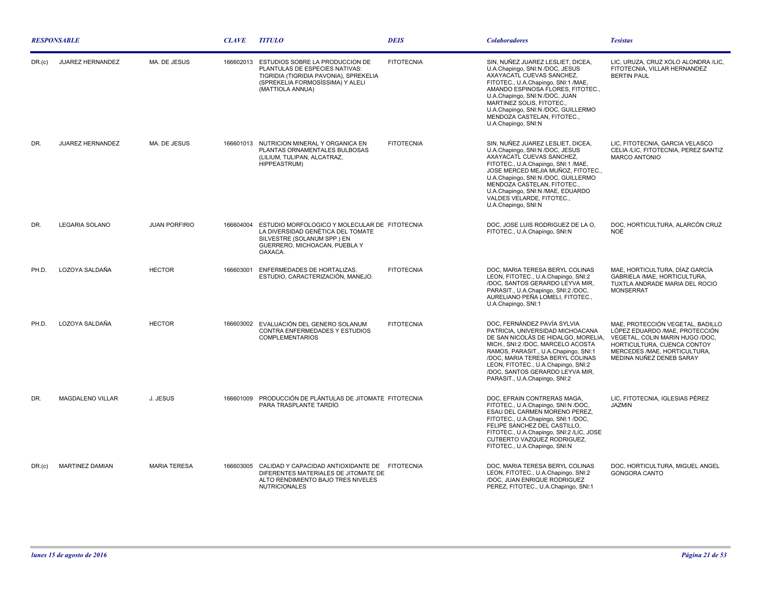| <b>RESPONSABLE</b> |                         |                      | <b>CLAVE</b> | <b>TITULO</b>                                                                                                                                                              | <b>DEIS</b>       | <b>Colaboradores</b>                                                                                                                                                                                                                                                                                                                          | <b>Tesistas</b>                                                                                                                                                                                  |
|--------------------|-------------------------|----------------------|--------------|----------------------------------------------------------------------------------------------------------------------------------------------------------------------------|-------------------|-----------------------------------------------------------------------------------------------------------------------------------------------------------------------------------------------------------------------------------------------------------------------------------------------------------------------------------------------|--------------------------------------------------------------------------------------------------------------------------------------------------------------------------------------------------|
| DR.(c)             | <b>JUAREZ HERNANDEZ</b> | MA. DE JESUS         | 166602013    | <b>ESTUDIOS SOBRE LA PRODUCCION DE</b><br>PLANTULAS DE ESPECIES NATIVAS:<br>TIGRIDIA (TIGRIDIA PAVONIA), SPREKELIA<br>(SPREKELIA FORMOSISSIMA) Y ALELI<br>(MATTIOLA ANNUA) | <b>FITOTECNIA</b> | SIN, NUÑEZ JUAREZ LESLIET, DICEA,<br>U.A.Chapingo, SNI:N /DOC, JESUS<br>AXAYACATL CUEVAS SANCHEZ,<br>FITOTEC., U.A.Chapingo, SNI:1 /MAE,<br>AMANDO ESPINOSA FLORES, FITOTEC.,<br>U.A.Chapingo, SNI:N /DOC, JUAN<br>MARTINEZ SOLIS, FITOTEC.,<br>U.A.Chapingo, SNI:N /DOC, GUILLERMO<br>MENDOZA CASTELAN, FITOTEC.,<br>U.A.Chapingo, SNI:N     | LIC, URUZA, CRUZ XOLO ALONDRA /LIC,<br>FITOTECNIA. VILLAR HERNANDEZ<br><b>BERTIN PAUL</b>                                                                                                        |
| DR.                | <b>JUAREZ HERNANDEZ</b> | MA, DE JESUS         |              | 166601013 NUTRICION MINERAL Y ORGANICA EN<br>PLANTAS ORNAMENTALES BULBOSAS<br>(LILIUM, TULIPAN, ALCATRAZ,<br>HIPPEASTRUM)                                                  | <b>FITOTECNIA</b> | SIN. NUÑEZ JUAREZ LESLIET. DICEA.<br>U.A.Chapingo, SNI:N /DOC, JESUS<br>AXAYACATL CUEVAS SANCHEZ.<br>FITOTEC., U.A.Chapingo, SNI:1 /MAE,<br>JOSE MERCED MEJIA MUÑOZ, FITOTEC.,<br>U.A.Chapingo, SNI:N /DOC, GUILLERMO<br>MENDOZA CASTELAN, FITOTEC.,<br>U.A.Chapingo, SNI:N /MAE, EDUARDO<br>VALDES VELARDE, FITOTEC.,<br>U.A.Chapingo, SNI:N | LIC. FITOTECNIA. GARCIA VELASCO<br>CELIA /LIC, FITOTECNIA, PEREZ SANTIZ<br><b>MARCO ANTONIO</b>                                                                                                  |
| DR.                | <b>LEGARIA SOLANO</b>   | <b>JUAN PORFIRIO</b> |              | 166604004 ESTUDIO MORFOLOGICO Y MOLECULAR DE FITOTECNIA<br>LA DIVERSIDAD GENÉTICA DEL TOMATE<br>SILVESTRE (SOLANUM SPP.) EN<br>GUERRERO, MICHOACAN, PUEBLA Y<br>OAXACA.    |                   | DOC, JOSE LUIS RODRIGUEZ DE LA O,<br>FITOTEC., U.A.Chapingo, SNI:N                                                                                                                                                                                                                                                                            | DOC, HORTICULTURA, ALARCÓN CRUZ<br>NOÉ                                                                                                                                                           |
| PH.D.              | LOZOYA SALDAÑA          | <b>HECTOR</b>        | 166603001    | ENFERMEDADES DE HORTALIZAS.<br>ESTUDIO, CARACTERIZACIÓN, MANEJO.                                                                                                           | <b>FITOTECNIA</b> | DOC, MARIA TERESA BERYL COLINAS<br>LEON, FITOTEC., U.A.Chapingo, SNI:2<br>/DOC, SANTOS GERARDO LEYVA MIR,<br>PARASIT., U.A.Chapingo, SNI:2 /DOC,<br>AURELIANO PEÑA LOMELI, FITOTEC.,<br>U.A.Chapingo, SNI:1                                                                                                                                   | MAE, HORTICULTURA, DÍAZ GARCÍA<br>GABRIELA /MAE, HORTICULTURA,<br>TUXTLA ANDRADE MARIA DEL ROCIO<br><b>MONSERRAT</b>                                                                             |
| PH.D.              | LOZOYA SALDAÑA          | <b>HECTOR</b>        |              | 166603002 EVALUACIÓN DEL GENERO SOLANUM<br>CONTRA ENFERMEDADES Y ESTUDIOS<br><b>COMPLEMENTARIOS</b>                                                                        | <b>FITOTECNIA</b> | DOC. FERNÁNDEZ PAVÍA SYLVIA<br>PATRICIA, UNIVERSIDAD MICHOACANA<br>DE SAN NICOLÁS DE HIDALGO, MORELIA.<br>MICH., SNI:2 /DOC, MARCELO ACOSTA<br>RAMOS, PARASIT., U.A.Chapingo, SNI:1<br>/DOC, MARIA TERESA BERYL COLINAS<br>LEON, FITOTEC., U.A.Chapingo, SNI:2<br>/DOC, SANTOS GERARDO LEYVA MIR,<br>PARASIT., U.A.Chapingo, SNI:2            | MAE, PROTECCIÓN VEGETAL, BADILLO<br>LÓPEZ EDUARDO /MAE, PROTECCIÓN<br>VEGETAL, COLIN MARIN HUGO /DOC,<br>HORTICULTURA, CUENCA CONTOY<br>MERCEDES /MAE, HORTICULTURA,<br>MEDINA NUÑEZ DENEB SARAY |
| DR.                | <b>MAGDALENO VILLAR</b> | J. JESUS             | 166601009    | PRODUCCIÓN DE PLÁNTULAS DE JITOMATE FITOTECNIA<br>PARA TRASPLANTE TARDÍO                                                                                                   |                   | DOC, EFRAIN CONTRERAS MAGA,<br>FITOTEC., U.A.Chapingo, SNI:N /DOC,<br>ESAU DEL CARMEN MORENO PEREZ,<br>FITOTEC., U.A.Chapingo, SNI:1 /DOC,<br>FELIPE SANCHEZ DEL CASTILLO,<br>FITOTEC., U.A.Chapingo, SNI:2 /LIC, JOSE<br>CUTBERTO VAZQUEZ RODRIGUEZ,<br>FITOTEC., U.A.Chapingo, SNI:N                                                        | LIC. FITOTECNIA. IGLESIAS PÉREZ<br><b>JAZMIN</b>                                                                                                                                                 |
| DR.(c)             | <b>MARTINEZ DAMIAN</b>  | <b>MARIA TERESA</b>  | 166603005    | CALIDAD Y CAPACIDAD ANTIOXIDANTE DE FITOTECNIA<br>DIFERENTES MATERIALES DE JITOMATE DE<br>ALTO RENDIMIENTO BAJO TRES NIVELES<br><b>NUTRICIONALES</b>                       |                   | DOC, MARIA TERESA BERYL COLINAS<br>LEON, FITOTEC., U.A.Chapingo, SNI:2<br>/DOC, JUAN ENRIQUE RODRIGUEZ<br>PEREZ, FITOTEC., U.A.Chapingo, SNI:1                                                                                                                                                                                                | DOC, HORTICULTURA, MIGUEL ANGEL<br><b>GONGORA CANTO</b>                                                                                                                                          |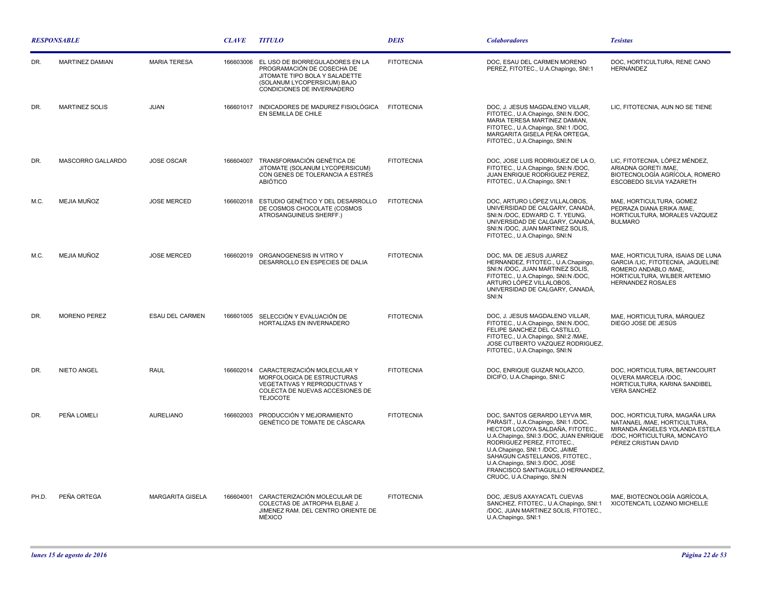| <b>RESPONSABLE</b> |                       |                         | <b>CLAVE</b> | <b>TITULO</b>                                                                                                                                                          | <b>DEIS</b>       | <b>Colaboradores</b>                                                                                                                                                                                                                                                                                                                                    | <b>Tesistas</b>                                                                                                                                             |
|--------------------|-----------------------|-------------------------|--------------|------------------------------------------------------------------------------------------------------------------------------------------------------------------------|-------------------|---------------------------------------------------------------------------------------------------------------------------------------------------------------------------------------------------------------------------------------------------------------------------------------------------------------------------------------------------------|-------------------------------------------------------------------------------------------------------------------------------------------------------------|
| DR.                | MARTINEZ DAMIAN       | <b>MARIA TERESA</b>     |              | 166603006 EL USO DE BIORREGULADORES EN LA<br>PROGRAMACIÓN DE COSECHA DE<br>JITOMATE TIPO BOLA Y SALADETTE<br>(SOLANUM LYCOPERSICUM) BAJO<br>CONDICIONES DE INVERNADERO | <b>FITOTECNIA</b> | DOC, ESAU DEL CARMEN MORENO<br>PEREZ, FITOTEC., U.A.Chapingo, SNI:1                                                                                                                                                                                                                                                                                     | DOC. HORTICULTURA. RENE CANO<br><b>HERNÁNDEZ</b>                                                                                                            |
| DR.                | <b>MARTINEZ SOLIS</b> | <b>JUAN</b>             |              | 166601017 INDICADORES DE MADUREZ FISIOLÓGICA FITOTECNIA<br>EN SEMILLA DE CHILE                                                                                         |                   | DOC, J. JESUS MAGDALENO VILLAR,<br>FITOTEC., U.A.Chapingo, SNI:N /DOC,<br>MARIA TERESA MARTINEZ DAMIAN,<br>FITOTEC., U.A.Chapingo, SNI:1 /DOC,<br>MARGARITA GISELA PEÑA ORTEGA.<br>FITOTEC., U.A.Chapingo, SNI:N                                                                                                                                        | LIC, FITOTECNIA, AUN NO SE TIENE                                                                                                                            |
| DR.                | MASCORRO GALLARDO     | <b>JOSE OSCAR</b>       | 166604007    | TRANSFORMACIÓN GENÉTICA DE<br>JITOMATE (SOLANUM LYCOPERSICUM)<br>CON GENES DE TOLERANCIA A ESTRÉS<br><b>ABIÓTICO</b>                                                   | <b>FITOTECNIA</b> | DOC, JOSE LUIS RODRIGUEZ DE LA O,<br>FITOTEC., U.A.Chapingo, SNI:N /DOC,<br>JUAN ENRIQUE RODRIGUEZ PEREZ,<br>FITOTEC., U.A.Chapingo, SNI:1                                                                                                                                                                                                              | LIC, FITOTECNIA, LÓPEZ MÉNDEZ,<br>ARIADNA GORETI / MAE,<br>BIOTECNOLOGÍA AGRÍCOLA, ROMERO<br>ESCOBEDO SILVIA YAZARETH                                       |
| M.C.               | MEJIA MUÑOZ           | <b>JOSE MERCED</b>      |              | 166602018 ESTUDIO GENÉTICO Y DEL DESARROLLO<br>DE COSMOS CHOCOLATE (COSMOS<br>ATROSANGUINEUS SHERFF.)                                                                  | <b>FITOTECNIA</b> | DOC. ARTURO LÓPEZ VILLALOBOS.<br>UNIVERSIDAD DE CALGARY, CANADÁ,<br>SNI:N /DOC. EDWARD C. T. YEUNG.<br>UNIVERSIDAD DE CALGARY, CANADÁ,<br>SNI:N /DOC, JUAN MARTINEZ SOLIS,<br>FITOTEC., U.A.Chapingo, SNI:N                                                                                                                                             | MAE. HORTICULTURA. GOMEZ<br>PEDRAZA DIANA ERIKA / MAE.<br>HORTICULTURA, MORALES VAZQUEZ<br><b>BULMARO</b>                                                   |
| M.C.               | MEJIA MUÑOZ           | <b>JOSE MERCED</b>      |              | 166602019 ORGANOGENESIS IN VITRO Y<br>DESARROLLO EN ESPECIES DE DALIA                                                                                                  | <b>FITOTECNIA</b> | DOC, MA. DE JESUS JUAREZ<br>HERNANDEZ, FITOTEC., U.A.Chapingo.<br>SNI:N /DOC, JUAN MARTINEZ SOLIS,<br>FITOTEC., U.A.Chapingo, SNI:N /DOC,<br>ARTURO LÓPEZ VILLALOBOS,<br>UNIVERSIDAD DE CALGARY, CANADÁ,<br>SNI:N                                                                                                                                       | MAE, HORTICULTURA, ISAIAS DE LUNA<br>GARCIA /LIC. FITOTECNIA. JAQUELINE<br>ROMERO ANDABLO /MAE.<br>HORTICULTURA, WILBER ARTEMIO<br><b>HERNANDEZ ROSALES</b> |
| DR.                | <b>MORENO PEREZ</b>   | <b>ESAU DEL CARMEN</b>  | 166601005    | SELECCIÓN Y EVALUACIÓN DE<br>HORTALIZAS EN INVERNADERO                                                                                                                 | <b>FITOTECNIA</b> | DOC. J. JESUS MAGDALENO VILLAR.<br>FITOTEC., U.A.Chapingo, SNI:N /DOC,<br>FELIPE SANCHEZ DEL CASTILLO,<br>FITOTEC., U.A.Chapingo, SNI:2 /MAE,<br>JOSE CUTBERTO VAZQUEZ RODRIGUEZ,<br>FITOTEC., U.A.Chapingo, SNI:N                                                                                                                                      | MAE, HORTICULTURA, MÁRQUEZ<br>DIEGO JOSE DE JESÚS                                                                                                           |
| DR.                | NIETO ANGEL           | RAUL                    |              | 166602014 CARACTERIZACIÓN MOLECULAR Y<br>MORFOLOGICA DE ESTRUCTURAS<br>VEGETATIVAS Y REPRODUCTIVAS Y<br>COLECTA DE NUEVAS ACCESIONES DE<br><b>TEJOCOTE</b>             | <b>FITOTECNIA</b> | DOC, ENRIQUE GUIZAR NOLAZCO,<br>DICIFO, U.A.Chapingo, SNI:C                                                                                                                                                                                                                                                                                             | DOC. HORTICULTURA. BETANCOURT<br>OLVERA MARCELA /DOC.<br>HORTICULTURA, KARINA SANDIBEL<br><b>VERA SANCHEZ</b>                                               |
| DR.                | PEÑA LOMELI           | <b>AURELIANO</b>        | 166602003    | PRODUCCIÓN Y MEJORAMIENTO<br>GENÉTICO DE TOMATE DE CÁSCARA                                                                                                             | <b>FITOTECNIA</b> | DOC, SANTOS GERARDO LEYVA MIR,<br>PARASIT., U.A.Chapingo, SNI:1 /DOC,<br>HECTOR LOZOYA SALDAÑA, FITOTEC.<br>U.A.Chapingo, SNI:3 /DOC, JUAN ENRIQUE<br>RODRIGUEZ PEREZ, FITOTEC<br>U.A.Chapingo, SNI:1/DOC, JAIME<br>SAHAGUN CASTELLANOS, FITOTEC.,<br>U.A.Chapingo, SNI:3 /DOC, JOSE<br>FRANCISCO SANTIAGUILLO HERNANDEZ,<br>CRUOC, U.A.Chapingo, SNI:N | DOC, HORTICULTURA, MAGAÑA LIRA<br>NATANAEL /MAE, HORTICULTURA,<br>MIRANDA ÁNGELES YOLANDA ESTELA<br>/DOC. HORTICULTURA. MONCAYO<br>PÉREZ CRISTIAN DAVID     |
| PH.D.              | PEÑA ORTEGA           | <b>MARGARITA GISELA</b> | 166604001    | CARACTERIZACIÓN MOLECULAR DE<br>COLECTAS DE JATROPHA ELBAE J.<br>JIMENEZ RAM. DEL CENTRO ORIENTE DE<br>MÉXICO                                                          | <b>FITOTECNIA</b> | DOC. JESUS AXAYACATL CUEVAS<br>SANCHEZ, FITOTEC., U.A.Chapingo, SNI:1<br>/DOC, JUAN MARTINEZ SOLIS, FITOTEC.,<br>U.A.Chapingo, SNI:1                                                                                                                                                                                                                    | MAE. BIOTECNOLOGÍA AGRÍCOLA.<br>XICOTENCATL LOZANO MICHELLE                                                                                                 |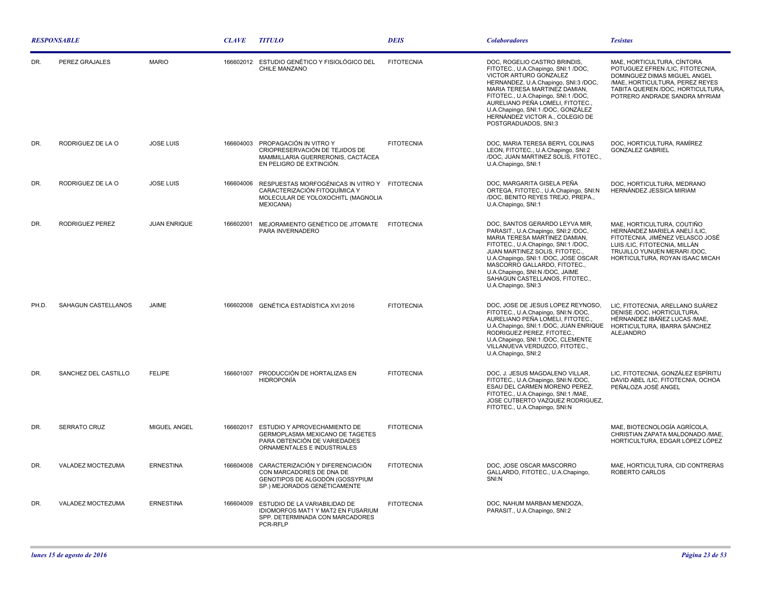| <b>RESPONSABLE</b> |                      |                     | <b>CLAVE</b> | <b>TITULO</b>                                                                                                                     | <b>DEIS</b>       | <b>Colaboradores</b>                                                                                                                                                                                                                                                                                                                                | <b>Tesistas</b>                                                                                                                                                                                         |
|--------------------|----------------------|---------------------|--------------|-----------------------------------------------------------------------------------------------------------------------------------|-------------------|-----------------------------------------------------------------------------------------------------------------------------------------------------------------------------------------------------------------------------------------------------------------------------------------------------------------------------------------------------|---------------------------------------------------------------------------------------------------------------------------------------------------------------------------------------------------------|
| DR.                | PEREZ GRAJALES       | <b>MARIO</b>        |              | 166602012 ESTUDIO GENÉTICO Y FISIOLÓGICO DEL<br>CHILE MANZANO                                                                     | <b>FITOTECNIA</b> | DOC. ROGELIO CASTRO BRINDIS.<br>FITOTEC., U.A.Chapingo, SNI:1 /DOC,<br>VICTOR ARTURO GONZALEZ<br>HERNANDEZ, U.A.Chapingo, SNI:3 /DOC,<br>MARIA TERESA MARTINEZ DAMIAN,<br>FITOTEC., U.A.Chapingo, SNI:1 /DOC,<br>AURELIANO PEÑA LOMELI, FITOTEC.,<br>U.A.Chapingo, SNI:1 /DOC, GONZÁLEZ<br>HERNÁNDEZ VICTOR A., COLEGIO DE<br>POSTGRADUADOS, SNI:3  | MAE, HORTICULTURA, CÍNTORA<br>POTUGUEZ EFREN /LIC. FITOTECNIA.<br>DOMINGUEZ DIMAS MIGUEL ANGEL<br>/MAE, HORTICULTURA, PEREZ REYES<br>TABITA QUEREN /DOC, HORTICULTURA,<br>POTRERO ANDRADE SANDRA MYRIAM |
| DR.                | RODRIGUEZ DE LA O    | <b>JOSE LUIS</b>    | 166604003    | PROPAGACIÓN IN VITRO Y<br>CRIOPRESERVACIÓN DE TEJIDOS DE<br>MAMMILLARIA GUERRERONIS, CACTÁCEA<br>EN PELIGRO DE EXTINCIÓN.         | <b>FITOTECNIA</b> | DOC, MARIA TERESA BERYL COLINAS<br>LEON, FITOTEC., U.A.Chapingo, SNI:2<br>/DOC, JUAN MARTINEZ SOLIS, FITOTEC.,<br>U.A.Chapingo, SNI:1                                                                                                                                                                                                               | DOC, HORTICULTURA, RAMÍREZ<br><b>GONZALEZ GABRIEL</b>                                                                                                                                                   |
| DR.                | RODRIGUEZ DE LA O    | <b>JOSE LUIS</b>    | 166604006    | RESPUESTAS MORFOGÉNICAS IN VITRO Y FITOTECNIA<br>CARACTERIZACIÓN FITOQUÍMICA Y<br>MOLECULAR DE YOLOXOCHITL (MAGNOLIA<br>MEXICANA) |                   | DOC, MARGARITA GISELA PEÑA<br>ORTEGA, FITOTEC., U.A.Chapingo, SNI:N<br>/DOC, BENITO REYES TREJO, PREPA.,<br>U.A.Chapingo, SNI:1                                                                                                                                                                                                                     | DOC, HORTICULTURA, MEDRANO<br>HERNÁNDEZ JESSICA MIRIAM                                                                                                                                                  |
| DR.                | RODRIGUEZ PEREZ      | <b>JUAN ENRIQUE</b> | 166602001    | MEJORAMIENTO GENÉTICO DE JITOMATE<br>PARA INVERNADERO                                                                             | <b>FITOTECNIA</b> | DOC, SANTOS GERARDO LEYVA MIR,<br>PARASIT., U.A.Chapingo, SNI:2 /DOC.<br>MARIA TERESA MARTINEZ DAMIAN,<br>FITOTEC., U.A.Chapingo, SNI:1 /DOC,<br>JUAN MARTINEZ SOLIS, FITOTEC.,<br>U.A.Chapingo, SNI:1 /DOC, JOSE OSCAR<br>MASCORRO GALLARDO, FITOTEC.,<br>U.A.Chapingo, SNI:N /DOC, JAIME<br>SAHAGUN CASTELLANOS, FITOTEC.,<br>U.A.Chapingo, SNI:3 | MAE, HORTICULTURA, COUTIÑO<br>HERNÁNDEZ MARIELA ANELÍ /LIC.<br>FITOTECNIA, JIMÉNEZ VELASCO JOSÉ<br>LUIS /LIC, FITOTECNIA, MILLÁN<br>TRUJILLO YUNUEN MERARI /DOC<br>HORTICULTURA, ROYAN ISAAC MICAH      |
| PH D               | SAHAGUN CASTELLANOS  | JAIME               |              | 166602008 GENÉTICA ESTADÍSTICA XVI 2016                                                                                           | <b>FITOTECNIA</b> | DOC, JOSE DE JESUS LOPEZ REYNOSO,<br>FITOTEC., U.A.Chapingo, SNI:N /DOC,<br>AURELIANO PEÑA LOMELI, FITOTEC.<br>U.A.Chapingo, SNI:1 /DOC, JUAN ENRIQUE<br>RODRIGUEZ PEREZ, FITOTEC.,<br>U.A.Chapingo, SNI:1 /DOC, CLEMENTE<br>VILLANUEVA VERDUZCO, FITOTEC.,<br>U.A.Chapingo, SNI:2                                                                  | LIC, FITOTECNIA, ARELLANO SUÁREZ<br>DENISE /DOC. HORTICULTURA.<br>HÉRNANDEZ IBÁÑEZ LUCAS / MAE,<br>HORTICULTURA, IBARRA SÁNCHEZ<br><b>ALEJANDRO</b>                                                     |
| DR.                | SANCHEZ DEL CASTILLO | <b>FELIPE</b>       |              | 166601007 PRODUCCIÓN DE HORTALIZAS EN<br><b>HIDROPONÍA</b>                                                                        | <b>FITOTECNIA</b> | DOC, J. JESUS MAGDALENO VILLAR,<br>FITOTEC., U.A.Chapingo, SNI:N /DOC,<br>ESAU DEL CARMEN MORENO PEREZ.<br>FITOTEC., U.A.Chapingo, SNI:1 /MAE,<br>JOSE CUTBERTO VAZQUEZ RODRIGUEZ,<br>FITOTEC., U.A.Chapingo, SNI:N                                                                                                                                 | LIC, FITOTECNIA, GONZÁLEZ ESPÍRITU<br>DAVID ABEL /LIC. FITOTECNIA. OCHOA<br>PEÑALOZA JOSÉ ANGEL                                                                                                         |
| DR.                | SERRATO CRUZ         | MIGUEL ANGEL        | 166602017    | ESTUDIO Y APROVECHAMIENTO DE<br>GERMOPLASMA MEXICANO DE TAGETES<br>PARA OBTENCIÓN DE VARIEDADES<br>ORNAMENTALES E INDUSTRIALES    | <b>FITOTECNIA</b> |                                                                                                                                                                                                                                                                                                                                                     | MAE, BIOTECNOLOGÍA AGRÍCOLA,<br>CHRISTIAN ZAPATA MALDONADO / MAE,<br>HORTICULTURA, EDGAR LÓPEZ LÓPEZ                                                                                                    |
| DR.                | VALADEZ MOCTEZUMA    | <b>ERNESTINA</b>    | 166604008    | CARACTERIZACIÓN Y DIFERENCIACIÓN<br>CON MARCADORES DE DNA DE<br>GENOTIPOS DE ALGODÓN (GOSSYPIUM<br>SP.) MEJORADOS GENÉTICAMENTE   | <b>FITOTECNIA</b> | DOC, JOSE OSCAR MASCORRO<br>GALLARDO, FITOTEC., U.A.Chapingo,<br>SNI:N                                                                                                                                                                                                                                                                              | MAE, HORTICULTURA, CID CONTRERAS<br>ROBERTO CARLOS                                                                                                                                                      |
| DR.                | VALADEZ MOCTEZUMA    | <b>ERNESTINA</b>    | 166604009    | ESTUDIO DE LA VARIABILIDAD DE<br>IDIOMORFOS MAT1 Y MAT2 EN FUSARIUM<br>SPP. DETERMINADA CON MARCADORES<br>PCR-RFLP                | <b>FITOTECNIA</b> | DOC, NAHUM MARBAN MENDOZA,<br>PARASIT., U.A.Chapingo, SNI:2                                                                                                                                                                                                                                                                                         |                                                                                                                                                                                                         |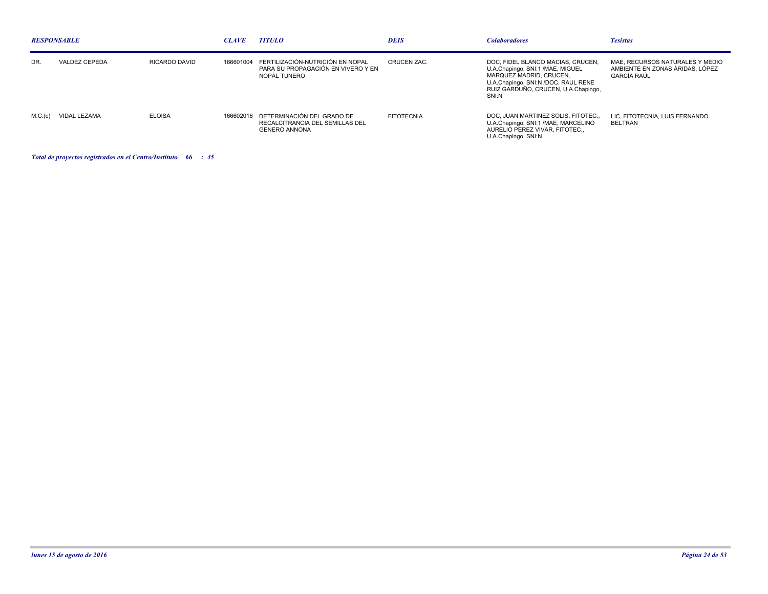| <b>RESPONSABLE</b> |                      |               | <b>CLAVE</b> | <b>TITULO</b>                                                                                   | <b>DEIS</b>       | <b>Colaboradores</b>                                                                                                                                                                    | <b>Tesistas</b>                                                                          |
|--------------------|----------------------|---------------|--------------|-------------------------------------------------------------------------------------------------|-------------------|-----------------------------------------------------------------------------------------------------------------------------------------------------------------------------------------|------------------------------------------------------------------------------------------|
| DR.                | VALDEZ CEPEDA        | RICARDO DAVID | 166601004    | FERTILIZACIÓN-NUTRICIÓN EN NOPAL<br>PARA SU PROPAGACIÓN EN VIVERO Y EN<br>NOPAL TUNERO          | CRUCEN ZAC.       | DOC, FIDEL BLANCO MACIAS, CRUCEN,<br>U.A.Chapingo, SNI:1 /MAE, MIGUEL<br>MARQUEZ MADRID, CRUCEN.<br>U.A.Chapingo, SNI:N /DOC, RAUL RENE<br>RUIZ GARDUÑO, CRUCEN, U.A.Chapingo,<br>SNI:N | MAE, RECURSOS NATURALES Y MEDIO<br>AMBIENTE EN ZONAS ÁRIDAS. LÓPEZ<br><b>GARCÍA RAÚL</b> |
|                    | M.C.(c) VIDAL LEZAMA | <b>ELOISA</b> |              | 166602016 DETERMINACIÓN DEL GRADO DE<br>RECALCITRANCIA DEL SEMILLAS DEL<br><b>GENERO ANNONA</b> | <b>FITOTECNIA</b> | DOC. JUAN MARTINEZ SOLIS. FITOTEC<br>U.A.Chapingo, SNI:1 /MAE, MARCELINO<br>AURELIO PEREZ VIVAR, FITOTEC.,<br>U.A.Chapingo, SNI:N                                                       | LIC. FITOTECNIA. LUIS FERNANDO<br>BELTRAN                                                |

*Total de proyectos registrados en el Centro/Instituto : 66 45*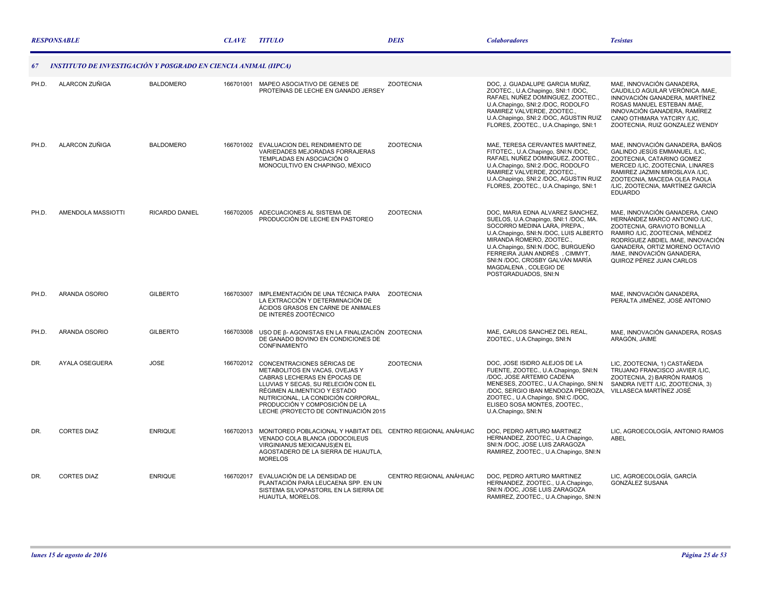|       | <b>RESPONSABLE</b>                                              |                  | <b>CLAVE</b> | <i><b>TITULO</b></i>                                                                                                                                                                                                                                                                           | <b>DEIS</b>             | <b>Colaboradores</b>                                                                                                                                                                                                                                                                                                                     | <b>Tesistas</b>                                                                                                                                                                                                                                                    |
|-------|-----------------------------------------------------------------|------------------|--------------|------------------------------------------------------------------------------------------------------------------------------------------------------------------------------------------------------------------------------------------------------------------------------------------------|-------------------------|------------------------------------------------------------------------------------------------------------------------------------------------------------------------------------------------------------------------------------------------------------------------------------------------------------------------------------------|--------------------------------------------------------------------------------------------------------------------------------------------------------------------------------------------------------------------------------------------------------------------|
|       | INSTITUTO DE INVESTIGACIÓN Y POSGRADO EN CIENCIA ANIMAL (IIPCA) |                  |              |                                                                                                                                                                                                                                                                                                |                         |                                                                                                                                                                                                                                                                                                                                          |                                                                                                                                                                                                                                                                    |
| PH.D. | ALARCON ZUÑIGA                                                  | <b>BALDOMERO</b> |              | 166701001 MAPEO ASOCIATIVO DE GENES DE<br>PROTEÍNAS DE LECHE EN GANADO JERSEY                                                                                                                                                                                                                  | <b>ZOOTECNIA</b>        | DOC, J. GUADALUPE GARCIA MUÑIZ,<br>ZOOTEC., U.A.Chapingo, SNI:1 /DOC,<br>RAFAEL NUÑEZ DOMINGUEZ, ZOOTEC.,<br>U.A.Chapingo, SNI:2 /DOC, RODOLFO<br>RAMIREZ VALVERDE, ZOOTEC.,<br>U.A.Chapingo, SNI:2 /DOC, AGUSTIN RUIZ<br>FLORES, ZOOTEC., U.A.Chapingo, SNI:1                                                                           | MAE, INNOVACIÓN GANADERA,<br>CAUDILLO AGUILAR VERÓNICA /MAE.<br>INNOVACIÓN GANADERA, MARTÍNEZ<br>ROSAS MANUEL ESTEBAN / MAE.<br>INNOVACIÓN GANADERA, RAMÍREZ<br>CANO OTHMARA YATCIRY /LIC,<br>ZOOTECNIA, RUIZ GONZALEZ WENDY                                       |
| PH.D. | ALARCON ZUÑIGA                                                  | <b>BALDOMERO</b> |              | 166701002 EVALUACION DEL RENDIMIENTO DE<br>VARIEDADES MEJORADAS FORRAJERAS<br>TEMPLADAS EN ASOCIACIÓN O<br>MONOCULTIVO EN CHAPINGO, MÉXICO                                                                                                                                                     | <b>ZOOTECNIA</b>        | MAE, TERESA CERVANTES MARTINEZ,<br>FITOTEC., U.A.Chapingo, SNI:N /DOC,<br>RAFAEL NUÑEZ DOMINGUEZ, ZOOTEC.,<br>U.A.Chapingo, SNI:2 /DOC, RODOLFO<br>RAMIREZ VALVERDE, ZOOTEC.,<br>U.A.Chapingo, SNI:2 /DOC, AGUSTIN RUIZ<br>FLORES, ZOOTEC., U.A.Chapingo, SNI:1                                                                          | MAE, INNOVACIÓN GANADERA, BAÑOS<br>GALINDO JESÚS EMMANUEL /LIC,<br>ZOOTECNIA, CATARINO GOMEZ<br>MERCED /LIC, ZOOTECNIA, LINARES<br>RAMIREZ JAZMIN MIROSLAVA /LIC,<br>ZOOTECNIA. MACEDA OLEA PAOLA<br>/LIC, ZOOTECNIA, MARTÍNEZ GARCÍA<br><b>EDUARDO</b>            |
| PH.D. | AMENDOLA MASSIOTTI                                              | RICARDO DANIEL   |              | 166702005 ADECUACIONES AL SISTEMA DE<br>PRODUCCIÓN DE LECHE EN PASTOREO                                                                                                                                                                                                                        | <b>ZOOTECNIA</b>        | DOC. MARIA EDNA ALVAREZ SANCHEZ.<br>SUELOS, U.A.Chapingo, SNI:1 /DOC, MA.<br>SOCORRO MEDINA LARA, PREPA<br>U.A.Chapingo, SNI:N /DOC, LUIS ALBERTO<br>MIRANDA ROMERO, ZOOTEC.<br>U.A.Chapingo, SNI:N /DOC, BURGUEÑO<br>FERREIRA JUAN ANDRÉS, CIMMYT,<br>SNI:N /DOC, CROSBY GALVÁN MARÍA<br>MAGDALENA . COLEGIO DE<br>POSTGRADUADOS, SNI:N | MAE, INNOVACIÓN GANADERA, CANO<br>HERNÁNDEZ MARCO ANTONIO /LIC,<br>ZOOTECNIA, GRAVIOTO BONILLA<br>RAMIRO /LIC, ZOOTECNIA, MÉNDEZ<br>RODRÍGUEZ ABDIEL / MAE. INNOVACIÓN<br>GANADERA, ORTIZ MORENO OCTAVIO<br>/MAE, INNOVACIÓN GANADERA,<br>QUIROZ PÉREZ JUAN CARLOS |
| PH.D. | ARANDA OSORIO                                                   | <b>GILBERTO</b>  |              | 166703007 IMPLEMENTACIÓN DE UNA TÉCNICA PARA ZOOTECNIA<br>LA EXTRACCIÓN Y DETERMINACIÓN DE<br>ÁCIDOS GRASOS EN CARNE DE ANIMALES<br>DE INTERÉS ZOOTÉCNICO                                                                                                                                      |                         |                                                                                                                                                                                                                                                                                                                                          | MAE. INNOVACIÓN GANADERA.<br>PERALTA JIMÉNEZ. JOSÉ ANTONIO                                                                                                                                                                                                         |
| PH.D. | ARANDA OSORIO                                                   | <b>GILBERTO</b>  | 166703008    | USO DE β- AGONISTAS EN LA FINALIZACIÓN ZOOTECNIA<br>DE GANADO BOVINO EN CONDICIONES DE<br>CONFINAMIENTO                                                                                                                                                                                        |                         | MAE, CARLOS SANCHEZ DEL REAL.<br>ZOOTEC., U.A.Chapingo, SNI:N                                                                                                                                                                                                                                                                            | MAE. INNOVACIÓN GANADERA, ROSAS<br>ARAGÓN, JAIME                                                                                                                                                                                                                   |
| DR.   | AYALA OSEGUERA                                                  | <b>JOSE</b>      |              | 166702012 CONCENTRACIONES SÉRICAS DE<br>METABOLITOS EN VACAS, OVEJAS Y<br>CABRAS LECHERAS EN ÉPOCAS DE<br>LLUVIAS Y SECAS. SU RELECIÓN CON EL<br>RÉGIMEN ALIMENTICIO Y ESTADO<br>NUTRICIONAL, LA CONDICIÓN CORPORAL,<br>PRODUCCIÓN Y COMPOSICIÓN DE LA<br>LECHE (PROYECTO DE CONTINUACIÓN 2015 | <b>ZOOTECNIA</b>        | DOC, JOSE ISIDRO ALEJOS DE LA<br>FUENTE, ZOOTEC., U.A.Chapingo, SNI:N<br>/DOC, JOSE ARTEMIO CADENA<br>MENESES, ZOOTEC., U.A.Chapingo, SNI:N.<br>/DOC, SERGIO IBAN MENDOZA PEDROZA,<br>ZOOTEC., U.A.Chapingo, SNI:C /DOC,<br>ELISEO SOSA MONTES, ZOOTEC<br>U.A.Chapingo, SNI:N                                                            | LIC, ZOOTECNIA, 1) CASTAÑEDA<br>TRUJANO FRANCISCO JAVIER /LIC,<br>ZOOTECNIA, 2) BARRÓN RAMOS<br>SANDRA IVETT /LIC. ZOOTECNIA. 3)<br>VILLASECA MARTÍNEZ JOSÉ                                                                                                        |
| DR.   | <b>CORTES DIAZ</b>                                              | <b>ENRIQUE</b>   |              | 166702013 MONITOREO POBLACIONAL Y HABITAT DEL CENTRO REGIONAL ANÁHUAC<br>VENADO COLA BLANCA (ODOCOILEUS<br><b>VIRGINIANUS MEXICANUS)EN EL</b><br>AGOSTADERO DE LA SIERRA DE HUAUTLA,<br><b>MORELOS</b>                                                                                         |                         | DOC. PEDRO ARTURO MARTINEZ<br>HERNANDEZ, ZOOTEC., U.A.Chapingo,<br>SNI:N /DOC, JOSE LUIS ZARAGOZA<br>RAMIREZ, ZOOTEC., U.A.Chapingo, SNI:N                                                                                                                                                                                               | LIC. AGROECOLOGÍA. ANTONIO RAMOS<br>ABEL                                                                                                                                                                                                                           |
| DR.   | <b>CORTES DIAZ</b>                                              | <b>ENRIQUE</b>   |              | 166702017 EVALUACIÓN DE LA DENSIDAD DE<br>PLANTACIÓN PARA LEUCAENA SPP. EN UN<br>SISTEMA SILVOPASTORIL EN LA SIERRA DE<br>HUAUTLA, MORELOS.                                                                                                                                                    | CENTRO REGIONAL ANÁHUAC | DOC, PEDRO ARTURO MARTINEZ<br>HERNANDEZ, ZOOTEC., U.A.Chapingo,<br>SNI:N /DOC, JOSE LUIS ZARAGOZA<br>RAMIREZ, ZOOTEC., U.A.Chapingo, SNI:N                                                                                                                                                                                               | LIC, AGROECOLOGÍA, GARCÍA<br><b>GONZÁLEZ SUSANA</b>                                                                                                                                                                                                                |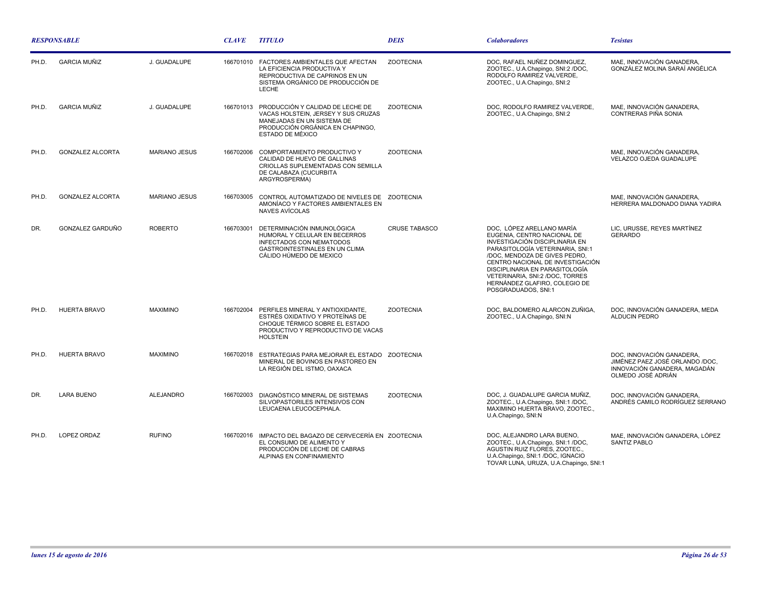| <b>RESPONSABLE</b> |                         |                      | <b>CLAVE</b> | <b>TITULO</b>                                                                                                                                                            | <b>DEIS</b>          | <b>Colaboradores</b>                                                                                                                                                                                                                                                                                                             | <b>Tesistas</b>                                                                                                    |
|--------------------|-------------------------|----------------------|--------------|--------------------------------------------------------------------------------------------------------------------------------------------------------------------------|----------------------|----------------------------------------------------------------------------------------------------------------------------------------------------------------------------------------------------------------------------------------------------------------------------------------------------------------------------------|--------------------------------------------------------------------------------------------------------------------|
| PH.D.              | <b>GARCIA MUÑIZ</b>     | J. GUADALUPE         |              | 166701010 FACTORES AMBIENTALES QUE AFECTAN<br>LA EFICIENCIA PRODUCTIVA Y<br>REPRODUCTIVA DE CAPRINOS EN UN<br>SISTEMA ORGÁNICO DE PRODUCCIÓN DE<br>LECHE                 | <b>ZOOTECNIA</b>     | DOC, RAFAEL NUÑEZ DOMINGUEZ,<br>ZOOTEC., U.A.Chapingo, SNI:2 /DOC,<br>RODOLFO RAMIREZ VALVERDE,<br>ZOOTEC., U.A.Chapingo, SNI:2                                                                                                                                                                                                  | MAE, INNOVACIÓN GANADERA,<br>GONZÁLEZ MOLINA SARAÍ ANGÉLICA                                                        |
| PH.D.              | <b>GARCIA MUÑIZ</b>     | J. GUADALUPE         | 166701013    | PRODUCCIÓN Y CALIDAD DE LECHE DE<br>VACAS HOLSTEIN, JERSEY Y SUS CRUZAS<br>MANEJADAS EN UN SISTEMA DE<br>PRODUCCIÓN ORGÁNICA EN CHAPINGO.<br>ESTADO DE MÉXICO            | <b>ZOOTECNIA</b>     | DOC. RODOLFO RAMIREZ VALVERDE.<br>ZOOTEC., U.A.Chapingo, SNI:2                                                                                                                                                                                                                                                                   | MAE, INNOVACIÓN GANADERA,<br>CONTRERAS PIÑA SONIA                                                                  |
| PH.D.              | <b>GONZALEZ ALCORTA</b> | <b>MARIANO JESUS</b> | 166702006    | COMPORTAMIENTO PRODUCTIVO Y<br>CALIDAD DE HUEVO DE GALLINAS<br>CRIOLLAS SUPLEMENTADAS CON SEMILLA<br>DE CALABAZA (CUCURBITA<br>ARGYROSPERMA)                             | <b>ZOOTECNIA</b>     |                                                                                                                                                                                                                                                                                                                                  | MAE, INNOVACIÓN GANADERA,<br>VELAZCO OJEDA GUADALUPE                                                               |
| PH.D.              | <b>GONZALEZ ALCORTA</b> | <b>MARIANO JESUS</b> | 166703005    | CONTROL AUTOMATIZADO DE NIVELES DE ZOOTECNIA<br>AMONÍACO Y FACTORES AMBIENTALES EN<br>NAVES AVÍCOLAS                                                                     |                      |                                                                                                                                                                                                                                                                                                                                  | MAE, INNOVACIÓN GANADERA.<br>HERRERA MALDONADO DIANA YADIRA                                                        |
| DR.                | GONZALEZ GARDUÑO        | <b>ROBERTO</b>       | 166703001    | DETERMINACIÓN INMUNOLÓGICA<br>HUMORAL Y CELULAR EN BECERROS<br><b>INFECTADOS CON NEMATODOS</b><br>GASTROINTESTINALES EN UN CLIMA<br>CÁLIDO HÚMEDO DE MEXICO              | <b>CRUSE TABASCO</b> | DOC, LÓPEZ ARELLANO MARÍA<br>EUGENIA, CENTRO NACIONAL DE<br>INVESTIGACIÓN DISCIPLINARIA EN<br>PARASITOLOGÍA VETERINARIA, SNI:1<br>/DOC, MENDOZA DE GIVES PEDRO,<br>CENTRO NACIONAL DE INVESTIGACIÓN<br>DISCIPLINARIA EN PARASITOLOGÍA<br>VETERINARIA, SNI:2 /DOC, TORRES<br>HERNÁNDEZ GLAFIRO, COLEGIO DE<br>POSGRADUADOS, SNI:1 | LIC, URUSSE, REYES MARTÍNEZ<br><b>GERARDO</b>                                                                      |
| PH.D.              | <b>HUERTA BRAVO</b>     | <b>MAXIMINO</b>      |              | 166702004 PERFILES MINERAL Y ANTIOXIDANTE.<br>ESTRÉS OXIDATIVO Y PROTEÍNAS DE<br>CHOQUE TÉRMICO SOBRE EL ESTADO<br>PRODUCTIVO Y REPRODUCTIVO DE VACAS<br><b>HOLSTEIN</b> | <b>ZOOTECNIA</b>     | DOC, BALDOMERO ALARCON ZUÑIGA,<br>ZOOTEC., U.A.Chapingo, SNI:N                                                                                                                                                                                                                                                                   | DOC, INNOVACIÓN GANADERA, MEDA<br>ALDUCIN PEDRO                                                                    |
| PH.D.              | <b>HUERTA BRAVO</b>     | <b>MAXIMINO</b>      |              | 166702018 ESTRATEGIAS PARA MEJORAR EL ESTADO ZOOTECNIA<br>MINERAL DE BOVINOS EN PASTOREO EN<br>LA REGIÓN DEL ISTMO, OAXACA                                               |                      |                                                                                                                                                                                                                                                                                                                                  | DOC, INNOVACIÓN GANADERA,<br>JIMÉNEZ PAEZ JOSÉ ORLANDO /DOC,<br>INNOVACIÓN GANADERA, MAGADÁN<br>OLMEDO JOSÉ ADRIÁN |
| DR.                | <b>LARA BUENO</b>       | <b>ALEJANDRO</b>     | 166702003    | DIAGNÓSTICO MINERAL DE SISTEMAS<br>SILVOPASTORILES INTENSIVOS CON<br>LEUCAENA LEUCOCEPHALA.                                                                              | <b>ZOOTECNIA</b>     | DOC, J. GUADALUPE GARCIA MUÑIZ,<br>ZOOTEC., U.A.Chapingo, SNI:1 /DOC,<br>MAXIMINO HUERTA BRAVO, ZOOTEC.,<br>U.A.Chapingo, SNI:N                                                                                                                                                                                                  | DOC, INNOVACIÓN GANADERA,<br>ANDRÉS CAMILO RODRÍGUEZ SERRANO                                                       |
| PH.D.              | <b>LOPEZ ORDAZ</b>      | <b>RUFINO</b>        |              | 166702016 IMPACTO DEL BAGAZO DE CERVECERÍA EN ZOOTECNIA<br>EL CONSUMO DE ALIMENTO Y<br>PRODUCCIÓN DE LECHE DE CABRAS<br>ALPINAS EN CONFINAMIENTO                         |                      | DOC, ALEJANDRO LARA BUENO,<br>ZOOTEC., U.A.Chapingo, SNI:1 /DOC,<br>AGUSTIN RUIZ FLORES, ZOOTEC.,<br>U.A.Chapingo, SNI:1 /DOC, IGNACIO<br>TOVAR LUNA, URUZA, U.A.Chapingo, SNI:1                                                                                                                                                 | MAE. INNOVACIÓN GANADERA. LÓPEZ<br><b>SANTIZ PABLO</b>                                                             |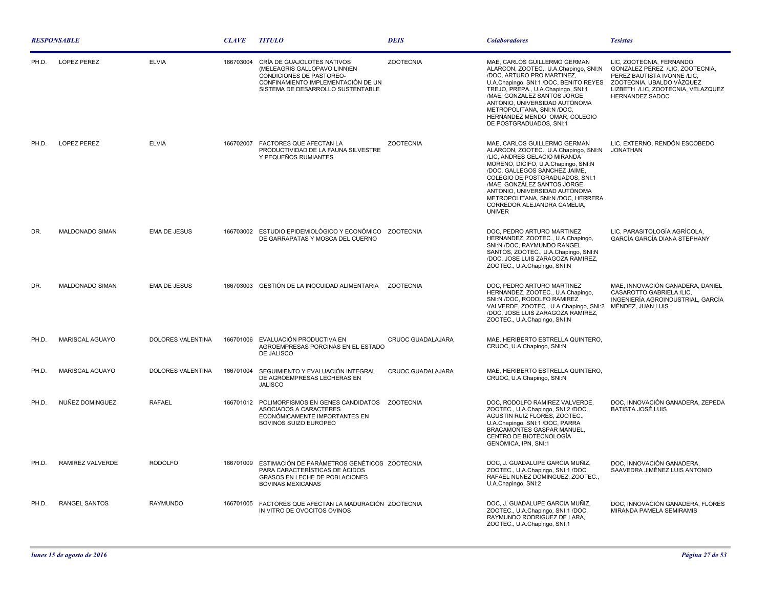| <b>RESPONSABLE</b> |                        |                          | <b>CLAVE</b> | <b>TITULO</b>                                                                                                                                                     | <b>DEIS</b>       | <b>Colaboradores</b>                                                                                                                                                                                                                                                                                                                                                   | <b>Tesistas</b>                                                                                                                                                                  |
|--------------------|------------------------|--------------------------|--------------|-------------------------------------------------------------------------------------------------------------------------------------------------------------------|-------------------|------------------------------------------------------------------------------------------------------------------------------------------------------------------------------------------------------------------------------------------------------------------------------------------------------------------------------------------------------------------------|----------------------------------------------------------------------------------------------------------------------------------------------------------------------------------|
| PH.D.              | <b>LOPEZ PEREZ</b>     | <b>ELVIA</b>             | 166703004    | CRÍA DE GUAJOLOTES NATIVOS<br>(MELEAGRIS GALLOPAVO LINN)EN<br>CONDICIONES DE PASTOREO-<br>CONFINAMIENTO IMPLEMENTACIÓN DE UN<br>SISTEMA DE DESARROLLO SUSTENTABLE | <b>ZOOTECNIA</b>  | MAE, CARLOS GUILLERMO GERMAN<br>ALARCON, ZOOTEC., U.A.Chapingo, SNI:N<br>/DOC, ARTURO PRO MARTINEZ,<br>U.A.Chapingo, SNI:1 /DOC, BENITO REYES<br>TREJO, PREPA., U.A.Chapingo, SNI:1<br>/MAE, GONZÁLEZ SANTOS JORGE<br>ANTONIO, UNIVERSIDAD AUTÓNOMA<br>METROPOLITANA, SNI:N /DOC,<br>HERNÁNDEZ MENDO OMAR, COLEGIO<br>DE POSTGRADUADOS, SNI:1                          | LIC. ZOOTECNIA. FERNANDO<br>GONZÁLEZ PÉREZ /LIC, ZOOTECNIA,<br>PEREZ BAUTISTA IVONNE /LIC,<br>ZOOTECNIA, UBALDO VÁZQUEZ<br>LIZBETH /LIC, ZOOTECNIA, VELAZQUEZ<br>HERNANDEZ SADOC |
| PH.D.              | <b>LOPEZ PEREZ</b>     | <b>ELVIA</b>             | 166702007    | FACTORES QUE AFECTAN LA<br>PRODUCTIVIDAD DE LA FAUNA SILVESTRE<br>Y PEQUEÑOS RUMIANTES                                                                            | <b>ZOOTECNIA</b>  | MAE, CARLOS GUILLERMO GERMAN<br>ALARCON, ZOOTEC., U.A.Chapingo, SNI:N<br>/LIC, ANDRES GELACIO MIRANDA<br>MORENO, DICIFO, U.A.Chapingo, SNI:N<br>/DOC, GALLEGOS SÁNCHEZ JAIME,<br>COLEGIO DE POSTGRADUADOS, SNI:1<br>/MAE. GONZÁLEZ SANTOS JORGE<br>ANTONIO. UNIVERSIDAD AUTÓNOMA<br>METROPOLITANA, SNI:N /DOC, HERRERA<br>CORREDOR ALEJANDRA CAMELIA,<br><b>UNIVER</b> | LIC, EXTERNO, RENDÓN ESCOBEDO<br>JONATHAN                                                                                                                                        |
| DR.                | MALDONADO SIMAN        | EMA DE JESUS             |              | 166703002 ESTUDIO EPIDEMIOLÓGICO Y ECONÓMICO ZOOTECNIA<br>DE GARRAPATAS Y MOSCA DEL CUERNO                                                                        |                   | DOC, PEDRO ARTURO MARTINEZ<br>HERNANDEZ, ZOOTEC., U.A.Chapingo,<br>SNI:N /DOC, RAYMUNDO RANGEL<br>SANTOS, ZOOTEC., U.A.Chapingo, SNI:N<br>/DOC, JOSE LUIS ZARAGOZA RAMIREZ,<br>ZOOTEC., U.A.Chapingo, SNI:N                                                                                                                                                            | LIC, PARASITOLOGÍA AGRÍCOLA,<br>GARCÍA GARCÍA DIANA STEPHANY                                                                                                                     |
| DR.                | <b>MALDONADO SIMAN</b> | <b>EMA DE JESUS</b>      |              | 166703003 GESTIÓN DE LA INOCUIDAD ALIMENTARIA ZOOTECNIA                                                                                                           |                   | DOC, PEDRO ARTURO MARTINEZ<br>HERNANDEZ, ZOOTEC., U.A.Chapingo,<br>SNI:N /DOC, RODOLFO RAMIREZ<br>VALVERDE, ZOOTEC., U.A.Chapingo, SNI:2<br>/DOC. JOSE LUIS ZARAGOZA RAMIREZ.<br>ZOOTEC., U.A.Chapingo, SNI:N                                                                                                                                                          | MAE, INNOVACIÓN GANADERA, DANIEL<br>CASAROTTO GABRIELA /LIC.<br>INGENIERÍA AGROINDUSTRIAL, GARCÍA<br>MÉNDEZ, JUAN LUIS                                                           |
| PH.D.              | MARISCAL AGUAYO        | DOLORES VALENTINA        | 166701006    | EVALUACIÓN PRODUCTIVA EN<br>AGROEMPRESAS PORCINAS EN EL ESTADO<br>DE JALISCO                                                                                      | CRUOC GUADALAJARA | MAE, HERIBERTO ESTRELLA QUINTERO,<br>CRUOC, U.A.Chapingo, SNI:N                                                                                                                                                                                                                                                                                                        |                                                                                                                                                                                  |
| PH.D.              | <b>MARISCAL AGUAYO</b> | <b>DOLORES VALENTINA</b> | 166701004    | SEGUIMIENTO Y EVALUACIÓN INTEGRAL<br>DE AGROEMPRESAS LECHERAS EN<br><b>JALISCO</b>                                                                                | CRUOC GUADALAJARA | MAE, HERIBERTO ESTRELLA QUINTERO,<br>CRUOC, U.A.Chapingo, SNI:N                                                                                                                                                                                                                                                                                                        |                                                                                                                                                                                  |
| PH.D.              | NUÑEZ DOMINGUEZ        | <b>RAFAEL</b>            |              | 166701012 POLIMORFISMOS EN GENES CANDIDATOS<br>ASOCIADOS A CARACTERES<br>ECONÓMICAMENTE IMPORTANTES EN<br>BOVINOS SUIZO EUROPEO                                   | ZOOTECNIA         | DOC. RODOLFO RAMIREZ VALVERDE.<br>ZOOTEC., U.A.Chapingo, SNI:2 /DOC,<br>AGUSTIN RUIZ FLORES, ZOOTEC.,<br>U.A.Chapingo, SNI:1 /DOC, PARRA<br><b>BRACAMONTES GASPAR MANUEL,</b><br>CENTRO DE BIOTECNOLOGÍA<br><b>GENÓMICA, IPN, SNI:1</b>                                                                                                                                | DOC. INNOVACIÓN GANADERA. ZEPEDA<br><b>BATISTA JOSÉ LUIS</b>                                                                                                                     |
| PH.D.              | RAMIREZ VALVERDE       | <b>RODOLFO</b>           | 166701009    | ESTIMACIÓN DE PARÁMETROS GENÉTICOS ZOOTECNIA<br>PARA CARACTERÍSTICAS DE ÁCIDOS<br>GRASOS EN LECHE DE POBLACIONES<br><b>BOVINAS MEXICANAS</b>                      |                   | DOC, J. GUADALUPE GARCIA MUÑIZ,<br>ZOOTEC., U.A.Chapingo, SNI:1 /DOC,<br>RAFAEL NUÑEZ DOMINGUEZ, ZOOTEC.,<br>U.A.Chapingo, SNI:2                                                                                                                                                                                                                                       | DOC. INNOVACIÓN GANADERA.<br>SAAVEDRA JIMÉNEZ LUIS ANTONIO                                                                                                                       |
| PH.D.              | <b>RANGEL SANTOS</b>   | RAYMUNDO                 |              | 166701005 FACTORES QUE AFECTAN LA MADURACIÓN ZOOTECNIA<br>IN VITRO DE OVOCITOS OVINOS                                                                             |                   | DOC, J. GUADALUPE GARCIA MUÑIZ,<br>ZOOTEC., U.A.Chapingo, SNI:1 /DOC,<br>RAYMUNDO RODRIGUEZ DE LARA,<br>ZOOTEC., U.A.Chapingo, SNI:1                                                                                                                                                                                                                                   | DOC, INNOVACIÓN GANADERA, FLORES<br>MIRANDA PAMELA SEMIRAMIS                                                                                                                     |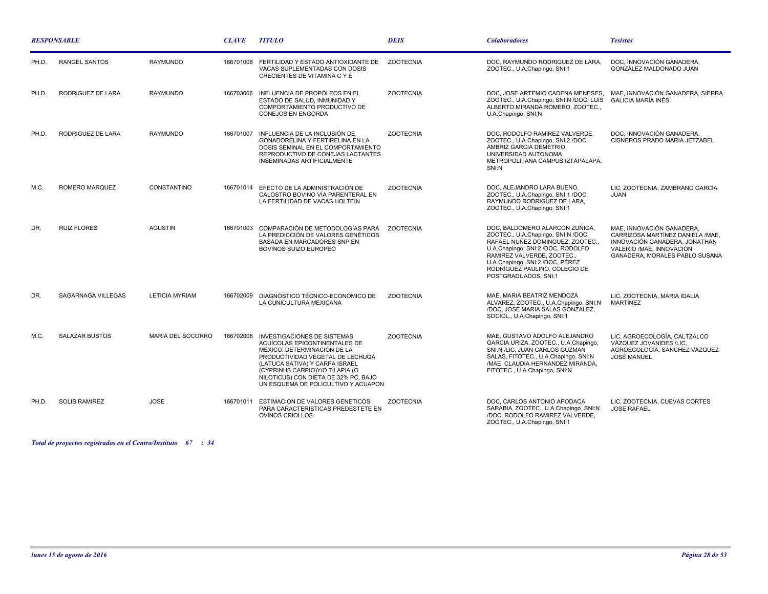| <b>RESPONSABLE</b> |                       |                       | <b>CLAVE</b> | <b>TITULO</b>                                                                                                                                                                                                                                                                               | <b>DEIS</b>      | <b>Colaboradores</b>                                                                                                                                                                                                                                                    | <b>Tesistas</b>                                                                                                                                               |
|--------------------|-----------------------|-----------------------|--------------|---------------------------------------------------------------------------------------------------------------------------------------------------------------------------------------------------------------------------------------------------------------------------------------------|------------------|-------------------------------------------------------------------------------------------------------------------------------------------------------------------------------------------------------------------------------------------------------------------------|---------------------------------------------------------------------------------------------------------------------------------------------------------------|
| PH.D.              | <b>RANGEL SANTOS</b>  | <b>RAYMUNDO</b>       | 166701008    | FERTILIDAD Y ESTADO ANTIOXIDANTE DE<br>VACAS SUPLEMENTADAS CON DOSIS<br>CRECIENTES DE VITAMINA C Y E                                                                                                                                                                                        | <b>ZOOTECNIA</b> | DOC. RAYMUNDO RODRIGUEZ DE LARA.<br>ZOOTEC., U.A.Chapingo, SNI:1                                                                                                                                                                                                        | DOC, INNOVACIÓN GANADERA,<br>GONZÁLEZ MALDONADO JUAN                                                                                                          |
| PH.D.              | RODRIGUEZ DE LARA     | <b>RAYMUNDO</b>       | 166703006    | INFLUENCIA DE PROPÓLEOS EN EL<br>ESTADO DE SALUD, INMUNIDAD Y<br>COMPORTAMIENTO PRODUCTIVO DE<br><b>CONEJOS EN ENGORDA</b>                                                                                                                                                                  | <b>ZOOTECNIA</b> | DOC, JOSE ARTEMIO CADENA MENESES,<br>ZOOTEC., U.A.Chapingo, SNI:N /DOC, LUIS<br>ALBERTO MIRANDA ROMERO, ZOOTEC.,<br>U.A.Chapingo, SNI:N                                                                                                                                 | MAE, INNOVACIÓN GANADERA, SIERRA<br><b>GALICIA MARÍA INÉS</b>                                                                                                 |
| PH.D.              | RODRIGUEZ DE LARA     | <b>RAYMUNDO</b>       | 166701007    | INFLUENCIA DE LA INCLUSIÓN DE<br>GONADORELINA Y FERTIRELINA EN LA<br>DOSIS SEMINAL EN EL COMPORTAMIENTO<br>REPRODUCTIVO DE CONEJAS LACTANTES<br>INSEMINADAS ARTIFICIALMENTE                                                                                                                 | <b>ZOOTECNIA</b> | DOC, RODOLFO RAMIREZ VALVERDE,<br>ZOOTEC., U.A.Chapingo, SNI:2 /DOC,<br>AMBRIZ GARCIA DEMETRIO,<br>UNIVERSIDAD AUTONOMA<br>METROPOLITANA CAMPUS IZTAPALAPA,<br>SNI:N                                                                                                    | DOC, INNOVACIÓN GANADERA,<br>CISNEROS PRADO MARIA JETZABEL                                                                                                    |
| M.C.               | ROMERO MARQUEZ        | CONSTANTINO           | 166701014    | EFECTO DE LA ADMINISTRACIÓN DE<br>CALOSTRO BOVINO VÍA PARENTERAL EN<br>LA FERTILIDAD DE VACAS HOLTEIN                                                                                                                                                                                       | <b>ZOOTECNIA</b> | DOC, ALEJANDRO LARA BUENO,<br>ZOOTEC., U.A.Chapingo, SNI:1 /DOC,<br>RAYMUNDO RODRIGUEZ DE LARA.<br>ZOOTEC., U.A.Chapingo, SNI:1                                                                                                                                         | LIC, ZOOTECNIA, ZAMBRANO GARCÍA<br><b>JUAN</b>                                                                                                                |
| DR.                | <b>RUIZ FLORES</b>    | <b>AGUSTIN</b>        | 166701003    | COMPARACIÓN DE METODOLOGÍAS PARA<br>LA PREDICCIÓN DE VALORES GENÉTICOS<br>BASADA EN MARCADORES SNP EN<br>BOVINOS SUIZO EUROPEO                                                                                                                                                              | <b>ZOOTECNIA</b> | DOC, BALDOMERO ALARCON ZUÑIGA,<br>ZOOTEC., U.A.Chapingo, SNI:N /DOC,<br>RAFAEL NUÑEZ DOMINGUEZ, ZOOTEC.,<br>U.A.Chapingo, SNI:2 /DOC, RODOLFO<br>RAMIREZ VALVERDE, ZOOTEC.,<br>U.A.Chapingo, SNI:2 /DOC, PÉREZ<br>RODRÍGUEZ PAULINO, COLEGIO DE<br>POSTGRADUADOS, SNI:1 | MAE, INNOVACIÓN GANADERA,<br>CARRIZOSA MARTÍNEZ DANIELA /MAE,<br>INNOVACIÓN GANADERA, JONATHAN<br>VALERIO / MAE, INNOVACIÓN<br>GANADERA, MORALES PABLO SUSANA |
| DR.                | SAGARNAGA VILLEGAS    | <b>LETICIA MYRIAM</b> | 166702009    | DIAGNÓSTICO TÉCNICO-ECONÓMICO DE<br>LA CUNICULTURA MEXICANA                                                                                                                                                                                                                                 | <b>ZOOTECNIA</b> | MAE, MARIA BEATRIZ MENDOZA<br>ALVAREZ, ZOOTEC., U.A.Chapingo, SNI:N<br>/DOC, JOSE MARIA SALAS GONZALEZ,<br>SOCIOL., U.A.Chapingo, SNI:1                                                                                                                                 | LIC, ZOOTECNIA, MARIA IDALIA<br><b>MARTINEZ</b>                                                                                                               |
| M.C.               | <b>SALAZAR BUSTOS</b> | MARIA DEL SOCORRO     | 166702008    | <b>INVESTIGACIONES DE SISTEMAS</b><br>ACUÍCOLAS EPICONTINENTALES DE<br>MÉXICO: DETERMINACIÓN DE LA<br>PRODUCTIVIDAD VEGETAL DE LECHUGA<br>(LATUCA SATIVA) Y CARPA ISRAEL<br>(CYPRINUS CARPIO)Y/O TILAPIA (O.<br>NILOTICUS) CON DIETA DE 32% PC, BAJO<br>UN ESQUEMA DE POLICULTIVO Y ACUAPON | <b>ZOOTECNIA</b> | MAE, GUSTAVO ADOLFO ALEJANDRO<br>GARCIA URIZA, ZOOTEC., U.A.Chapingo,<br>SNI:N /LIC, JUAN CARLOS GUZMAN<br>SALAS, FITOTEC., U.A.Chapingo, SNI:N<br>/MAE, CLAUDIA HERNANDEZ MIRANDA,<br>FITOTEC., U.A.Chapingo, SNI:N                                                    | LIC. AGROECOLOGÍA. CALTZALCO<br>VÁZQUEZ JOVANIDES /LIC,<br>AGROECOLOGÍA, SÁNCHEZ VÁZQUEZ<br><b>JOSÉ MANUEL</b>                                                |
| PH.D.              | <b>SOLIS RAMIREZ</b>  | <b>JOSE</b>           | 166701011    | <b>ESTIMACION DE VALORES GENETICOS</b><br>PARA CARACTERISTICAS PREDESTETE EN<br><b>OVINOS CRIOLLOS</b>                                                                                                                                                                                      | <b>ZOOTECNIA</b> | DOC, CARLOS ANTONIO APODACA<br>SARABIA, ZOOTEC., U.A.Chapingo, SNI:N<br>/DOC. RODOLFO RAMIREZ VALVERDE.<br>ZOOTEC., U.A.Chapingo, SNI:1                                                                                                                                 | LIC, ZOOTECNIA, CUEVAS CORTES<br><b>JOSE RAFAEL</b>                                                                                                           |

*Total de proyectos registrados en el Centro/Instituto : 67 34*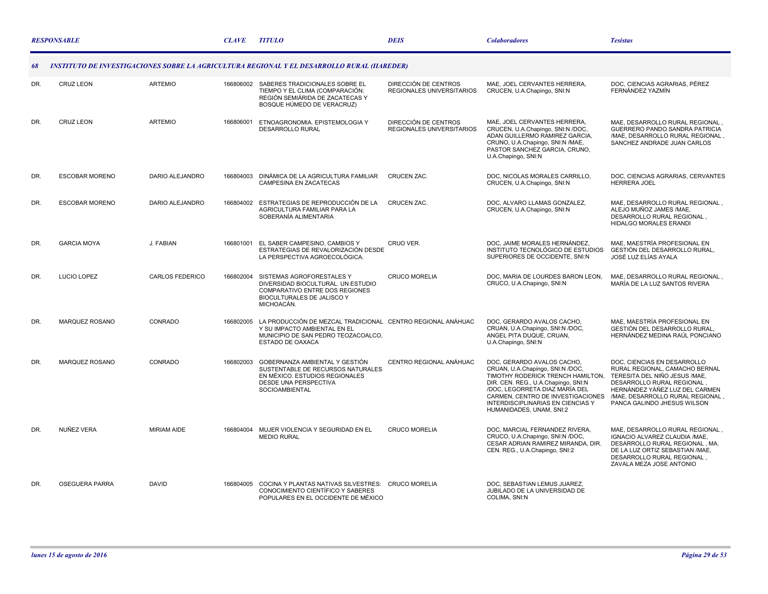|     | <b>RESPONSABLE</b>    |                        | <b>CLAVE</b> | <b>TITULO</b>                                                                                                                                          | <b>DEIS</b>                                       | <b>Colaboradores</b>                                                                                                                                                                                                                                                               | <b>Tesistas</b>                                                                                                                                                                                                                  |
|-----|-----------------------|------------------------|--------------|--------------------------------------------------------------------------------------------------------------------------------------------------------|---------------------------------------------------|------------------------------------------------------------------------------------------------------------------------------------------------------------------------------------------------------------------------------------------------------------------------------------|----------------------------------------------------------------------------------------------------------------------------------------------------------------------------------------------------------------------------------|
| 68  |                       |                        |              | <b>INSTITUTO DE INVESTIGACIONES SOBRE LA AGRICULTURA REGIONAL Y EL DESARROLLO RURAL (IIAREDER)</b>                                                     |                                                   |                                                                                                                                                                                                                                                                                    |                                                                                                                                                                                                                                  |
| DR. | <b>CRUZ LEON</b>      | <b>ARTEMIO</b>         | 166806002    | SABERES TRADICIONALES SOBRE EL<br>TIEMPO Y EL CLIMA (COMPARACIÓN:<br>REGIÓN SEMIÁRIDA DE ZACATECAS Y<br>BOSQUE HÚMEDO DE VERACRUZ)                     | DIRECCIÓN DE CENTROS<br>REGIONALES UNIVERSITARIOS | MAE, JOEL CERVANTES HERRERA,<br>CRUCEN, U.A.Chapingo, SNI:N                                                                                                                                                                                                                        | DOC, CIENCIAS AGRARIAS, PÉREZ<br>FERNÁNDEZ YAZMÍN                                                                                                                                                                                |
| DR. | <b>CRUZ LEON</b>      | <b>ARTEMIO</b>         | 166806001    | ETNOAGRONOMIA, EPISTEMOLOGIA Y<br>DESARROLLO RURAL                                                                                                     | DIRECCIÓN DE CENTROS<br>REGIONALES UNIVERSITARIOS | MAE. JOEL CERVANTES HERRERA.<br>CRUCEN, U.A.Chapingo, SNI:N /DOC,<br>ADAN GUILLERMO RAMIREZ GARCIA,<br>CRUNO, U.A.Chapingo, SNI:N /MAE,<br>PASTOR SANCHEZ GARCIA, CRUNO,<br>U.A.Chapingo, SNI:N                                                                                    | MAE. DESARROLLO RURAL REGIONAL.<br>GUERRERO PANDO SANDRA PATRICIA<br>/MAE, DESARROLLO RURAL REGIONAL,<br>SANCHEZ ANDRADE JUAN CARLOS                                                                                             |
| DR. | <b>ESCOBAR MORENO</b> | DARIO ALEJANDRO        | 166804003    | DINÁMICA DE LA AGRICULTURA FAMILIAR<br>CAMPESINA EN ZACATECAS                                                                                          | CRUCEN ZAC.                                       | DOC, NICOLAS MORALES CARRILLO,<br>CRUCEN, U.A.Chapingo, SNI:N                                                                                                                                                                                                                      | DOC, CIENCIAS AGRARIAS, CERVANTES<br><b>HERRERA JOEL</b>                                                                                                                                                                         |
| DR. | <b>ESCOBAR MORENO</b> | DARIO ALEJANDRO        | 166804002    | ESTRATEGIAS DE REPRODUCCIÓN DE LA<br>AGRICULTURA FAMILIAR PARA LA<br>SOBERANÍA ALIMENTARIA                                                             | <b>CRUCEN ZAC.</b>                                | DOC, ALVARO LLAMAS GONZALEZ,<br>CRUCEN, U.A.Chapingo, SNI:N                                                                                                                                                                                                                        | MAE, DESARROLLO RURAL REGIONAL,<br>ALEJO MUÑOZ JAMES /MAE,<br>DESARROLLO RURAL REGIONAL.<br><b>HIDALGO MORALES ERANDI</b>                                                                                                        |
| DR. | <b>GARCIA MOYA</b>    | J. FABIAN              | 166801001    | EL SABER CAMPESINO, CAMBIOS Y<br>ESTRATEGIAS DE REVALORIZACIÓN DESDE<br>LA PERSPECTIVA AGROECOLÓGICA.                                                  | CRUO VER.                                         | DOC. JAIME MORALES HERNÁNDEZ.<br>INSTITUTO TECNOLÓGICO DE ESTUDIOS<br>SUPERIORES DE OCCIDENTE, SNI:N                                                                                                                                                                               | MAE. MAESTRÍA PROFESIONAL EN<br>GESTIÓN DEL DESARROLLO RURAL,<br>JOSÉ LUZ ELÍAS AYALA                                                                                                                                            |
| DR. | LUCIO LOPEZ           | <b>CARLOS FEDERICO</b> | 166802004    | SISTEMAS AGROFORESTALES Y<br>DIVERSIDAD BIOCULTURAL. UN ESTUDIO<br>COMPARATIVO ENTRE DOS REGIONES<br>BIOCULTURALES DE JALISCO Y<br>MICHOACÁN.          | <b>CRUCO MORELIA</b>                              | DOC. MARIA DE LOURDES BARON LEON.<br>CRUCO, U.A.Chapingo, SNI:N                                                                                                                                                                                                                    | MAE, DESARROLLO RURAL REGIONAL.<br>MARÍA DE LA LUZ SANTOS RIVERA                                                                                                                                                                 |
| DR. | MARQUEZ ROSANO        | CONRADO                | 166802005    | LA PRODUCCIÓN DE MEZCAL TRADICIONAL CENTRO REGIONAL ANÁHUAC<br>Y SU IMPACTO AMBIENTAL EN EL<br>MUNICIPIO DE SAN PEDRO TEOZACOALCO,<br>ESTADO DE OAXACA |                                                   | DOC, GERARDO AVALOS CACHO,<br>CRUAN, U.A.Chapingo, SNI:N /DOC,<br>ANGEL PITA DUQUE, CRUAN,<br>U.A.Chapingo, SNI:N                                                                                                                                                                  | MAE, MAESTRÍA PROFESIONAL EN<br>GESTIÓN DEL DESARROLLO RURAL.<br>HERNÁNDEZ MEDINA RAÚL PONCIANO                                                                                                                                  |
| DR. | MARQUEZ ROSANO        | CONRADO                | 166802003    | GOBERNANZA AMBIENTAL Y GESTIÓN<br>SUSTENTABLE DE RECURSOS NATURALES<br>EN MÉXICO, ESTUDIOS REGIONALES<br>DESDE UNA PERSPECTIVA<br>SOCIOAMBIENTAL       | CENTRO REGIONAL ANÁHUAC                           | DOC. GERARDO AVALOS CACHO.<br>CRUAN, U.A.Chapingo, SNI:N /DOC,<br>TIMOTHY RODERICK TRENCH HAMILTON,<br>DIR. CEN. REG., U.A.Chapingo, SNI:N<br>/DOC, LEGORRETA DIAZ MARÍA DEL<br>CARMEN, CENTRO DE INVESTIGACIONES<br>INTERDISCIPLINARIAS EN CIENCIAS Y<br>HUMANIDADES, UNAM, SNI:2 | DOC, CIENCIAS EN DESARROLLO<br>RURAL REGIONAL, CAMACHO BERNAL<br>TERESITA DEL NIÑO JESUS /MAE.<br>DESARROLLO RURAL REGIONAL<br>HERNÁNDEZ YÁÑEZ LUZ DEL CARMEN<br>/MAE, DESARROLLO RURAL REGIONAL,<br>PANCA GALINDO JHESUS WILSON |
| DR. | NUÑEZ VERA            | <b>MIRIAM AIDE</b>     |              | 166804004 MUJER VIOLENCIA Y SEGURIDAD EN EL<br><b>MEDIO RURAL</b>                                                                                      | <b>CRUCO MORELIA</b>                              | DOC, MARCIAL FERNANDEZ RIVERA,<br>CRUCO, U.A.Chapingo, SNI:N /DOC,<br>CESAR ADRIAN RAMIREZ MIRANDA, DIR.<br>CEN. REG., U.A.Chapingo, SNI:2                                                                                                                                         | MAE, DESARROLLO RURAL REGIONAL,<br>IGNACIO ALVAREZ CLAUDIA / MAE,<br>DESARROLLO RURAL REGIONAL, MA.<br>DE LA LUZ ORTIZ SEBASTIAN /MAE,<br>DESARROLLO RURAL REGIONAL,<br>ZAVALA MEZA JOSE ANTONIO                                 |
| DR. | <b>OSEGUERA PARRA</b> | <b>DAVID</b>           | 166804005    | COCINA Y PLANTAS NATIVAS SILVESTRES: CRUCO MORELIA<br>CONOCIMIENTO CIENTÍFICO Y SABERES<br>POPULARES EN EL OCCIDENTE DE MÉXICO                         |                                                   | DOC, SEBASTIAN LEMUS JUAREZ,<br>JUBILADO DE LA UNIVERSIDAD DE<br>COLIMA, SNI:N                                                                                                                                                                                                     |                                                                                                                                                                                                                                  |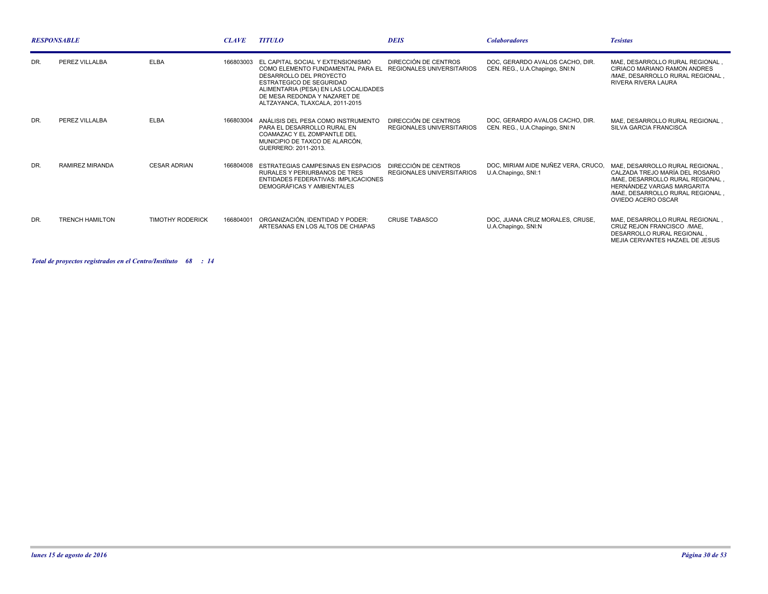|     | <b>RESPONSABLE</b>     |                         | <b>CLAVE</b> | <b>TITULO</b>                                                                                                                                                                                                                                              | <b>DEIS</b>                                       | <b>Colaboradores</b>                                              | <b>Tesistas</b>                                                                                                                                                                                |
|-----|------------------------|-------------------------|--------------|------------------------------------------------------------------------------------------------------------------------------------------------------------------------------------------------------------------------------------------------------------|---------------------------------------------------|-------------------------------------------------------------------|------------------------------------------------------------------------------------------------------------------------------------------------------------------------------------------------|
| DR. | PEREZ VILLALBA         | <b>ELBA</b>             |              | 166803003 EL CAPITAL SOCIAL Y EXTENSIONISMO<br>COMO ELEMENTO FUNDAMENTAL PARA EL<br>DESARROLLO DEL PROYECTO<br><b>ESTRATEGICO DE SEGURIDAD</b><br>ALIMENTARIA (PESA) EN LAS LOCALIDADES<br>DE MESA REDONDA Y NAZARET DE<br>ALTZAYANCA, TLAXCALA, 2011-2015 | DIRECCIÓN DE CENTROS<br>REGIONALES UNIVERSITARIOS | DOC. GERARDO AVALOS CACHO. DIR.<br>CEN. REG., U.A.Chapingo, SNI:N | MAE. DESARROLLO RURAL REGIONAL,<br>CIRIACO MARIANO RAMON ANDRES<br>/MAE. DESARROLLO RURAL REGIONAL.<br><b>RIVERA RIVERA LAURA</b>                                                              |
| DR. | PEREZ VILLALBA         | <b>ELBA</b>             | 166803004    | ANÁLISIS DEL PESA COMO INSTRUMENTO<br>PARA EL DESARROLLO RURAL EN<br>COAMAZAC Y EL ZOMPANTLE DEL<br>MUNICIPIO DE TAXCO DE ALARCÓN,<br>GUERRERO: 2011-2013.                                                                                                 | DIRECCIÓN DE CENTROS<br>REGIONALES UNIVERSITARIOS | DOC. GERARDO AVALOS CACHO, DIR.<br>CEN. REG., U.A.Chapingo, SNI:N | MAE, DESARROLLO RURAL REGIONAL.<br>SILVA GARCIA FRANCISCA                                                                                                                                      |
| DR. | <b>RAMIREZ MIRANDA</b> | <b>CESAR ADRIAN</b>     | 166804008    | ESTRATEGIAS CAMPESINAS EN ESPACIOS<br>RURALES Y PERIURBANOS DE TRES<br><b>ENTIDADES FEDERATIVAS: IMPLICACIONES</b><br>DEMOGRÁFICAS Y AMBIENTALES                                                                                                           | DIRECCIÓN DE CENTROS<br>REGIONALES UNIVERSITARIOS | DOC. MIRIAM AIDE NUÑEZ VERA. CRUCO.<br>U.A.Chapingo, SNI:1        | MAE. DESARROLLO RURAL REGIONAL.<br>CALZADA TREJO MARÍA DEL ROSARIO<br>/MAE. DESARROLLO RURAL REGIONAL.<br>HERNÁNDEZ VARGAS MARGARITA<br>/MAE, DESARROLLO RURAL REGIONAL.<br>OVIEDO ACERO OSCAR |
| DR. | <b>TRENCH HAMILTON</b> | <b>TIMOTHY RODERICK</b> | 166804001    | ORGANIZACIÓN, IDENTIDAD Y PODER:<br>ARTESANAS EN LOS ALTOS DE CHIAPAS                                                                                                                                                                                      | <b>CRUSE TABASCO</b>                              | DOC. JUANA CRUZ MORALES. CRUSE.<br>U.A.Chapingo, SNI:N            | MAE, DESARROLLO RURAL REGIONAL.<br>CRUZ REJON FRANCISCO /MAE.<br>DESARROLLO RURAL REGIONAL<br>MEJIA CERVANTES HAZAEL DE JESUS                                                                  |

*Total de proyectos registrados en el Centro/Instituto : 68 14*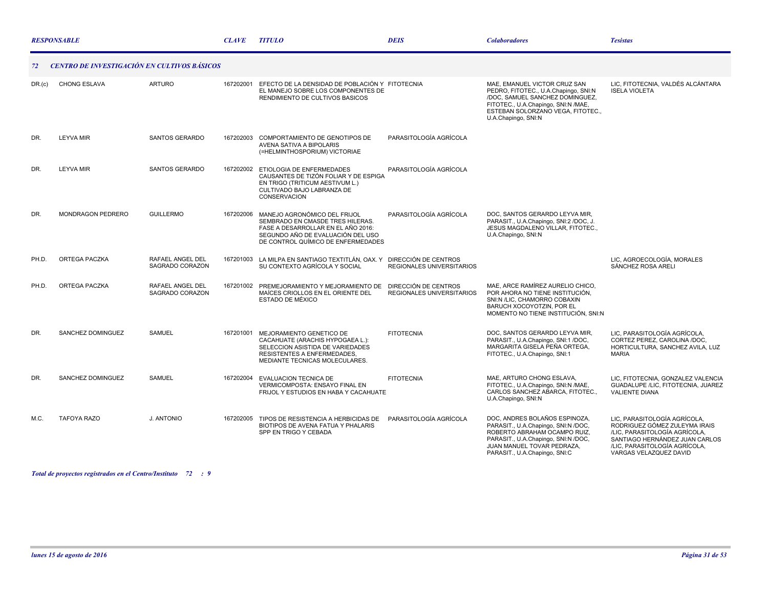|        | <b>RESPONSABLE</b>                                 |                                     | <b>CLAVE</b> | <b>TITULO</b>                                                                                                                                                                     | <b>DEIS</b>                                       | <b>Colaboradores</b>                                                                                                                                                                                       | <b>Tesistas</b>                                                                                                                                                                             |
|--------|----------------------------------------------------|-------------------------------------|--------------|-----------------------------------------------------------------------------------------------------------------------------------------------------------------------------------|---------------------------------------------------|------------------------------------------------------------------------------------------------------------------------------------------------------------------------------------------------------------|---------------------------------------------------------------------------------------------------------------------------------------------------------------------------------------------|
| 72     | <b>CENTRO DE INVESTIGACIÓN EN CULTIVOS BÁSICOS</b> |                                     |              |                                                                                                                                                                                   |                                                   |                                                                                                                                                                                                            |                                                                                                                                                                                             |
| DR.(c) | <b>CHONG ESLAVA</b>                                | <b>ARTURO</b>                       | 167202001    | EFECTO DE LA DENSIDAD DE POBLACIÓN Y FITOTECNIA<br>EL MANEJO SOBRE LOS COMPONENTES DE<br>RENDIMIENTO DE CULTIVOS BASICOS                                                          |                                                   | MAE, EMANUEL VICTOR CRUZ SAN<br>PEDRO, FITOTEC., U.A.Chapingo, SNI:N<br>/DOC, SAMUEL SANCHEZ DOMINGUEZ,<br>FITOTEC., U.A.Chapingo, SNI:N /MAE,<br>ESTEBAN SOLORZANO VEGA. FITOTEC<br>U.A.Chapingo, SNI:N   | LIC, FITOTECNIA, VALDÉS ALCÁNTARA<br><b>ISELA VIOLETA</b>                                                                                                                                   |
| DR.    | <b>LEYVA MIR</b>                                   | SANTOS GERARDO                      | 167202003    | COMPORTAMIENTO DE GENOTIPOS DE<br>AVENA SATIVA A BIPOLARIS<br>(=HELMINTHOSPORIUM) VICTORIAE                                                                                       | PARASITOLOGÍA AGRÍCOLA                            |                                                                                                                                                                                                            |                                                                                                                                                                                             |
| DR.    | <b>LEYVA MIR</b>                                   | SANTOS GERARDO                      | 167202002    | ETIOLOGIA DE ENFERMEDADES<br>CAUSANTES DE TIZÓN FOLIAR Y DE ESPIGA<br>EN TRIGO (TRITICUM AESTIVUM L.)<br>CULTIVADO BAJO LABRANZA DE<br><b>CONSERVACION</b>                        | PARASITOLOGÍA AGRÍCOLA                            |                                                                                                                                                                                                            |                                                                                                                                                                                             |
| DR.    | <b>MONDRAGON PEDRERO</b>                           | <b>GUILLERMO</b>                    | 167202006    | MANEJO AGRONÓMICO DEL FRIJOL<br>SEMBRADO EN CMASDE TRES HILERAS.<br>FASE A DESARROLLAR EN EL AÑO 2016:<br>SEGUNDO AÑO DE EVALUACIÓN DEL USO<br>DE CONTROL QUÍMICO DE ENFERMEDADES | PARASITOLOGÍA AGRÍCOLA                            | DOC. SANTOS GERARDO LEYVA MIR.<br>PARASIT., U.A.Chapingo, SNI:2 /DOC, J.<br>JESUS MAGDALENO VILLAR, FITOTEC.,<br>U.A.Chapingo, SNI:N                                                                       |                                                                                                                                                                                             |
| PH.D.  | <b>ORTEGA PACZKA</b>                               | RAFAEL ANGEL DEL<br>SAGRADO CORAZON | 167201003    | LA MILPA EN SANTIAGO TEXTITLÁN, OAX. Y<br>SU CONTEXTO AGRÍCOLA Y SOCIAL                                                                                                           | DIRECCIÓN DE CENTROS<br>REGIONALES UNIVERSITARIOS |                                                                                                                                                                                                            | LIC, AGROECOLOGÍA, MORALES<br>SÁNCHEZ ROSA ARELI                                                                                                                                            |
| PH.D.  | <b>ORTEGA PACZKA</b>                               | RAFAEL ANGEL DEL<br>SAGRADO CORAZON | 167201002    | PREMEJORAMIENTO Y MEJORAMIENTO DE<br>MAÍCES CRIOLLOS EN EL ORIENTE DEL<br>ESTADO DE MÉXICO                                                                                        | DIRECCIÓN DE CENTROS<br>REGIONALES UNIVERSITARIOS | MAE, ARCE RAMÍREZ AURELIO CHICO,<br>POR AHORA NO TIENE INSTITUCIÓN.<br>SNI:N /LIC, CHAMORRO COBAXIN<br>BARUCH XOCOYOTZIN, POR EL<br>MOMENTO NO TIENE INSTITUCIÓN, SNI:N                                    |                                                                                                                                                                                             |
| DR.    | SANCHEZ DOMINGUEZ                                  | SAMUEL                              | 167201001    | MEJORAMIENTO GENETICO DE<br>CACAHUATE (ARACHIS HYPOGAEA L.):<br>SELECCION ASISTIDA DE VARIEDADES<br><b>RESISTENTES A ENFERMEDADES.</b><br>MEDIANTE TECNICAS MOLECULARES.          | <b>FITOTECNIA</b>                                 | DOC, SANTOS GERARDO LEYVA MIR,<br>PARASIT., U.A.Chapingo, SNI:1 /DOC,<br>MARGARITA GISELA PEÑA ORTEGA,<br>FITOTEC., U.A.Chapingo, SNI:1                                                                    | LIC. PARASITOLOGÍA AGRÍCOLA.<br>CORTEZ PEREZ, CAROLINA /DOC,<br>HORTICULTURA, SANCHEZ AVILA, LUZ<br><b>MARIA</b>                                                                            |
| DR.    | SANCHEZ DOMINGUEZ                                  | SAMUEL                              | 167202004    | EVALUACION TECNICA DE<br>VERMICOMPOSTA: ENSAYO FINAL EN<br>FRIJOL Y ESTUDIOS EN HABA Y CACAHUATE                                                                                  | <b>FITOTECNIA</b>                                 | MAE, ARTURO CHONG ESLAVA,<br>FITOTEC., U.A.Chapingo, SNI:N /MAE,<br>CARLOS SANCHEZ ABARCA, FITOTEC.,<br>U.A.Chapingo, SNI:N                                                                                | LIC, FITOTECNIA, GONZALEZ VALENCIA<br>GUADALUPE /LIC, FITOTECNIA, JUAREZ<br><b>VALIENTE DIANA</b>                                                                                           |
| M.C.   | <b>TAFOYA RAZO</b>                                 | J. ANTONIO                          | 167202005    | TIPOS DE RESISTENCIA A HERBICIDAS DE<br>BIOTIPOS DE AVENA FATUA Y PHALARIS<br>SPP EN TRIGO Y CEBADA                                                                               | PARASITOLOGÍA AGRÍCOLA                            | DOC, ANDRES BOLAÑOS ESPINOZA,<br>PARASIT., U.A.Chapingo, SNI:N /DOC,<br>ROBERTO ABRAHAM OCAMPO RUIZ,<br>PARASIT., U.A.Chapingo, SNI:N /DOC,<br>JUAN MANUEL TOVAR PEDRAZA,<br>PARASIT., U.A.Chapingo, SNI:C | LIC, PARASITOLOGÍA AGRÍCOLA,<br>RODRIGUEZ GÓMEZ ZULEYMA IRAIS<br>/LIC, PARASITOLOGÍA AGRÍCOLA,<br>SANTIAGO HERNÁNDEZ JUAN CARLOS<br>/LIC, PARASITOLOGÍA AGRÍCOLA,<br>VARGAS VELAZQUEZ DAVID |

*Total de proyectos registrados en el Centro/Instituto : 72 9*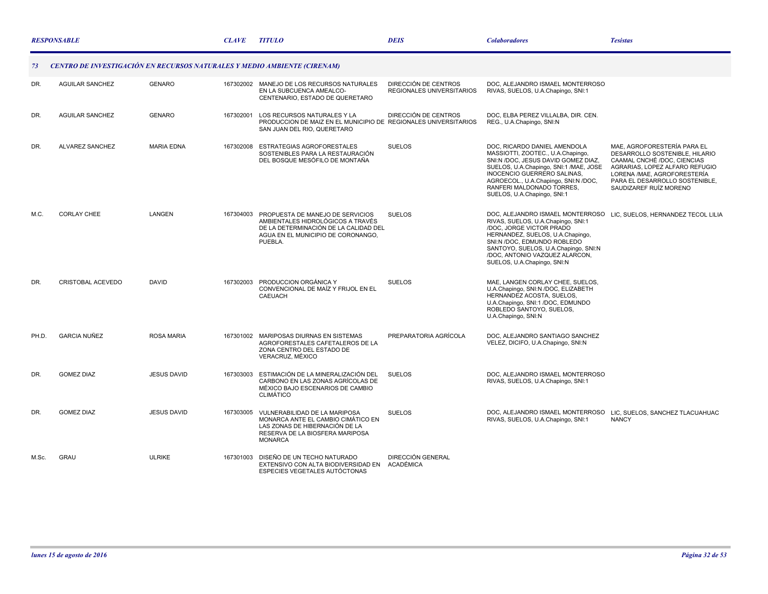|       | <b>RESPONSABLE</b>                                                              |                    |           | <b>TITULO</b>                                                                                                                                                   | <b>DEIS</b>                                       | <b>Colaboradores</b>                                                                                                                                                                                                                                                                                              | <b>Tesistas</b>                                                                                                                                                                                                           |
|-------|---------------------------------------------------------------------------------|--------------------|-----------|-----------------------------------------------------------------------------------------------------------------------------------------------------------------|---------------------------------------------------|-------------------------------------------------------------------------------------------------------------------------------------------------------------------------------------------------------------------------------------------------------------------------------------------------------------------|---------------------------------------------------------------------------------------------------------------------------------------------------------------------------------------------------------------------------|
| 73    | <b>CENTRO DE INVESTIGACIÓN EN RECURSOS NATURALES Y MEDIO AMBIENTE (CIRENAM)</b> |                    |           |                                                                                                                                                                 |                                                   |                                                                                                                                                                                                                                                                                                                   |                                                                                                                                                                                                                           |
| DR.   | <b>AGUILAR SANCHEZ</b>                                                          | <b>GENARO</b>      |           | 167302002 MANEJO DE LOS RECURSOS NATURALES<br>EN LA SUBCUENCA AMEALCO-<br>CENTENARIO, ESTADO DE QUERETARO                                                       | DIRECCIÓN DE CENTROS<br>REGIONALES UNIVERSITARIOS | DOC, ALEJANDRO ISMAEL MONTERROSO<br>RIVAS, SUELOS, U.A.Chapingo, SNI:1                                                                                                                                                                                                                                            |                                                                                                                                                                                                                           |
| DR.   | <b>AGUILAR SANCHEZ</b>                                                          | <b>GENARO</b>      | 167302001 | LOS RECURSOS NATURALES Y LA<br>PRODUCCION DE MAIZ EN EL MUNICIPIO DE REGIONALES UNIVERSITARIOS<br>SAN JUAN DEL RIO, QUERETARO                                   | DIRECCIÓN DE CENTROS                              | DOC, ELBA PEREZ VILLALBA, DIR. CEN.<br>REG., U.A.Chapingo, SNI:N                                                                                                                                                                                                                                                  |                                                                                                                                                                                                                           |
| DR.   | <b>ALVAREZ SANCHEZ</b>                                                          | <b>MARIA EDNA</b>  |           | 167302008 ESTRATEGIAS AGROFORESTALES<br>SOSTENIBLES PARA LA RESTAURACIÓN<br>DEL BOSQUE MESÓFILO DE MONTAÑA                                                      | <b>SUELOS</b>                                     | DOC. RICARDO DANIEL AMENDOLA<br>MASSIOTTI, ZOOTEC., U.A.Chapingo,<br>SNI:N /DOC, JESUS DAVID GOMEZ DIAZ,<br>SUELOS, U.A.Chapingo, SNI:1 /MAE, JOSE<br>INOCENCIO GUERRERO SALINAS,<br>AGROECOL., U.A.Chapingo, SNI:N /DOC,<br>RANFERI MALDONADO TORRES,<br>SUELOS, U.A.Chapingo, SNI:1                             | MAE. AGROFORESTERÍA PARA EL<br>DESARROLLO SOSTENIBLE, HILARIO<br>CAAMAL CNCHÉ /DOC, CIENCIAS<br>AGRARIAS, LOPEZ ALFARO REFUGIO<br>LORENA /MAE, AGROFORESTERÍA<br>PARA EL DESARROLLO SOSTENIBLE,<br>SAUDIZAREF RUÍZ MORENO |
| M.C.  | <b>CORLAY CHEE</b>                                                              | <b>LANGEN</b>      | 167304003 | PROPUESTA DE MANEJO DE SERVICIOS<br>AMBIENTALES HIDROLÓGICOS A TRAVÉS<br>DE LA DETERMINACIÓN DE LA CALIDAD DEL<br>AGUA EN EL MUNICIPIO DE CORONANGO,<br>PUEBLA. | <b>SUELOS</b>                                     | DOC, ALEJANDRO ISMAEL MONTERROSO LIC, SUELOS, HERNANDEZ TECOL LILIA<br>RIVAS, SUELOS, U.A.Chapingo, SNI:1<br>/DOC, JORGE VICTOR PRADO<br>HERNANDEZ, SUELOS, U.A.Chapingo,<br>SNI:N /DOC, EDMUNDO ROBLEDO<br>SANTOYO, SUELOS, U.A.Chapingo, SNI:N<br>/DOC, ANTONIO VAZQUEZ ALARCON,<br>SUELOS, U.A.Chapingo, SNI:N |                                                                                                                                                                                                                           |
| DR.   | <b>CRISTOBAL ACEVEDO</b>                                                        | <b>DAVID</b>       | 167302003 | PRODUCCION ORGÁNICA Y<br>CONVENCIONAL DE MAÍZ Y FRIJOL EN EL<br><b>CAEUACH</b>                                                                                  | <b>SUELOS</b>                                     | MAE, LANGEN CORLAY CHEE, SUELOS,<br>U.A.Chapingo, SNI:N /DOC, ELIZABETH<br>HERNANDEZ ACOSTA, SUELOS,<br>U.A.Chapingo, SNI:1 /DOC, EDMUNDO<br>ROBLEDO SANTOYO, SUELOS,<br>U.A.Chapingo, SNI:N                                                                                                                      |                                                                                                                                                                                                                           |
| PH.D. | <b>GARCIA NUÑEZ</b>                                                             | <b>ROSA MARIA</b>  |           | 167301002 MARIPOSAS DIURNAS EN SISTEMAS<br>AGROFORESTALES CAFETALEROS DE LA<br>ZONA CENTRO DEL ESTADO DE<br>VERACRUZ, MÉXICO                                    | PREPARATORIA AGRÍCOLA                             | DOC, ALEJANDRO SANTIAGO SANCHEZ<br>VELEZ, DICIFO, U.A.Chapingo, SNI:N                                                                                                                                                                                                                                             |                                                                                                                                                                                                                           |
| DR.   | <b>GOMEZ DIAZ</b>                                                               | <b>JESUS DAVID</b> | 167303003 | ESTIMACIÓN DE LA MINERALIZACIÓN DEL<br>CARBONO EN LAS ZONAS AGRÍCOLAS DE<br>MÉXICO BAJO ESCENARIOS DE CAMBIO<br><b>CLIMÁTICO</b>                                | <b>SUELOS</b>                                     | DOC, ALEJANDRO ISMAEL MONTERROSO<br>RIVAS, SUELOS, U.A.Chapingo, SNI:1                                                                                                                                                                                                                                            |                                                                                                                                                                                                                           |
| DR.   | <b>GOMEZ DIAZ</b>                                                               | <b>JESUS DAVID</b> | 167303005 | VULNERABILIDAD DE LA MARIPOSA<br>MONARCA ANTE EL CAMBIO CIMÁTICO EN<br>LAS ZONAS DE HIBERNACIÓN DE LA<br>RESERVA DE LA BIOSFERA MARIPOSA<br><b>MONARCA</b>      | <b>SUELOS</b>                                     | DOC, ALEJANDRO ISMAEL MONTERROSO<br>RIVAS, SUELOS, U.A.Chapingo, SNI:1                                                                                                                                                                                                                                            | LIC, SUELOS, SANCHEZ TLACUAHUAC<br><b>NANCY</b>                                                                                                                                                                           |
| M.Sc. | <b>GRAU</b>                                                                     | <b>ULRIKE</b>      | 167301003 | DISEÑO DE UN TECHO NATURADO<br>EXTENSIVO CON ALTA BIODIVERSIDAD EN ACADÉMICA<br>ESPECIES VEGETALES AUTÓCTONAS                                                   | <b>DIRECCIÓN GENERAL</b>                          |                                                                                                                                                                                                                                                                                                                   |                                                                                                                                                                                                                           |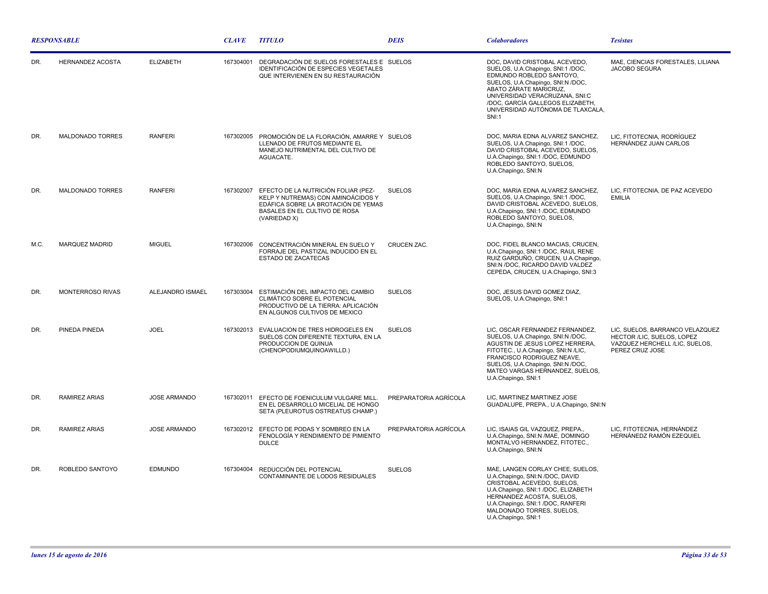| <b>RESPONSABLE</b> |                         |                     | <b>CLAVE</b> | <b>TITULO</b>                                                                                                                                                     | <b>DEIS</b>           | <b>Colaboradores</b>                                                                                                                                                                                                                                                                     | <b>Tesistas</b>                                                                                                    |
|--------------------|-------------------------|---------------------|--------------|-------------------------------------------------------------------------------------------------------------------------------------------------------------------|-----------------------|------------------------------------------------------------------------------------------------------------------------------------------------------------------------------------------------------------------------------------------------------------------------------------------|--------------------------------------------------------------------------------------------------------------------|
| DR.                | <b>HERNANDEZ ACOSTA</b> | <b>ELIZABETH</b>    | 167304001    | DEGRADACIÓN DE SUELOS FORESTALES E SUELOS<br><b>IDENTIFICACIÓN DE ESPECIES VEGETALES</b><br>QUE INTERVIENEN EN SU RESTAURACIÓN                                    |                       | DOC, DAVID CRISTOBAL ACEVEDO,<br>SUELOS, U.A.Chapingo, SNI:1 /DOC,<br>EDMUNDO ROBLEDO SANTOYO,<br>SUELOS, U.A.Chapingo, SNI:N /DOC,<br>ABATO ZÁRATE MARICRUZ,<br>UNIVERSIDAD VERACRUZANA, SNI:C<br>/DOC, GARCÍA GALLEGOS ELIZABETH,<br>UNIVERSIDAD AUTÓNOMA DE TLAXCALA,<br><b>SNI:1</b> | MAE, CIENCIAS FORESTALES, LILIANA<br><b>JACOBO SEGURA</b>                                                          |
| DR.                | MALDONADO TORRES        | <b>RANFERI</b>      |              | 167302005 PROMOCIÓN DE LA FLORACIÓN, AMARRE Y SUELOS<br>LLENADO DE FRUTOS MEDIANTE EL<br>MANEJO NUTRIMENTAL DEL CULTIVO DE<br>AGUACATE.                           |                       | DOC, MARIA EDNA ALVAREZ SANCHEZ,<br>SUELOS, U.A.Chapingo, SNI:1 /DOC,<br>DAVID CRISTOBAL ACEVEDO, SUELOS,<br>U.A.Chapingo, SNI:1 /DOC, EDMUNDO<br>ROBLEDO SANTOYO, SUELOS,<br>U.A.Chapingo, SNI:N                                                                                        | LIC, FITOTECNIA, RODRÍGUEZ<br>HERNÁNDEZ JUAN CARLOS                                                                |
| DR.                | MALDONADO TORRES        | <b>RANFERI</b>      | 167302007    | EFECTO DE LA NUTRICIÓN FOLIAR (PEZ-<br>KELP Y NUTREMAS) CON AMINOÁCIDOS Y<br>EDÁFICA SOBRE LA BROTACIÓN DE YEMAS<br>BASALES EN EL CULTIVO DE ROSA<br>(VARIEDAD X) | <b>SUELOS</b>         | DOC, MARIA EDNA ALVAREZ SANCHEZ,<br>SUELOS, U.A.Chapingo, SNI:1 /DOC,<br>DAVID CRISTOBAL ACEVEDO, SUELOS,<br>U.A.Chapingo, SNI:1 /DOC, EDMUNDO<br>ROBLEDO SANTOYO, SUELOS,<br>U.A.Chapingo, SNI:N                                                                                        | LIC, FITOTECNIA, DE PAZ ACEVEDO<br><b>EMILIA</b>                                                                   |
| M.C.               | MARQUEZ MADRID          | <b>MIGUEL</b>       | 167302006    | CONCENTRACIÓN MINERAL EN SUELO Y<br>FORRAJE DEL PASTIZAL INDUCIDO EN EL<br>ESTADO DE ZACATECAS                                                                    | CRUCEN ZAC.           | DOC, FIDEL BLANCO MACIAS, CRUCEN,<br>U.A.Chapingo, SNI:1 /DOC, RAUL RENE<br>RUIZ GARDUÑO, CRUCEN, U.A.Chapingo,<br>SNI:N /DOC, RICARDO DAVID VALDEZ<br>CEPEDA, CRUCEN, U.A.Chapingo, SNI:3                                                                                               |                                                                                                                    |
| DR.                | MONTERROSO RIVAS        | ALEJANDRO ISMAEL    | 167303004    | ESTIMACIÓN DEL IMPACTO DEL CAMBIO<br>CLIMÁTICO SOBRE EL POTENCIAL<br>PRODUCTIVO DE LA TIERRA: APLICACIÓN<br>EN ALGUNOS CULTIVOS DE MEXICO                         | <b>SUELOS</b>         | DOC, JESUS DAVID GOMEZ DIAZ,<br>SUELOS, U.A.Chapingo, SNI:1                                                                                                                                                                                                                              |                                                                                                                    |
| DR.                | PINEDA PINEDA           | <b>JOEL</b>         | 167302013    | EVALUACION DE TRES HIDROGELES EN<br>SUELOS CON DIFERENTE TEXTURA, EN LA<br>PRODUCCION DE QUINUA<br>(CHENOPODIUMQUINOAWILLD.)                                      | <b>SUELOS</b>         | LIC, OSCAR FERNANDEZ FERNANDEZ,<br>SUELOS, U.A.Chapingo, SNI:N /DOC,<br>AGUSTIN DE JESUS LOPEZ HERRERA,<br>FITOTEC., U.A.Chapingo, SNI:N /LIC,<br>FRANCISCO RODRIGUEZ NEAVE,<br>SUELOS, U.A.Chapingo, SNI:N /DOC,<br>MATEO VARGAS HERNANDEZ, SUELOS,<br>U.A.Chapingo, SNI:1              | LIC, SUELOS, BARRANCO VELAZQUEZ<br>HECTOR /LIC, SUELOS, LOPEZ<br>VAZQUEZ HERCHELL /LIC, SUELOS,<br>PEREZ CRUZ JOSE |
| DR.                | <b>RAMIREZ ARIAS</b>    | <b>JOSE ARMANDO</b> |              | 167302011 EFECTO DE FOENICULUM VULGARE MILL.<br>EN EL DESARROLLO MICELIAL DE HONGO<br>SETA (PLEUROTUS OSTREATUS CHAMP.)                                           | PREPARATORIA AGRÍCOLA | LIC, MARTINEZ MARTINEZ JOSE<br>GUADALUPE, PREPA., U.A.Chapingo, SNI:N                                                                                                                                                                                                                    |                                                                                                                    |
| DR.                | <b>RAMIREZ ARIAS</b>    | <b>JOSE ARMANDO</b> | 167302012    | EFECTO DE PODAS Y SOMBREO EN LA<br>FENOLOGÍA Y RENDIMIENTO DE PIMIENTO<br><b>DULCE</b>                                                                            | PREPARATORIA AGRÍCOLA | LIC, ISAIAS GIL VAZQUEZ, PREPA.,<br>U.A.Chapingo, SNI:N /MAE, DOMINGO<br>MONTALVO HERNANDEZ, FITOTEC.,<br>U.A.Chapingo, SNI:N                                                                                                                                                            | LIC, FITOTECNIA, HERNÁNDEZ<br>HERNÁNEDZ RAMÓN EZEQUIEL                                                             |
| DR.                | ROBLEDO SANTOYO         | <b>EDMUNDO</b>      | 167304004    | REDUCCIÓN DEL POTENCIAL<br>CONTAMINANTE DE LODOS RESIDUALES                                                                                                       | <b>SUELOS</b>         | MAE, LANGEN CORLAY CHEE, SUELOS,<br>U.A.Chapingo, SNI:N /DOC, DAVID<br>CRISTOBAL ACEVEDO, SUELOS,<br>U.A.Chapingo, SNI:1 /DOC, ELIZABETH<br>HERNANDEZ ACOSTA, SUELOS,<br>U.A.Chapingo, SNI:1/DOC, RANFERI<br>MALDONADO TORRES, SUELOS,<br>U.A.Chapingo, SNI:1                            |                                                                                                                    |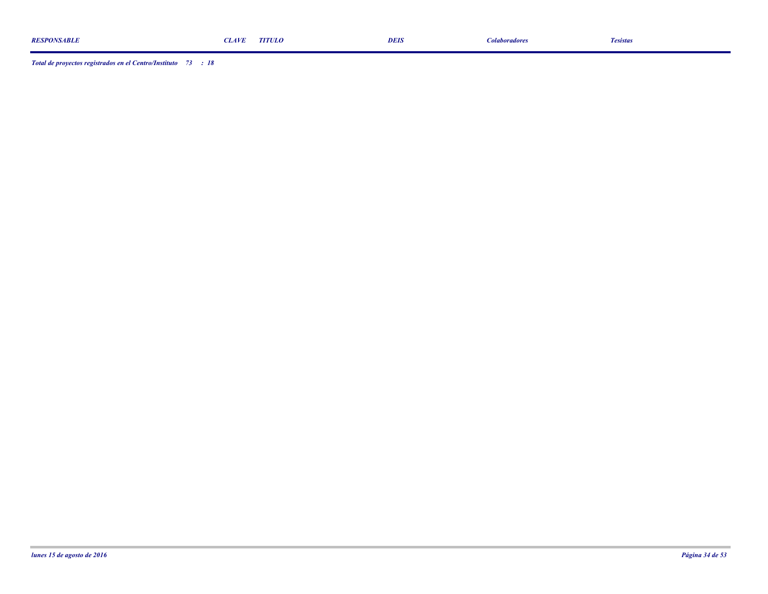|                    |                    | TITULO |             |                      |           |
|--------------------|--------------------|--------|-------------|----------------------|-----------|
| <b>RESPONSABLE</b> | <i><b>LAVI</b></i> |        | <b>DEIS</b> | <i>colaboradores</i> | I esistas |
|                    |                    |        |             |                      |           |
|                    |                    |        |             |                      |           |

*Total de proyectos registrados en el Centro/Instituto : 73 18*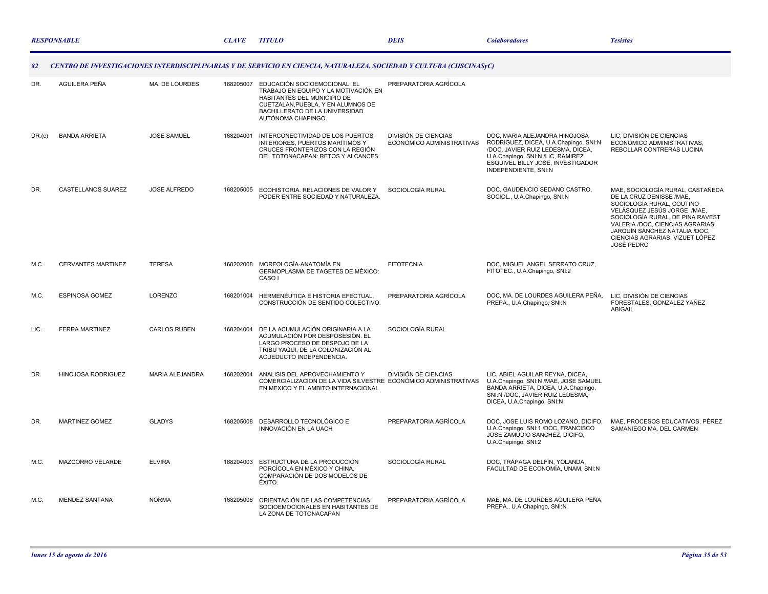|        | <b>RESPONSABLE</b>        |                        | <b>CLAVE</b> | <b>TITULO</b>                                                                                                                                                                                     | <b>DEIS</b>                                       | <b>Colaboradores</b>                                                                                                                                                                                          | <b>Tesistas</b>                                                                                                                                                                                                                                                                           |
|--------|---------------------------|------------------------|--------------|---------------------------------------------------------------------------------------------------------------------------------------------------------------------------------------------------|---------------------------------------------------|---------------------------------------------------------------------------------------------------------------------------------------------------------------------------------------------------------------|-------------------------------------------------------------------------------------------------------------------------------------------------------------------------------------------------------------------------------------------------------------------------------------------|
| 82     |                           |                        |              | CENTRO DE INVESTIGACIONES INTERDISCIPLINARIAS Y DE SERVICIO EN CIENCIA, NATURALEZA, SOCIEDAD Y CULTURA (CIISCINASyC)                                                                              |                                                   |                                                                                                                                                                                                               |                                                                                                                                                                                                                                                                                           |
| DR.    | AGUILERA PEÑA             | MA. DE LOURDES         | 168205007    | EDUCACIÓN SOCIOEMOCIONAL: EL<br>TRABAJO EN EQUIPO Y LA MOTIVACIÓN EN<br>HABITANTES DEL MUNICIPIO DE<br>CUETZALAN, PUEBLA, Y EN ALUMNOS DE<br>BACHILLERATO DE LA UNIVERSIDAD<br>AUTÓNOMA CHAPINGO. | PREPARATORIA AGRÍCOLA                             |                                                                                                                                                                                                               |                                                                                                                                                                                                                                                                                           |
| DR.(c) | <b>BANDA ARRIETA</b>      | <b>JOSE SAMUEL</b>     | 168204001    | INTERCONECTIVIDAD DE LOS PUERTOS<br>INTERIORES, PUERTOS MARÍTIMOS Y<br>CRUCES FRONTERIZOS CON LA REGIÓN<br>DEL TOTONACAPAN: RETOS Y ALCANCES                                                      | DIVISIÓN DE CIENCIAS<br>ECONÓMICO ADMINISTRATIVAS | DOC. MARIA ALEJANDRA HINOJOSA<br>RODRIGUEZ, DICEA, U.A.Chapingo, SNI:N<br>/DOC, JAVIER RUIZ LEDESMA, DICEA,<br>U.A.Chapingo, SNI:N /LIC, RAMIREZ<br>ESQUIVEL BILLY JOSE, INVESTIGADOR<br>INDEPENDIENTE, SNI:N | LIC, DIVISIÓN DE CIENCIAS<br>ECONÓMICO ADMINISTRATIVAS,<br>REBOLLAR CONTRERAS LUCINA                                                                                                                                                                                                      |
| DR.    | CASTELLANOS SUAREZ        | <b>JOSE ALFREDO</b>    | 168205005    | ECOHISTORIA, RELACIONES DE VALOR Y<br>PODER ENTRE SOCIEDAD Y NATURALEZA.                                                                                                                          | SOCIOLOGÍA RURAL                                  | DOC. GAUDENCIO SEDANO CASTRO.<br>SOCIOL., U.A.Chapingo, SNI:N                                                                                                                                                 | MAE. SOCIOLOGÍA RURAL. CASTAÑEDA<br>DE LA CRUZ DENISSE /MAE.<br>SOCIOLOGÍA RURAL, COUTIÑO<br>VELÁSQUEZ JESÚS JORGE /MAE,<br>SOCIOLOGÍA RURAL, DE PINA RAVEST<br>VALERIA /DOC, CIENCIAS AGRARIAS,<br>JARQUÍN SÁNCHEZ NATALIA /DOC,<br>CIENCIAS AGRARIAS, VIZUET LÓPEZ<br><b>JOSÉ PEDRO</b> |
| M.C.   | <b>CERVANTES MARTINEZ</b> | <b>TERESA</b>          |              | 168202008 MORFOLOGÍA-ANATOMÍA EN<br>GERMOPLASMA DE TAGETES DE MÉXICO:<br>CASO I                                                                                                                   | <b>FITOTECNIA</b>                                 | DOC, MIGUEL ANGEL SERRATO CRUZ,<br>FITOTEC., U.A.Chapingo, SNI:2                                                                                                                                              |                                                                                                                                                                                                                                                                                           |
| M.C.   | <b>ESPINOSA GOMEZ</b>     | LORENZO                | 168201004    | HERMENÉUTICA E HISTORIA EFECTUAL,<br>CONSTRUCCIÓN DE SENTIDO COLECTIVO.                                                                                                                           | PREPARATORIA AGRÍCOLA                             | DOC, MA. DE LOURDES AGUILERA PEÑA,<br>PREPA., U.A.Chapingo, SNI:N                                                                                                                                             | LIC, DIVISIÓN DE CIENCIAS<br>FORESTALES, GONZALEZ YAÑEZ<br><b>ABIGAIL</b>                                                                                                                                                                                                                 |
| LIC.   | <b>FERRA MARTINEZ</b>     | <b>CARLOS RUBEN</b>    | 168204004    | DE LA ACUMULACIÓN ORIGINARIA A LA<br>ACUMULACIÓN POR DESPOSESIÓN. EL<br>LARGO PROCESO DE DESPOJO DE LA<br>TRIBU YAQUI, DE LA COLONIZACIÓN AL<br>ACUEDUCTO INDEPENDENCIA.                          | SOCIOLOGÍA RURAL                                  |                                                                                                                                                                                                               |                                                                                                                                                                                                                                                                                           |
| DR.    | HINOJOSA RODRIGUEZ        | <b>MARIA ALEJANDRA</b> | 168202004    | ANALISIS DEL APROVECHAMIENTO Y<br>COMERCIALIZACION DE LA VIDA SILVESTRE ECONÓMICO ADMINISTRATIVAS<br>EN MEXICO Y EL AMBITO INTERNACIONAL                                                          | <b>DIVISIÓN DE CIENCIAS</b>                       | LIC, ABIEL AGUILAR REYNA, DICEA,<br>U.A.Chapingo, SNI:N /MAE, JOSE SAMUEL<br>BANDA ARRIETA, DICEA, U.A.Chapingo,<br>SNI:N /DOC, JAVIER RUIZ LEDESMA,<br>DICEA, U.A.Chapingo, SNI:N                            |                                                                                                                                                                                                                                                                                           |
| DR.    | <b>MARTINEZ GOMEZ</b>     | <b>GLADYS</b>          |              | 168205008 DESARROLLO TECNOLÓGICO E<br>INNOVACIÓN EN LA UACH                                                                                                                                       | PREPARATORIA AGRÍCOLA                             | DOC, JOSE LUIS ROMO LOZANO, DICIFO,<br>U.A.Chapingo, SNI:1 /DOC, FRANCISCO<br>JOSE ZAMUDIO SANCHEZ, DICIFO,<br>U.A.Chapingo, SNI:2                                                                            | MAE, PROCESOS EDUCATIVOS, PÉREZ<br>SAMANIEGO MA. DEL CARMEN                                                                                                                                                                                                                               |
| M.C.   | MAZCORRO VELARDE          | <b>ELVIRA</b>          | 168204003    | ESTRUCTURA DE LA PRODUCCIÓN<br>PORCÍCOLA EN MÉXICO Y CHINA.<br>COMPARACIÓN DE DOS MODELOS DE<br><b>ÉXITO.</b>                                                                                     | SOCIOLOGÍA RURAL                                  | DOC, TRÁPAGA DELFÍN, YOLANDA,<br>FACULTAD DE ECONOMÍA, UNAM, SNI:N                                                                                                                                            |                                                                                                                                                                                                                                                                                           |
| M.C.   | <b>MENDEZ SANTANA</b>     | <b>NORMA</b>           | 168205006    | ORIENTACIÓN DE LAS COMPETENCIAS<br>SOCIOEMOCIONALES EN HABITANTES DE<br>LA ZONA DE TOTONACAPAN                                                                                                    | PREPARATORIA AGRÍCOLA                             | MAE, MA. DE LOURDES AGUILERA PEÑA,<br>PREPA., U.A.Chapingo, SNI:N                                                                                                                                             |                                                                                                                                                                                                                                                                                           |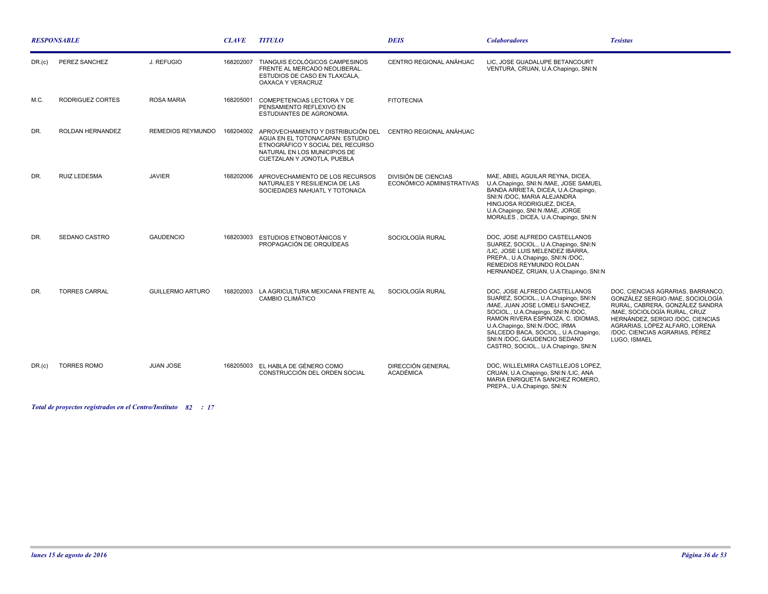| <b>RESPONSABLE</b> |                      | <b>CLAVE</b>            | <b>TITULO</b> | <b>DEIS</b>                                                                                                                                                              | <b>Colaboradores</b>                              | <b>Tesistas</b>                                                                                                                                                                                                                                                                                                                        |                                                                                                                                                                                                                                                                  |
|--------------------|----------------------|-------------------------|---------------|--------------------------------------------------------------------------------------------------------------------------------------------------------------------------|---------------------------------------------------|----------------------------------------------------------------------------------------------------------------------------------------------------------------------------------------------------------------------------------------------------------------------------------------------------------------------------------------|------------------------------------------------------------------------------------------------------------------------------------------------------------------------------------------------------------------------------------------------------------------|
| $DR_{1}(c)$        | PEREZ SANCHEZ        | J. REFUGIO              | 168202007     | TIANGUIS ECOLÓGICOS CAMPESINOS<br>FRENTE AL MERCADO NEOLIBERAL.<br>ESTUDIOS DE CASO EN TLAXCALA.<br>OAXACA Y VERACRUZ                                                    | CENTRO REGIONAL ANÁHUAC                           | LIC. JOSE GUADALUPE BETANCOURT<br>VENTURA, CRUAN, U.A.Chapingo, SNI:N                                                                                                                                                                                                                                                                  |                                                                                                                                                                                                                                                                  |
| M.C.               | RODRIGUEZ CORTES     | <b>ROSA MARIA</b>       | 168205001     | COMEPETENCIAS LECTORA Y DE<br>PENSAMIENTO REFLEXIVO EN<br><b>ESTUDIANTES DE AGRONOMIA.</b>                                                                               | <b>FITOTECNIA</b>                                 |                                                                                                                                                                                                                                                                                                                                        |                                                                                                                                                                                                                                                                  |
| DR.                | ROLDAN HERNANDEZ     | REMEDIOS REYMUNDO       | 168204002     | APROVECHAMIENTO Y DISTRIBUCIÓN DEL<br>AGUA EN EL TOTONACAPAN: ESTUDIO<br>ETNOGRÁFICO Y SOCIAL DEL RECURSO<br>NATURAL EN LOS MUNICIPIOS DE<br>CUETZALAN Y JONOTLA, PUEBLA | CENTRO REGIONAL ANÁHUAC                           |                                                                                                                                                                                                                                                                                                                                        |                                                                                                                                                                                                                                                                  |
| DR.                | <b>RUIZ LEDESMA</b>  | <b>JAVIER</b>           | 168202006     | APROVECHAMIENTO DE LOS RECURSOS<br>NATURALES Y RESILIENCIA DE LAS<br>SOCIEDADES NAHUATL Y TOTONACA                                                                       | DIVISIÓN DE CIENCIAS<br>ECONÓMICO ADMINISTRATIVAS | MAE, ABIEL AGUILAR REYNA, DICEA,<br>U.A.Chapingo, SNI:N /MAE, JOSE SAMUEL<br>BANDA ARRIETA, DICEA, U.A.Chapingo,<br>SNI:N /DOC. MARIA ALEJANDRA<br>HINOJOSA RODRIGUEZ, DICEA,<br>U.A.Chapingo, SNI:N /MAE, JORGE<br>MORALES, DICEA, U.A.Chapingo, SNI:N                                                                                |                                                                                                                                                                                                                                                                  |
| DR.                | <b>SEDANO CASTRO</b> | <b>GAUDENCIO</b>        | 168203003     | <b>ESTUDIOS ETNOBOTÁNICOS Y</b><br>PROPAGACIÓN DE ORQUÍDEAS                                                                                                              | SOCIOLOGÍA RURAL                                  | DOC. JOSE ALFREDO CASTELLANOS<br>SUAREZ, SOCIOL., U.A.Chapingo, SNI:N<br>/LIC, JOSE LUIS MELENDEZ IBARRA,<br>PREPA., U.A.Chapingo, SNI:N /DOC,<br>REMEDIOS REYMUNDO ROLDAN<br>HERNANDEZ, CRUAN, U.A.Chapingo, SNI:N                                                                                                                    |                                                                                                                                                                                                                                                                  |
| DR.                | <b>TORRES CARRAL</b> | <b>GUILLERMO ARTURO</b> |               | 168202003 LA AGRICULTURA MEXICANA FRENTE AL<br><b>CAMBIO CLIMÁTICO</b>                                                                                                   | SOCIOLOGÍA RURAL                                  | DOC. JOSE ALFREDO CASTELLANOS<br>SUAREZ, SOCIOL., U.A.Chapingo, SNI:N<br>/MAE, JUAN JOSE LOMELI SANCHEZ,<br>SOCIOL., U.A.Chapingo, SNI:N /DOC,<br>RAMON RIVERA ESPINOZA, C. IDIOMAS,<br>U.A.Chapingo, SNI:N /DOC, IRMA<br>SALCEDO BACA, SOCIOL., U.A.Chapingo,<br>SNI:N /DOC, GAUDENCIO SEDANO<br>CASTRO, SOCIOL., U.A.Chapingo, SNI:N | DOC. CIENCIAS AGRARIAS. BARRANCO.<br>GONZÁLEZ SERGIO /MAE, SOCIOLOGÍA<br>RURAL, CABRERA, GONZÁLEZ SANDRA<br>/MAE, SOCIOLOGÍA RURAL, CRUZ<br>HERNÁNDEZ, SERGIO /DOC, CIENCIAS<br>AGRARIAS, LÓPEZ ALFARO, LORENA<br>/DOC. CIENCIAS AGRARIAS. PÉREZ<br>LUGO. ISMAEL |
| DR(G)              | <b>TORRES ROMO</b>   | <b>JUAN JOSE</b>        |               | 168205003 EL HABLA DE GÉNERO COMO<br>CONSTRUCCIÓN DEL ORDEN SOCIAL                                                                                                       | <b>DIRECCIÓN GENERAL</b><br><b>ACADÉMICA</b>      | DOC. WILLELMIRA CASTILLEJOS LOPEZ.<br>CRUAN, U.A.Chapingo, SNI:N /LIC, ANA<br>MARIA ENRIQUETA SANCHEZ ROMERO,<br>PREPA., U.A.Chapingo, SNI:N                                                                                                                                                                                           |                                                                                                                                                                                                                                                                  |

*Total de proyectos registrados en el Centro/Instituto : 82 17*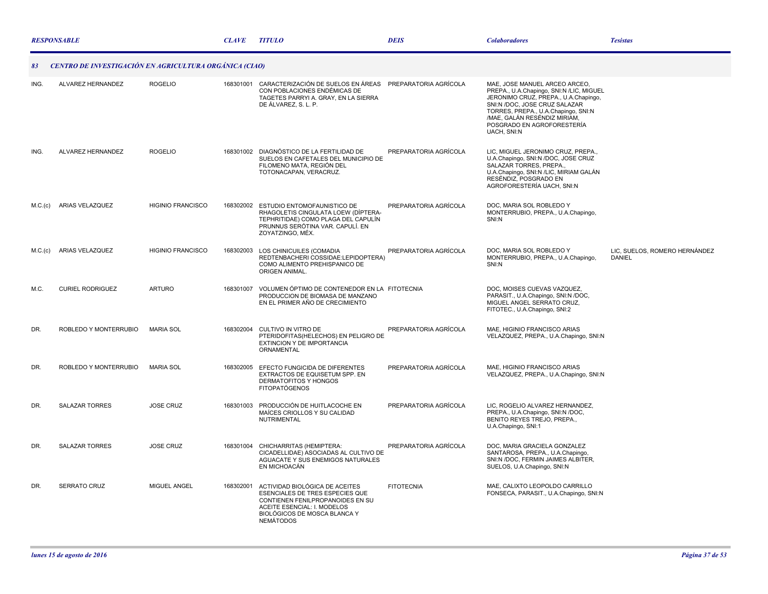|         | <b>RESPONSABLE</b>                                     |                          | <b>CLAVE</b> | <b>TITULO</b>                                                                                                                                                                            | <b>DEIS</b>           | <b>Colaboradores</b>                                                                                                                                                                                                                                                   | <b>Tesistas</b>                                |
|---------|--------------------------------------------------------|--------------------------|--------------|------------------------------------------------------------------------------------------------------------------------------------------------------------------------------------------|-----------------------|------------------------------------------------------------------------------------------------------------------------------------------------------------------------------------------------------------------------------------------------------------------------|------------------------------------------------|
| 83      | CENTRO DE INVESTIGACIÓN EN AGRICULTURA ORGÁNICA (CIAO) |                          |              |                                                                                                                                                                                          |                       |                                                                                                                                                                                                                                                                        |                                                |
| ING.    | ALVAREZ HERNANDEZ                                      | <b>ROGELIO</b>           | 168301001    | CARACTERIZACIÓN DE SUELOS EN ÁREAS PREPARATORIA AGRÍCOLA<br>CON POBLACIONES ENDÉMICAS DE<br>TAGETES PARRYI A. GRAY. EN LA SIERRA<br>DE ÁLVAREZ, S. L. P.                                 |                       | MAE, JOSE MANUEL ARCEO ARCEO,<br>PREPA., U.A.Chapingo, SNI:N /LIC, MIGUEL<br>JERONIMO CRUZ, PREPA., U.A.Chapingo,<br>SNI:N /DOC, JOSE CRUZ SALAZAR<br>TORRES, PREPA., U.A.Chapingo, SNI:N<br>/MAE, GALÁN RESÉNDIZ MIRIAM,<br>POSGRADO EN AGROFORESTERÍA<br>UACH, SNI:N |                                                |
| ING.    | ALVAREZ HERNANDEZ                                      | <b>ROGELIO</b>           |              | 168301002 DIAGNÓSTICO DE LA FERTILIDAD DE<br>SUELOS EN CAFETALES DEL MUNICIPIO DE<br>FILOMENO MATA, REGIÓN DEL<br>TOTONACAPAN, VERACRUZ.                                                 | PREPARATORIA AGRÍCOLA | LIC, MIGUEL JERONIMO CRUZ, PREPA.,<br>U.A.Chapingo, SNI:N /DOC, JOSE CRUZ<br>SALAZAR TORRES, PREPA.,<br>U.A.Chapingo, SNI:N /LIC, MIRIAM GALÁN<br>RESÉNDIZ, POSGRADO EN<br>AGROFORESTERÍA UACH. SNI:N                                                                  |                                                |
| M.C.(c) | ARIAS VELAZQUEZ                                        | <b>HIGINIO FRANCISCO</b> |              | 168302002 ESTUDIO ENTOMOFAUNISTICO DE<br>RHAGOLETIS CINGULATA LOEW (DÍPTERA-<br>TEPHRITIDAE) COMO PLAGA DEL CAPULÍN<br>PRUNNUS SERÓTINA VAR. CAPULÍ. EN<br>ZOYATZINGO, MÉX.              | PREPARATORIA AGRÍCOLA | DOC, MARIA SOL ROBLEDO Y<br>MONTERRUBIO, PREPA., U.A.Chapingo,<br>SNI:N                                                                                                                                                                                                |                                                |
| M.C.(c) | ARIAS VELAZQUEZ                                        | <b>HIGINIO FRANCISCO</b> |              | 168302003 LOS CHINICUILES (COMADIA<br>REDTENBACHERI COSSIDAE:LEPIDOPTERA)<br>COMO ALIMENTO PREHISPANICO DE<br>ORIGEN ANIMAL.                                                             | PREPARATORIA AGRÍCOLA | DOC, MARIA SOL ROBLEDO Y<br>MONTERRUBIO, PREPA., U.A.Chapingo,<br>SNI:N                                                                                                                                                                                                | LIC, SUELOS, ROMERO HERNÁNDEZ<br><b>DANIEL</b> |
| M.C.    | <b>CURIEL RODRIGUEZ</b>                                | <b>ARTURO</b>            | 168301007    | VOLUMEN ÓPTIMO DE CONTENEDOR EN LA FITOTECNIA<br>PRODUCCION DE BIOMASA DE MANZANO<br>EN EL PRIMER AÑO DE CRECIMIENTO                                                                     |                       | DOC, MOISES CUEVAS VAZQUEZ,<br>PARASIT., U.A.Chapingo, SNI:N /DOC,<br>MIGUEL ANGEL SERRATO CRUZ,<br>FITOTEC., U.A.Chapingo, SNI:2                                                                                                                                      |                                                |
| DR.     | ROBLEDO Y MONTERRUBIO                                  | <b>MARIA SOL</b>         |              | 168302004 CULTIVO IN VITRO DE<br>PTERIDOFITAS(HELECHOS) EN PELIGRO DE<br>EXTINCION Y DE IMPORTANCIA<br>ORNAMENTAL                                                                        | PREPARATORIA AGRÍCOLA | MAE, HIGINIO FRANCISCO ARIAS<br>VELAZQUEZ, PREPA., U.A.Chapingo, SNI:N                                                                                                                                                                                                 |                                                |
| DR.     | ROBLEDO Y MONTERRUBIO                                  | <b>MARIA SOL</b>         |              | 168302005 EFECTO FUNGICIDA DE DIFERENTES<br>EXTRACTOS DE EQUISETUM SPP. EN<br>DERMATOFITOS Y HONGOS<br><b>FITOPATÓGENOS</b>                                                              | PREPARATORIA AGRÍCOLA | MAE, HIGINIO FRANCISCO ARIAS<br>VELAZQUEZ, PREPA., U.A.Chapingo, SNI:N                                                                                                                                                                                                 |                                                |
| DR.     | <b>SALAZAR TORRES</b>                                  | <b>JOSE CRUZ</b>         | 168301003    | PRODUCCIÓN DE HUITLACOCHE EN<br>MAÍCES CRIOLLOS Y SU CALIDAD<br><b>NUTRIMENTAL</b>                                                                                                       | PREPARATORIA AGRÍCOLA | LIC, ROGELIO ALVAREZ HERNANDEZ,<br>PREPA., U.A.Chapingo, SNI:N /DOC,<br>BENITO REYES TREJO, PREPA.,<br>U.A.Chapingo, SNI:1                                                                                                                                             |                                                |
| DR.     | <b>SALAZAR TORRES</b>                                  | <b>JOSE CRUZ</b>         | 168301004    | CHICHARRITAS (HEMIPTERA:<br>CICADELLIDAE) ASOCIADAS AL CULTIVO DE<br>AGUACATE Y SUS ENEMIGOS NATURALES<br>EN MICHOACÁN                                                                   | PREPARATORIA AGRÍCOLA | DOC, MARIA GRACIELA GONZALEZ<br>SANTAROSA, PREPA., U.A.Chapingo,<br>SNI:N /DOC, FERMIN JAIMES ALBITER,<br>SUELOS, U.A.Chapingo, SNI:N                                                                                                                                  |                                                |
| DR.     | <b>SERRATO CRUZ</b>                                    | MIGUEL ANGEL             | 168302001    | ACTIVIDAD BIOLÓGICA DE ACEITES<br>ESENCIALES DE TRES ESPECIES QUE<br>CONTIENEN FENILPROPANOIDES EN SU<br>ACEITE ESENCIAL: I. MODELOS<br>BIOLÓGICOS DE MOSCA BLANCA Y<br><b>NEMÁTODOS</b> | <b>FITOTECNIA</b>     | MAE, CALIXTO LEOPOLDO CARRILLO<br>FONSECA, PARASIT., U.A.Chapingo, SNI:N                                                                                                                                                                                               |                                                |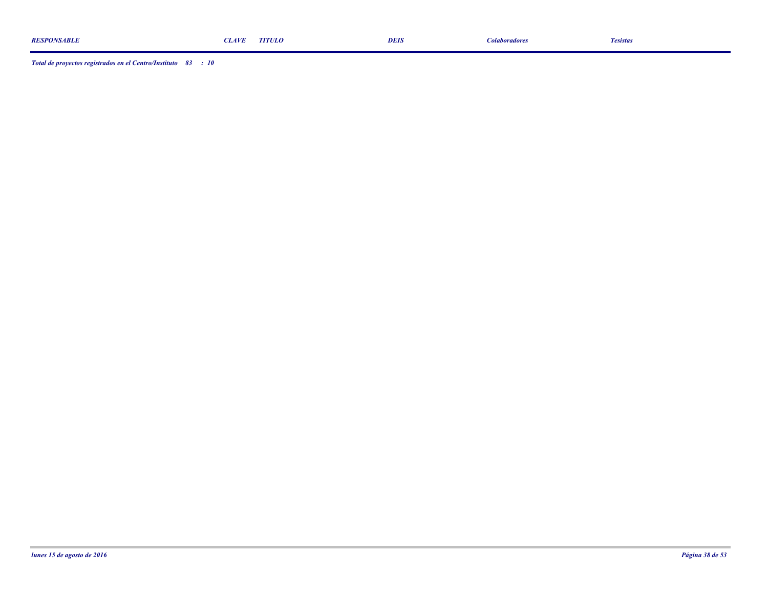| <b>RESPONSABLE</b> | <b>LAVF</b> | <b>TITULO</b> | <b>DEIS</b> | <i>colaboradores</i> | l esistas |
|--------------------|-------------|---------------|-------------|----------------------|-----------|
|                    |             |               |             |                      |           |
|                    |             |               |             |                      |           |

*Total de proyectos registrados en el Centro/Instituto : 83 10*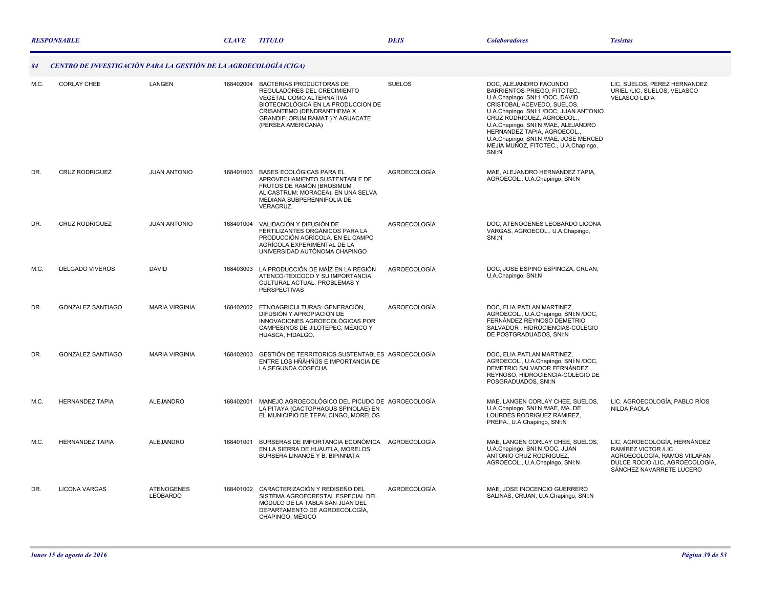|      | <b>RESPONSABLE</b>                                                |                                      |           | <b>TITULO</b>                                                                                                                                                                                                           | <b>DEIS</b>   | <b>Colaboradores</b>                                                                                                                                                                                                                                                                                                                                            | <b>Tesistas</b>                                                                                                                                     |
|------|-------------------------------------------------------------------|--------------------------------------|-----------|-------------------------------------------------------------------------------------------------------------------------------------------------------------------------------------------------------------------------|---------------|-----------------------------------------------------------------------------------------------------------------------------------------------------------------------------------------------------------------------------------------------------------------------------------------------------------------------------------------------------------------|-----------------------------------------------------------------------------------------------------------------------------------------------------|
|      | CENTRO DE INVESTIGACIÓN PARA LA GESTIÓN DE LA AGROECOLOGÍA (CIGA) |                                      |           |                                                                                                                                                                                                                         |               |                                                                                                                                                                                                                                                                                                                                                                 |                                                                                                                                                     |
| M.C. | <b>CORLAY CHEE</b>                                                | LANGEN                               | 168402004 | BACTERIAS PRODUCTORAS DE<br>REGULADORES DEL CRECIMIENTO<br><b>VEGETAL COMO ALTERNATIVA</b><br>BIOTECNOLÓGICA EN LA PRODUCCION DE<br>CRISANTEMO (DENDRANTHEMA X<br>GRANDIFLORUM RAMAT.) Y AGUACATE<br>(PERSEA AMERICANA) | <b>SUELOS</b> | DOC, ALEJANDRO FACUNDO<br>BARRIENTOS PRIEGO, FITOTEC.,<br>U.A.Chapingo, SNI:1 /DOC, DAVID<br>CRISTOBAL ACEVEDO, SUELOS,<br>U.A.Chapingo, SNI:1 /DOC, JUAN ANTONIO<br>CRUZ RODRIGUEZ, AGROECOL.,<br>U.A.Chapingo, SNI:N /MAE, ALEJANDRO<br>HERNANDEZ TAPIA, AGROECOL.,<br>U.A.Chapingo, SNI:N /MAE, JOSE MERCED<br>MEJIA MUÑOZ, FITOTEC., U.A.Chapingo,<br>SNI:N | LIC, SUELOS, PEREZ HERNANDEZ<br>URIEL /LIC, SUELOS, VELASCO<br><b>VELASCO LIDIA</b>                                                                 |
| DR.  | <b>CRUZ RODRIGUEZ</b>                                             | <b>JUAN ANTONIO</b>                  | 168401003 | BASES ECOLÓGICAS PARA EL<br>APROVECHAMIENTO SUSTENTABLE DE<br>FRUTOS DE RAMÓN (BROSIMUM<br>ALICASTRUM: MORACEA), EN UNA SELVA<br>MEDIANA SUBPERENNIFOLIA DE<br><b>VERACRUZ.</b>                                         | AGROECOLOGÍA  | MAE, ALEJANDRO HERNANDEZ TAPIA,<br>AGROECOL., U.A.Chapingo, SNI:N                                                                                                                                                                                                                                                                                               |                                                                                                                                                     |
| DR.  | <b>CRUZ RODRIGUEZ</b>                                             | <b>JUAN ANTONIO</b>                  | 168401004 | VALIDACIÓN Y DIFUSIÓN DE<br>FERTILIZANTES ORGÁNICOS PARA LA<br>PRODUCCIÓN AGRÍCOLA. EN EL CAMPO<br>AGRÍCOLA EXPERIMENTAL DE LA<br>UNIVERSIDAD AUTÓNOMA CHAPINGO                                                         | AGROECOLOGÍA  | DOC, ATENOGENES LEOBARDO LICONA<br>VARGAS, AGROECOL., U.A.Chapingo,<br>SNI:N                                                                                                                                                                                                                                                                                    |                                                                                                                                                     |
| M.C. | <b>DELGADO VIVEROS</b>                                            | <b>DAVID</b>                         |           | 168403003 LA PRODUCCIÓN DE MAÍZ EN LA REGIÓN<br>ATENCO-TEXCOCO Y SU IMPORTANCIA<br>CULTURAL ACTUAL, PROBLEMAS Y<br><b>PERSPECTIVAS</b>                                                                                  | AGROECOLOGÍA  | DOC, JOSE ESPINO ESPINOZA, CRUAN,<br>U.A.Chapingo, SNI:N                                                                                                                                                                                                                                                                                                        |                                                                                                                                                     |
| DR.  | <b>GONZALEZ SANTIAGO</b>                                          | <b>MARIA VIRGINIA</b>                | 168402002 | ETNOAGRICULTURAS: GENERACIÓN.<br>DIFUSIÓN Y APROPIACIÓN DE<br>INNOVACIONES AGROECOLÓGICAS POR<br>CAMPESINOS DE JILOTEPEC, MÉXICO Y<br>HUASCA, HIDALGO.                                                                  | AGROECOLOGÍA  | DOC, ELIA PATLAN MARTINEZ,<br>AGROECOL., U.A.Chapingo, SNI:N /DOC,<br>FERNÁNDEZ REYNOSO DEMETRIO<br>SALVADOR, HIDROCIENCIAS-COLEGIO<br>DE POSTGRADUADOS, SNI:N                                                                                                                                                                                                  |                                                                                                                                                     |
| DR.  | <b>GONZALEZ SANTIAGO</b>                                          | <b>MARIA VIRGINIA</b>                | 168402003 | GESTIÓN DE TERRITORIOS SUSTENTABLES AGROECOLOGÍA<br>ENTRE LOS HÑÄHÑÜS E IMPORTANCIA DE<br>LA SEGUNDA COSECHA                                                                                                            |               | DOC, ELIA PATLAN MARTINEZ,<br>AGROECOL., U.A.Chapingo, SNI:N /DOC,<br>DEMETRIO SALVADOR FERNÁNDEZ<br>REYNOSO, HIDROCIENCIA-COLEGIO DE<br>POSGRADUADOS, SNI:N                                                                                                                                                                                                    |                                                                                                                                                     |
| M.C. | <b>HERNANDEZ TAPIA</b>                                            | <b>ALEJANDRO</b>                     | 168402001 | MANEJO AGROECOLÓGICO DEL PICUDO DE AGROECOLOGÍA<br>LA PITAYA (CACTOPHAGUS SPINOLAE) EN<br>EL MUNICIPIO DE TEPALCINGO, MORELOS                                                                                           |               | MAE, LANGEN CORLAY CHEE, SUELOS,<br>U.A.Chapingo, SNI:N /MAE, MA. DE<br>LOURDES RODRIGUEZ RAMIREZ,<br>PREPA., U.A.Chapingo, SNI:N                                                                                                                                                                                                                               | LIC. AGROECOLOGÍA. PABLO RÍOS<br><b>NILDA PAOLA</b>                                                                                                 |
| M.C. | <b>HERNANDEZ TAPIA</b>                                            | <b>ALEJANDRO</b>                     | 168401001 | BURSERAS DE IMPORTANCIA ECONÓMICA<br>EN LA SIERRA DE HUAUTLA, MORELOS:<br>BURSERA LINANOE Y B. BIPINNATA                                                                                                                | AGROECOLOGÍA  | MAE, LANGEN CORLAY CHEE, SUELOS,<br>U.A.Chapingo, SNI:N /DOC, JUAN<br>ANTONIO CRUZ RODRIGUEZ,<br>AGROECOL., U.A.Chapingo, SNI:N                                                                                                                                                                                                                                 | LIC, AGROECOLOGÍA, HERNÁNDEZ<br>RAMÍREZ VICTOR /LIC,<br>AGROECOLOGÍA, RAMOS VIILAFAN<br>DULCE ROCIO /LIC, AGROECOLOGÍA,<br>SÁNCHEZ NAVARRETE LUCERO |
| DR.  | <b>LICONA VARGAS</b>                                              | <b>ATENOGENES</b><br><b>LEOBARDO</b> |           | 168401002 CARACTERIZACIÓN Y REDISEÑO DEL<br>SISTEMA AGROFORESTAL ESPECIAL DEL<br>MÓDULO DE LA TABLA SAN JUAN DEL<br>DEPARTAMENTO DE AGROECOLOGÍA,<br>CHAPINGO, MÉXICO                                                   | AGROECOLOGÍA  | MAE. JOSE INOCENCIO GUERRERO<br>SALINAS, CRUAN, U.A.Chapingo, SNI:N                                                                                                                                                                                                                                                                                             |                                                                                                                                                     |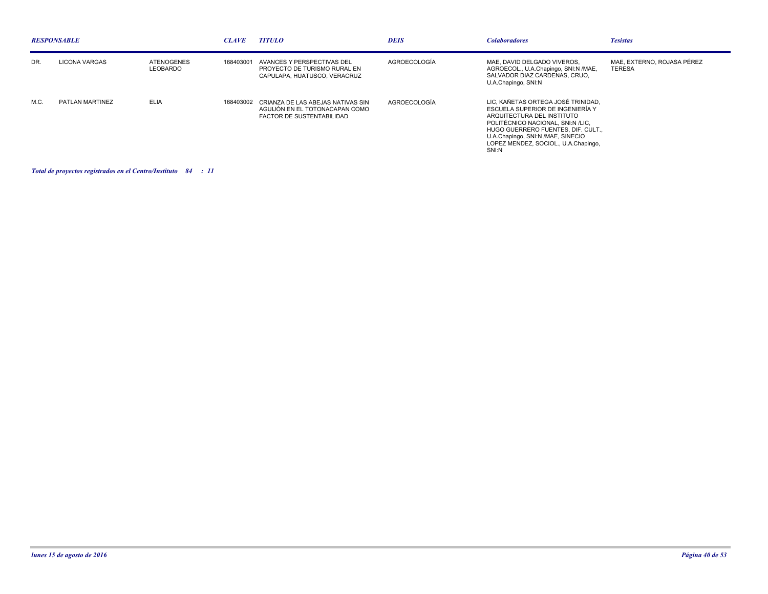| <b>RESPONSABLE</b> |                      |                                      | <b>CLAVE</b> | <b>TITULO</b>                                                                                              | <b>DEIS</b>  | <b>Colaboradores</b>                                                                                                                                                                                                                                                | <b>Tesistas</b>                             |
|--------------------|----------------------|--------------------------------------|--------------|------------------------------------------------------------------------------------------------------------|--------------|---------------------------------------------------------------------------------------------------------------------------------------------------------------------------------------------------------------------------------------------------------------------|---------------------------------------------|
| DR.                | <b>LICONA VARGAS</b> | <b>ATENOGENES</b><br><b>LEOBARDO</b> | 168403001    | AVANCES Y PERSPECTIVAS DEL<br>PROYECTO DE TURISMO RURAL EN<br>CAPULAPA, HUATUSCO, VERACRUZ                 | AGROECOLOGÍA | MAE. DAVID DELGADO VIVEROS.<br>AGROECOL., U.A.Chapingo, SNI:N /MAE,<br>SALVADOR DIAZ CARDENAS, CRUO.<br>U.A.Chapingo, SNI:N                                                                                                                                         | MAE. EXTERNO. ROJASA PÉREZ<br><b>TERESA</b> |
| M.C.               | PATLAN MARTINEZ      | <b>ELIA</b>                          |              | 168403002 CRIANZA DE LAS ABEJAS NATIVAS SIN<br>AGUIJÓN EN EL TOTONACAPAN COMO<br>FACTOR DE SUSTENTABILIDAD | AGROECOLOGÍA | LIC, KAÑETAS ORTEGA JOSÉ TRINIDAD,<br>ESCUELA SUPERIOR DE INGENIERÍA Y<br>ARQUITECTURA DEL INSTITUTO<br>POLITÉCNICO NACIONAL. SNI:N /LIC.<br>HUGO GUERRERO FUENTES, DIF. CULT<br>U.A.Chapingo, SNI:N /MAE, SINECIO<br>LOPEZ MENDEZ, SOCIOL., U.A.Chapingo,<br>SNI:N |                                             |

## *Total de proyectos registrados en el Centro/Instituto : 84 11*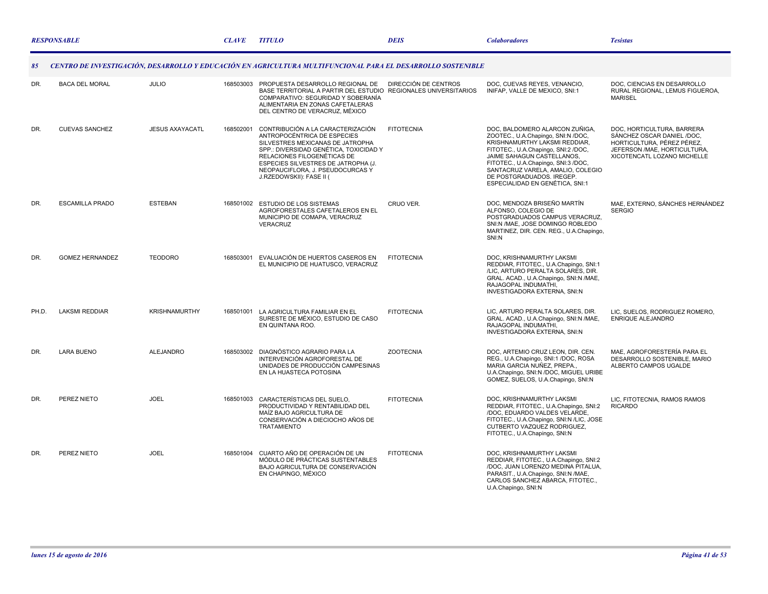|       | <b>RESPONSABLE</b>     |                        |           | <b>TITULO</b>                                                                                                                                                                                                                                                                        | <b>DEIS</b>          | <b>Colaboradores</b>                                                                                                                                                                                                                                                                                                   | <b>Tesistas</b>                                                                                                                                        |
|-------|------------------------|------------------------|-----------|--------------------------------------------------------------------------------------------------------------------------------------------------------------------------------------------------------------------------------------------------------------------------------------|----------------------|------------------------------------------------------------------------------------------------------------------------------------------------------------------------------------------------------------------------------------------------------------------------------------------------------------------------|--------------------------------------------------------------------------------------------------------------------------------------------------------|
| 85    |                        |                        |           | CENTRO DE INVESTIGACIÓN, DESARROLLO Y EDUCACIÓN EN AGRICULTURA MULTIFUNCIONAL PARA EL DESARROLLO SOSTENIBLE                                                                                                                                                                          |                      |                                                                                                                                                                                                                                                                                                                        |                                                                                                                                                        |
| DR.   | <b>BACA DEL MORAL</b>  | <b>JULIO</b>           | 168503003 | PROPUESTA DESARROLLO REGIONAL DE<br>BASE TERRITORIAL A PARTIR DEL ESTUDIO REGIONALES UNIVERSITARIOS<br>COMPARATIVO: SEGURIDAD Y SOBERANÍA<br>ALIMENTARIA EN ZONAS CAFETALERAS<br>DEL CENTRO DE VERACRUZ, MÉXICO                                                                      | DIRECCIÓN DE CENTROS | DOC, CUEVAS REYES, VENANCIO,<br>INIFAP, VALLE DE MEXICO, SNI:1                                                                                                                                                                                                                                                         | DOC, CIENCIAS EN DESARROLLO<br>RURAL REGIONAL, LEMUS FIGUEROA,<br><b>MARISEL</b>                                                                       |
| DR.   | <b>CUEVAS SANCHEZ</b>  | <b>JESUS AXAYACATL</b> | 168502001 | CONTRIBUCIÓN A LA CARACTERIZACIÓN<br>ANTROPOCÉNTRICA DE ESPECIES<br>SILVESTRES MEXICANAS DE JATROPHA<br>SPP.: DIVERSIDAD GENÉTICA, TOXICIDAD Y<br>RELACIONES FILOGENÉTICAS DE<br>ESPECIES SILVESTRES DE JATROPHA (J.<br>NEOPAUCIFLORA, J. PSEUDOCURCAS Y<br>J.RZEDOWSKII): FASE II ( | <b>FITOTECNIA</b>    | DOC, BALDOMERO ALARCON ZUÑIGA,<br>ZOOTEC., U.A.Chapingo, SNI:N /DOC,<br>KRISHNAMURTHY LAKSMI REDDIAR,<br>FITOTEC., U.A.Chapingo, SNI:2 /DOC,<br>JAIME SAHAGUN CASTELLANOS,<br>FITOTEC., U.A.Chapingo, SNI:3 /DOC,<br>SANTACRUZ VARELA, AMALIO, COLEGIO<br>DE POSTGRADUADOS. IREGEP.<br>ESPECIALIDAD EN GENÉTICA, SNI:1 | DOC, HORTICULTURA, BARRERA<br>SÁNCHEZ OSCAR DANIEL /DOC,<br>HORTICULTURA. PÉREZ PÉREZ.<br>JEFERSON / MAE, HORTICULTURA,<br>XICOTENCATL LOZANO MICHELLE |
| DR.   | <b>ESCAMILLA PRADO</b> | <b>ESTEBAN</b>         |           | 168501002 ESTUDIO DE LOS SISTEMAS<br>AGROFORESTALES CAFETALEROS EN EL<br>MUNICIPIO DE COMAPA, VERACRUZ<br>VERACRUZ                                                                                                                                                                   | CRUO VER.            | DOC, MENDOZA BRISEÑO MARTÍN<br>ALFONSO, COLEGIO DE<br>POSTGRADUADOS CAMPUS VERACRUZ,<br>SNI:N /MAE, JOSE DOMINGO ROBLEDO<br>MARTINEZ, DIR. CEN. REG., U.A.Chapingo,<br>SNI:N                                                                                                                                           | MAE, EXTERNO, SÁNCHES HERNÁNDEZ<br><b>SERGIO</b>                                                                                                       |
| DR.   | <b>GOMEZ HERNANDEZ</b> | <b>TEODORO</b>         | 168503001 | EVALUACIÓN DE HUERTOS CASEROS EN<br>EL MUNICIPIO DE HUATUSCO, VERACRUZ                                                                                                                                                                                                               | <b>FITOTECNIA</b>    | DOC, KRISHNAMURTHY LAKSMI<br>REDDIAR, FITOTEC., U.A.Chapingo, SNI:1<br>/LIC, ARTURO PERALTA SOLARES, DIR.<br>GRAL. ACAD., U.A.Chapingo, SNI:N /MAE,<br>RAJAGOPAL INDUMATHI,<br>INVESTIGADORA EXTERNA, SNI:N                                                                                                            |                                                                                                                                                        |
| PH.D. | <b>LAKSMI REDDIAR</b>  | <b>KRISHNAMURTHY</b>   | 168501001 | LA AGRICULTURA FAMILIAR EN EL<br>SURESTE DE MÉXICO, ESTUDIO DE CASO<br>EN QUINTANA ROO.                                                                                                                                                                                              | <b>FITOTECNIA</b>    | LIC, ARTURO PERALTA SOLARES, DIR.<br>GRAL. ACAD., U.A.Chapingo, SNI:N /MAE,<br>RAJAGOPAL INDUMATHI,<br>INVESTIGADORA EXTERNA, SNI:N                                                                                                                                                                                    | LIC, SUELOS, RODRIGUEZ ROMERO,<br><b>ENRIQUE ALEJANDRO</b>                                                                                             |
| DR.   | <b>LARA BUENO</b>      | <b>ALEJANDRO</b>       | 168503002 | DIAGNÓSTICO AGRARIO PARA LA<br>INTERVENCIÓN AGROFORESTAL DE<br>UNIDADES DE PRODUCCIÓN CAMPESINAS<br>EN LA HUASTECA POTOSINA                                                                                                                                                          | <b>ZOOTECNIA</b>     | DOC. ARTEMIO CRUZ LEON. DIR. CEN.<br>REG., U.A.Chapingo, SNI:1 /DOC, ROSA<br>MARIA GARCIA NUÑEZ, PREPA.,<br>U.A.Chapingo, SNI:N /DOC, MIGUEL URIBE<br>GOMEZ, SUELOS, U.A.Chapingo, SNI:N                                                                                                                               | MAE. AGROFORESTERÍA PARA EL<br>DESARROLLO SOSTENIBLE, MARIO<br>ALBERTO CAMPOS UGALDE                                                                   |
| DR.   | PEREZ NIETO            | <b>JOEL</b>            | 168501003 | CARACTERÍSTICAS DEL SUELO,<br>PRODUCTIVIDAD Y RENTABILIDAD DEL<br>MAÍZ BAJO AGRICULTURA DE<br>CONSERVACIÓN A DIECIOCHO AÑOS DE<br><b>TRATAMIENTO</b>                                                                                                                                 | <b>FITOTECNIA</b>    | DOC, KRISHNAMURTHY LAKSMI<br>REDDIAR, FITOTEC., U.A.Chapingo, SNI:2<br>/DOC, EDUARDO VALDES VELARDE,<br>FITOTEC., U.A.Chapingo, SNI:N /LIC, JOSE<br>CUTBERTO VAZQUEZ RODRIGUEZ,<br>FITOTEC., U.A.Chapingo, SNI:N                                                                                                       | LIC, FITOTECNIA, RAMOS RAMOS<br><b>RICARDO</b>                                                                                                         |
| DR.   | PEREZ NIETO            | <b>JOEL</b>            | 168501004 | CUARTO AÑO DE OPERACIÓN DE UN<br>MÓDULO DE PRÁCTICAS SUSTENTABLES<br>BAJO AGRICULTURA DE CONSERVACIÓN<br>EN CHAPINGO, MÉXICO                                                                                                                                                         | <b>FITOTECNIA</b>    | DOC, KRISHNAMURTHY LAKSMI<br>REDDIAR, FITOTEC., U.A.Chapingo, SNI:2<br>/DOC, JUAN LORENZO MEDINA PITALUA,<br>PARASIT., U.A.Chapingo, SNI:N /MAE,<br>CARLOS SANCHEZ ABARCA, FITOTEC.,<br>U.A.Chapingo, SNI:N                                                                                                            |                                                                                                                                                        |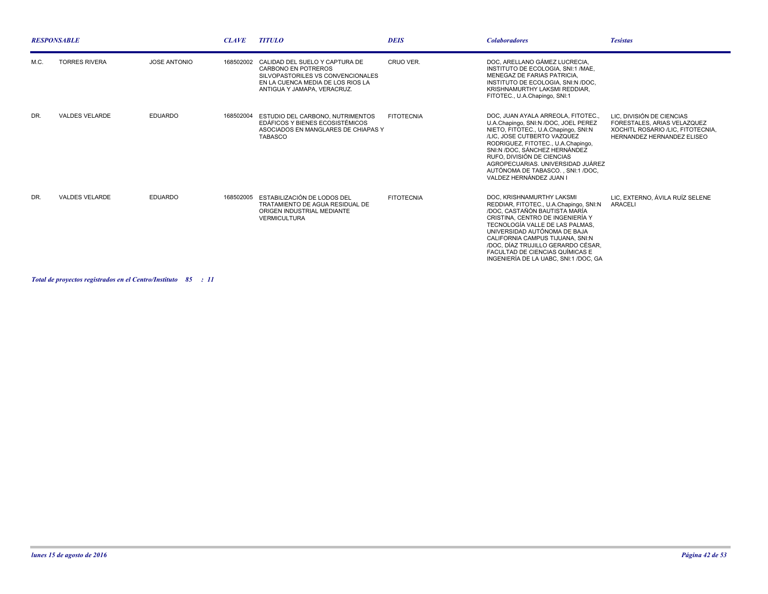| <b>RESPONSABLE</b> |                       |                     | <b>CLAVE</b> | <b>TITULO</b>                                                                                                                                                         | <b>DEIS</b>       | <b>Colaboradores</b>                                                                                                                                                                                                                                                                                                                                            | <b>Tesistas</b>                                                                                                             |
|--------------------|-----------------------|---------------------|--------------|-----------------------------------------------------------------------------------------------------------------------------------------------------------------------|-------------------|-----------------------------------------------------------------------------------------------------------------------------------------------------------------------------------------------------------------------------------------------------------------------------------------------------------------------------------------------------------------|-----------------------------------------------------------------------------------------------------------------------------|
| M.C.               | <b>TORRES RIVERA</b>  | <b>JOSE ANTONIO</b> | 168502002    | CALIDAD DEL SUELO Y CAPTURA DE<br><b>CARBONO EN POTREROS</b><br>SILVOPASTORILES VS CONVENCIONALES<br>EN LA CUENCA MEDIA DE LOS RIOS LA<br>ANTIGUA Y JAMAPA, VERACRUZ, | CRUO VER.         | DOC, ARELLANO GÁMEZ LUCRECIA,<br>INSTITUTO DE ECOLOGIA, SNI:1 /MAE.<br>MENEGAZ DE FARIAS PATRICIA.<br>INSTITUTO DE ECOLOGIA. SNI:N /DOC.<br>KRISHNAMURTHY LAKSMI REDDIAR.<br>FITOTEC., U.A.Chapingo, SNI:1                                                                                                                                                      |                                                                                                                             |
| DR.                | <b>VALDES VELARDE</b> | <b>EDUARDO</b>      | 168502004    | ESTUDIO DEL CARBONO, NUTRIMENTOS<br>EDÁFICOS Y BIENES ECOSISTÉMICOS<br>ASOCIADOS EN MANGLARES DE CHIAPAS Y<br><b>TABASCO</b>                                          | <b>FITOTECNIA</b> | DOC. JUAN AYALA ARREOLA. FITOTEC<br>U.A.Chapingo, SNI:N /DOC, JOEL PEREZ<br>NIETO, FITOTEC., U.A.Chapingo, SNI:N<br>/LIC. JOSE CUTBERTO VAZQUEZ<br>RODRIGUEZ, FITOTEC., U.A.Chapingo,<br>SNI:N /DOC, SÁNCHEZ HERNÁNDEZ<br>RUFO, DIVISIÓN DE CIENCIAS<br>AGROPECUARIAS, UNIVERSIDAD JUÁREZ<br>AUTÓNOMA DE TABASCO SNI:1/DOC.<br>VALDEZ HERNÁNDEZ JUAN I          | LIC. DIVISIÓN DE CIENCIAS<br>FORESTALES, ARIAS VELAZQUEZ<br>XOCHITL ROSARIO /LIC. FITOTECNIA.<br>HERNANDEZ HERNANDEZ ELISEO |
| DR.                | <b>VALDES VELARDE</b> | <b>EDUARDO</b>      |              | 168502005 ESTABILIZACIÓN DE LODOS DEL<br>TRATAMIENTO DE AGUA RESIDUAL DE<br>ORIGEN INDUSTRIAL MEDIANTE<br><b>VERMICULTURA</b>                                         | <b>FITOTECNIA</b> | DOC. KRISHNAMURTHY LAKSMI<br>REDDIAR, FITOTEC., U.A.Chapingo, SNI:N<br>/DOC, CASTAÑÓN BAUTISTA MARÍA<br>CRISTINA, CENTRO DE INGENIERÍA Y<br>TECNOLOGÍA VALLE DE LAS PALMAS.<br>UNIVERSIDAD AUTÓNOMA DE BAJA<br>CALIFORNIA CAMPUS TIJUANA, SNI:N<br>/DOC. DÍAZ TRUJILLO GERARDO CÉSAR<br>FACULTAD DE CIENCIAS QUÍMICAS E<br>INGENIERÍA DE LA UABC. SNI:1/DOC. GA | LIC. EXTERNO. ÁVILA RUÍZ SELENE<br><b>ARACELI</b>                                                                           |

*Total de proyectos registrados en el Centro/Instituto : 85 11*

m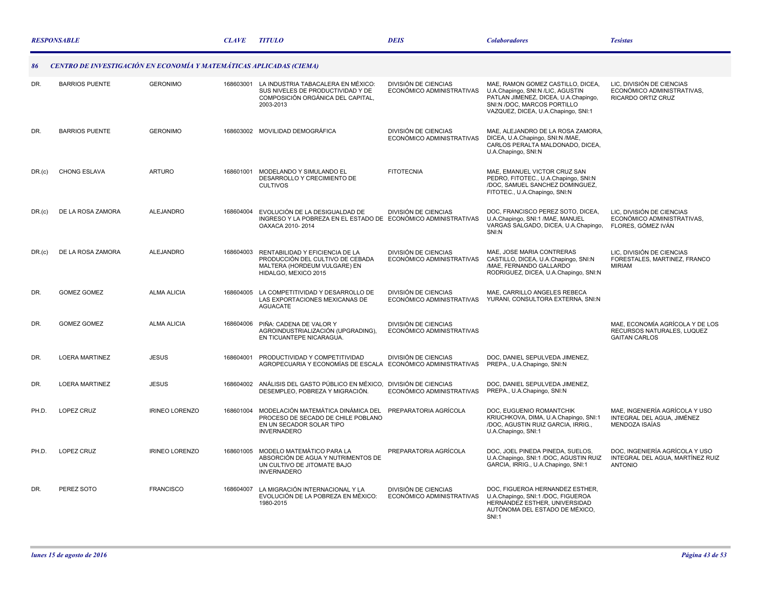|        | <b>RESPONSABLE</b>                                                  |                       | <b>CLAVE</b> | <b>TITULO</b>                                                                                                               | <b>DEIS</b>                                              | <b>Colaboradores</b>                                                                                                                                                                 | <b>Tesistas</b>                                                                       |
|--------|---------------------------------------------------------------------|-----------------------|--------------|-----------------------------------------------------------------------------------------------------------------------------|----------------------------------------------------------|--------------------------------------------------------------------------------------------------------------------------------------------------------------------------------------|---------------------------------------------------------------------------------------|
| 86     | CENTRO DE INVESTIGACIÓN EN ECONOMÍA Y MATEMÁTICAS APLICADAS (CIEMA) |                       |              |                                                                                                                             |                                                          |                                                                                                                                                                                      |                                                                                       |
| DR.    | <b>BARRIOS PUENTE</b>                                               | <b>GERONIMO</b>       | 168603001    | LA INDUSTRIA TABACALERA EN MÉXICO:<br>SUS NIVELES DE PRODUCTIVIDAD Y DE<br>COMPOSICIÓN ORGÁNICA DEL CAPITAL,<br>2003-2013   | DIVISIÓN DE CIENCIAS<br>ECONÓMICO ADMINISTRATIVAS        | MAE, RAMON GOMEZ CASTILLO, DICEA,<br>U.A.Chapingo, SNI:N /LIC, AGUSTIN<br>PATLAN JIMENEZ, DICEA, U.A.Chapingo,<br>SNI:N /DOC, MARCOS PORTILLO<br>VAZQUEZ, DICEA, U.A.Chapingo, SNI:1 | LIC, DIVISIÓN DE CIENCIAS<br>ECONÓMICO ADMINISTRATIVAS,<br>RICARDO ORTIZ CRUZ         |
| DR.    | <b>BARRIOS PUENTE</b>                                               | <b>GERONIMO</b>       |              | 168603002 MOVILIDAD DEMOGRÁFICA                                                                                             | <b>DIVISIÓN DE CIENCIAS</b><br>ECONÓMICO ADMINISTRATIVAS | MAE, ALEJANDRO DE LA ROSA ZAMORA,<br>DICEA, U.A.Chapingo, SNI:N /MAE,<br>CARLOS PERALTA MALDONADO, DICEA,<br>U.A.Chapingo, SNI:N                                                     |                                                                                       |
| DR.(c) | CHONG ESLAVA                                                        | <b>ARTURO</b>         | 168601001    | MODELANDO Y SIMULANDO EL<br>DESARROLLO Y CRECIMIENTO DE<br><b>CULTIVOS</b>                                                  | <b>FITOTECNIA</b>                                        | MAE, EMANUEL VICTOR CRUZ SAN<br>PEDRO, FITOTEC., U.A.Chapingo, SNI:N<br>/DOC, SAMUEL SANCHEZ DOMINGUEZ,<br>FITOTEC., U.A.Chapingo, SNI:N                                             |                                                                                       |
| DR.(c) | DE LA ROSA ZAMORA                                                   | <b>ALEJANDRO</b>      | 168604004    | EVOLUCIÓN DE LA DESIGUALDAD DE<br>INGRESO Y LA POBREZA EN EL ESTADO DE ECONÓMICO ADMINISTRATIVAS<br>OAXACA 2010-2014        | DIVISIÓN DE CIENCIAS                                     | DOC, FRANCISCO PEREZ SOTO, DICEA,<br>U.A.Chapingo, SNI:1 /MAE, MANUEL<br>VARGAS SALGADO, DICEA, U.A.Chapingo,<br>SNI:N                                                               | LIC. DIVISIÓN DE CIENCIAS<br>ECONÓMICO ADMINISTRATIVAS.<br>FLORES, GÓMEZ IVÁN         |
| DR.(c) | DE LA ROSA ZAMORA                                                   | ALEJANDRO             | 168604003    | RENTABILIDAD Y EFICIENCIA DE LA<br>PRODUCCIÓN DEL CULTIVO DE CEBADA<br>MALTERA (HORDEUM VULGARE) EN<br>HIDALGO, MEXICO 2015 | <b>DIVISIÓN DE CIENCIAS</b><br>ECONÓMICO ADMINISTRATIVAS | MAE, JOSE MARIA CONTRERAS<br>CASTILLO, DICEA, U.A.Chapingo, SNI:N<br>/MAE, FERNANDO GALLARDO<br>RODRIGUEZ, DICEA, U.A.Chapingo, SNI:N                                                | LIC, DIVISIÓN DE CIENCIAS<br>FORESTALES, MARTINEZ, FRANCO<br><b>MIRIAM</b>            |
| DR.    | <b>GOMEZ GOMEZ</b>                                                  | <b>ALMA ALICIA</b>    | 168604005    | LA COMPETITIVIDAD Y DESARROLLO DE<br>LAS EXPORTACIONES MEXICANAS DE<br><b>AGUACATE</b>                                      | DIVISIÓN DE CIENCIAS<br>ECONÓMICO ADMINISTRATIVAS        | MAE, CARRILLO ANGELES REBECA<br>YURANI, CONSULTORA EXTERNA, SNI:N                                                                                                                    |                                                                                       |
| DR.    | <b>GOMEZ GOMEZ</b>                                                  | <b>ALMA ALICIA</b>    | 168604006    | PIÑA: CADENA DE VALOR Y<br>AGROINDUSTRIALIZACIÓN (UPGRADING),<br>EN TICUANTEPE NICARAGUA.                                   | DIVISIÓN DE CIENCIAS<br>ECONÓMICO ADMINISTRATIVAS        |                                                                                                                                                                                      | MAE. ECONOMÍA AGRÍCOLA Y DE LOS<br>RECURSOS NATURALES, LUQUEZ<br><b>GAITAN CARLOS</b> |
| DR.    | <b>LOERA MARTINEZ</b>                                               | <b>JESUS</b>          | 168604001    | PRODUCTIVIDAD Y COMPETITIVIDAD<br>AGROPECUARIA Y ECONOMÍAS DE ESCALA                                                        | DIVISIÓN DE CIENCIAS<br>ECONÓMICO ADMINISTRATIVAS        | DOC, DANIEL SEPULVEDA JIMENEZ,<br>PREPA., U.A.Chapingo, SNI:N                                                                                                                        |                                                                                       |
| DR.    | <b>LOERA MARTINEZ</b>                                               | <b>JESUS</b>          | 168604002    | ANÁLISIS DEL GASTO PÚBLICO EN MÉXICO,<br>DESEMPLEO, POBREZA Y MIGRACIÓN.                                                    | DIVISIÓN DE CIENCIAS<br>ECONÓMICO ADMINISTRATIVAS        | DOC, DANIEL SEPULVEDA JIMENEZ,<br>PREPA., U.A.Chapingo, SNI:N                                                                                                                        |                                                                                       |
| PH.D.  | LOPEZ CRUZ                                                          | <b>IRINEO LORENZO</b> | 168601004    | MODELACIÓN MATEMÁTICA DINÁMICA DEL<br>PROCESO DE SECADO DE CHILE POBLANO<br>EN UN SECADOR SOLAR TIPO<br><b>INVERNADERO</b>  | PREPARATORIA AGRÍCOLA                                    | DOC, EUGUENIO ROMANTCHIK<br>KRIUCHKOVA, DIMA, U.A.Chapingo, SNI:1<br>/DOC, AGUSTIN RUIZ GARCIA, IRRIG.,<br>U.A.Chapingo, SNI:1                                                       | MAE, INGENIERÍA AGRÍCOLA Y USO<br>INTEGRAL DEL AGUA, JIMÉNEZ<br>MENDOZA ISAÍAS        |
| PH.D.  | LOPEZ CRUZ                                                          | <b>IRINEO LORENZO</b> | 168601005    | MODELO MATEMÀTICO PARA LA<br>ABSORCIÓN DE AGUA Y NUTRIMENTOS DE<br>UN CULTIVO DE JITOMATE BAJO<br><b>INVERNADERO</b>        | PREPARATORIA AGRÍCOLA                                    | DOC. JOEL PINEDA PINEDA, SUELOS.<br>U.A.Chapingo, SNI:1 /DOC, AGUSTIN RUIZ<br>GARCIA, IRRIG., U.A.Chapingo, SNI:1                                                                    | DOC. INGENIERÍA AGRÍCOLA Y USO<br>INTEGRAL DEL AGUA, MARTÍNEZ RUIZ<br><b>ANTONIO</b>  |
| DR.    | PEREZ SOTO                                                          | <b>FRANCISCO</b>      | 168604007    | LA MIGRACIÓN INTERNACIONAL Y LA<br>EVOLUCIÓN DE LA POBREZA EN MÉXICO:<br>1980-2015                                          | DIVISIÓN DE CIENCIAS<br>ECONÓMICO ADMINISTRATIVAS        | DOC, FIGUEROA HERNANDEZ ESTHER,<br>U.A.Chapingo, SNI:1 /DOC, FIGUEROA<br>HERNÁNDEZ ESTHER, UNIVERSIDAD<br>AUTÓNOMA DEL ESTADO DE MÉXICO,<br><b>SNI:1</b>                             |                                                                                       |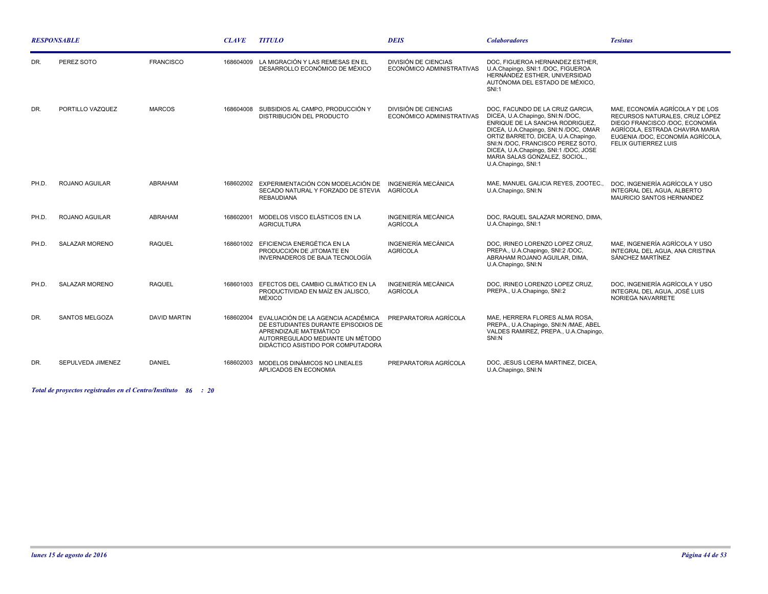| <b>RESPONSABLE</b> |                       |                     | <b>CLAVE</b> | <b>TITULO</b>                                                                                                                                                                 | <b>DEIS</b>                                              | <b>Colaboradores</b>                                                                                                                                                                                                                                                                                                          | <b>Tesistas</b>                                                                                                                                                                                           |
|--------------------|-----------------------|---------------------|--------------|-------------------------------------------------------------------------------------------------------------------------------------------------------------------------------|----------------------------------------------------------|-------------------------------------------------------------------------------------------------------------------------------------------------------------------------------------------------------------------------------------------------------------------------------------------------------------------------------|-----------------------------------------------------------------------------------------------------------------------------------------------------------------------------------------------------------|
| DR.                | PEREZ SOTO            | <b>FRANCISCO</b>    | 168604009    | LA MIGRACIÓN Y LAS REMESAS EN EL<br>DESARROLLO ECONÓMICO DE MÉXICO                                                                                                            | DIVISIÓN DE CIENCIAS<br>ECONÓMICO ADMINISTRATIVAS        | DOC. FIGUEROA HERNANDEZ ESTHER.<br>U.A.Chapingo, SNI:1 /DOC, FIGUEROA<br>HERNÁNDEZ ESTHER, UNIVERSIDAD<br>AUTÓNOMA DEL ESTADO DE MÉXICO.<br>SNI:1                                                                                                                                                                             |                                                                                                                                                                                                           |
| DR.                | PORTILLO VAZQUEZ      | <b>MARCOS</b>       | 168604008    | SUBSIDIOS AL CAMPO, PRODUCCIÓN Y<br>DISTRIBUCIÓN DEL PRODUCTO                                                                                                                 | <b>DIVISIÓN DE CIENCIAS</b><br>ECONÓMICO ADMINISTRATIVAS | DOC. FACUNDO DE LA CRUZ GARCIA.<br>DICEA, U.A.Chapingo, SNI:N /DOC,<br>ENRIQUE DE LA SANCHA RODRIGUEZ,<br>DICEA, U.A.Chapingo, SNI:N /DOC, OMAR<br>ORTIZ BARRETO, DICEA, U.A.Chapingo,<br>SNI:N /DOC. FRANCISCO PEREZ SOTO.<br>DICEA, U.A.Chapingo, SNI:1 /DOC, JOSE<br>MARIA SALAS GONZALEZ, SOCIOL.,<br>U.A.Chapingo, SNI:1 | MAE. ECONOMÍA AGRÍCOLA Y DE LOS<br>RECURSOS NATURALES, CRUZ LÓPEZ<br>DIEGO FRANCISCO /DOC, ECONOMÍA<br>AGRÍCOLA. ESTRADA CHAVIRA MARIA<br>EUGENIA /DOC, ECONOMÍA AGRÍCOLA,<br><b>FELIX GUTIERREZ LUIS</b> |
| PH.D.              | <b>ROJANO AGUILAR</b> | <b>ABRAHAM</b>      | 168602002    | EXPERIMENTACIÓN CON MODELACIÓN DE<br>SECADO NATURAL Y FORZADO DE STEVIA<br><b>REBAUDIANA</b>                                                                                  | INGENIERÍA MECÁNICA<br>AGRÍCOLA                          | MAE, MANUEL GALICIA REYES, ZOOTEC.,<br>U.A.Chapingo, SNI:N                                                                                                                                                                                                                                                                    | DOC. INGENIERÍA AGRÍCOLA Y USO<br>INTEGRAL DEL AGUA, ALBERTO<br>MAURICIO SANTOS HERNANDEZ                                                                                                                 |
| PH.D.              | ROJANO AGUILAR        | <b>ABRAHAM</b>      | 168602001    | MODELOS VISCO ELÁSTICOS EN LA<br><b>AGRICULTURA</b>                                                                                                                           | <b>INGENIERÍA MECÁNICA</b><br><b>AGRÍCOLA</b>            | DOC. RAQUEL SALAZAR MORENO, DIMA.<br>U.A.Chapingo, SNI:1                                                                                                                                                                                                                                                                      |                                                                                                                                                                                                           |
| PH.D.              | SALAZAR MORENO        | <b>RAQUEL</b>       |              | 168601002 EFICIENCIA ENERGÉTICA EN LA<br>PRODUCCIÓN DE JITOMATE EN<br>INVERNADEROS DE BAJA TECNOLOGÍA                                                                         | INGENIERÍA MECÁNICA<br>AGRÍCOLA                          | DOC. IRINEO LORENZO LOPEZ CRUZ.<br>PREPA., U.A.Chapingo, SNI:2 /DOC,<br>ABRAHAM ROJANO AGUILAR, DIMA,<br>U.A.Chapingo, SNI:N                                                                                                                                                                                                  | MAE. INGENIERÍA AGRÍCOLA Y USO<br>INTEGRAL DEL AGUA, ANA CRISTINA<br>SÁNCHEZ MARTÍNEZ                                                                                                                     |
| PH.D.              | <b>SALAZAR MORENO</b> | <b>RAQUEL</b>       | 168601003    | EFECTOS DEL CAMBIO CLIMÁTICO EN LA<br>PRODUCTIVIDAD EN MAÍZ EN JALISCO.<br>MÉXICO                                                                                             | <b>INGENIERÍA MECÁNICA</b><br>AGRÍCOLA                   | DOC. IRINEO LORENZO LOPEZ CRUZ.<br>PREPA., U.A.Chapingo, SNI:2                                                                                                                                                                                                                                                                | DOC. INGENIERÍA AGRÍCOLA Y USO<br>INTEGRAL DEL AGUA, JOSÉ LUIS<br>NORIEGA NAVARRETE                                                                                                                       |
| DR.                | <b>SANTOS MELGOZA</b> | <b>DAVID MARTIN</b> | 168602004    | EVALUACIÓN DE LA AGENCIA ACADÉMICA<br>DE ESTUDIANTES DURANTE EPISODIOS DE<br>APRENDIZAJE MATEMÁTICO<br>AUTORREGULADO MEDIANTE UN MÉTODO<br>DIDÁCTICO ASISTIDO POR COMPUTADORA | PREPARATORIA AGRÍCOLA                                    | MAE, HERRERA FLORES ALMA ROSA,<br>PREPA., U.A.Chapingo, SNI:N /MAE, ABEL<br>VALDES RAMIREZ, PREPA., U.A.Chapingo,<br>SNI:N                                                                                                                                                                                                    |                                                                                                                                                                                                           |
| DR.                | SEPULVEDA JIMENEZ     | <b>DANIEL</b>       | 168602003    | MODELOS DINÁMICOS NO LINEALES<br>APLICADOS EN ECONOMIA                                                                                                                        | PREPARATORIA AGRÍCOLA                                    | DOC, JESUS LOERA MARTINEZ, DICEA,<br>U.A.Chapingo, SNI:N                                                                                                                                                                                                                                                                      |                                                                                                                                                                                                           |

*Total de proyectos registrados en el Centro/Instituto : 86 20*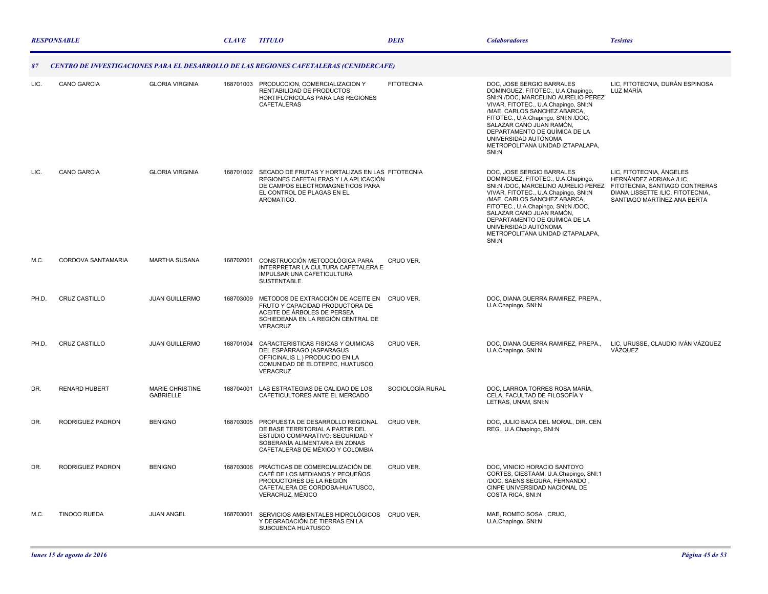|       | <b>RESPONSABLE</b>        |                                            | <b>CLAVE</b> | <i><b>TITULO</b></i>                                                                                                                                                              | <b>DEIS</b>       | <b>Colaboradores</b>                                                                                                                                                                                                                                                                                                                                    | <b>Tesistas</b>                                                                                                                                          |
|-------|---------------------------|--------------------------------------------|--------------|-----------------------------------------------------------------------------------------------------------------------------------------------------------------------------------|-------------------|---------------------------------------------------------------------------------------------------------------------------------------------------------------------------------------------------------------------------------------------------------------------------------------------------------------------------------------------------------|----------------------------------------------------------------------------------------------------------------------------------------------------------|
| 87    |                           |                                            |              | CENTRO DE INVESTIGACIONES PARA EL DESARROLLO DE LAS REGIONES CAFETALERAS (CENIDERCAFE)                                                                                            |                   |                                                                                                                                                                                                                                                                                                                                                         |                                                                                                                                                          |
| LIC.  | <b>CANO GARCIA</b>        | <b>GLORIA VIRGINIA</b>                     |              | 168701003 PRODUCCION, COMERCIALIZACION Y<br>RENTABILIDAD DE PRODUCTOS<br>HORTIFLORICOLAS PARA LAS REGIONES<br>CAFETALERAS                                                         | <b>FITOTECNIA</b> | DOC, JOSE SERGIO BARRALES<br>DOMINGUEZ, FITOTEC., U.A.Chapingo,<br>SNI:N /DOC, MARCELINO AURELIO PEREZ<br>VIVAR, FITOTEC., U.A.Chapingo, SNI:N<br>/MAE, CARLOS SANCHEZ ABARCA,<br>FITOTEC., U.A.Chapingo, SNI:N /DOC,<br>SALAZAR CANO JUAN RAMÓN,<br>DEPARTAMENTO DE QUÍMICA DE LA<br>UNIVERSIDAD AUTÓNOMA<br>METROPOLITANA UNIDAD IZTAPALAPA,<br>SNI:N | LIC, FITOTECNIA, DURÁN ESPINOSA<br>LUZ MARÍA                                                                                                             |
| LIC.  | <b>CANO GARCIA</b>        | <b>GLORIA VIRGINIA</b>                     |              | 168701002 SECADO DE FRUTAS Y HORTALIZAS EN LAS FITOTECNIA<br>REGIONES CAFETALERAS Y LA APLICACIÓN<br>DE CAMPOS ELECTROMAGNETICOS PARA<br>EL CONTROL DE PLAGAS EN EL<br>AROMATICO. |                   | DOC, JOSE SERGIO BARRALES<br>DOMINGUEZ, FITOTEC., U.A.Chapingo,<br>SNI:N /DOC, MARCELINO AURELIO PEREZ<br>VIVAR, FITOTEC., U.A.Chapingo, SNI:N<br>/MAE, CARLOS SANCHEZ ABARCA,<br>FITOTEC., U.A.Chapingo, SNI:N /DOC,<br>SALAZAR CANO JUAN RAMÓN,<br>DEPARTAMENTO DE QUÍMICA DE LA<br>UNIVERSIDAD AUTÓNOMA<br>METROPOLITANA UNIDAD IZTAPALAPA,<br>SNI:N | LIC, FITOTECNIA, ÁNGELES<br>HERNÁNDEZ ADRIANA /LIC.<br>FITOTECNIA, SANTIAGO CONTRERAS<br>DIANA LISSETTE /LIC. FITOTECNIA.<br>SANTIAGO MARTÍNEZ ANA BERTA |
| M.C.  | <b>CORDOVA SANTAMARIA</b> | <b>MARTHA SUSANA</b>                       | 168702001    | CONSTRUCCIÓN METODOLÓGICA PARA<br>INTERPRETAR LA CULTURA CAFETALERA E<br>IMPULSAR UNA CAFETICULTURA<br>SUSTENTABLE.                                                               | CRUO VER.         |                                                                                                                                                                                                                                                                                                                                                         |                                                                                                                                                          |
| PH.D. | CRUZ CASTILLO             | <b>JUAN GUILLERMO</b>                      | 168703009    | METODOS DE EXTRACCIÓN DE ACEITE EN CRUO VER.<br>FRUTO Y CAPACIDAD PRODUCTORA DE<br>ACEITE DE ÁRBOLES DE PERSEA<br>SCHIEDEANA EN LA REGIÓN CENTRAL DE<br>VERACRUZ                  |                   | DOC, DIANA GUERRA RAMIREZ, PREPA.,<br>U.A.Chapingo, SNI:N                                                                                                                                                                                                                                                                                               |                                                                                                                                                          |
| PH.D. | <b>CRUZ CASTILLO</b>      | <b>JUAN GUILLERMO</b>                      | 168701004    | CARACTERISTICAS FISICAS Y QUIMICAS<br>DEL ESPÁRRAGO (ASPARAGUS<br>OFFICINALIS L.) PRODUCIDO EN LA<br>COMUNIDAD DE ELOTEPEC, HUATUSCO,<br>VERACRUZ                                 | CRUO VER.         | DOC, DIANA GUERRA RAMIREZ, PREPA.,<br>U.A.Chapingo, SNI:N                                                                                                                                                                                                                                                                                               | LIC, URUSSE, CLAUDIO IVÁN VÁZQUEZ<br>VÁZQUEZ                                                                                                             |
| DR.   | <b>RENARD HUBERT</b>      | <b>MARIE CHRISTINE</b><br><b>GABRIELLE</b> |              | 168704001 LAS ESTRATEGIAS DE CALIDAD DE LOS<br>CAFETICULTORES ANTE EL MERCADO                                                                                                     | SOCIOLOGÍA RURAL  | DOC, LARROA TORRES ROSA MARÍA,<br>CELA, FACULTAD DE FILOSOFÍA Y<br>LETRAS, UNAM, SNI:N                                                                                                                                                                                                                                                                  |                                                                                                                                                          |
| DR.   | RODRIGUEZ PADRON          | <b>BENIGNO</b>                             | 168703005    | PROPUESTA DE DESARROLLO REGIONAL<br>DE BASE TERRITORIAL A PARTIR DEL<br>ESTUDIO COMPARATIVO: SEGURIDAD Y<br>SOBERANÍA ALIMENTARIA EN ZONAS<br>CAFETALERAS DE MÉXICO Y COLOMBIA    | CRUO VER.         | DOC, JULIO BACA DEL MORAL, DIR. CEN.<br>REG., U.A.Chapingo, SNI:N                                                                                                                                                                                                                                                                                       |                                                                                                                                                          |
| DR.   | RODRIGUEZ PADRON          | <b>BENIGNO</b>                             | 168703006    | PRÁCTICAS DE COMERCIALIZACIÓN DE<br>CAFÉ DE LOS MEDIANOS Y PEQUEÑOS<br>PRODUCTORES DE LA REGIÓN<br>CAFETALERA DE CORDOBA-HUATUSCO,<br>VERACRUZ, MÉXICO                            | CRUO VER.         | DOC. VINICIO HORACIO SANTOYO<br>CORTES, CIESTAAM, U.A.Chapingo, SNI:1<br>/DOC, SAENS SEGURA, FERNANDO,<br>CINPE UNIVERSIDAD NACIONAL DE<br>COSTA RICA, SNI:N                                                                                                                                                                                            |                                                                                                                                                          |
| M.C.  | <b>TINOCO RUEDA</b>       | <b>JUAN ANGEL</b>                          | 168703001    | SERVICIOS AMBIENTALES HIDROLÓGICOS CRUO VER.<br>Y DEGRADACIÓN DE TIERRAS EN LA<br>SUBCUENCA HUATUSCO                                                                              |                   | MAE, ROMEO SOSA, CRUO,<br>U.A.Chapingo, SNI:N                                                                                                                                                                                                                                                                                                           |                                                                                                                                                          |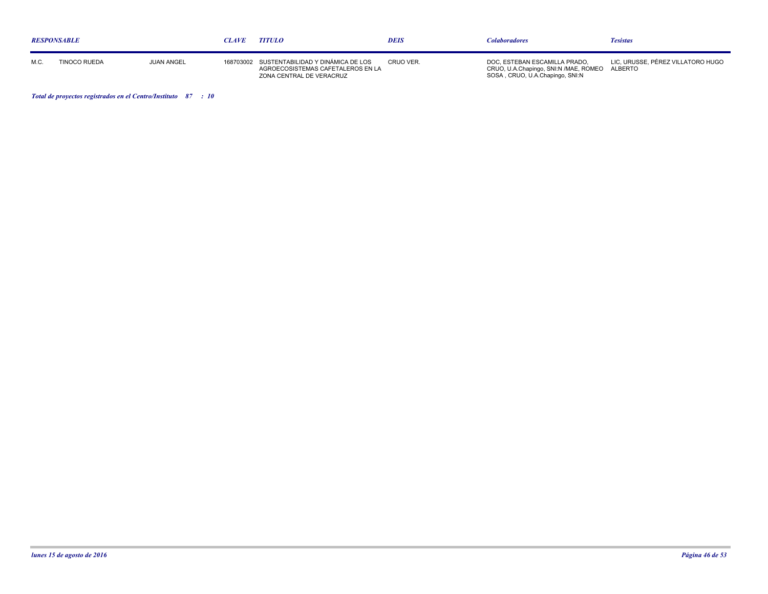| <b>RESPONSABLE</b> |              |                   | CLAVE | <b>TITULO</b>                                                                                                | <b>DEIS</b> | <i>Colaboradores</i>                                                                                              | <b>Tesistas</b>                   |
|--------------------|--------------|-------------------|-------|--------------------------------------------------------------------------------------------------------------|-------------|-------------------------------------------------------------------------------------------------------------------|-----------------------------------|
| M.C.               | TINOCO RUEDA | <b>JUAN ANGEL</b> |       | 168703002 SUSTENTABILIDAD Y DINÁMICA DE LOS<br>AGROECOSISTEMAS CAFETALEROS EN LA<br>ZONA CENTRAL DE VERACRUZ | CRUO VER.   | DOC. ESTEBAN ESCAMILLA PRADO.<br>CRUO, U.A.Chapingo, SNI:N /MAE, ROMEO ALBERTO<br>SOSA, CRUO, U.A.Chapingo, SNI:N | LIC. URUSSE. PÉREZ VILLATORO HUGO |

*Total de proyectos registrados en el Centro/Instituto : 87 10*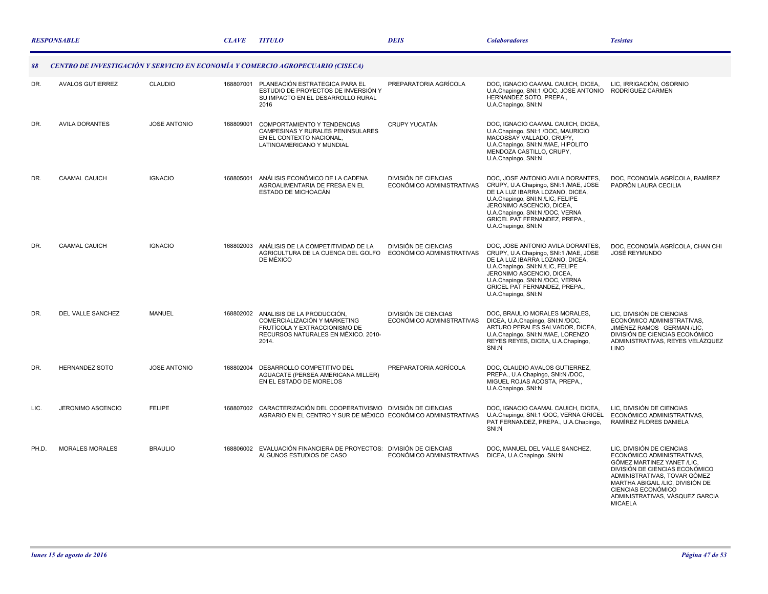|       | <b>RESPONSABLE</b>      |                     | <b>CLAVE</b> | <b>TITULO</b>                                                                                                                                         | <b>DEIS</b>                                       | <b>Colaboradores</b>                                                                                                                                                                                                                                                      | <b>Tesistas</b>                                                                                                                                                                                                                                                        |
|-------|-------------------------|---------------------|--------------|-------------------------------------------------------------------------------------------------------------------------------------------------------|---------------------------------------------------|---------------------------------------------------------------------------------------------------------------------------------------------------------------------------------------------------------------------------------------------------------------------------|------------------------------------------------------------------------------------------------------------------------------------------------------------------------------------------------------------------------------------------------------------------------|
| 88    |                         |                     |              | CENTRO DE INVESTIGACIÓN Y SERVICIO EN ECONOMÍA Y COMERCIO AGROPECUARIO (CISECA)                                                                       |                                                   |                                                                                                                                                                                                                                                                           |                                                                                                                                                                                                                                                                        |
| DR.   | <b>AVALOS GUTIERREZ</b> | CLAUDIO             | 168807001    | PLANEACIÓN ESTRATEGICA PARA EL<br>ESTUDIO DE PROYECTOS DE INVERSIÓN Y<br>SU IMPACTO EN EL DESARROLLO RURAL<br>2016                                    | PREPARATORIA AGRÍCOLA                             | DOC, IGNACIO CAAMAL CAUICH, DICEA,<br>U.A.Chapingo, SNI:1 /DOC, JOSE ANTONIO RODRÍGUEZ CARMEN<br>HERNANDEZ SOTO, PREPA.,<br>U.A.Chapingo, SNI:N                                                                                                                           | LIC. IRRIGACIÓN, OSORNIO                                                                                                                                                                                                                                               |
| DR.   | <b>AVILA DORANTES</b>   | <b>JOSE ANTONIO</b> | 168809001    | COMPORTAMIENTO Y TENDENCIAS<br>CAMPESINAS Y RURALES PENINSULARES<br>EN EL CONTEXTO NACIONAL.<br>LATINOAMERICANO Y MUNDIAL                             | CRUPY YUCATÁN                                     | DOC, IGNACIO CAAMAL CAUICH, DICEA,<br>U.A.Chapingo, SNI:1 /DOC, MAURICIO<br>MACOSSAY VALLADO, CRUPY,<br>U.A.Chapingo, SNI:N /MAE, HIPOLITO<br>MENDOZA CASTILLO, CRUPY,<br>U.A.Chapingo, SNI:N                                                                             |                                                                                                                                                                                                                                                                        |
| DR.   | <b>CAAMAL CAUICH</b>    | <b>IGNACIO</b>      | 168805001    | ANÁLISIS ECONÓMICO DE LA CADENA<br>AGROALIMENTARIA DE FRESA EN EL<br>ESTADO DE MICHOACÁN                                                              | DIVISIÓN DE CIENCIAS<br>ECONÓMICO ADMINISTRATIVAS | DOC, JOSE ANTONIO AVILA DORANTES,<br>CRUPY, U.A.Chapingo, SNI:1 /MAE, JOSE<br>DE LA LUZ IBARRA LOZANO, DICEA,<br>U.A.Chapingo, SNI:N /LIC, FELIPE<br>JERONIMO ASCENCIO, DICEA,<br>U.A.Chapingo, SNI:N /DOC, VERNA<br>GRICEL PAT FERNANDEZ, PREPA.,<br>U.A.Chapingo, SNI:N | DOC. ECONOMÍA AGRÍCOLA. RAMÍREZ<br>PADRÓN LAURA CECILIA                                                                                                                                                                                                                |
| DR.   | <b>CAAMAL CAUICH</b>    | <b>IGNACIO</b>      |              | 168802003 ANÁLISIS DE LA COMPETITIVIDAD DE LA<br>AGRICULTURA DE LA CUENCA DEL GOLFO<br>DE MÉXICO                                                      | DIVISIÓN DE CIENCIAS<br>ECONÓMICO ADMINISTRATIVAS | DOC. JOSE ANTONIO AVILA DORANTES.<br>CRUPY, U.A.Chapingo, SNI:1 /MAE, JOSE<br>DE LA LUZ IBARRA LOZANO, DICEA,<br>U.A.Chapingo, SNI:N /LIC, FELIPE<br>JERONIMO ASCENCIO. DICEA.<br>U.A.Chapingo, SNI:N /DOC, VERNA<br>GRICEL PAT FERNANDEZ, PREPA.,<br>U.A.Chapingo, SNI:N | DOC, ECONOMÍA AGRÍCOLA, CHAN CHI<br>JOSÉ REYMUNDO                                                                                                                                                                                                                      |
| DR.   | DEL VALLE SANCHEZ       | <b>MANUEL</b>       |              | 168802002 ANALISIS DE LA PRODUCCIÓN.<br>COMERCIALIZACIÓN Y MARKETING<br>FRUTÍCOLA Y EXTRACCIONISMO DE<br>RECURSOS NATURALES EN MÉXICO, 2010-<br>2014. | DIVISIÓN DE CIENCIAS<br>ECONÓMICO ADMINISTRATIVAS | DOC, BRAULIO MORALES MORALES,<br>DICEA, U.A.Chapingo, SNI:N /DOC,<br>ARTURO PERALES SALVADOR, DICEA,<br>U.A.Chapingo, SNI:N /MAE, LORENZO<br>REYES REYES, DICEA, U.A.Chapingo,<br>SNI:N                                                                                   | LIC. DIVISIÓN DE CIENCIAS<br>ECONÓMICO ADMINISTRATIVAS,<br>JIMÉNEZ RAMOS GERMAN /LIC,<br>DIVISIÓN DE CIENCIAS ECONÓMICO<br>ADMINISTRATIVAS, REYES VELÁZQUEZ<br><b>LINO</b>                                                                                             |
| DR.   | <b>HERNANDEZ SOTO</b>   | <b>JOSE ANTONIO</b> | 168802004    | DESARROLLO COMPETITIVO DEL<br>AGUACATE (PERSEA AMERICANA MILLER)<br>EN EL ESTADO DE MORELOS                                                           | PREPARATORIA AGRÍCOLA                             | DOC, CLAUDIO AVALOS GUTIERREZ,<br>PREPA., U.A.Chapingo, SNI:N /DOC,<br>MIGUEL ROJAS ACOSTA, PREPA.,<br>U.A.Chapingo, SNI:N                                                                                                                                                |                                                                                                                                                                                                                                                                        |
| LIC.  | JERONIMO ASCENCIO       | <b>FELIPE</b>       | 168807002    | CARACTERIZACIÓN DEL COOPERATIVISMO DIVISIÓN DE CIENCIAS<br>AGRARIO EN EL CENTRO Y SUR DE MÉXICO ECONÓMICO ADMINISTRATIVAS                             |                                                   | DOC, IGNACIO CAAMAL CAUICH, DICEA,<br>U.A.Chapingo, SNI:1 /DOC, VERNA GRICEL<br>PAT FERNANDEZ, PREPA., U.A.Chapingo,<br>SNI:N                                                                                                                                             | LIC, DIVISIÓN DE CIENCIAS<br>ECONÓMICO ADMINISTRATIVAS,<br>RAMÍREZ FLORES DANIELA                                                                                                                                                                                      |
| PH.D. | <b>MORALES MORALES</b>  | <b>BRAULIO</b>      |              | 168806002 EVALUACIÓN FINANCIERA DE PROYECTOS: DIVISIÓN DE CIENCIAS<br>ALGUNOS ESTUDIOS DE CASO                                                        | ECONÓMICO ADMINISTRATIVAS                         | DOC, MANUEL DEL VALLE SANCHEZ,<br>DICEA, U.A.Chapingo, SNI:N                                                                                                                                                                                                              | LIC, DIVISIÓN DE CIENCIAS<br>ECONÓMICO ADMINISTRATIVAS.<br>GÓMEZ MARTINEZ YANET /LIC,<br>DIVISIÓN DE CIENCIAS ECONÓMICO<br>ADMINISTRATIVAS, TOVAR GÓMEZ<br>MARTHA ABIGAIL /LIC, DIVISIÓN DE<br>CIENCIAS ECONÓMICO<br>ADMINISTRATIVAS, VÁSQUEZ GARCIA<br><b>MICAELA</b> |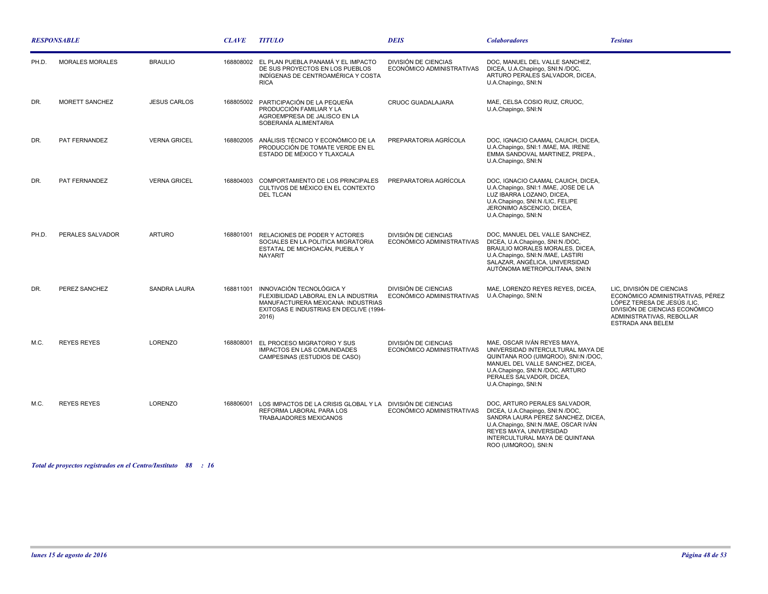| <b>RESPONSABLE</b> |                        |                     | <b>CLAVE</b> | <b>TITULO</b>                                                                                                                                              | <b>DEIS</b>                                       | <b>Colaboradores</b>                                                                                                                                                                                                                 | <b>Tesistas</b>                                                                                                                                                                  |
|--------------------|------------------------|---------------------|--------------|------------------------------------------------------------------------------------------------------------------------------------------------------------|---------------------------------------------------|--------------------------------------------------------------------------------------------------------------------------------------------------------------------------------------------------------------------------------------|----------------------------------------------------------------------------------------------------------------------------------------------------------------------------------|
| PH.D.              | <b>MORALES MORALES</b> | <b>BRAULIO</b>      |              | 168808002 EL PLAN PUEBLA PANAMÁ Y EL IMPACTO<br>DE SUS PROYECTOS EN LOS PUEBLOS<br>INDÍGENAS DE CENTROAMÉRICA Y COSTA<br><b>RICA</b>                       | DIVISIÓN DE CIENCIAS<br>ECONÓMICO ADMINISTRATIVAS | DOC, MANUEL DEL VALLE SANCHEZ,<br>DICEA, U.A.Chapingo, SNI:N /DOC,<br>ARTURO PERALES SALVADOR, DICEA,<br>U.A.Chapingo, SNI:N                                                                                                         |                                                                                                                                                                                  |
| DR.                | MORETT SANCHEZ         | <b>JESUS CARLOS</b> | 168805002    | PARTICIPACIÓN DE LA PEQUEÑA<br>PRODUCCIÓN FAMILIAR Y LA<br>AGROEMPRESA DE JALISCO EN LA<br>SOBERANÍA ALIMENTARIA                                           | <b>CRUOC GUADALAJARA</b>                          | MAE, CELSA COSIO RUIZ, CRUOC,<br>U.A.Chapingo, SNI:N                                                                                                                                                                                 |                                                                                                                                                                                  |
| DR.                | PAT FERNANDEZ          | <b>VERNA GRICEL</b> | 168802005    | ANÁLISIS TÉCNICO Y ECONÓMICO DE LA<br>PRODUCCIÓN DE TOMATE VERDE EN EL<br>ESTADO DE MÉXICO Y TLAXCALA                                                      | PREPARATORIA AGRÍCOLA                             | DOC, IGNACIO CAAMAL CAUICH, DICEA,<br>U.A.Chapingo, SNI:1 /MAE, MA. IRENE<br>EMMA SANDOVAL MARTINEZ, PREPA.,<br>U.A.Chapingo, SNI:N                                                                                                  |                                                                                                                                                                                  |
| DR.                | PAT FERNANDEZ          | <b>VERNA GRICEL</b> | 168804003    | COMPORTAMIENTO DE LOS PRINCIPALES<br>CULTIVOS DE MÉXICO EN EL CONTEXTO<br><b>DEL TLCAN</b>                                                                 | PREPARATORIA AGRÍCOLA                             | DOC, IGNACIO CAAMAL CAUICH, DICEA,<br>U.A.Chapingo, SNI:1 /MAE, JOSE DE LA<br>LUZ IBARRA LOZANO, DICEA,<br>U.A.Chapingo, SNI:N /LIC, FELIPE<br>JERONIMO ASCENCIO, DICEA,<br>U.A.Chapingo, SNI:N                                      |                                                                                                                                                                                  |
| PH.D.              | PERALES SALVADOR       | <b>ARTURO</b>       | 168801001    | RELACIONES DE PODER Y ACTORES<br>SOCIALES EN LA POLITICA MIGRATORIA<br>ESTATAL DE MICHOACÁN, PUEBLA Y<br><b>NAYARIT</b>                                    | DIVISIÓN DE CIENCIAS<br>ECONÓMICO ADMINISTRATIVAS | DOC, MANUEL DEL VALLE SANCHEZ,<br>DICEA, U.A.Chapingo, SNI:N /DOC,<br>BRAULIO MORALES MORALES, DICEA,<br>U.A.Chapingo, SNI:N /MAE, LASTIRI<br>SALAZAR, ANGÉLICA, UNIVERSIDAD<br>AUTÓNOMA METROPOLITANA, SNI:N                        |                                                                                                                                                                                  |
| DR.                | PEREZ SANCHEZ          | <b>SANDRA LAURA</b> | 168811001    | INNOVACIÓN TECNOLÓGICA Y<br>FLEXIBILIDAD LABORAL EN LA INDUSTRIA<br>MANUFACTURERA MEXICANA: INDUSTRIAS<br>EXITOSAS E INDUSTRIAS EN DECLIVE (1994-<br>2016) | DIVISIÓN DE CIENCIAS<br>ECONÓMICO ADMINISTRATIVAS | MAE, LORENZO REYES REYES, DICEA.<br>U.A.Chapingo, SNI:N                                                                                                                                                                              | LIC, DIVISIÓN DE CIENCIAS<br>ECONÓMICO ADMINISTRATIVAS, PÉREZ<br>LÓPEZ TERESA DE JESÚS /LIC,<br>DIVISIÓN DE CIENCIAS ECONÓMICO<br>ADMINISTRATIVAS, REBOLLAR<br>ESTRADA ANA BELEM |
| M.C.               | <b>REYES REYES</b>     | LORENZO             | 168808001    | EL PROCESO MIGRATORIO Y SUS<br><b>IMPACTOS EN LAS COMUNIDADES</b><br>CAMPESINAS (ESTUDIOS DE CASO)                                                         | DIVISIÓN DE CIENCIAS<br>ECONÓMICO ADMINISTRATIVAS | MAE, OSCAR IVÁN REYES MAYA,<br>UNIVERSIDAD INTERCULTURAL MAYA DE<br>QUINTANA ROO (UIMQROO), SNI:N /DOC,<br>MANUEL DEL VALLE SANCHEZ, DICEA,<br>U.A.Chapingo, SNI:N /DOC, ARTURO<br>PERALES SALVADOR. DICEA.<br>U.A.Chapingo, SNI:N   |                                                                                                                                                                                  |
| M.C.               | <b>REYES REYES</b>     | <b>LORENZO</b>      | 168806001    | LOS IMPACTOS DE LA CRISIS GLOBAL Y LA DIVISIÓN DE CIENCIAS<br>REFORMA LABORAL PARA LOS<br>TRABAJADORES MEXICANOS                                           | ECONÓMICO ADMINISTRATIVAS                         | DOC, ARTURO PERALES SALVADOR,<br>DICEA, U.A.Chapingo, SNI:N /DOC,<br>SANDRA LAURA PEREZ SANCHEZ, DICEA,<br>U.A.Chapingo, SNI:N /MAE, OSCAR IVÁN<br>REYES MAYA, UNIVERSIDAD<br>INTERCULTURAL MAYA DE QUINTANA<br>ROO (UIMQROO), SNI:N |                                                                                                                                                                                  |

*Total de proyectos registrados en el Centro/Instituto : 88 16*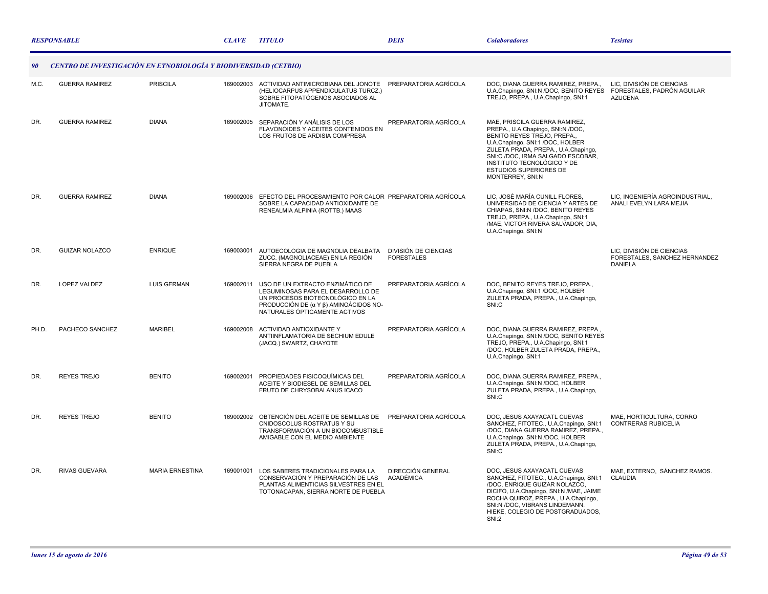|                                                                        | <b>RESPONSABLE</b>    |                        | <b>CLAVE</b> | <b>TITULO</b>                                                                                                                                                                       | <b>DEIS</b>                                  | <b>Colaboradores</b>                                                                                                                                                                                                                                                                        | <b>Tesistas</b>                                                              |  |
|------------------------------------------------------------------------|-----------------------|------------------------|--------------|-------------------------------------------------------------------------------------------------------------------------------------------------------------------------------------|----------------------------------------------|---------------------------------------------------------------------------------------------------------------------------------------------------------------------------------------------------------------------------------------------------------------------------------------------|------------------------------------------------------------------------------|--|
| CENTRO DE INVESTIGACIÓN EN ETNOBIOLOGÍA Y BIODIVERSIDAD (CETBIO)<br>90 |                       |                        |              |                                                                                                                                                                                     |                                              |                                                                                                                                                                                                                                                                                             |                                                                              |  |
| M.C.                                                                   | <b>GUERRA RAMIREZ</b> | <b>PRISCILA</b>        | 169002003    | ACTIVIDAD ANTIMICROBIANA DEL JONOTE PREPARATORIA AGRÍCOLA<br>(HELIOCARPUS APPENDICULATUS TURCZ.)<br>SOBRE FITOPATÓGENOS ASOCIADOS AL<br>JITOMATE.                                   |                                              | DOC, DIANA GUERRA RAMIREZ, PREPA.,<br>U.A.Chapingo, SNI:N /DOC, BENITO REYES<br>TREJO, PREPA., U.A.Chapingo, SNI:1                                                                                                                                                                          | LIC, DIVISIÓN DE CIENCIAS<br>FORESTALES, PADRÓN AGUILAR<br><b>AZUCENA</b>    |  |
| DR.                                                                    | <b>GUERRA RAMIREZ</b> | <b>DIANA</b>           | 169002005    | SEPARACIÓN Y ANÁLISIS DE LOS<br><b>FLAVONOIDES Y ACEITES CONTENIDOS EN</b><br>LOS FRUTOS DE ARDISIA COMPRESA                                                                        | PREPARATORIA AGRÍCOLA                        | MAE, PRISCILA GUERRA RAMIREZ,<br>PREPA., U.A.Chapingo, SNI:N /DOC,<br>BENITO REYES TREJO. PREPA<br>U.A.Chapingo, SNI:1 /DOC, HOLBER<br>ZULETA PRADA, PREPA., U.A.Chapingo,<br>SNI:C /DOC, IRMA SALGADO ESCOBAR,<br>INSTITUTO TECNOLÓGICO Y DE<br>ESTUDIOS SUPERIORES DE<br>MONTERREY, SNI:N |                                                                              |  |
| DR.                                                                    | <b>GUERRA RAMIREZ</b> | <b>DIANA</b>           |              | 169002006 EFECTO DEL PROCESAMIENTO POR CALOR PREPARATORIA AGRÍCOLA<br>SOBRE LA CAPACIDAD ANTIOXIDANTE DE<br>RENEALMIA ALPINIA (ROTTB.) MAAS                                         |                                              | LIC, JOSÉ MARÍA CUNILL FLORES,<br>UNIVERSIDAD DE CIENCIA Y ARTES DE<br>CHIAPAS, SNI:N /DOC, BENITO REYES<br>TREJO, PREPA., U.A.Chapingo, SNI:1<br>/MAE, VICTOR RIVERA SALVADOR, DIA,<br>U.A.Chapingo, SNI:N                                                                                 | LIC, INGENIERÍA AGROINDUSTRIAL,<br>ANALI EVELYN LARA MEJIA                   |  |
| DR.                                                                    | <b>GUIZAR NOLAZCO</b> | <b>ENRIQUE</b>         | 169003001    | AUTOECOLOGIA DE MAGNOLIA DEALBATA<br>ZUCC. (MAGNOLIACEAE) EN LA REGIÓN<br>SIERRA NEGRA DE PUEBLA                                                                                    | DIVISIÓN DE CIENCIAS<br><b>FORESTALES</b>    |                                                                                                                                                                                                                                                                                             | LIC, DIVISIÓN DE CIENCIAS<br>FORESTALES, SANCHEZ HERNANDEZ<br><b>DANIELA</b> |  |
| DR.                                                                    | <b>LOPEZ VALDEZ</b>   | <b>LUIS GERMAN</b>     | 169002011    | USO DE UN EXTRACTO ENZIMÁTICO DE<br>LEGUMINOSAS PARA EL DESARROLLO DE<br>UN PROCESOS BIOTECNOLÓGICO EN LA<br>PRODUCCIÓN DE (α Y β) AMINOÁCIDOS NO-<br>NATURALES ÓPTICAMENTE ACTIVOS | PREPARATORIA AGRÍCOLA                        | DOC, BENITO REYES TREJO, PREPA.,<br>U.A.Chapingo, SNI:1 /DOC, HOLBER<br>ZULETA PRADA, PREPA., U.A.Chapingo,<br>SNI:C                                                                                                                                                                        |                                                                              |  |
| PH.D.                                                                  | PACHECO SANCHEZ       | <b>MARIBEL</b>         | 169002008    | ACTIVIDAD ANTIOXIDANTE Y<br>ANTIINFLAMATORIA DE SECHIUM EDULE<br>(JACQ.) SWARTZ, CHAYOTE                                                                                            | PREPARATORIA AGRÍCOLA                        | DOC, DIANA GUERRA RAMIREZ, PREPA.,<br>U.A.Chapingo, SNI:N /DOC, BENITO REYES<br>TREJO, PREPA., U.A.Chapingo, SNI:1<br>/DOC, HOLBER ZULETA PRADA, PREPA.,<br>U.A.Chapingo, SNI:1                                                                                                             |                                                                              |  |
| DR.                                                                    | <b>REYES TREJO</b>    | <b>BENITO</b>          | 169002001    | PROPIEDADES FISICOQUÍMICAS DEL<br>ACEITE Y BIODIESEL DE SEMILLAS DEL<br>FRUTO DE CHRYSOBALANUS ICACO                                                                                | PREPARATORIA AGRÍCOLA                        | DOC, DIANA GUERRA RAMIREZ, PREPA.,<br>U.A.Chapingo, SNI:N /DOC, HOLBER<br>ZULETA PRADA, PREPA., U.A.Chapingo,<br>SNI:C                                                                                                                                                                      |                                                                              |  |
| DR.                                                                    | <b>REYES TREJO</b>    | <b>BENITO</b>          |              | 169002002 OBTENCIÓN DEL ACEITE DE SEMILLAS DE<br>CNIDOSCOLUS ROSTRATUS Y SU<br>TRANSFORMACIÓN A UN BIOCOMBUSTIBLE<br>AMIGABLE CON EL MEDIO AMBIENTE                                 | PREPARATORIA AGRÍCOLA                        | DOC, JESUS AXAYACATL CUEVAS<br>SANCHEZ, FITOTEC., U.A.Chapingo, SNI:1<br>/DOC, DIANA GUERRA RAMIREZ, PREPA.,<br>U.A.Chapingo, SNI:N /DOC, HOLBER<br>ZULETA PRADA, PREPA., U.A.Chapingo,<br>SNI:C                                                                                            | MAE, HORTICULTURA, CORRO<br><b>CONTRERAS RUBICELIA</b>                       |  |
| DR.                                                                    | <b>RIVAS GUEVARA</b>  | <b>MARIA ERNESTINA</b> | 169001001    | LOS SABERES TRADICIONALES PARA LA<br>CONSERVACIÓN Y PREPARACIÓN DE LAS<br>PLANTAS ALIMENTICIAS SILVESTRES EN EL<br>TOTONACAPAN, SIERRA NORTE DE PUEBLA                              | <b>DIRECCIÓN GENERAL</b><br><b>ACADÉMICA</b> | DOC, JESUS AXAYACATL CUEVAS<br>SANCHEZ, FITOTEC., U.A.Chapingo, SNI:1<br>/DOC, ENRIQUE GUIZAR NOLAZCO,<br>DICIFO, U.A.Chapingo, SNI:N /MAE, JAIME<br>ROCHA QUIROZ, PREPA., U.A.Chapingo,<br>SNI:N /DOC, VIBRANS LINDEMANN.<br>HIEKE, COLEGIO DE POSTGRADUADOS,<br><b>SNI:2</b>              | MAE, EXTERNO, SÁNCHEZ RAMOS.<br><b>CLAUDIA</b>                               |  |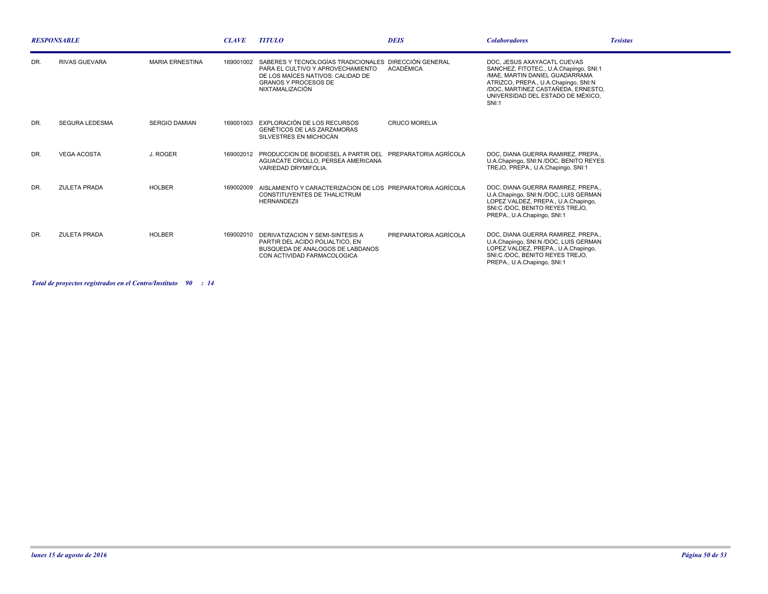| <b>RESPONSABLE</b> |                       |                        | <b>CLAVE</b> | <b>TITULO</b>                                                                                                                                                                     | <b>DEIS</b>           | <b>Colaboradores</b>                                                                                                                                                                                                                | <b>Tesistas</b> |
|--------------------|-----------------------|------------------------|--------------|-----------------------------------------------------------------------------------------------------------------------------------------------------------------------------------|-----------------------|-------------------------------------------------------------------------------------------------------------------------------------------------------------------------------------------------------------------------------------|-----------------|
| DR.                | <b>RIVAS GUEVARA</b>  | <b>MARIA ERNESTINA</b> | 169001002    | SABERES Y TECNOLOGÍAS TRADICIONALES DIRECCIÓN GENERAL<br>PARA EL CULTIVO Y APROVECHAMIENTO<br>DE LOS MAÍCES NATIVOS: CALIDAD DE<br><b>GRANOS Y PROCESOS DE</b><br>NIXTAMALIZACIÓN | ACADÉMICA             | DOC. JESUS AXAYACATL CUEVAS<br>SANCHEZ, FITOTEC., U.A.Chapingo, SNI:1<br>/MAE, MARTIN DANIEL GUADARRAMA<br>ATRIZCO, PREPA., U.A.Chapingo, SNI:N<br>/DOC. MARTINEZ CASTAÑEDA. ERNESTO.<br>UNIVERSIDAD DEL ESTADO DE MÉXICO.<br>SNI:1 |                 |
| DR.                | <b>SEGURA LEDESMA</b> | <b>SERGIO DAMIAN</b>   |              | 169001003 EXPLORACIÓN DE LOS RECURSOS<br><b>GENÉTICOS DE LAS ZARZAMORAS</b><br>SILVESTRES EN MICHOCÁN                                                                             | <b>CRUCO MORELIA</b>  |                                                                                                                                                                                                                                     |                 |
| DR.                | <b>VEGA ACOSTA</b>    | J. ROGER               |              | 169002012 PRODUCCION DE BIODIESEL A PARTIR DEL PREPARATORIA AGRÍCOLA<br>AGUACATE CRIOLLO, PERSEA AMERICANA<br>VARIEDAD DRYMIFOLIA.                                                |                       | DOC. DIANA GUERRA RAMIREZ. PREPA<br>U.A.Chapingo, SNI:N /DOC, BENITO REYES<br>TREJO, PREPA., U.A.Chapingo, SNI:1                                                                                                                    |                 |
| DR.                | <b>ZULETA PRADA</b>   | <b>HOLBER</b>          |              | 169002009 AISLAMIENTO Y CARACTERIZACION DE LOS PREPARATORIA AGRÍCOLA<br><b>CONSTITUYENTES DE THALICTRUM</b><br><b>HERNANDEZII</b>                                                 |                       | DOC. DIANA GUERRA RAMIREZ. PREPA<br>U.A.Chapingo, SNI:N /DOC, LUIS GERMAN<br>LOPEZ VALDEZ, PREPA., U.A.Chapingo,<br>SNI:C /DOC, BENITO REYES TREJO,<br>PREPA., U.A.Chapingo, SNI:1                                                  |                 |
| DR.                | <b>ZULETA PRADA</b>   | <b>HOLBER</b>          |              | 169002010 DERIVATIZACION Y SEMI-SINTESIS A<br>PARTIR DEL ACIDO POLIALTICO. EN<br>BUSQUEDA DE ANALOGOS DE LABDANOS<br>CON ACTIVIDAD FARMACOLOGICA                                  | PREPARATORIA AGRÍCOLA | DOC. DIANA GUERRA RAMIREZ. PREPA<br>U.A.Chapingo, SNI:N /DOC, LUIS GERMAN<br>LOPEZ VALDEZ, PREPA., U.A.Chapingo,<br>SNI:C /DOC, BENITO REYES TREJO,<br>PREPA., U.A.Chapingo, SNI:1                                                  |                 |

*Total de proyectos registrados en el Centro/Instituto : 90 14*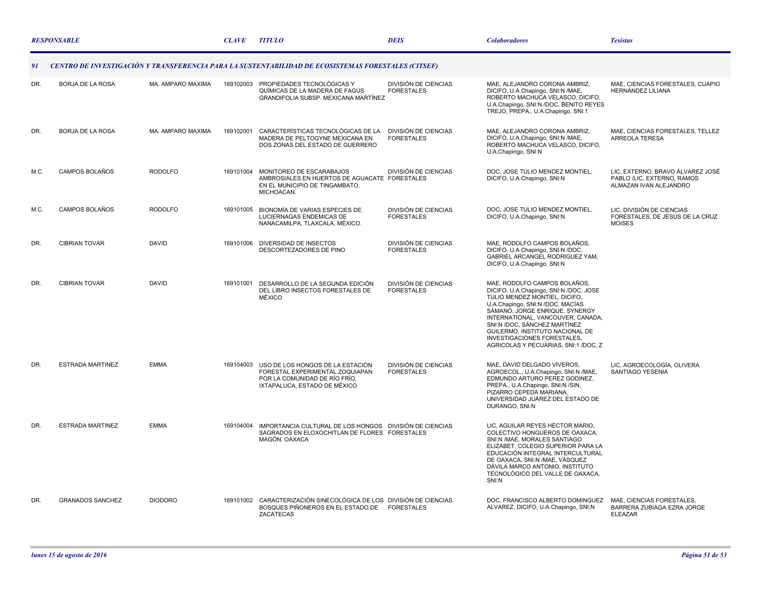|                                                                                                           | <b>RESPONSABLE</b>      |                   | <b>CLAVE</b> | <b>TITULO</b>                                                                                                                          | <b>DEIS</b>                               | <b>Colaboradores</b>                                                                                                                                                                                                                                                                                                                                         | <b>Tesistas</b>                                                                          |  |
|-----------------------------------------------------------------------------------------------------------|-------------------------|-------------------|--------------|----------------------------------------------------------------------------------------------------------------------------------------|-------------------------------------------|--------------------------------------------------------------------------------------------------------------------------------------------------------------------------------------------------------------------------------------------------------------------------------------------------------------------------------------------------------------|------------------------------------------------------------------------------------------|--|
| CENTRO DE INVESTIGACIÓN Y TRANSFERENCIA PARA LA SUSTENTABILIDAD DE ECOSISTEMAS FORESTALES (CITSEF)<br>-91 |                         |                   |              |                                                                                                                                        |                                           |                                                                                                                                                                                                                                                                                                                                                              |                                                                                          |  |
| DR.                                                                                                       | BORJA DE LA ROSA        | MA. AMPARO MAXIMA |              | 169102003 PROPIEDADES TECNOLÓGICAS Y<br>QUÍMICAS DE LA MADERA DE FAGUS<br>GRANDIFOLIA SUBSP. MEXICANA MARTÍNEZ                         | DIVISIÓN DE CIENCIAS<br><b>FORESTALES</b> | MAE, ALEJANDRO CORONA AMBRIZ,<br>DICIFO, U.A.Chapingo, SNI:N /MAE,<br>ROBERTO MACHUCA VELASCO, DICIFO,<br>U.A.Chapingo, SNI:N /DOC, BENITO REYES<br>TREJO, PREPA., U.A.Chapingo, SNI:1                                                                                                                                                                       | MAE, CIENCIAS FORESTALES, CUAPIO<br>HERNÁNDEZ LILIANA                                    |  |
| DR.                                                                                                       | <b>BORJA DE LA ROSA</b> | MA. AMPARO MAXIMA | 169102001    | CARACTERÍSTICAS TECNOLÓGICAS DE LA<br>MADERA DE PELTOGYNE MEXICANA EN<br>DOS ZONAS DEL ESTADO DE GUERRERO                              | DIVISIÓN DE CIENCIAS<br><b>FORESTALES</b> | MAE. ALEJANDRO CORONA AMBRIZ.<br>DICIFO, U.A.Chapingo, SNI:N /MAE,<br>ROBERTO MACHUCA VELASCO, DICIFO,<br>U.A.Chapingo, SNI:N                                                                                                                                                                                                                                | MAE. CIENCIAS FORESTALES. TELLEZ<br><b>ARREOLA TERESA</b>                                |  |
| M.C.                                                                                                      | CAMPOS BOLAÑOS          | <b>RODOLFO</b>    | 169101004    | MONITOREO DE ESCARABAJOS<br>AMBROSIALES EN HUERTOS DE AGUACATE FORESTALES<br>EN EL MUNICIPIO DE TINGAMBATO,<br>MICHOACAN.              | <b>DIVISIÓN DE CIENCIAS</b>               | DOC. JOSE TULIO MENDEZ MONTIEL.<br>DICIFO, U.A.Chapingo, SNI:N                                                                                                                                                                                                                                                                                               | LIC. EXTERNO. BRAVO ÁLVAREZ JOSÉ<br>PABLO /LIC, EXTERNO, RAMOS<br>ALMAZAN IVAN ALEJANDRO |  |
| M.C.                                                                                                      | CAMPOS BOLAÑOS          | <b>RODOLFO</b>    | 169101005    | BIONOMÍA DE VARIAS ESPECIES DE<br>LUCIERNAGAS ENDEMICAS DE<br>NANACAMILPA, TLAXCALA, MÉXICO.                                           | DIVISIÓN DE CIENCIAS<br><b>FORESTALES</b> | DOC. JOSE TULIO MENDEZ MONTIEL.<br>DICIFO, U.A.Chapingo, SNI:N                                                                                                                                                                                                                                                                                               | LIC. DIVISIÓN DE CIENCIAS<br>FORESTALES, DE JESÚS DE LA CRUZ<br><b>MOISES</b>            |  |
| DR.                                                                                                       | <b>CIBRIAN TOVAR</b>    | <b>DAVID</b>      | 169101006    | DIVERSIDAD DE INSECTOS<br>DESCORTEZADORES DE PINO                                                                                      | DIVISIÓN DE CIENCIAS<br><b>FORESTALES</b> | MAE, RODOLFO CAMPOS BOLAÑOS,<br>DICIFO, U.A.Chapingo, SNI:N /DOC,<br>GABRIEL ARCANGEL RODRIGUEZ YAM,<br>DICIFO, U.A.Chapingo, SNI:N                                                                                                                                                                                                                          |                                                                                          |  |
| DR.                                                                                                       | <b>CIBRIAN TOVAR</b>    | <b>DAVID</b>      | 169101001    | DESARROLLO DE LA SEGUNDA EDICIÓN<br>DEL LIBRO INSECTOS FORESTALES DE<br>MÉXICO                                                         | DIVISIÓN DE CIENCIAS<br><b>FORESTALES</b> | MAE, RODOLFO CAMPOS BOLAÑOS,<br>DICIFO, U.A.Chapingo, SNI:N /DOC, JOSE<br>TULIO MENDEZ MONTIEL, DICIFO,<br>U.A.Chapingo, SNI:N /DOC, MACÍAS<br>SÁMANO, JORGE ENRIQUE, SYNERGY<br>INTERNATIONAL, VANCOUVER, CANADA.<br>SNI:N /DOC, SÁNCHEZ MARTÍNEZ<br>GUILERMO, INSTITUTO NACIONAL DE<br>INVESTIGACIONES FORESTALES,<br>AGRICOLAS Y PECUARIAS, SNI:1 /DOC, Z |                                                                                          |  |
| DR.                                                                                                       | <b>ESTRADA MARTINEZ</b> | <b>EMMA</b>       | 169104003    | USO DE LOS HONGOS DE LA ESTACIÓN<br>FORESTAL EXPERIMENTAL ZOQUIAPAN<br>POR LA COMUNIDAD DE RÍO FRÍO,<br>IXTAPALUCA, ESTADO DE MÉXICO   | DIVISIÓN DE CIENCIAS<br><b>FORESTALES</b> | MAE, DAVID DELGADO VIVEROS,<br>AGROECOL., U.A.Chapingo, SNI:N /MAE,<br>EDMUNDO ARTURO PEREZ GODINEZ,<br>PREPA., U.A.Chapingo, SNI:N /SIN,<br>PIZARRO CEPEDA MARIANA.<br>UNIVERSIDAD JUÁREZ DEL ESTADO DE<br>DURANGO, SNI:N                                                                                                                                   | LIC, AGROECOLOGÍA, OLIVERA<br>SANTIAGO YESENIA                                           |  |
| DR.                                                                                                       | <b>ESTRADA MARTINEZ</b> | <b>EMMA</b>       |              | 169104004 IMPORTANCIA CULTURAL DE LOS HONGOS DIVISIÓN DE CIENCIAS<br>SAGRADOS EN ELOXOCHITLÁN DE FLORES FORESTALES<br>MAGÓN, OAXACA    |                                           | LIC, AGUILAR REYES HÉCTOR MARIO,<br>COLECTIVO HONGUEROS DE OAXACA.<br>SNI:N /MAE, MORALES SANTIAGO<br>ELIZABET, COLEGIO SUPERIOR PARA LA<br>EDUCACIÓN INTEGRAL INTERCULTURAL<br>DE OAXACA, SNI:N /MAE, VÁSQUEZ<br>DÁVILA MARCO ANTONIO, INSTITUTO<br>TECNOLÓGICO DEL VALLE DE OAXACA,<br>SNI:N                                                               |                                                                                          |  |
| DR.                                                                                                       | <b>GRANADOS SANCHEZ</b> | <b>DIODORO</b>    |              | 169101002 CARACTERIZACIÓN SINECOLÓGICA DE LOS DIVISIÓN DE CIENCIAS<br>BOSQUES PIÑONEROS EN EL ESTADO DE FORESTALES<br><b>ZACATECAS</b> |                                           | DOC, FRANCISCO ALBERTO DOMINGUEZ<br>ALVAREZ, DICIFO, U.A.Chapingo, SNI:N                                                                                                                                                                                                                                                                                     | MAE, CIENCIAS FORESTALES,<br>BARRERA ZUBIAGA EZRA JORGE<br><b>ELEAZAR</b>                |  |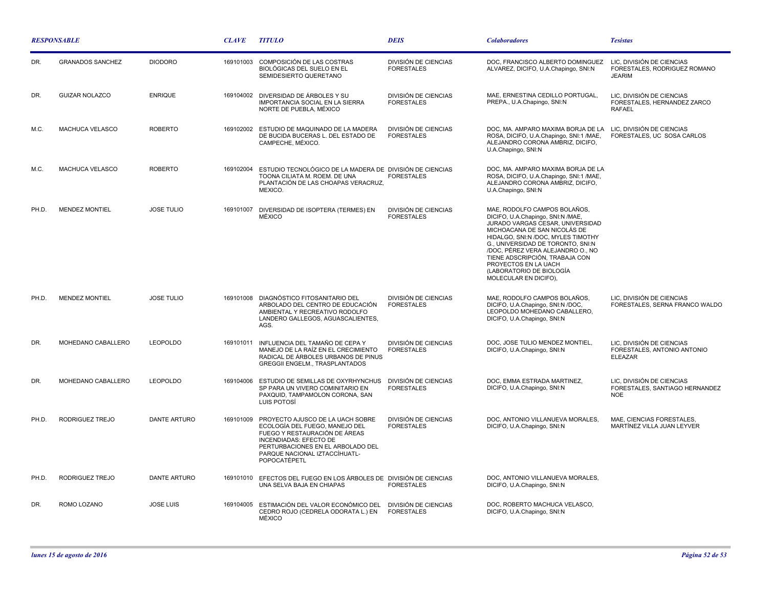| <b>RESPONSABLE</b> |                         |                     | <b>CLAVE</b> | <b>TITULO</b>                                                                                                                                                                                                              | <b>DEIS</b>                                      | <b>Colaboradores</b>                                                                                                                                                                                                                                                                                                                                                 | <b>Tesistas</b>                                                            |
|--------------------|-------------------------|---------------------|--------------|----------------------------------------------------------------------------------------------------------------------------------------------------------------------------------------------------------------------------|--------------------------------------------------|----------------------------------------------------------------------------------------------------------------------------------------------------------------------------------------------------------------------------------------------------------------------------------------------------------------------------------------------------------------------|----------------------------------------------------------------------------|
| DR.                | <b>GRANADOS SANCHEZ</b> | <b>DIODORO</b>      | 169101003    | COMPOSICIÓN DE LAS COSTRAS<br>BIOLÓGICAS DEL SUELO EN EL<br>SEMIDESIERTO QUERETANO                                                                                                                                         | DIVISIÓN DE CIENCIAS<br><b>FORESTALES</b>        | DOC, FRANCISCO ALBERTO DOMINGUEZ<br>ALVAREZ, DICIFO, U.A.Chapingo, SNI:N                                                                                                                                                                                                                                                                                             | LIC, DIVISIÓN DE CIENCIAS<br>FORESTALES, RODRIGUEZ ROMANO<br><b>JEARIM</b> |
| DR.                | <b>GUIZAR NOLAZCO</b>   | <b>ENRIQUE</b>      |              | 169104002 DIVERSIDAD DE ÁRBOLES Y SU<br><b>IMPORTANCIA SOCIAL EN LA SIERRA</b><br>NORTE DE PUEBLA, MÉXICO                                                                                                                  | <b>DIVISIÓN DE CIENCIAS</b><br><b>FORESTALES</b> | MAE, ERNESTINA CEDILLO PORTUGAL,<br>PREPA., U.A.Chapingo, SNI:N                                                                                                                                                                                                                                                                                                      | LIC, DIVISIÓN DE CIENCIAS<br>FORESTALES, HERNANDEZ ZARCO<br><b>RAFAEL</b>  |
| M.C.               | MACHUCA VELASCO         | <b>ROBERTO</b>      |              | 169102002 ESTUDIO DE MAQUINADO DE LA MADERA<br>DE BUCIDA BUCERAS L. DEL ESTADO DE<br>CAMPECHE, MÉXICO.                                                                                                                     | <b>DIVISIÓN DE CIENCIAS</b><br><b>FORESTALES</b> | DOC, MA. AMPARO MAXIMA BORJA DE LA LIC, DIVISIÓN DE CIENCIAS<br>ROSA, DICIFO, U.A.Chapingo, SNI:1 /MAE,<br>ALEJANDRO CORONA AMBRIZ, DICIFO,<br>U.A.Chapingo, SNI:N                                                                                                                                                                                                   | FORESTALES, UC SOSA CARLOS                                                 |
| M.C.               | MACHUCA VELASCO         | <b>ROBERTO</b>      | 169102004    | ESTUDIO TECNOLÓGICO DE LA MADERA DE DIVISIÓN DE CIENCIAS<br>TOONA CILIATA M. ROEM. DE UNA<br>PLANTACIÓN DE LAS CHOAPAS VERACRUZ,<br>MEXICO.                                                                                | <b>FORESTALES</b>                                | DOC. MA. AMPARO MAXIMA BORJA DE LA<br>ROSA, DICIFO, U.A.Chapingo, SNI:1 /MAE,<br>ALEJANDRO CORONA AMBRIZ, DICIFO,<br>U.A.Chapingo, SNI:N                                                                                                                                                                                                                             |                                                                            |
| PH.D               | <b>MENDEZ MONTIEL</b>   | <b>JOSE TULIO</b>   | 169101007    | DIVERSIDAD DE ISOPTERA (TERMES) EN<br><b>MÉXICO</b>                                                                                                                                                                        | DIVISIÓN DE CIENCIAS<br><b>FORESTALES</b>        | MAE, RODOLFO CAMPOS BOLAÑOS,<br>DICIFO, U.A.Chapingo, SNI:N /MAE,<br>JURADO VARGAS CESAR, UNIVERSIDAD<br>MICHOACANA DE SAN NICOLÁS DE<br>HIDALGO, SNI:N /DOC, MYLES TIMOTHY<br>G., UNIVERSIDAD DE TORONTO, SNI:N<br>/DOC, PÉREZ VERA ALEJANDRO O., NO<br>TIENE ADSCRIPCIÓN, TRABAJA CON<br>PROYECTOS EN LA UACH<br>(LABORATORIO DE BIOLOGÍA<br>MOLECULAR EN DICIFO), |                                                                            |
| PH.D.              | <b>MENDEZ MONTIEL</b>   | <b>JOSE TULIO</b>   | 169101008    | DIAGNÓSTICO FITOSANITARIO DEL<br>ARBOLADO DEL CENTRO DE EDUCACIÓN<br>AMBIENTAL Y RECREATIVO RODOLFO<br>LANDERO GALLEGOS, AGUASCALIENTES,<br>AGS.                                                                           | DIVISIÓN DE CIENCIAS<br><b>FORESTALES</b>        | MAE, RODOLFO CAMPOS BOLAÑOS,<br>DICIFO, U.A.Chapingo, SNI:N /DOC,<br>LEOPOLDO MOHEDANO CABALLERO,<br>DICIFO, U.A.Chapingo, SNI:N                                                                                                                                                                                                                                     | LIC. DIVISIÓN DE CIENCIAS<br>FORESTALES, SERNA FRANCO WALDO                |
| DR.                | MOHEDANO CABALLERO      | <b>LEOPOLDO</b>     | 169101011    | INFLUENCIA DEL TAMAÑO DE CEPA Y<br>MANEJO DE LA RAÍZ EN EL CRECIMIENTO<br>RADICAL DE ÁRBOLES URBANOS DE PINUS<br><b>GREGGII ENGELM., TRASPLANTADOS</b>                                                                     | DIVISIÓN DE CIENCIAS<br><b>FORESTALES</b>        | DOC, JOSE TULIO MENDEZ MONTIEL,<br>DICIFO, U.A.Chapingo, SNI:N                                                                                                                                                                                                                                                                                                       | LIC, DIVISIÓN DE CIENCIAS<br>FORESTALES, ANTONIO ANTONIO<br><b>ELEAZAR</b> |
| DR.                | MOHEDANO CABALLERO      | <b>LEOPOLDO</b>     | 169104006    | ESTUDIO DE SEMILLAS DE OXYRHYNCHUS<br>SP PARA UN VIVERO COMINITARIO EN<br>PAXQUID, TAMPAMOLON CORONA, SAN<br>LUIS POTOSÍ                                                                                                   | DIVISIÓN DE CIENCIAS<br><b>FORESTALES</b>        | DOC, EMMA ESTRADA MARTINEZ,<br>DICIFO, U.A.Chapingo, SNI:N                                                                                                                                                                                                                                                                                                           | LIC, DIVISIÓN DE CIENCIAS<br>FORESTALES, SANTIAGO HERNANDEZ<br><b>NOE</b>  |
| PH.D.              | RODRIGUEZ TREJO         | <b>DANTE ARTURO</b> | 169101009    | PROYECTO AJUSCO DE LA UACH SOBRE<br>ECOLOGÍA DEL FUEGO, MANEJO DEL<br>FUEGO Y RESTAURACIÓN DE ÁREAS<br>INCENDIADAS: EFECTO DE<br>PERTURBACIONES EN EL ARBOLADO DEL<br>PARQUE NACIONAL IZTACCÍHUATL-<br><b>POPOCATÉPETL</b> | DIVISIÓN DE CIENCIAS<br><b>FORESTALES</b>        | DOC. ANTONIO VILLANUEVA MORALES.<br>DICIFO, U.A.Chapingo, SNI:N                                                                                                                                                                                                                                                                                                      | MAE. CIENCIAS FORESTALES.<br>MARTÍNEZ VILLA JUAN LEYVER                    |
| PH.D.              | RODRIGUEZ TREJO         | DANTE ARTURO        |              | 169101010 EFECTOS DEL FUEGO EN LOS ÁRBOLES DE DIVISIÓN DE CIENCIAS<br>UNA SELVA BAJA EN CHIAPAS                                                                                                                            | <b>FORESTALES</b>                                | DOC, ANTONIO VILLANUEVA MORALES,<br>DICIFO, U.A.Chapingo, SNI:N                                                                                                                                                                                                                                                                                                      |                                                                            |
| DR.                | ROMO LOZANO             | <b>JOSE LUIS</b>    | 169104005    | ESTIMACIÓN DEL VALOR ECONÓMICO DEL<br>CEDRO ROJO (CEDRELA ODORATA L.) EN<br>MÉXICO                                                                                                                                         | DIVISIÓN DE CIENCIAS<br><b>FORESTALES</b>        | DOC, ROBERTO MACHUCA VELASCO,<br>DICIFO, U.A.Chapingo, SNI:N                                                                                                                                                                                                                                                                                                         |                                                                            |